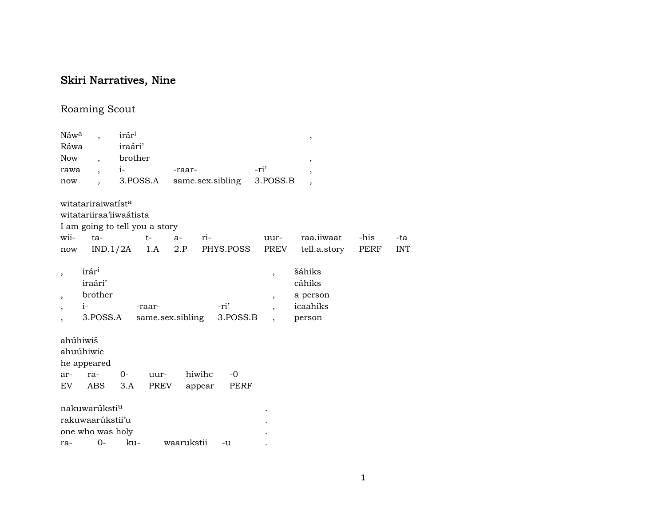## Skiri Narratives, Nine

## Roaming Scout

| iraári'<br>Ráwa<br>brother<br>Now<br>$\overline{\phantom{a}}$<br>$\overline{\phantom{a}}$<br>-ri'<br>$i-$<br>-raar-<br>rawa<br>$\overline{\phantom{a}}$<br>$\cdot$<br>3.POSS.A<br>3.POSS.B<br>same.sex.sibling<br>now<br>$\overline{\phantom{a}}$<br>witatariraiwatista<br>witatariiraa'iiwaátista<br>I am going to tell you a story<br>wii-<br>raa.iiwaat<br>-his<br>$ta-$<br>$t-$<br>ri-<br>$a-$<br>uur-<br>PREV<br><b>INT</b><br>IND.1/2A<br>1.A<br>2.P<br>PHYS.POSS<br>tell.a.story<br>PERF<br>now<br>irár <sup>i</sup><br>šáhiks<br>$\overline{ }$<br>cáhiks<br>iraári'<br>brother<br>a person<br>$\overline{\phantom{a}}$<br>$\overline{ }$<br>-ri'<br>icaahiks<br>$i-$<br>-raar-<br>$\overline{\phantom{a}}$<br>$\overline{ }$<br>same.sex.sibling<br>3.POSS.B<br>3.POSS.A<br>person<br>ahúhiwiš<br>ahuúhiwic<br>he appeared<br>hiwihc<br>$-0$<br>$0-$<br>uur-<br>ar-<br>ra-<br>ABS<br>PREV<br>PERF<br>EV.<br>3.A<br>appear<br>nakuwarúksti <sup>u</sup><br>rakuwaarúkstii'u<br>one who was holy | Náwa | irár <sup>1</sup> |  |  |  | $\, ,$ |     |
|---------------------------------------------------------------------------------------------------------------------------------------------------------------------------------------------------------------------------------------------------------------------------------------------------------------------------------------------------------------------------------------------------------------------------------------------------------------------------------------------------------------------------------------------------------------------------------------------------------------------------------------------------------------------------------------------------------------------------------------------------------------------------------------------------------------------------------------------------------------------------------------------------------------------------------------------------------------------------------------------------------|------|-------------------|--|--|--|--------|-----|
|                                                                                                                                                                                                                                                                                                                                                                                                                                                                                                                                                                                                                                                                                                                                                                                                                                                                                                                                                                                                         |      |                   |  |  |  |        |     |
|                                                                                                                                                                                                                                                                                                                                                                                                                                                                                                                                                                                                                                                                                                                                                                                                                                                                                                                                                                                                         |      |                   |  |  |  |        |     |
|                                                                                                                                                                                                                                                                                                                                                                                                                                                                                                                                                                                                                                                                                                                                                                                                                                                                                                                                                                                                         |      |                   |  |  |  |        |     |
|                                                                                                                                                                                                                                                                                                                                                                                                                                                                                                                                                                                                                                                                                                                                                                                                                                                                                                                                                                                                         |      |                   |  |  |  |        |     |
|                                                                                                                                                                                                                                                                                                                                                                                                                                                                                                                                                                                                                                                                                                                                                                                                                                                                                                                                                                                                         |      |                   |  |  |  |        |     |
|                                                                                                                                                                                                                                                                                                                                                                                                                                                                                                                                                                                                                                                                                                                                                                                                                                                                                                                                                                                                         |      |                   |  |  |  |        | -ta |
|                                                                                                                                                                                                                                                                                                                                                                                                                                                                                                                                                                                                                                                                                                                                                                                                                                                                                                                                                                                                         |      |                   |  |  |  |        |     |
|                                                                                                                                                                                                                                                                                                                                                                                                                                                                                                                                                                                                                                                                                                                                                                                                                                                                                                                                                                                                         |      |                   |  |  |  |        |     |
|                                                                                                                                                                                                                                                                                                                                                                                                                                                                                                                                                                                                                                                                                                                                                                                                                                                                                                                                                                                                         |      |                   |  |  |  |        |     |
|                                                                                                                                                                                                                                                                                                                                                                                                                                                                                                                                                                                                                                                                                                                                                                                                                                                                                                                                                                                                         |      |                   |  |  |  |        |     |
| 0-<br>ku-<br>waarukstii<br>ra-<br>-u                                                                                                                                                                                                                                                                                                                                                                                                                                                                                                                                                                                                                                                                                                                                                                                                                                                                                                                                                                    |      |                   |  |  |  |        |     |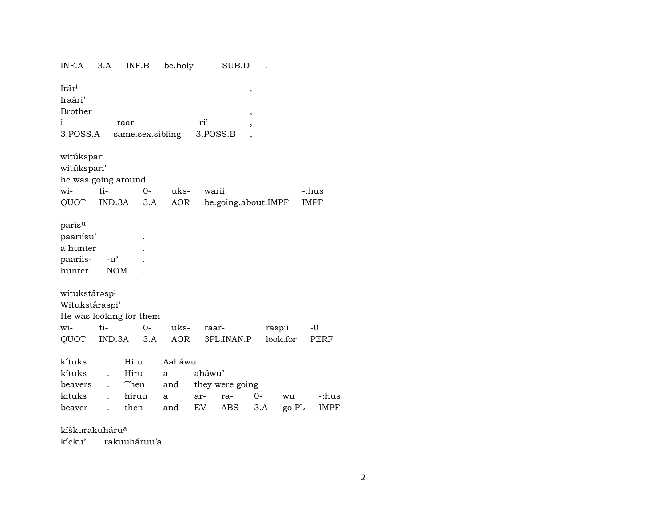| INF.A                                                 | 3.A                         | INF.B                   | be.holy    |          | SUB.D               |        |          |             |
|-------------------------------------------------------|-----------------------------|-------------------------|------------|----------|---------------------|--------|----------|-------------|
| Irár <sup>i</sup><br>Iraári'<br><b>Brother</b>        |                             |                         |            |          |                     | ,<br>, |          |             |
| $i-$                                                  |                             | -raar-                  |            | -ri'     |                     |        |          |             |
| 3.POSS.A                                              |                             | same.sex.sibling        |            | 3.POSS.B |                     | ,      |          |             |
|                                                       |                             |                         |            |          |                     |        |          |             |
| witúkspari<br>witúkspari'<br>he was going around      |                             |                         |            |          |                     |        |          |             |
| wi-                                                   | ti-                         | $0-$                    | uks-       | warii    |                     |        |          | -:hus       |
| QUOT IND.3A                                           |                             | 3.A                     | <b>AOR</b> |          | be.going.about.IMPF |        |          | <b>IMPF</b> |
| parísu<br>paariisu'<br>a hunter<br>paariis-<br>hunter | $-u^{\prime}$<br><b>NOM</b> |                         |            |          |                     |        |          |             |
| witukstárasp <sup>i</sup>                             |                             |                         |            |          |                     |        |          |             |
| Witukstáraspi'                                        |                             |                         |            |          |                     |        |          |             |
|                                                       |                             | He was looking for them |            |          |                     |        |          |             |
| wi-                                                   | ti-                         | $O -$                   | uks-       | raar-    |                     |        | raspii   | -0          |
| QUOT                                                  | IND.3A                      | 3.A                     | AOR        |          | 3PL.INAN.P          |        | look.for | PERF        |
|                                                       |                             |                         |            |          |                     |        |          |             |
| kítuks                                                |                             | Hiru                    | Aaháwu     |          |                     |        |          |             |
| kítuks                                                |                             | Hiru                    | a          | aháwu'   |                     |        |          |             |
| beavers                                               |                             | Then                    | and        |          | they were going     |        |          |             |
| kituks                                                |                             | hiruu                   | a          | ar-      | ra-                 | $0-$   | wu       | -:hus       |
| beaver                                                | $\ddot{\phantom{a}}$        | then                    | and        | EV       | ABS                 | 3.A    | go.PL    | <b>IMPF</b> |
|                                                       |                             |                         |            |          |                     |        |          |             |

kíškurakuháru<sup>a</sup> rakuuháruu'a kícku'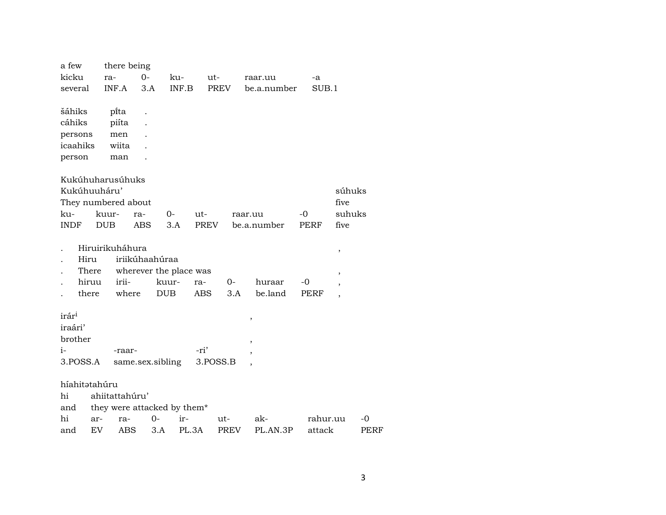| a few                            |       | there being                 |            |                        |       |          |      |         |             |    |          |                          |      |
|----------------------------------|-------|-----------------------------|------------|------------------------|-------|----------|------|---------|-------------|----|----------|--------------------------|------|
| kicku                            |       | ra-                         | $O -$      | ku-                    |       | ut-      |      |         | raar.uu     |    | -a       |                          |      |
| several                          |       | INF.A                       | 3.A        |                        | INF.B | PREV     |      |         | be.a.number |    | SUB.1    |                          |      |
|                                  |       |                             |            |                        |       |          |      |         |             |    |          |                          |      |
| šáhiks                           |       | pi̇̃ta                      |            |                        |       |          |      |         |             |    |          |                          |      |
| cáhiks                           |       | piíta                       |            |                        |       |          |      |         |             |    |          |                          |      |
| persons                          |       | men                         |            |                        |       |          |      |         |             |    |          |                          |      |
| icaahiks                         |       | wiita                       |            |                        |       |          |      |         |             |    |          |                          |      |
| person                           |       | man                         |            |                        |       |          |      |         |             |    |          |                          |      |
|                                  |       |                             |            |                        |       |          |      |         |             |    |          |                          |      |
| Kukúhuharusúhuks<br>Kukúhuuháru' |       |                             |            |                        |       |          |      |         |             |    |          | súhuks                   |      |
| They numbered about              |       |                             |            |                        |       |          |      |         |             |    |          | five                     |      |
| ku-                              |       | kuur-                       | ra-        | 0-                     |       | ut-      |      |         |             | -0 |          | suhuks                   |      |
| <b>INDF</b>                      |       | <b>DUB</b>                  | <b>ABS</b> | 3.A                    |       | PREV     |      | raar.uu | be.a.number |    | PERF     | five                     |      |
|                                  |       |                             |            |                        |       |          |      |         |             |    |          |                          |      |
|                                  |       | Hiruirikuháhura             |            |                        |       |          |      |         |             |    |          |                          |      |
| Hiru                             |       |                             |            | iriikúhaahúraa         |       |          |      |         |             |    |          | $\, ,$                   |      |
|                                  | There |                             |            | wherever the place was |       |          |      |         |             |    |          | $\, ,$                   |      |
|                                  | hiruu | irii-                       |            | kuur-                  |       | ra-      | $0-$ |         | huraar      | -0 |          | $\overline{\phantom{a}}$ |      |
|                                  | there | where                       |            | <b>DUB</b>             |       | ABS.     | 3.A  |         | be.land     |    | PERF     | $\overline{\phantom{a}}$ |      |
|                                  |       |                             |            |                        |       |          |      |         |             |    |          |                          |      |
| irár <sup>i</sup>                |       |                             |            |                        |       |          |      | $\, ,$  |             |    |          |                          |      |
| iraári'                          |       |                             |            |                        |       |          |      |         |             |    |          |                          |      |
| brother                          |       |                             |            |                        |       |          |      |         |             |    |          |                          |      |
| $i-$                             |       | -raar-                      |            |                        |       | -ri'     |      |         |             |    |          |                          |      |
| 3.POSS.A                         |       |                             |            | same.sex.sibling       |       | 3.POSS.B |      |         |             |    |          |                          |      |
|                                  |       |                             |            |                        |       |          |      |         |             |    |          |                          |      |
| híahitatahúru                    |       |                             |            |                        |       |          |      |         |             |    |          |                          |      |
| hi                               |       | ahiitattahúru'              |            |                        |       |          |      |         |             |    |          |                          |      |
| and                              |       | they were attacked by them* |            |                        |       |          |      |         |             |    |          |                          |      |
| hi                               | ar-   | ra-                         |            | $O -$                  | ir-   |          | ut-  |         | ak-         |    | rahur.uu |                          | -0   |
| and                              | EV    | ABS                         |            | 3.A                    | PL.3A |          | PREV |         | PL.AN.3P    |    | attack   |                          | PERF |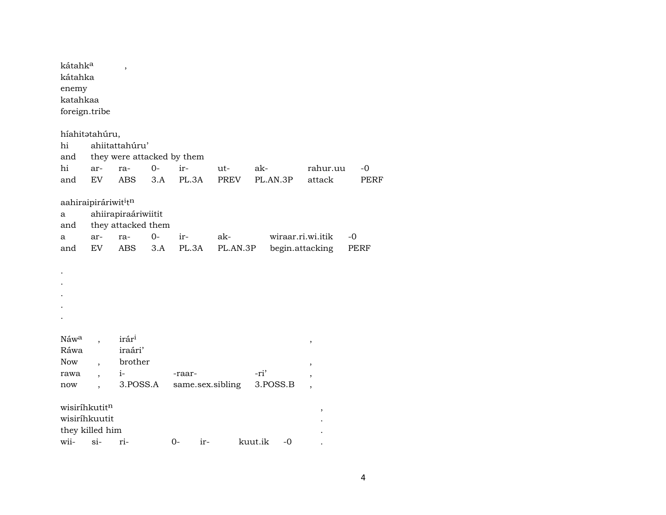| kátahk <sup>a</sup><br>kátahka<br>enemy<br>katahkaa<br>foreign.tribe |                          | ,                   |       |                            |             |                 |                           |             |
|----------------------------------------------------------------------|--------------------------|---------------------|-------|----------------------------|-------------|-----------------|---------------------------|-------------|
| híahitatahúru,<br>hi                                                 |                          | ahiitattahúru'      |       |                            |             |                 |                           |             |
| and                                                                  |                          |                     |       | they were attacked by them |             |                 |                           |             |
| hi                                                                   | ar-                      | ra-                 | $0-$  | ir-                        | ut-         | ak-             | rahur.uu                  | -0          |
| and                                                                  | EV                       | <b>ABS</b>          | 3.A   | PL.3A                      | <b>PREV</b> | PL.AN.3P        | attack                    | <b>PERF</b> |
| aahiraipiráriwit <sup>i</sup> tn                                     |                          |                     |       |                            |             |                 |                           |             |
| a                                                                    |                          | ahiirapiraáriwiitit |       |                            |             |                 |                           |             |
| and                                                                  |                          | they attacked them  |       |                            |             |                 |                           |             |
| a                                                                    | ar-                      | ra-                 | $0 -$ | ir-                        | ak-         |                 | wiraar.ri.wi.itik<br>$-0$ |             |
| and                                                                  | <b>EV</b>                | <b>ABS</b>          | 3.A   | PL.3A                      | PL.AN.3P    |                 | begin.attacking           | PERF        |
|                                                                      |                          |                     |       |                            |             |                 |                           |             |
|                                                                      |                          |                     |       |                            |             |                 |                           |             |
|                                                                      |                          |                     |       |                            |             |                 |                           |             |
|                                                                      |                          |                     |       |                            |             |                 |                           |             |
|                                                                      |                          |                     |       |                            |             |                 |                           |             |
|                                                                      |                          |                     |       |                            |             |                 |                           |             |
| Náw <sup>a</sup>                                                     |                          | irár <sup>i</sup>   |       |                            |             |                 | $\,$                      |             |
| Ráwa                                                                 |                          | iraári'             |       |                            |             |                 |                           |             |
| Now                                                                  | $\overline{\phantom{a}}$ | brother             |       |                            |             |                 | ,                         |             |
| rawa                                                                 |                          | $i-$                |       | -raar-                     |             | -ri'            |                           |             |
| now                                                                  |                          | 3.POSS.A            |       | same.sex.sibling           |             | 3.POSS.B        |                           |             |
| wisiríhkutitn                                                        |                          |                     |       |                            |             |                 | ,                         |             |
| wisiríhkuutit                                                        |                          |                     |       |                            |             |                 |                           |             |
| they killed him                                                      |                          |                     |       |                            |             |                 |                           |             |
| wii-                                                                 | $si-$                    | ri-                 |       | $0 -$<br>ir-               |             | kuut.ik<br>$-0$ |                           |             |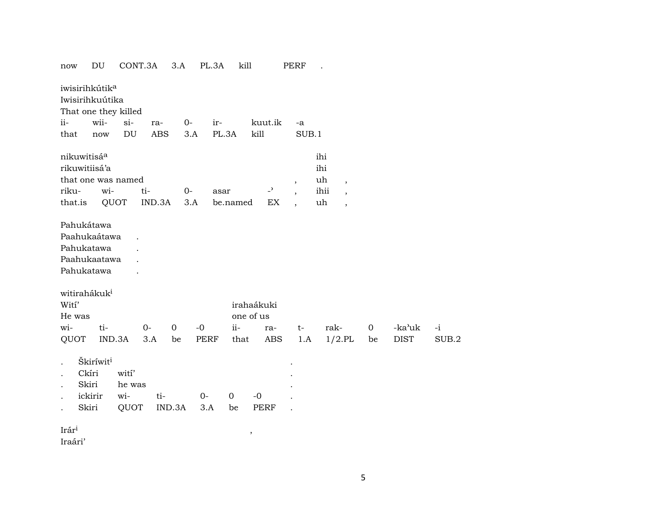| now                                                                                                                   |                                                 | DU     | CONT.3A                        |            | 3.A         |             | PL.3A       | kill  |                          |     | PERF                     |                  |                          |    |             |       |
|-----------------------------------------------------------------------------------------------------------------------|-------------------------------------------------|--------|--------------------------------|------------|-------------|-------------|-------------|-------|--------------------------|-----|--------------------------|------------------|--------------------------|----|-------------|-------|
| iwisirihkútik <sup>a</sup><br>Iwisirihkuútika                                                                         |                                                 |        | That one they killed           |            |             |             |             |       |                          |     |                          |                  |                          |    |             |       |
| $ii-$                                                                                                                 |                                                 | wii-   | $si-$                          | ra-        |             | $0-$        | ir-         |       | kuut.ik                  |     | -a                       |                  |                          |    |             |       |
| that                                                                                                                  |                                                 | now    | $\mathop{\rm DU}\nolimits$     | <b>ABS</b> |             | 3.A         | PL.3A       |       | kill                     |     | SUB.1                    |                  |                          |    |             |       |
| nikuwitisáa<br>rikuwitiisá'a                                                                                          |                                                 |        | that one was named             |            |             |             |             |       |                          |     | $\overline{\phantom{a}}$ | ihi<br>ihi<br>uh | $\overline{\phantom{a}}$ |    |             |       |
| riku-                                                                                                                 |                                                 | wi-    |                                | ti-        |             | $0-$        | asar        |       | $\overline{\phantom{0}}$ |     | $\overline{\phantom{a}}$ | ihii             | $\overline{\phantom{a}}$ |    |             |       |
| that.is                                                                                                               |                                                 | QUOT   |                                | IND.3A     |             | 3.A         | be.named    |       |                          | EX  | $\overline{\phantom{a}}$ | uh               | $\overline{\phantom{a}}$ |    |             |       |
| Pahukátawa<br>Paahukaátawa<br>Pahukatawa<br>Paahukaatawa<br>Pahukatawa<br>witirahákuk <sup>i</sup><br>Witi'<br>He was |                                                 |        |                                |            |             |             |             |       | irahaákuki<br>one of us  |     |                          |                  |                          |    |             |       |
| wi-                                                                                                                   |                                                 | ti-    |                                | $0-$       | $\mathbf 0$ | $-0$        |             | $ii-$ | ra-                      |     | $t-$                     |                  | rak-                     | 0  | -ka'uk      | $-i$  |
| QUOT                                                                                                                  |                                                 | IND.3A |                                | 3.A        | be          | PERF        |             | that  |                          | ABS | 1.A                      |                  | $1/2.$ PL                | be | <b>DIST</b> | SUB.2 |
| $\bullet$<br>$\bullet$<br>$\ddot{\phantom{a}}$<br>$\ddot{\phantom{0}}$                                                | Škiríwiti<br>Ckíri<br>Skiri<br>ickirir<br>Skiri |        | wití'<br>he was<br>wi-<br>QUOT | ti-        | IND.3A      | $0-$<br>3.A | $\mathbf 0$ | be    | $-0$<br>PERF             |     |                          |                  |                          |    |             |       |
| Irár <sup>i</sup><br>Iraári'                                                                                          |                                                 |        |                                |            |             |             |             |       | ,                        |     |                          |                  |                          |    |             |       |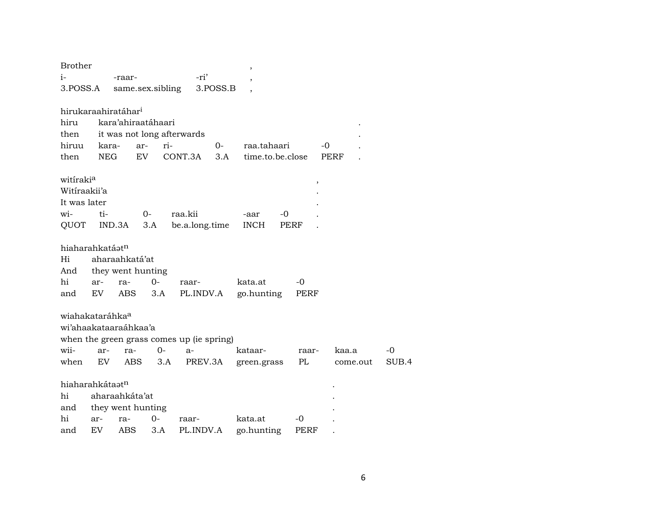| <b>Brother</b>                  |                |                |                    |       |                                           |          | $\overline{ }$   |      |             |      |          |       |
|---------------------------------|----------------|----------------|--------------------|-------|-------------------------------------------|----------|------------------|------|-------------|------|----------|-------|
| $i-$                            |                | -raar-         |                    |       | -ri'                                      |          |                  |      |             |      |          |       |
| 3.POSS.A                        |                |                | same.sex.sibling   |       |                                           | 3.POSS.B |                  |      |             |      |          |       |
|                                 |                |                |                    |       |                                           |          |                  |      |             |      |          |       |
| hirukaraahiratáhar <sup>i</sup> |                |                |                    |       |                                           |          |                  |      |             |      |          |       |
| hiru                            |                |                | kara'ahiraatáhaari |       |                                           |          |                  |      |             |      |          |       |
| then                            |                |                |                    |       | it was not long afterwards                |          |                  |      |             |      |          |       |
| hiruu                           | kara-          |                | ar-                | ri-   |                                           | $O -$    | raa.tahaari      |      |             | -0   |          |       |
| then                            | <b>NEG</b>     |                | EV                 |       | CONT.3A                                   | 3.A      | time.to.be.close |      |             | PERF |          |       |
| witiraki <sup>a</sup>           |                |                |                    |       |                                           |          |                  |      | $\,$        |      |          |       |
| Witiraakii'a                    |                |                |                    |       |                                           |          |                  |      |             |      |          |       |
| It was later                    |                |                |                    |       |                                           |          |                  |      |             |      |          |       |
| wi-                             | ti-            |                | 0-                 |       | raa.kii                                   |          | -aar             | -0   |             |      |          |       |
| QUOT                            |                | IND.3A         | 3.A                |       | be.a.long.time                            |          | <b>INCH</b>      | PERF |             |      |          |       |
| hiaharahkatáat <sup>n</sup>     |                |                |                    |       |                                           |          |                  |      |             |      |          |       |
| Hi                              |                | aharaahkatá'at |                    |       |                                           |          |                  |      |             |      |          |       |
| And                             |                |                | they went hunting  |       |                                           |          |                  |      |             |      |          |       |
| hi                              | ar-            | ra-            | $0-$               |       | raar-                                     |          | kata.at          |      | -0          |      |          |       |
| and                             | EV             | ABS            | 3.A                |       | PL.INDV.A                                 |          | go.hunting       |      | PERF        |      |          |       |
| wiahakataráhka <sup>a</sup>     |                |                |                    |       |                                           |          |                  |      |             |      |          |       |
| wi'ahaakataaraáhkaa'a           |                |                |                    |       |                                           |          |                  |      |             |      |          |       |
|                                 |                |                |                    |       | when the green grass comes up (ie spring) |          |                  |      |             |      |          |       |
| wii-                            | ar-            | ra-            |                    | $0 -$ | $a-$                                      |          | kataar-          |      | raar-       |      | kaa.a    | -0    |
| when                            | EV.            | ABS            |                    | 3.A   | PREV.3A                                   |          | green.grass      |      | PL          |      | come.out | SUB.4 |
|                                 |                |                |                    |       |                                           |          |                  |      |             |      |          |       |
| hiaharahkátaatn                 |                |                |                    |       |                                           |          |                  |      |             |      |          |       |
| hi                              | aharaahkáta'at |                |                    |       |                                           |          |                  |      |             |      |          |       |
| and                             |                |                | they went hunting  |       |                                           |          |                  |      |             |      |          |       |
| hi                              | ar-            | ra-            | $0-$               |       | raar-                                     |          | kata.at          |      | -0          |      |          |       |
| and                             | EV             | ABS            | 3.A                |       | PL.INDV.A                                 |          | go.hunting       |      | <b>PERF</b> |      |          |       |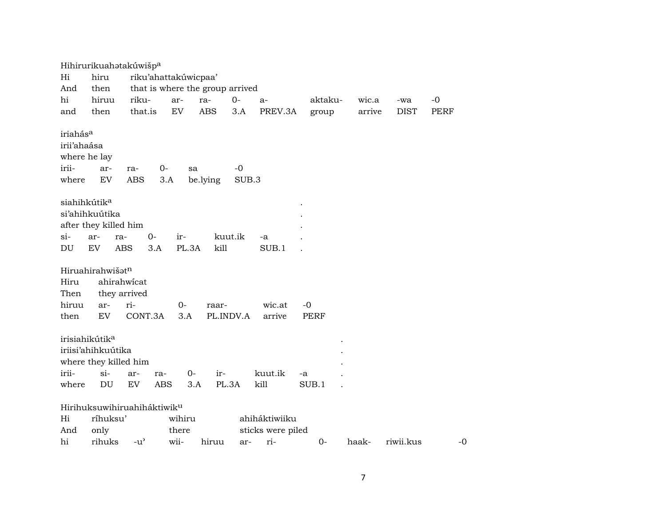|                                                                       |                                                                                     | Hihirurikuahatakúwišp <sup>a</sup>                       |                         |                                 |                                                  |         |        |             |      |
|-----------------------------------------------------------------------|-------------------------------------------------------------------------------------|----------------------------------------------------------|-------------------------|---------------------------------|--------------------------------------------------|---------|--------|-------------|------|
| Hi                                                                    | hiru                                                                                |                                                          | riku'ahattakúwicpaa'    |                                 |                                                  |         |        |             |      |
| And                                                                   | then                                                                                |                                                          |                         | that is where the group arrived |                                                  |         |        |             |      |
| hi                                                                    | hiruu                                                                               | riku-                                                    | ar-                     | $0-$<br>ra-                     | $a-$                                             | aktaku- | wic.a  | -wa         | -0   |
| and                                                                   | then                                                                                | that.is                                                  | <b>EV</b>               | <b>ABS</b><br>3.A               | PREV.3A                                          | group   | arrive | <b>DIST</b> | PERF |
| iriahás <sup>a</sup><br>irii'ahaása<br>where he lay<br>irii-<br>where | ar-<br>$\mathop{\rm EV}\nolimits$                                                   | ra-<br><b>ABS</b>                                        | 0-<br>sa<br>3.A         | $-0$<br>be.lying                | SUB.3                                            |         |        |             |      |
| siahihkútik <sup>a</sup>                                              | si'ahihkuútika<br>after they killed him                                             |                                                          |                         |                                 |                                                  |         |        |             |      |
| $\sin$                                                                | ar-<br>ra-                                                                          | $O -$                                                    | ir-                     | kuut.ik                         | -a                                               |         |        |             |      |
| DU                                                                    | ${\rm EV}$<br><b>ABS</b>                                                            | 3.A                                                      | PL.3A                   | kill                            | SUB.1                                            |         |        |             |      |
| Hiru<br>Then<br>hiruu                                                 | Hiruahirahwišatn<br>ahirahwicat<br>they arrived<br>ar-                              | ri-                                                      | $O-$                    | raar-                           | wic.at                                           | -0      |        |             |      |
| then                                                                  | EV                                                                                  | CONT.3A                                                  | 3.A                     | PL.INDV.A                       | arrive                                           | PERF    |        |             |      |
| irii-                                                                 | irisiahikútik <sup>a</sup><br>iriisi'ahihkuútika<br>where they killed him<br>$\sin$ | ar-<br>ra-                                               | $0-$                    | ir-                             | kuut.ik                                          | -a      |        |             |      |
| where                                                                 | DU                                                                                  | EV                                                       | <b>ABS</b><br>3.A       | PL.3A                           | kill                                             | SUB.1   |        |             |      |
| Hi<br>And<br>hi                                                       | ríhuksu'<br>only<br>rihuks                                                          | Hirihuksuwihiruahiháktiwik <sup>u</sup><br>$-u^{\prime}$ | wihiru<br>there<br>wii- | hiruu                           | ahiháktiwiiku<br>sticks were piled<br>ri-<br>ar- | $0-$    | haak-  | riwii.kus   | -0   |
|                                                                       |                                                                                     |                                                          |                         |                                 |                                                  |         |        |             |      |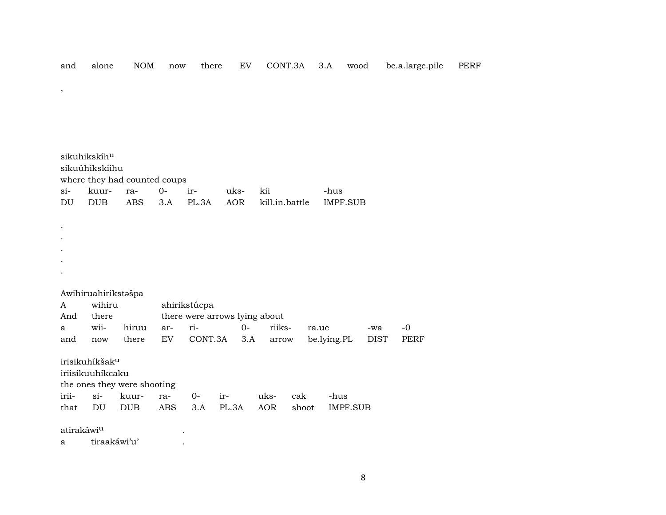| and                   | alone                                          | $\rm{NOM}$                   | now  | there                                         | EV    | CONT.3A             | 3.A         | wood            | be.a.large.pile | <b>PERF</b> |
|-----------------------|------------------------------------------------|------------------------------|------|-----------------------------------------------|-------|---------------------|-------------|-----------------|-----------------|-------------|
| $^\mathrm{^{^\circ}}$ |                                                |                              |      |                                               |       |                     |             |                 |                 |             |
|                       |                                                |                              |      |                                               |       |                     |             |                 |                 |             |
|                       |                                                |                              |      |                                               |       |                     |             |                 |                 |             |
|                       |                                                |                              |      |                                               |       |                     |             |                 |                 |             |
|                       | sikuhikskíhu<br>sikuúhikskiihu                 | where they had counted coups |      |                                               |       |                     |             |                 |                 |             |
| $si-$                 | kuur-                                          | ra-                          | $0-$ | ir-                                           | uks-  | kii                 | -hus        |                 |                 |             |
| DU                    | ${\rm DUB}$                                    | <b>ABS</b>                   | 3.A  | PL.3A                                         | AOR   | kill.in.battle      |             | <b>IMPF.SUB</b> |                 |             |
|                       |                                                |                              |      |                                               |       |                     |             |                 |                 |             |
|                       |                                                |                              |      |                                               |       |                     |             |                 |                 |             |
|                       |                                                |                              |      |                                               |       |                     |             |                 |                 |             |
|                       |                                                |                              |      |                                               |       |                     |             |                 |                 |             |
|                       |                                                |                              |      |                                               |       |                     |             |                 |                 |             |
|                       | Awihiruahirikstašpa                            |                              |      |                                               |       |                     |             |                 |                 |             |
| A<br>And              | wihiru<br>there                                |                              |      | ahirikstúcpa<br>there were arrows lying about |       |                     |             |                 |                 |             |
| a                     | wii-                                           | hiruu                        | ar-  | ri-                                           | $O -$ | riiks-              | ra.uc       | -wa             | $-0$            |             |
| and                   | now                                            | there                        | EV   | CONT.3A                                       | 3.A   | arrow               | be.lying.PL | <b>DIST</b>     | PERF            |             |
|                       |                                                |                              |      |                                               |       |                     |             |                 |                 |             |
|                       | irisikuhíkšak <sup>u</sup><br>iriisikuuhíkcaku |                              |      |                                               |       |                     |             |                 |                 |             |
|                       |                                                | the ones they were shooting  |      |                                               |       |                     |             |                 |                 |             |
| irii-                 | $si-$                                          | kuur-                        | ra-  | $0-$                                          | ir-   | uks-<br>cak         | -hus        |                 |                 |             |
| that                  | $\mathop{\rm DU}\nolimits$                     | <b>DUB</b>                   | ABS  | 3.A                                           | PL.3A | <b>AOR</b><br>shoot |             | IMPF.SUB        |                 |             |
| atirakáwiu            |                                                |                              |      |                                               |       |                     |             |                 |                 |             |
| а                     | tiraakáwi'u'                                   |                              |      |                                               |       |                     |             |                 |                 |             |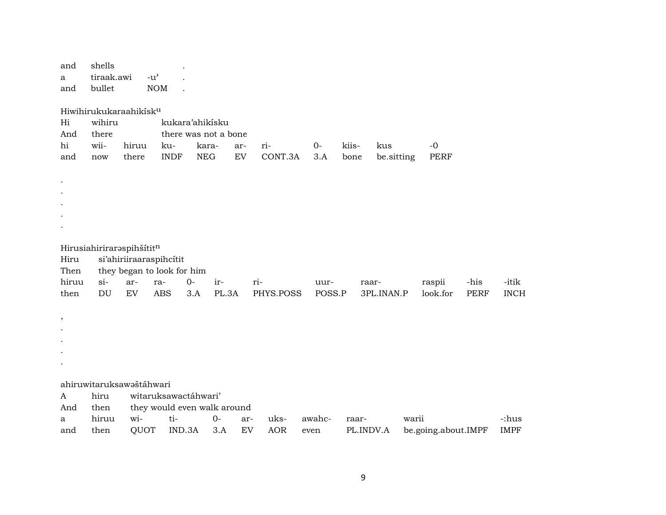| and<br>a<br>and        | shells<br>tiraak.awi<br>bullet                                            | $-u$ <sup><math>\prime</math></sup><br>$\rm{NOM}$     |                                       |                                             |            |                |                |               |                   |                     |                     |                      |
|------------------------|---------------------------------------------------------------------------|-------------------------------------------------------|---------------------------------------|---------------------------------------------|------------|----------------|----------------|---------------|-------------------|---------------------|---------------------|----------------------|
| Hi<br>And<br>hi<br>and | Hiwihirukukaraahikisku<br>wihiru<br>there<br>wii-<br>$\operatorname{now}$ | hiruu<br>there                                        | kukara'ahikisku<br>ku-<br><b>INDF</b> | there was not a bone<br>kara-<br><b>NEG</b> | ar-<br>EV  | ri-<br>CONT.3A | $0-$<br>3.A    | kiis-<br>bone | kus<br>be.sitting | $-0$<br>PERF        |                     |                      |
|                        |                                                                           |                                                       |                                       |                                             |            |                |                |               |                   |                     |                     |                      |
| Hiru<br>Then           | Hirusiahiriraraspihšítitn                                                 | si'ahiriiraaraspihcítit<br>they began to look for him |                                       |                                             |            |                |                |               |                   |                     |                     |                      |
| hiruu<br>then          | $si-$<br>DU                                                               | ar-<br>EV                                             | $0-$<br>ra-<br><b>ABS</b><br>3.A      | ir-<br>PL.3A                                | ri-        | PHYS.POSS      | uur-<br>POSS.P | raar-         | 3PL.INAN.P        | raspii<br>look.for  | -his<br><b>PERF</b> | -itik<br><b>INCH</b> |
| $\cdot$                |                                                                           |                                                       |                                       |                                             |            |                |                |               |                   |                     |                     |                      |
|                        | ahiruwitaruksawaštáhwari                                                  |                                                       |                                       |                                             |            |                |                |               |                   |                     |                     |                      |
| A<br>And               | hiru<br>then                                                              |                                                       | witaruksawactáhwari'                  | they would even walk around                 |            |                |                |               |                   |                     |                     |                      |
| a                      | hiruu                                                                     | wi-                                                   | ti-                                   | $0-$                                        | ar-        | uks-           | awahc-         | raar-         | warii             |                     |                     | -:hus                |
| and                    | then                                                                      | QUOT                                                  | IND.3A                                | 3.A                                         | ${\rm EV}$ | <b>AOR</b>     | even           | PL.INDV.A     |                   | be.going.about.IMPF |                     | <b>IMPF</b>          |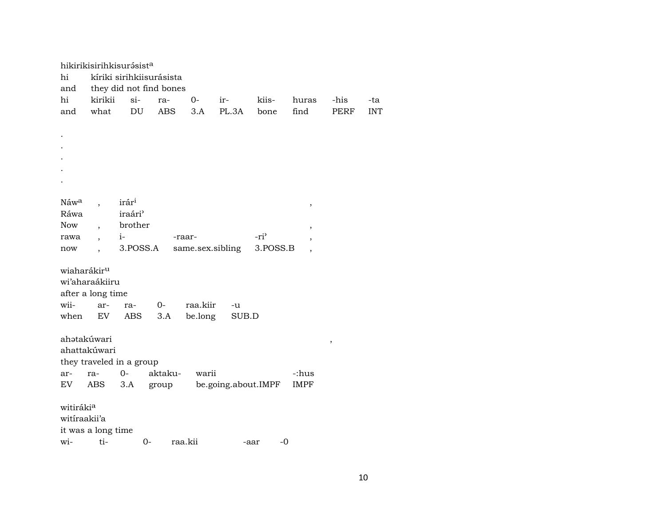| hikirikisirihkisurásist <sup>a</sup>                           |                          |                           |       |          |                          |             |            |
|----------------------------------------------------------------|--------------------------|---------------------------|-------|----------|--------------------------|-------------|------------|
| hi                                                             | kíriki sirihkiisurásista |                           |       |          |                          |             |            |
| and                                                            | they did not find bones  |                           |       |          |                          |             |            |
| hi<br>kirikii                                                  | $si-$<br>ra-             | $0-$                      | ir-   | kiis-    | huras                    | -his        | -ta        |
| what<br>and                                                    | DU<br><b>ABS</b>         | 3.A                       | PL.3A | bone     | find                     | <b>PERF</b> | <b>INT</b> |
|                                                                |                          |                           |       |          |                          |             |            |
|                                                                |                          |                           |       |          |                          |             |            |
|                                                                |                          |                           |       |          |                          |             |            |
|                                                                |                          |                           |       |          |                          |             |            |
|                                                                |                          |                           |       |          |                          |             |            |
|                                                                |                          |                           |       |          |                          |             |            |
|                                                                |                          |                           |       |          |                          |             |            |
| Náw <sup>a</sup>                                               | irári                    |                           |       |          | $\, ,$                   |             |            |
| Ráwa                                                           | iraári <sup>3</sup>      |                           |       |          |                          |             |            |
| Now<br>$\overline{\phantom{a}}$                                | brother                  |                           |       |          | $\overline{\phantom{a}}$ |             |            |
| rawa<br>$\overline{ }$ ,                                       | $i-$                     | -raar-                    |       | $-ri$    |                          |             |            |
| now                                                            | 3.POSS.A                 | same.sex.sibling          |       | 3.POSS.B |                          |             |            |
| wiaharákir <sup>u</sup><br>wi'aharaákiiru<br>after a long time |                          |                           |       |          |                          |             |            |
| wii-<br>ar-                                                    | $0-$<br>ra-              | raa.kiir                  | -u    |          |                          |             |            |
| when<br>EV                                                     | 3.A<br>ABS               | be.long                   | SUB.D |          |                          |             |            |
| ahatakúwari<br>ahattakúwari<br>they traveled in a group<br>ra- | aktaku-<br>$O -$         | warii                     |       |          | -:hus                    | ,           |            |
| ar-<br>ABS<br>EV                                               | 3.A                      | group be.going.about.IMPF |       |          | <b>IMPF</b>              |             |            |
|                                                                |                          |                           |       |          |                          |             |            |
| witirákia<br>witiraakii'a<br>it was a long time                |                          |                           |       |          |                          |             |            |
| wi-<br>ti-                                                     | $0-$                     | raa.kii                   | -aar  | -0       |                          |             |            |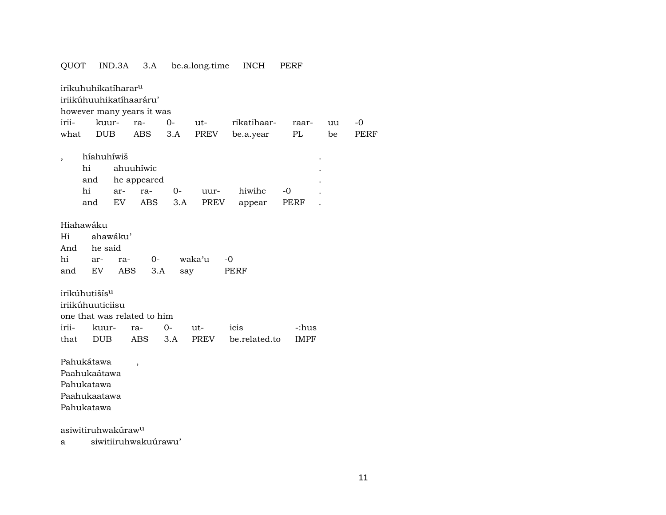| QUOT                                                                                             | IND.3A                                          | 3.A                                    |             | be.a.long.time | <b>INCH</b>      | PERF        |    |      |
|--------------------------------------------------------------------------------------------------|-------------------------------------------------|----------------------------------------|-------------|----------------|------------------|-------------|----|------|
| irikuhuhikatíharar <sup>u</sup><br>iriikúhuuhikatíhaaráru'<br>however many years it was<br>irii- | kuur-                                           | ra-                                    | $0-$        | $ut -$         | rikatihaar-      | raar-       | uu | -0   |
| what                                                                                             | <b>DUB</b>                                      | ABS                                    | 3.A         | PREV           | be.a.year        | PL          | be | PERF |
| hi<br>and<br>hi<br>and                                                                           | híahuhíwiš<br>ar-<br>EV                         | ahuuhíwic<br>he appeared<br>ra-<br>ABS | $0-$<br>3.A | uur-<br>PREV   | hiwihc<br>appear | -0<br>PERF  |    |      |
| Hiahawáku<br>Hi<br>And<br>hi<br>and                                                              | ahawáku'<br>he said<br>ar-<br>ra-<br>EV.<br>ABS | 0-<br>3.A                              | say         | waka'u         | -0<br>PERF       |             |    |      |
| irikúhutišís <sup>u</sup><br>iriikúhuuticiisu<br>one that was related to him                     |                                                 |                                        |             |                |                  |             |    |      |
| irii-                                                                                            | kuur-                                           | ra-                                    | $0-$        | ut-            | icis             | -:hus       |    |      |
| that                                                                                             | <b>DUB</b>                                      | ABS                                    | 3.A         | PREV           | be.related.to    | <b>IMPF</b> |    |      |
| Pahukátawa<br>Paahukaátawa<br>Pahukatawa<br>Paahukaatawa<br>Pahukatawa                           |                                                 | $\overline{\phantom{a}}$               |             |                |                  |             |    |      |
| asiwitiruhwakúraw <sup>u</sup>                                                                   |                                                 |                                        |             |                |                  |             |    |      |

a siwitiiruhwakuúrawu'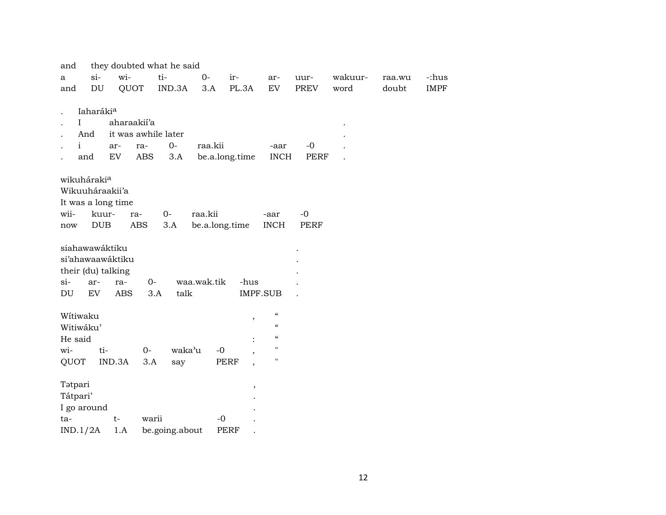| and          |                         |                    |             | they doubted what he said |                |                                  |                            |      |         |        |             |
|--------------|-------------------------|--------------------|-------------|---------------------------|----------------|----------------------------------|----------------------------|------|---------|--------|-------------|
| $\mathbf{a}$ | $si-$<br>DU             | wi-                |             | ti-                       | $O -$          | ir-                              | ar-                        | uur- | wakuur- | raa.wu | -:hus       |
| and          |                         |                    | QUOT        | IND.3A                    | 3.A            | PL.3A                            | EV                         | PREV | word    | doubt  | <b>IMPF</b> |
|              | Iaharáki <sup>a</sup>   |                    |             |                           |                |                                  |                            |      |         |        |             |
| I            |                         |                    | aharaakii'a |                           |                |                                  |                            |      |         |        |             |
|              | And                     |                    |             | it was awhile later       |                |                                  |                            |      |         |        |             |
| $\mathbf{i}$ |                         | ar-                | ra-         | $O -$                     | raa.kii        |                                  | -aar                       | $-0$ |         |        |             |
|              | and                     | EV                 | ABS         | 3.A                       |                | be.a.long.time                   | <b>INCH</b>                | PERF |         |        |             |
|              | wikuháraki <sup>a</sup> |                    |             |                           |                |                                  |                            |      |         |        |             |
|              |                         | Wikuuháraakii'a    |             |                           |                |                                  |                            |      |         |        |             |
|              |                         | It was a long time |             |                           |                |                                  |                            |      |         |        |             |
| wii-         |                         | kuur-              | ra-         | $0-$                      | raa.kii        |                                  | -aar                       | $-0$ |         |        |             |
| now          | <b>DUB</b>              |                    | ABS         | 3.A                       | be.a.long.time |                                  | <b>INCH</b>                | PERF |         |        |             |
|              |                         |                    |             |                           |                |                                  |                            |      |         |        |             |
|              |                         | siahawawáktiku     |             |                           |                |                                  |                            |      |         |        |             |
|              |                         | si'ahawaawáktiku   |             |                           |                |                                  |                            |      |         |        |             |
|              |                         | their (du) talking |             |                           |                |                                  |                            |      |         |        |             |
| si-          | ar-                     | ra-                | $0-$        |                           | waa.wak.tik    | -hus                             |                            |      |         |        |             |
| DU           | EV                      | <b>ABS</b>         | 3.A         | talk                      |                |                                  | IMPF.SUB                   |      |         |        |             |
| Wítiwaku     |                         |                    |             |                           |                |                                  | $\boldsymbol{\mathcal{C}}$ |      |         |        |             |
|              | Witiwáku'               |                    |             |                           |                | $\,$                             | $\epsilon$                 |      |         |        |             |
| He said      |                         |                    |             |                           |                |                                  | $\epsilon\epsilon$         |      |         |        |             |
| wi-          |                         | ti-                | $O -$       | waka'u                    | $-0$           |                                  | $\mathbf{H}$               |      |         |        |             |
| QUOT         |                         | IND.3A             | 3.A         | say                       |                | $\overline{\phantom{a}}$<br>PERF | н                          |      |         |        |             |
|              |                         |                    |             |                           |                | $\overline{\phantom{a}}$         |                            |      |         |        |             |
| Tatpari      |                         |                    |             |                           |                | $\, ,$                           |                            |      |         |        |             |
| Tátpari'     |                         |                    |             |                           |                |                                  |                            |      |         |        |             |
| I go around  |                         |                    |             |                           |                |                                  |                            |      |         |        |             |
|              |                         |                    |             |                           |                |                                  |                            |      |         |        |             |
| ta-          |                         | $t-$               | warii       |                           | $-0$           |                                  |                            |      |         |        |             |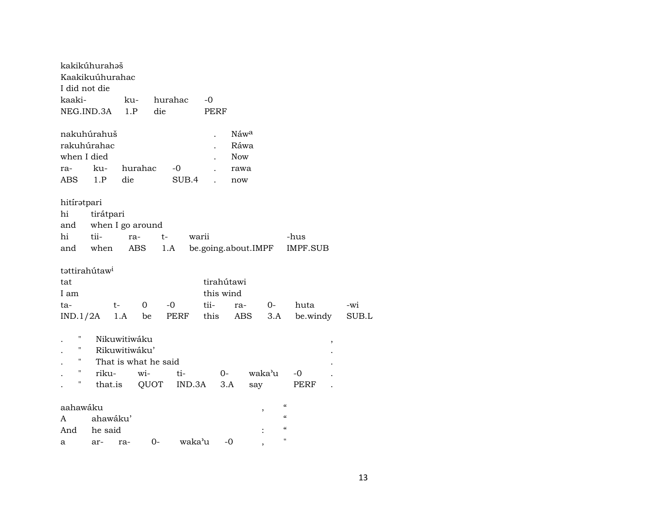| kakikúhurahəš<br>Kaakikuúhurahac |           |                  |                      |         |                      |            |                          |                            |       |
|----------------------------------|-----------|------------------|----------------------|---------|----------------------|------------|--------------------------|----------------------------|-------|
| I did not die                    |           |                  |                      |         |                      |            |                          |                            |       |
| kaaki-                           |           | ku-              |                      | hurahac | -0                   |            |                          |                            |       |
| NEG.IND.3A                       |           | 1.P              | die                  |         | PERF                 |            |                          |                            |       |
| nakuhúrahuš                      |           |                  |                      |         | $\ddot{\phantom{0}}$ | Náwa       |                          |                            |       |
| rakuhúrahac                      |           |                  |                      |         |                      | Ráwa       |                          |                            |       |
| when I died                      |           |                  |                      |         |                      | <b>Now</b> |                          |                            |       |
| ra-                              | ku-       | hurahac          |                      | $-0$    |                      | rawa       |                          |                            |       |
| ABS                              | 1.P       | die              |                      | SUB.4   |                      | now        |                          |                            |       |
| hitirətpari                      |           |                  |                      |         |                      |            |                          |                            |       |
| hi                               | tirátpari |                  |                      |         |                      |            |                          |                            |       |
| and                              |           | when I go around |                      |         |                      |            |                          |                            |       |
| hi                               | tii-      | ra-              | $t-$                 | warii   |                      |            |                          | -hus                       |       |
| and                              | when      | ABS              |                      | 1.A     | be.going.about.IMPF  |            |                          | IMPF.SUB                   |       |
| tattirahútaw <sup>i</sup>        |           |                  |                      |         |                      |            |                          |                            |       |
| tat                              |           |                  |                      |         | tirahútawi           |            |                          |                            |       |
| I am                             |           |                  |                      |         | this wind            |            |                          |                            |       |
| ta-                              |           | t-               | $\mathbf 0$          | $-0$    | tii-                 | ra-        | $0-$                     | huta                       | -wi   |
| IND.1/2A                         |           | 1.A              | be                   | PERF    | this                 | ABS        | 3.A                      | be.windy                   | SUB.L |
| П                                |           | Nikuwitiwáku     |                      |         |                      |            |                          | $\, ,$                     |       |
| н                                |           | Rikuwitiwáku'    |                      |         |                      |            |                          |                            |       |
| н                                |           |                  | That is what he said |         |                      |            |                          |                            |       |
| н                                | riku-     |                  | wi-                  | ti-     | 0-                   |            | waka'u                   | -0                         |       |
| Η                                |           | that.is          | QUOT                 | IND.3A  | 3.A                  | say        |                          | PERF                       |       |
|                                  |           |                  |                      |         |                      |            |                          |                            |       |
| aahawáku                         |           |                  |                      |         |                      |            | $\overline{\phantom{a}}$ | $\epsilon$                 |       |
| A                                | ahawáku'  |                  |                      |         |                      |            |                          | $\boldsymbol{\mathcal{C}}$ |       |
| And                              | he said   |                  |                      |         |                      |            |                          | $\pmb{\zeta}\pmb{\zeta}$   |       |
| a                                | ar-       | ra-              | 0-                   | waka'u  | -0                   |            | $\overline{\phantom{a}}$ | $\pmb{\mathsf{H}}$         |       |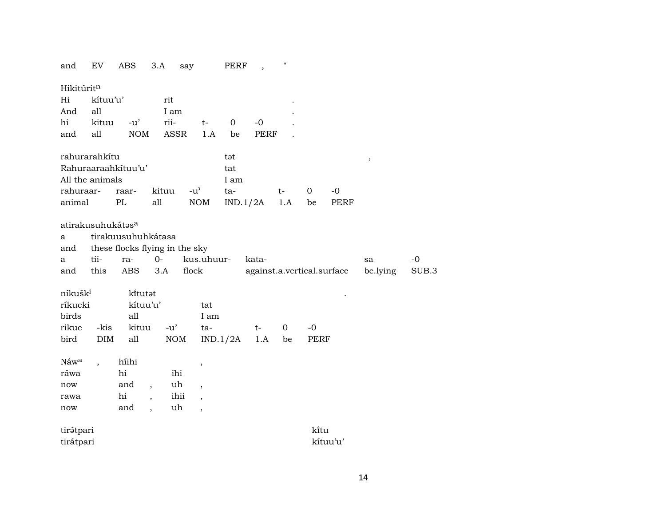| and                 | EV                            | ABS                            | 3.A                      | say        |                                     | PERF        | $\, ,$   | .,          |             |                            |          |       |
|---------------------|-------------------------------|--------------------------------|--------------------------|------------|-------------------------------------|-------------|----------|-------------|-------------|----------------------------|----------|-------|
| Hikitúritn          |                               |                                |                          |            |                                     |             |          |             |             |                            |          |       |
| Hi                  | kítuu'u'                      |                                | rit                      |            |                                     |             |          |             |             |                            |          |       |
| And                 | all                           |                                | I am                     |            |                                     |             |          |             |             |                            |          |       |
| hi                  | kituu                         | $-u'$                          | rii-                     |            | $t-$                                | $\mathbf 0$ | $-0$     |             |             |                            |          |       |
| and                 | all                           | <b>NOM</b>                     |                          | ASSR       | 1.A                                 | be          | PERF     |             |             |                            |          |       |
|                     | rahurarahkítu                 |                                |                          |            |                                     | tət         |          |             |             |                            | $\, ,$   |       |
|                     |                               | Rahuraaraahkituu'u'            |                          |            |                                     | tat         |          |             |             |                            |          |       |
|                     | All the animals               |                                |                          |            |                                     | I am        |          |             |             |                            |          |       |
| rahuraar-           |                               | raar-                          | kituu                    |            | $-u$ <sup><math>\prime</math></sup> | ta-         |          | $t-$        | $\mathbf 0$ | $-0$                       |          |       |
| animal              |                               | PL                             | all                      |            | NOM                                 |             | IND.1/2A | 1.A         | be          | <b>PERF</b>                |          |       |
|                     | atirakusuhukátas <sup>a</sup> |                                |                          |            |                                     |             |          |             |             |                            |          |       |
| a                   |                               | tirakuusuhuhkátasa             |                          |            |                                     |             |          |             |             |                            |          |       |
| and                 |                               | these flocks flying in the sky |                          |            |                                     |             |          |             |             |                            |          |       |
| а                   | tii-                          | ra-                            | $0-$                     |            | kus.uhuur-                          |             | kata-    |             |             |                            | sa       | $-0$  |
| and                 | this                          | <b>ABS</b>                     | 3.A                      | flock      |                                     |             |          |             |             | against.a.vertical.surface | be.lying | SUB.3 |
| níkušk <sup>i</sup> |                               | kitutat                        |                          |            |                                     |             |          |             |             |                            |          |       |
| ríkucki             |                               | kítuu'u'                       |                          |            | tat                                 |             |          |             |             |                            |          |       |
| birds               |                               | all                            |                          |            | I am                                |             |          |             |             |                            |          |       |
| rikuc               | -kis                          | kituu                          | $-u'$                    |            | ta-                                 |             | $t-$     | $\mathbf 0$ | $-0$        |                            |          |       |
| bird                | DIM                           | all                            |                          | $\rm{NOM}$ |                                     | IND.1/2A    | 1.A      | be          | PERF        |                            |          |       |
| Náw <sup>a</sup>    | $\overline{\phantom{a}}$      | híihi                          |                          |            | $\,$                                |             |          |             |             |                            |          |       |
| ráwa                |                               | hi                             |                          | ihi        |                                     |             |          |             |             |                            |          |       |
| now                 |                               | and                            | $\overline{\phantom{a}}$ | uh         | $\overline{\phantom{a}}$            |             |          |             |             |                            |          |       |
| rawa                |                               | hi                             |                          | ihii       | $\cdot$                             |             |          |             |             |                            |          |       |
| now                 |                               | and                            | $\overline{ }$ ,         | uh         | $\overline{\phantom{a}}$            |             |          |             |             |                            |          |       |
| tirátpari           |                               |                                |                          |            |                                     |             |          |             | kitu        |                            |          |       |
| tirátpari           |                               |                                |                          |            |                                     |             |          |             |             | kítuu'u'                   |          |       |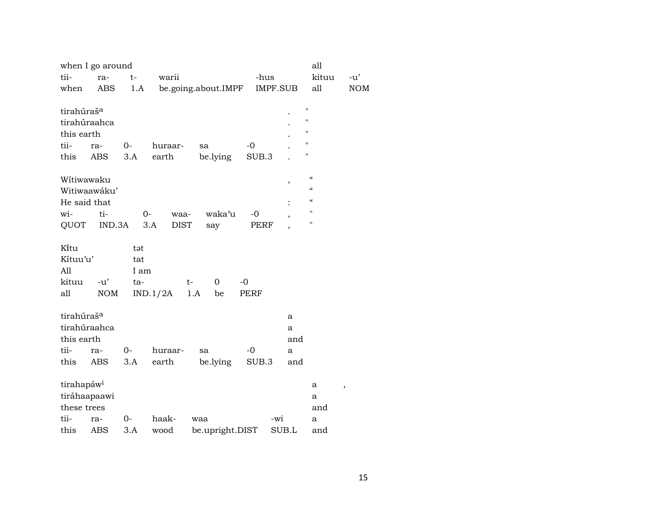|                                        | when I go around |       |                     |     |                 |       |                 |                    | all                                    |            |
|----------------------------------------|------------------|-------|---------------------|-----|-----------------|-------|-----------------|--------------------|----------------------------------------|------------|
| tii-                                   | ra-              | $t-$  | warii               |     |                 |       | -hus            |                    | kituu                                  | -u'        |
| when                                   | ABS              | 1.A   | be.going.about.IMPF |     |                 |       | <b>IMPF.SUB</b> |                    | all                                    | <b>NOM</b> |
|                                        |                  |       |                     |     |                 |       |                 | Ħ                  |                                        |            |
| tirahúraš <sup>a</sup>                 |                  |       |                     |     |                 |       |                 | Ħ                  |                                        |            |
| tirahúraahca                           |                  |       |                     |     |                 |       |                 | Ħ                  |                                        |            |
| this earth                             |                  |       |                     |     |                 |       |                 | $\pmb{\mathsf{H}}$ |                                        |            |
| tii-                                   | ra-              | $0-$  | huraar-             | sa  |                 | $-0$  |                 | $\mathbf{H}$       |                                        |            |
| this                                   | ABS              | 3.A   | earth               |     | be.lying        | SUB.3 |                 |                    |                                        |            |
| Wítiwawaku                             |                  |       |                     |     |                 |       |                 |                    | $\boldsymbol{\zeta}\boldsymbol{\zeta}$ |            |
|                                        | Witiwaawáku'     |       |                     |     |                 |       |                 | $\, ,$             | $\epsilon$                             |            |
| He said that                           |                  |       |                     |     |                 |       |                 |                    | $\epsilon$                             |            |
| wi-                                    | ti-              | $0-$  | waa-                |     | waka'u          | -0    |                 | $\, ,$             | "                                      |            |
| QUOT                                   | IND.3A           |       | <b>DIST</b><br>3.A  |     | say             | PERF  |                 |                    | $\pmb{\mathsf{H}}$                     |            |
|                                        |                  |       |                     |     |                 |       |                 |                    |                                        |            |
| Kitu                                   |                  | tət   |                     |     |                 |       |                 |                    |                                        |            |
| Kítuu'u'                               |                  | tat   |                     |     |                 |       |                 |                    |                                        |            |
| All                                    |                  | I am  |                     |     |                 |       |                 |                    |                                        |            |
| kituu                                  | $-u'$            | ta-   |                     | t-  | $\Omega$        | -0    |                 |                    |                                        |            |
| all                                    | <b>NOM</b>       |       | IND.1/2A            | 1.A | be              | PERF  |                 |                    |                                        |            |
|                                        |                  |       |                     |     |                 |       |                 |                    |                                        |            |
| tirahúraš <sup>a</sup><br>tirahúraahca |                  |       |                     |     |                 |       |                 | a                  |                                        |            |
|                                        |                  |       |                     |     |                 |       |                 | a                  |                                        |            |
| this earth                             |                  |       |                     |     |                 |       |                 | and                |                                        |            |
| tii-                                   | ra-              | $0 -$ | huraar-             | sa  |                 | $-0$  |                 | a                  |                                        |            |
| this                                   | <b>ABS</b>       | 3.A   | earth               |     | be.lying        | SUB.3 |                 | and                |                                        |            |
| tirahapáw <sup>i</sup>                 |                  |       |                     |     |                 |       |                 |                    | а<br>$\pmb{\mathcal{I}}$               |            |
| tiráhaapaawi                           |                  |       |                     |     |                 |       |                 |                    | a                                      |            |
| these trees                            |                  |       |                     |     |                 |       |                 |                    | and                                    |            |
| tii-                                   | ra-              | 0-    | haak-               | waa |                 |       | -wi             |                    | a                                      |            |
| this                                   | ABS              | 3.A   | wood                |     | be.upright.DIST |       | SUB.L           |                    | and                                    |            |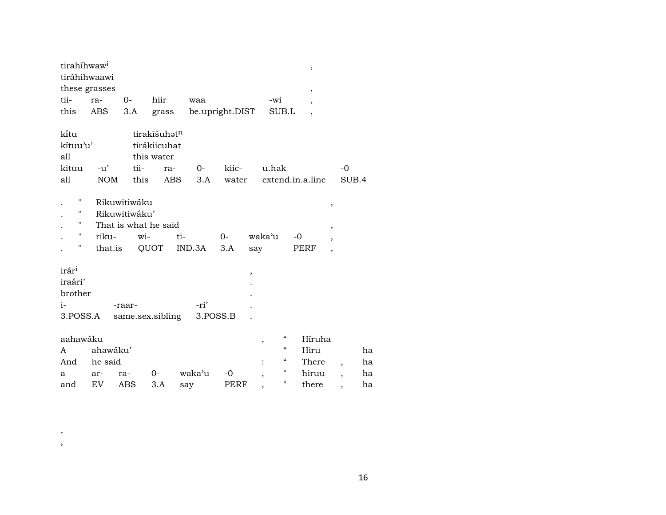| tirahíhwaw <sup>i</sup> |               |               |                      |        |                           |     |                                             |    | $\, ,$                   |                          |                          |    |
|-------------------------|---------------|---------------|----------------------|--------|---------------------------|-----|---------------------------------------------|----|--------------------------|--------------------------|--------------------------|----|
| tiráhihwaawi            |               |               |                      |        |                           |     |                                             |    |                          |                          |                          |    |
|                         | these grasses |               |                      |        |                           |     |                                             |    | $\,$                     |                          |                          |    |
| tii-                    | ra-           | $O-$          | hiir                 | waa    |                           |     | -wi                                         |    | $\overline{\phantom{a}}$ |                          |                          |    |
| this                    | ABS           | 3.A           | grass                |        | be.upright.DIST           |     | SUB.L                                       |    | $\overline{\phantom{a}}$ |                          |                          |    |
|                         |               |               |                      |        |                           |     |                                             |    |                          |                          |                          |    |
| ki̇̃tu                  |               |               | tirakīšuhatn         |        |                           |     |                                             |    |                          |                          |                          |    |
| kítuu'u'                |               |               | tirákiicuhat         |        |                           |     |                                             |    |                          |                          |                          |    |
| all                     |               |               | this water           |        |                           |     |                                             |    |                          |                          |                          |    |
| kituu                   | $-u'$         | tii-          | ra-                  | 0-     | kiic-                     |     | u.hak                                       |    |                          |                          | $-0$                     |    |
| all                     | <b>NOM</b>    |               | this                 | ABS    | 3.A                       |     | water extend.in.a.line                      |    |                          |                          | SUB.4                    |    |
|                         |               |               |                      |        |                           |     |                                             |    |                          |                          |                          |    |
| $\pmb{\mathsf{H}}$      |               | Rikuwitiwáku  |                      |        |                           |     |                                             |    |                          | ,                        |                          |    |
| 11                      |               | Rikuwitiwáku' |                      |        |                           |     |                                             |    |                          |                          |                          |    |
| $\pmb{\mathsf{H}}$      |               |               | That is what he said |        |                           |     |                                             |    |                          | $\overline{\phantom{a}}$ |                          |    |
| $\pmb{\mathsf{H}}$      | riku-         |               | wi-                  | ti-    | $O-$                      |     | waka'u                                      | -0 |                          | $\overline{ }$           |                          |    |
| н                       | that.is       |               | QUOT                 | IND.3A | 3.A                       | say |                                             |    | PERF                     | $\overline{ }$           |                          |    |
|                         |               |               |                      |        |                           |     |                                             |    |                          |                          |                          |    |
| irár <sup>i</sup>       |               |               |                      |        |                           | ,   |                                             |    |                          |                          |                          |    |
| iraári'                 |               |               |                      |        |                           |     |                                             |    |                          |                          |                          |    |
| brother                 |               |               |                      |        |                           |     |                                             |    |                          |                          |                          |    |
| i-                      |               | -raar-        |                      | -ri'   |                           |     |                                             |    |                          |                          |                          |    |
| 3.POSS.A                |               |               |                      |        | same.sex.sibling 3.POSS.B |     |                                             |    |                          |                          |                          |    |
|                         |               |               |                      |        |                           |     |                                             |    |                          |                          |                          |    |
| aahawáku                |               |               |                      |        |                           |     | $\boldsymbol{\zeta}\boldsymbol{\zeta}$<br>, |    | Híruha                   |                          |                          |    |
| A                       | ahawáku'      |               |                      |        |                           |     | $\boldsymbol{\zeta}\boldsymbol{\zeta}$      |    | Hiru                     |                          |                          | ha |
| And                     | he said       |               |                      |        |                           |     | $\boldsymbol{\zeta}\boldsymbol{\zeta}$      |    | There                    |                          | $\overline{\phantom{a}}$ | ha |
| a                       | ar-           | ra-           | $0-$                 | waka'u | $-0$                      |     | "<br>$\overline{\phantom{a}}$               |    | hiruu                    |                          | $\overline{\phantom{a}}$ | ha |
| and                     | <b>EV</b>     | <b>ABS</b>    | 3.A                  | say    | PERF                      |     | $\pmb{\mathsf{H}}$                          |    | there                    |                          | ,                        | ha |
|                         |               |               |                      |        |                           |     |                                             |    |                          |                          |                          |    |

, ,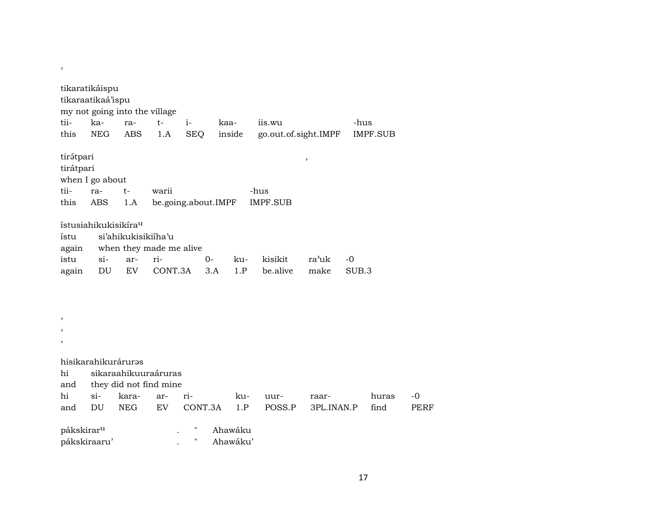|                                                                                  | tikaratikáispu<br>tikaraatikaá'ispu<br>my not going into the village |                     |                                                |                     |                     |     |                         |            |       |                 |             |
|----------------------------------------------------------------------------------|----------------------------------------------------------------------|---------------------|------------------------------------------------|---------------------|---------------------|-----|-------------------------|------------|-------|-----------------|-------------|
| tii-                                                                             | ka-                                                                  | ra-                 | $t-$                                           | $i-$                | kaa-                |     | iis.wu                  |            | -hus  |                 |             |
| this                                                                             | <b>NEG</b>                                                           | <b>ABS</b>          | 1.A                                            | <b>SEQ</b>          | inside              |     | go.out.of.sight.IMPF    |            |       | <b>IMPF.SUB</b> |             |
| tirátpari<br>tirátpari<br>tii-<br>this                                           | when I go about<br>ra-<br><b>ABS</b>                                 | $t-$<br>1.A         | warii                                          | be.going.about.IMPF |                     |     | -hus<br><b>IMPF.SUB</b> | $\, ,$     |       |                 |             |
| ístu<br>again                                                                    | ístusiahikukisikíra <sup>u</sup>                                     | si'ahikukisikiiha'u | when they made me alive                        |                     |                     |     |                         |            |       |                 |             |
| istu                                                                             | $si-$                                                                | ar-                 | ri-                                            |                     | $O -$               | ku- | kisikit                 | ra'uk      | $-0$  |                 |             |
| again                                                                            | DU                                                                   | EV                  | CONT.3A                                        |                     | 3.A                 | 1.P | be.alive                | make       | SUB.3 |                 |             |
| $\overline{\phantom{a}}$<br>$\overline{\phantom{a}}$<br>$\overline{\phantom{a}}$ |                                                                      |                     |                                                |                     |                     |     |                         |            |       |                 |             |
|                                                                                  | hisikarahikuráruras                                                  |                     |                                                |                     |                     |     |                         |            |       |                 |             |
| hi<br>and                                                                        |                                                                      |                     | sikaraahikuuraáruras<br>they did not find mine |                     |                     |     |                         |            |       |                 |             |
| hi                                                                               | $si-$                                                                | kara-               | ar-                                            | ri-                 |                     | ku- | uur-                    | raar-      |       | huras           | $-0$        |
| and                                                                              | DU                                                                   | <b>NEG</b>          | EV                                             | CONT.3A             |                     | 1.P | POSS.P                  | 3PL.INAN.P |       | find            | <b>PERF</b> |
| pákskirar <sup>u</sup>                                                           | pákskiraaru'                                                         |                     |                                                | н<br>н              | Ahawáku<br>Ahawáku' |     |                         |            |       |                 |             |

,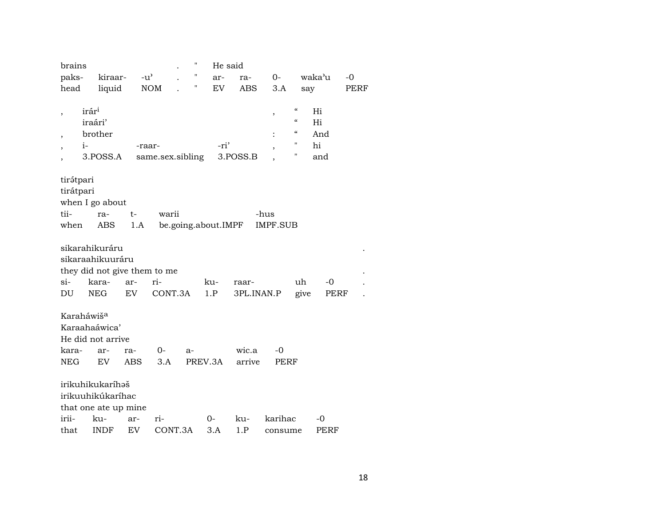| brains              |                                                                                           |               |                            | н    | He said             |                     |            |                                                                                      |                              |             |
|---------------------|-------------------------------------------------------------------------------------------|---------------|----------------------------|------|---------------------|---------------------|------------|--------------------------------------------------------------------------------------|------------------------------|-------------|
| paks-               | kiraar-                                                                                   | $-u^{\prime}$ |                            | Н    | ar-                 | ra-                 | 0-         |                                                                                      | waka'u                       | $-0$        |
| head                | liquid                                                                                    |               | <b>NOM</b>                 | Н    | EV                  | ABS                 | 3.A        | say                                                                                  |                              | <b>PERF</b> |
|                     | irár <sup>i</sup><br>iraári'<br>brother<br>$i-$<br>3.POSS.A                               |               | -raar-<br>same.sex.sibling |      | -ri'                | 3.POSS.B            | $\, ,$     | $\boldsymbol{\zeta}\boldsymbol{\zeta}$<br>$\epsilon\epsilon$<br>$\epsilon$<br>"<br>" | Hi<br>Hi<br>And<br>hi<br>and |             |
| tirátpari           |                                                                                           |               |                            |      |                     |                     |            |                                                                                      |                              |             |
| tirátpari           |                                                                                           |               |                            |      |                     |                     |            |                                                                                      |                              |             |
|                     | when I go about                                                                           |               |                            |      |                     |                     |            |                                                                                      |                              |             |
| tii-                | ra-                                                                                       | t-            | warii                      |      |                     |                     | -hus       |                                                                                      |                              |             |
| when                | ABS                                                                                       | 1.A           |                            |      | be.going.about.IMPF |                     | IMPF.SUB   |                                                                                      |                              |             |
| $si-$<br>DU         | sikarahikuráru<br>sikaraahikuuráru<br>they did not give them to me<br>kara-<br><b>NEG</b> | ar-<br>EV     | ri-<br>CONT.3A             |      | ku-<br>1.P          | raar-<br>3PL.INAN.P |            | uh<br>give                                                                           | -0<br>PERF                   |             |
| kara-<br><b>NEG</b> | Karaháwiš <sup>a</sup><br>Karaahaáwica'<br>He did not arrive<br>ar-<br>EV                 | ra-<br>ABS    | $0-$<br>3.A                | $a-$ | PREV.3A             | wic.a<br>arrive     | -0<br>PERF |                                                                                      |                              |             |
|                     | irikuhikukaríhəš<br>irikuuhikúkaríhac<br>that one ate up mine                             |               |                            |      |                     |                     |            |                                                                                      |                              |             |
| irii-               | ku-                                                                                       | ar-           | ri-                        |      | 0-                  | ku-                 | karihac    |                                                                                      | -0                           |             |
| that                | <b>INDF</b>                                                                               | EV            | CONT.3A                    |      | 3.A                 | 1.P                 | consume    |                                                                                      | PERF                         |             |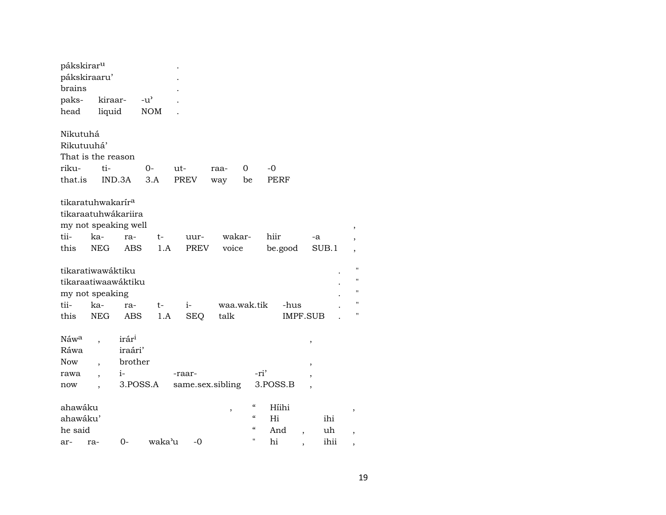| pákskirar <sup>u</sup> |                               |                      |               |                  |        |                          |                 |       |                    |
|------------------------|-------------------------------|----------------------|---------------|------------------|--------|--------------------------|-----------------|-------|--------------------|
|                        | pákskiraaru'                  |                      |               |                  |        |                          |                 |       |                    |
| brains                 |                               |                      |               |                  |        |                          |                 |       |                    |
| paks-                  | kiraar-                       |                      | $-u^{\prime}$ |                  |        |                          |                 |       |                    |
| head                   | liquid                        |                      | <b>NOM</b>    |                  |        |                          |                 |       |                    |
| Nikutuhá               |                               |                      |               |                  |        |                          |                 |       |                    |
| Rikutuuhá'             |                               |                      |               |                  |        |                          |                 |       |                    |
|                        | That is the reason            |                      |               |                  |        |                          |                 |       |                    |
| riku-                  | ti-                           |                      | $O -$         | ut-              | raa-   | 0                        | -0              |       |                    |
| that.is                |                               | IND.3A               | 3.A           | PREV             | way    | be                       | PERF            |       |                    |
|                        | tikaratuhwakarír <sup>a</sup> |                      |               |                  |        |                          |                 |       |                    |
|                        |                               | tikaraatuhwákariira  |               |                  |        |                          |                 |       |                    |
|                        |                               | my not speaking well |               |                  |        |                          |                 |       | ,                  |
| tii-                   | ka-                           | ra-                  | t-            | uur-             | wakar- |                          | hiir            | -a    |                    |
| this                   | <b>NEG</b>                    | <b>ABS</b>           | 1.A           | PREV             | voice  |                          | be.good         | SUB.1 |                    |
|                        | tikaratiwawáktiku             |                      |               |                  |        |                          |                 |       | $\mathbf{H}$       |
|                        |                               | tikaraatiwaawáktiku  |               |                  |        |                          |                 |       | $\blacksquare$     |
|                        | my not speaking               |                      |               |                  |        |                          |                 |       | $\pmb{\mathsf{H}}$ |
| tii-                   | ka-                           | ra-                  | t-            | $i-$             |        | waa.wak.tik              | -hus            |       | п                  |
| this                   | <b>NEG</b>                    | ABS                  | 1.A           | <b>SEQ</b>       | talk   |                          | <b>IMPF.SUB</b> |       | п                  |
| Náwa                   |                               | irár <sup>i</sup>    |               |                  |        |                          |                 | ,     |                    |
| Ráwa                   |                               | iraári'              |               |                  |        |                          |                 |       |                    |
| <b>Now</b>             |                               | brother              |               |                  |        |                          |                 |       |                    |
| rawa                   |                               | $i-$                 |               | -raar-           |        |                          | -ri'            |       |                    |
| now                    |                               | 3.POSS.A             |               | same.sex.sibling |        |                          | 3.POSS.B        |       |                    |
| ahawáku                |                               |                      |               |                  | ,      | $\epsilon$               | Híihi           |       | ,                  |
| ahawáku'               |                               |                      |               |                  |        | "                        | Hi              | ihi   |                    |
| he said                |                               |                      |               |                  |        | $\mathcal{C}\mathcal{C}$ | And             | uh    |                    |
| ar-                    | ra-                           | $0-$                 | waka'u        | $-0$             |        | п                        | hi              | ihii  |                    |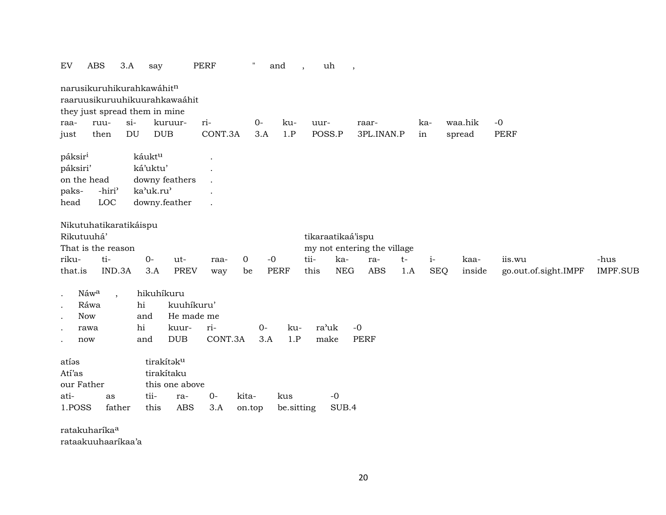| EV                  | <b>ABS</b>                | 3.A     | say                                                        |                | <b>PERF</b> | $\pmb{\mathsf{H}}$ | and         | uh                | $\overline{\phantom{a}}$ |                             |      |            |        |         |                      |                 |
|---------------------|---------------------------|---------|------------------------------------------------------------|----------------|-------------|--------------------|-------------|-------------------|--------------------------|-----------------------------|------|------------|--------|---------|----------------------|-----------------|
|                     |                           |         | narusikuruhikurahkawáhitn<br>raaruusikuruuhikuurahkawaáhit |                |             |                    |             |                   |                          |                             |      |            |        |         |                      |                 |
|                     |                           |         | they just spread them in mine                              |                |             |                    |             |                   |                          |                             |      |            |        |         |                      |                 |
| raa-                | ruu-                      | $si-$   |                                                            | kuruur-        | ri-         | $O -$              | ku-         | uur-              |                          | raar-                       |      | ka-        |        | waa.hik | $-0$                 |                 |
| just                | then                      | DU      | <b>DUB</b>                                                 |                | CONT.3A     | 3.A                | 1.P         | POSS.P            |                          | 3PL.INAN.P                  |      | in         | spread |         | <b>PERF</b>          |                 |
| páksir <sup>i</sup> |                           |         | káuktu                                                     |                |             |                    |             |                   |                          |                             |      |            |        |         |                      |                 |
| páksiri'            |                           |         | ká'uktu'                                                   |                |             |                    |             |                   |                          |                             |      |            |        |         |                      |                 |
|                     | on the head               |         | downy feathers                                             |                |             |                    |             |                   |                          |                             |      |            |        |         |                      |                 |
| paks-               | -hiri <sup>3</sup>        |         | ka'uk.ru'                                                  |                |             |                    |             |                   |                          |                             |      |            |        |         |                      |                 |
| head                | LOC                       |         | downy.feather                                              |                |             |                    |             |                   |                          |                             |      |            |        |         |                      |                 |
|                     |                           |         |                                                            |                |             |                    |             |                   |                          |                             |      |            |        |         |                      |                 |
|                     | Nikutuhatikaratikáispu    |         |                                                            |                |             |                    |             |                   |                          |                             |      |            |        |         |                      |                 |
|                     | Rikutuuhá'                |         |                                                            |                |             |                    |             | tikaraatikaá'ispu |                          |                             |      |            |        |         |                      |                 |
|                     | That is the reason        |         |                                                            |                |             |                    |             |                   |                          | my not entering the village |      |            |        |         |                      |                 |
| riku-               | ti-                       |         | $O -$                                                      | ut-            | raa-        | $\mathbf 0$        | $-0$        | tii-              | ka-                      | ra-                         | $t-$ | $i-$       |        | kaa-    | iis.wu               | -hus            |
| that.is             |                           | IND.3A  | 3.A                                                        | <b>PREV</b>    | way         | be                 | <b>PERF</b> | this              | <b>NEG</b>               | <b>ABS</b>                  | 1.A  | <b>SEQ</b> |        | inside  | go.out.of.sight.IMPF | <b>IMPF.SUB</b> |
|                     |                           |         |                                                            |                |             |                    |             |                   |                          |                             |      |            |        |         |                      |                 |
| $\bullet$           | Náwa                      | $\cdot$ | hikuhíkuru                                                 |                |             |                    |             |                   |                          |                             |      |            |        |         |                      |                 |
|                     | Ráwa                      |         | hi                                                         | kuuhíkuru'     |             |                    |             |                   |                          |                             |      |            |        |         |                      |                 |
|                     | <b>Now</b>                |         | and                                                        | He made me     |             |                    |             |                   |                          |                             |      |            |        |         |                      |                 |
|                     | rawa                      |         | hi                                                         | kuur-          | ri-         | $0-$               | ku-         | ra'uk             |                          | $-0$                        |      |            |        |         |                      |                 |
|                     | now                       |         | and                                                        | <b>DUB</b>     | CONT.3A     | 3.A                | 1.P         | make              |                          | <b>PERF</b>                 |      |            |        |         |                      |                 |
| atías               |                           |         | tirakítaku                                                 |                |             |                    |             |                   |                          |                             |      |            |        |         |                      |                 |
| Atí'as              |                           |         | tirakítaku                                                 |                |             |                    |             |                   |                          |                             |      |            |        |         |                      |                 |
| our Father          |                           |         |                                                            | this one above |             |                    |             |                   |                          |                             |      |            |        |         |                      |                 |
|                     |                           |         |                                                            |                |             |                    |             |                   |                          |                             |      |            |        |         |                      |                 |
| ati-                | as                        |         | tii-                                                       | ra-            | $O-$        | kita-              | kus         |                   | $-0$                     |                             |      |            |        |         |                      |                 |
| 1.POSS              |                           | father  | this                                                       | <b>ABS</b>     | 3.A         | on.top             | be.sitting  |                   | SUB.4                    |                             |      |            |        |         |                      |                 |
|                     | ratakuharíka <sup>a</sup> |         |                                                            |                |             |                    |             |                   |                          |                             |      |            |        |         |                      |                 |

rataakuuhaaríkaa'a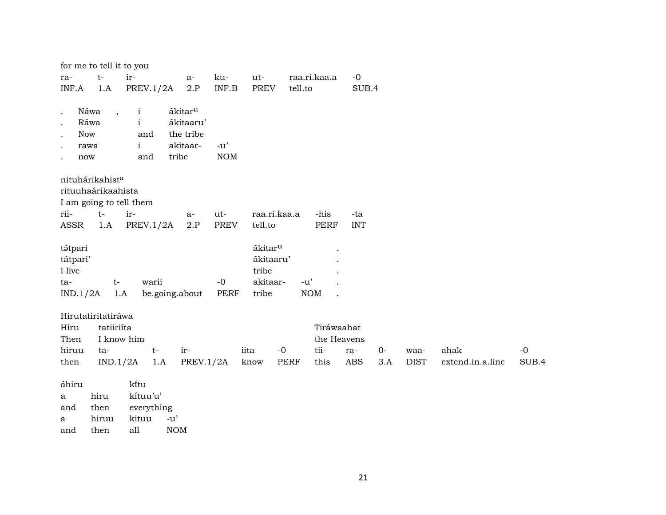|                                                                                                    | for me to tell it to you                       |                                                            |                                                                    |                           |                     |             |                           |            |      |             |                  |       |
|----------------------------------------------------------------------------------------------------|------------------------------------------------|------------------------------------------------------------|--------------------------------------------------------------------|---------------------------|---------------------|-------------|---------------------------|------------|------|-------------|------------------|-------|
| ra-                                                                                                | $t-$                                           | ir-                                                        | a-                                                                 | ku-                       | ut-                 |             | raa.ri.kaa.a              | $-0$       |      |             |                  |       |
| INF.A                                                                                              | 1.A                                            | PREV.1/2A                                                  | $2.P$                                                              | $\textsf{INF}.\textsf{B}$ | <b>PREV</b>         | tell.to     |                           | SUB.4      |      |             |                  |       |
| $\ddot{\phantom{0}}$<br>$\cdot$<br><b>Now</b><br>$\cdot$<br>$\cdot$<br>now<br>$\ddot{\phantom{0}}$ | Náwa<br>$\ddot{\phantom{0}}$<br>Ráwa<br>rawa   | $\mathbf{i}$<br>$\mathbf{i}$<br>and<br>$\mathbf{i}$<br>and | ákitar <sup>u</sup><br>ákitaaru'<br>the tribe<br>akitaar-<br>tribe | $-u'$<br>$\rm{NOM}$       |                     |             |                           |            |      |             |                  |       |
|                                                                                                    | nituhárikahista                                |                                                            |                                                                    |                           |                     |             |                           |            |      |             |                  |       |
|                                                                                                    | rituuhaárikaahista                             |                                                            |                                                                    |                           |                     |             |                           |            |      |             |                  |       |
|                                                                                                    | I am going to tell them                        |                                                            |                                                                    |                           |                     |             |                           |            |      |             |                  |       |
| rii-                                                                                               | $t-$                                           | ir-                                                        | $a-$                                                               | ut-                       | raa.ri.kaa.a        |             | -his                      | -ta        |      |             |                  |       |
| <b>ASSR</b>                                                                                        | 1.A                                            | <b>PREV.1/2A</b>                                           | 2.P                                                                | <b>PREV</b>               | tell.to             |             | <b>PERF</b>               | <b>INT</b> |      |             |                  |       |
|                                                                                                    |                                                |                                                            |                                                                    |                           |                     |             |                           |            |      |             |                  |       |
| tátpari                                                                                            |                                                |                                                            |                                                                    |                           | ákitar <sup>u</sup> |             |                           |            |      |             |                  |       |
| tátpari'                                                                                           |                                                |                                                            |                                                                    |                           | ákitaaru'           |             |                           |            |      |             |                  |       |
| I live                                                                                             |                                                |                                                            |                                                                    |                           | tribe               |             |                           |            |      |             |                  |       |
| ta-                                                                                                | $t-$                                           | warii                                                      |                                                                    | $-0$                      | akitaar-            | $-u'$       |                           |            |      |             |                  |       |
| IND.1/2A                                                                                           | 1.A                                            |                                                            | be.going.about                                                     | <b>PERF</b>               | tribe               |             | <b>NOM</b>                |            |      |             |                  |       |
| Hiru<br>Then                                                                                       | Hirutatiritatiráwa<br>tatiiriíta<br>I know him |                                                            |                                                                    |                           |                     |             | Tiráwaahat<br>the Heavens |            |      |             |                  |       |
| hiruu                                                                                              | ta-                                            | $t-$                                                       | ir-                                                                |                           | iita<br>$-0$        |             | tii-                      | ra-        | $0-$ | waa-        | ahak             | $-0$  |
| then                                                                                               | IND.1/2A                                       | 1.A                                                        | <b>PREV.1/2A</b>                                                   |                           | know                | <b>PERF</b> | this                      | <b>ABS</b> | 3.A  | <b>DIST</b> | extend.in.a.line | SUB.4 |
|                                                                                                    |                                                |                                                            |                                                                    |                           |                     |             |                           |            |      |             |                  |       |
| áhiru                                                                                              |                                                | kitu                                                       |                                                                    |                           |                     |             |                           |            |      |             |                  |       |
| $\mathbf{a}$                                                                                       | hiru                                           | kítuu'u'                                                   |                                                                    |                           |                     |             |                           |            |      |             |                  |       |
| and                                                                                                | then                                           | everything                                                 |                                                                    |                           |                     |             |                           |            |      |             |                  |       |
| a                                                                                                  | hiruu                                          | kituu                                                      | $-u'$                                                              |                           |                     |             |                           |            |      |             |                  |       |
| and                                                                                                | then                                           | all                                                        | <b>NOM</b>                                                         |                           |                     |             |                           |            |      |             |                  |       |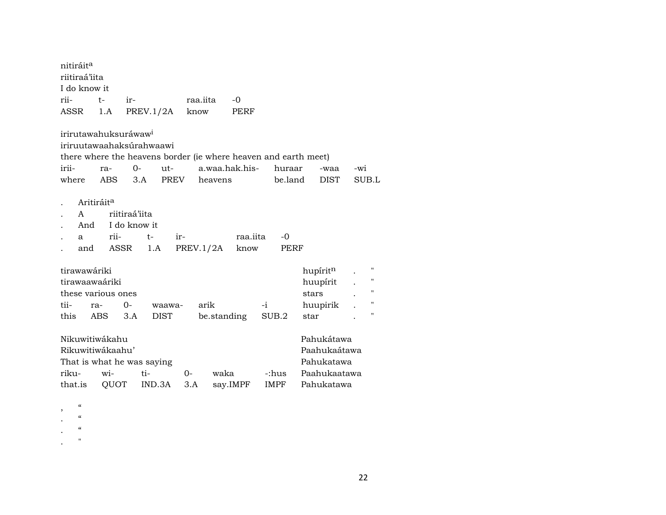| nitiráit <sup>a</sup><br>riitiraá'iita<br>I do know it                                                                                                   |                                                               |                        |                           |                  |                   |                                                                        |              |   |
|----------------------------------------------------------------------------------------------------------------------------------------------------------|---------------------------------------------------------------|------------------------|---------------------------|------------------|-------------------|------------------------------------------------------------------------|--------------|---|
| rii-<br>$t-$                                                                                                                                             | ir-                                                           |                        | raa.iita                  | $-0$             |                   |                                                                        |              |   |
| ASSR<br>1.A                                                                                                                                              | PREV.1/2A                                                     |                        | know                      | PERF             |                   |                                                                        |              |   |
| irirutawahuksuráwaw <sup>i</sup><br>iriruutawaahaksúrahwaawi<br>there where the heavens border (ie where heaven and earth meet)<br>irii-<br>ra-<br>where | $O-$<br>ABS<br>3.A                                            | $ut-$<br>PREV          | a.waa.hak.his-<br>heavens |                  | huraar<br>be.land | -waa<br><b>DIST</b>                                                    | -wi<br>SUB.L |   |
| Aritiráit <sup>a</sup><br>A<br>And<br>a                                                                                                                  | riitiraá'iita<br>I do know it<br>rii-<br>$t-$<br>and ASSR 1.A | ir-                    | PREV.1/2A                 | raa.iita<br>know | -0<br>PERF        |                                                                        |              |   |
| tirawawáriki                                                                                                                                             |                                                               |                        |                           |                  |                   | hupírit <sup>n</sup>                                                   |              |   |
| tirawaawaáriki                                                                                                                                           |                                                               |                        |                           |                  |                   | huupírit                                                               |              |   |
| these various ones                                                                                                                                       |                                                               |                        |                           |                  |                   | stars                                                                  |              |   |
| tii-<br>ra-                                                                                                                                              | $0-$                                                          | waawa-                 | arik                      |                  | $-i$              | huupirik                                                               |              | н |
| this<br>ABS                                                                                                                                              | 3.A                                                           | <b>DIST</b>            | be.standing               |                  | SUB.2             | star                                                                   |              | п |
| Nikuwitiwákahu<br>Rikuwitiwákaahu'<br>That is what he was saying<br>riku-<br>wi-<br>that.is                                                              | ti-<br>QUOT                                                   | $O -$<br>IND.3A<br>3.A | waka                      | say.IMPF         | -:hus<br>IMPF     | Pahukátawa<br>Paahukaátawa<br>Pahukatawa<br>Paahukaatawa<br>Pahukatawa |              |   |

- , "
- $\cdot$  "
- $\cdot$  "
- .  $\qquad$  "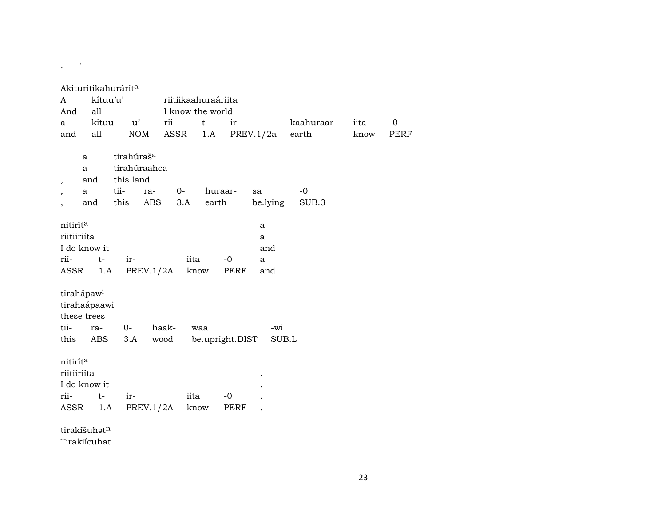## $\frac{1}{2} \left( \frac{1}{2} \right)$  ,  $\frac{1}{2} \left( \frac{1}{2} \right)$

|                                                                                                                             |                                                     | Akituritikahurárit <sup>a</sup>                                            |                         |                             |                          |                 |                                       |               |      |      |
|-----------------------------------------------------------------------------------------------------------------------------|-----------------------------------------------------|----------------------------------------------------------------------------|-------------------------|-----------------------------|--------------------------|-----------------|---------------------------------------|---------------|------|------|
| A                                                                                                                           | kítuu'u'                                            |                                                                            |                         | riitiikaahuraáriita         |                          |                 |                                       |               |      |      |
| And                                                                                                                         | all                                                 |                                                                            |                         | I know the world            |                          |                 |                                       |               |      |      |
| a                                                                                                                           | kituu                                               | -u'                                                                        | rii-                    | $t-$                        |                          | ir-             |                                       | kaahuraar-    | iita | $-0$ |
| and                                                                                                                         | all                                                 | <b>NOM</b>                                                                 |                         | ASSR                        | 1.A                      |                 | PREV.1/2a                             | earth         | know | PERF |
| $\overline{\phantom{a}}$<br>$\overline{\phantom{a}}$<br>nitirít <sup>a</sup><br>riitiiriíta<br>I do know it<br>rii-<br>ASSR | a<br>$\mathbf{a}$<br>and<br>a<br>and<br>$t-$<br>1.A | tirahúraš <sup>a</sup><br>tirahúraahca<br>this land<br>tii-<br>this<br>ir- | ra-<br>ABS<br>PREV.1/2A | $0-$<br>3.A<br>iita<br>know | huraar-<br>earth<br>$-0$ | sa<br>PERF      | be.lying<br>a<br>a<br>and<br>a<br>and | $-0$<br>SUB.3 |      |      |
| tirahápaw <sup>i</sup><br>tirahaápaawi<br>these trees<br>tii-<br>this                                                       | ra-<br>ABS                                          | 0-<br>3.A                                                                  | haak-<br>wood           | waa                         |                          | be.upright.DIST | -wi<br>SUB.L                          |               |      |      |
| nitiríta<br>riitiiriíta<br>I do know it<br>rii-<br>ASSR                                                                     | $t-$<br>1.A                                         | ir-                                                                        | PREV.1/2A               | iita<br>know                | $-0$                     | PERF            |                                       |               |      |      |
| tirakíšuhatn                                                                                                                |                                                     |                                                                            |                         |                             |                          |                 |                                       |               |      |      |
| Tirakiícuhat                                                                                                                |                                                     |                                                                            |                         |                             |                          |                 |                                       |               |      |      |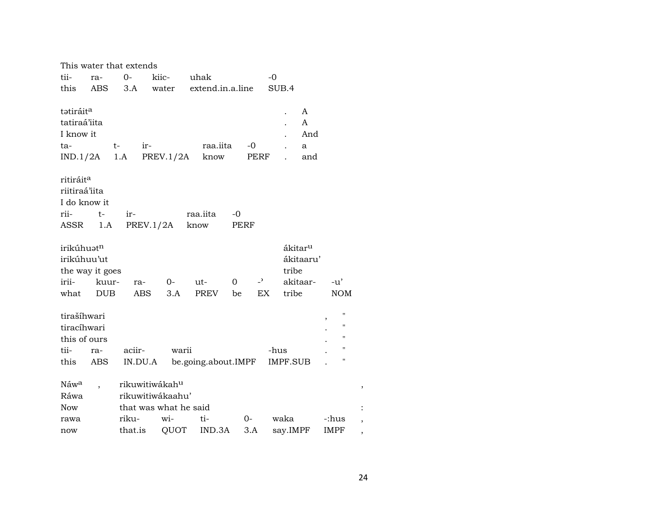|                                        |                 | This water that extends    |                       |                     |      |      |                           |                         |
|----------------------------------------|-----------------|----------------------------|-----------------------|---------------------|------|------|---------------------------|-------------------------|
| tii-                                   | ra-             | $O -$                      | kiic-                 | uhak                |      | $-0$ |                           |                         |
| this                                   | ABS             | 3.A                        | water                 | extend.in.a.line    |      |      | SUB.4                     |                         |
|                                        |                 |                            |                       |                     |      |      |                           |                         |
| tatiráit <sup>a</sup>                  |                 |                            |                       |                     |      |      | A<br>$\ddot{\phantom{0}}$ |                         |
| tatiraá'iita                           |                 |                            |                       |                     |      |      | A                         |                         |
| I know it                              |                 |                            |                       |                     |      |      | And                       |                         |
| ta-                                    |                 | $t-$<br>ir-                |                       | raa.iita            | $-0$ |      | a                         |                         |
| IND.1/2A                               |                 | 1.A                        | PREV.1/2A             | know                |      | PERF | and                       |                         |
|                                        |                 |                            |                       |                     |      |      |                           |                         |
| ritiráit <sup>a</sup><br>riitiraá'iita |                 |                            |                       |                     |      |      |                           |                         |
| I do know it                           |                 |                            |                       |                     |      |      |                           |                         |
| rii-                                   | $t-$            | ir-                        |                       | raa.iita            | $-0$ |      |                           |                         |
| ASSR                                   | 1.A             |                            | PREV.1/2A             | know                | PERF |      |                           |                         |
|                                        |                 |                            |                       |                     |      |      |                           |                         |
| irikúhuatn                             |                 |                            |                       |                     |      |      | ákitar <sup>u</sup>       |                         |
| irikúhuu'ut                            |                 |                            |                       |                     |      |      | ákitaaru'                 |                         |
|                                        | the way it goes |                            |                       |                     |      |      | tribe                     |                         |
| irii-                                  | kuur-           | ra-                        | $0-$                  | $ut-$               | 0    | $-2$ | akitaar-                  | -u'                     |
| what                                   | <b>DUB</b>      | <b>ABS</b>                 | 3.A                   | PREV                | be   | EX   | tribe                     | <b>NOM</b>              |
|                                        |                 |                            |                       |                     |      |      |                           |                         |
| tirašíhwari                            |                 |                            |                       |                     |      |      |                           | $\pmb{\mathsf{H}}$<br>, |
| tiracíhwari                            |                 |                            |                       |                     |      |      |                           | $\pmb{\mathsf{H}}$      |
| this of ours                           |                 |                            |                       |                     |      |      |                           | $\pmb{\mathsf{H}}$      |
| tii-                                   | ra-             | aciir-                     | warii                 |                     |      | -hus |                           | $\pmb{\mathsf{H}}$      |
| this                                   | ABS             | IN.DU.A                    |                       | be.going.about.IMPF |      |      | IMPF.SUB                  | Ħ                       |
|                                        |                 |                            |                       |                     |      |      |                           |                         |
| Náw <sup>a</sup>                       |                 | rikuwitiwákah <sup>u</sup> |                       |                     |      |      |                           |                         |
| Ráwa                                   |                 |                            | rikuwitiwákaahu'      |                     |      |      |                           |                         |
| <b>Now</b>                             |                 |                            | that was what he said |                     |      |      |                           |                         |
| rawa                                   |                 | riku-                      | wi-                   | ti-                 | $0-$ |      | waka                      | -:hus                   |
| now                                    |                 | that.is                    | QUOT                  | IND.3A              | 3.A  |      | say.IMPF                  | <b>IMPF</b>             |

 $\,$  ,

 $\ddot{\cdot}$ 

 $\,$ 

 $\overline{\phantom{a}}$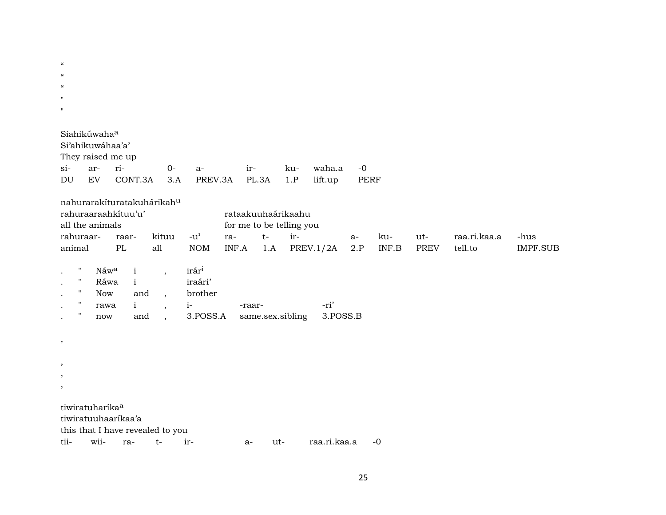| $\epsilon\epsilon$ |  |  |  |
|--------------------|--|--|--|
| "                  |  |  |  |
| $\epsilon\epsilon$ |  |  |  |
| $\blacksquare$     |  |  |  |
| $\blacksquare$     |  |  |  |

| Siahikúwaha <sup>a</sup> |                  |                                          |  |          |  |     |           |      |  |  |
|--------------------------|------------------|------------------------------------------|--|----------|--|-----|-----------|------|--|--|
|                          | Si'ahikuwahaa'a' |                                          |  |          |  |     |           |      |  |  |
| They raised me up        |                  |                                          |  |          |  |     |           |      |  |  |
|                          |                  | $si$ - $ar$ - $ri$ - $0$ -               |  | $a-$ ir- |  | ku- | waha.a -0 |      |  |  |
| DU                       |                  | EV CONT.3A 3.A PREV.3A PL.3A 1.P lift.up |  |          |  |     |           | PERF |  |  |

nahurarakíturatakuhárikah<sup>u</sup>

| rahuraaraahkituu'u' |                 |           |     | rataakuuhaárikaahu |                           |                                   |    |     |      |              |          |  |  |
|---------------------|-----------------|-----------|-----|--------------------|---------------------------|-----------------------------------|----|-----|------|--------------|----------|--|--|
|                     | all the animals |           |     |                    | for me to be telling you  |                                   |    |     |      |              |          |  |  |
| rahuraar-           | raar-           | kituu -u' |     | ra-                | $\mathbf{t}$ $\mathbf{t}$ | $ir-$                             | а- | ku- | ut-  | raa.ri.kaa.a | -hus     |  |  |
| animal              | PL              | all       | NOM |                    |                           | INF.A $1.A$ PREV.1/2A $2.P$ INF.B |    |     | PREV | tell to      | IMPF.SUB |  |  |

| п. | Náw <sup>a</sup> i , |  | irár <sup>i</sup> |                                         |      |
|----|----------------------|--|-------------------|-----------------------------------------|------|
|    | Ráwa i               |  | iraári'           |                                         |      |
|    | Now                  |  | and , brother     |                                         |      |
|    | rawa i               |  | $i-1$             | -raar-                                  | -ri' |
| ., | now                  |  |                   | and, 3.POSS.A same.sex.sibling 3.POSS.B |      |

 $\overline{\phantom{a}}$ 

- $\overline{\phantom{a}}$
- $\overline{\phantom{a}}$
- $\, ,$

tiwiratuharíka<sup>a</sup>

tiwiratuuhaaríkaa'a

this that I have revealed to you

tiiwii $t-$  irraa.ri.kaa.a -0 ra $a$ ut-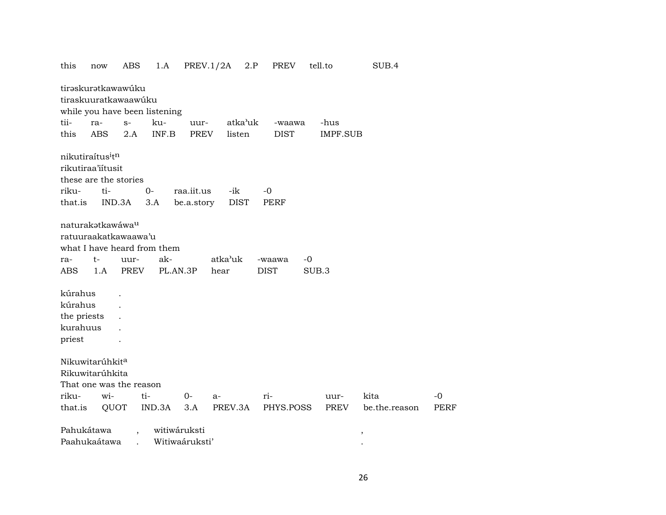| this              | now                                               | ABS                                                                 | 1.A             | PREV.1/2A      |                 | 2.P | PREV                  |               | tell.to             | SUB.4                 |              |
|-------------------|---------------------------------------------------|---------------------------------------------------------------------|-----------------|----------------|-----------------|-----|-----------------------|---------------|---------------------|-----------------------|--------------|
|                   | tirəskurətkawawúku                                | tiraskuuratkawaawúku<br>while you have been listening               |                 |                |                 |     |                       |               |                     |                       |              |
| tii-              | ra-                                               | $S-$                                                                | ku-             | uur-           | atka'uk         |     | -waawa                |               | -hus                |                       |              |
| this              | <b>ABS</b>                                        | 2.A                                                                 | INF.B           | PREV           | listen          |     | <b>DIST</b>           |               | <b>IMPF.SUB</b>     |                       |              |
|                   |                                                   |                                                                     |                 |                |                 |     |                       |               |                     |                       |              |
|                   | nikutiraítus <sup>i</sup> tn<br>rikutiraa'iitusit |                                                                     |                 |                |                 |     |                       |               |                     |                       |              |
|                   | these are the stories                             |                                                                     |                 |                |                 |     |                       |               |                     |                       |              |
| riku-             | ti-                                               |                                                                     | $O -$           | raa.iit.us     | -ik             |     | $-0$                  |               |                     |                       |              |
| that.is           | IND.3A                                            |                                                                     | 3.A             | be.a.story     | <b>DIST</b>     |     | <b>PERF</b>           |               |                     |                       |              |
| ra-<br><b>ABS</b> | naturakatkawáwa <sup>u</sup><br>t-<br>1.A         | ratuuraakatkawaawa'u<br>what I have heard from them<br>uur-<br>PREV | ak-<br>PL.AN.3P |                | atka'uk<br>hear |     | -waawa<br><b>DIST</b> | $-0$<br>SUB.3 |                     |                       |              |
| kúrahus           |                                                   |                                                                     |                 |                |                 |     |                       |               |                     |                       |              |
| kúrahus           |                                                   |                                                                     |                 |                |                 |     |                       |               |                     |                       |              |
| the priests       |                                                   |                                                                     |                 |                |                 |     |                       |               |                     |                       |              |
| kurahuus          |                                                   |                                                                     |                 |                |                 |     |                       |               |                     |                       |              |
| priest            |                                                   |                                                                     |                 |                |                 |     |                       |               |                     |                       |              |
| riku-<br>that.is  | Nikuwitarúhkita<br>Rikuwitarúhkita<br>wi-<br>QUOT | That one was the reason<br>ti-                                      | IND.3A          | 0-<br>3.A      | $a-$<br>PREV.3A |     | ri-<br>PHYS.POSS      |               | uur-<br><b>PREV</b> | kita<br>be.the.reason | $-0$<br>PERF |
| Pahukátawa        |                                                   |                                                                     | witiwáruksti    |                |                 |     |                       |               |                     | $\, ,$                |              |
|                   | Paahukaátawa                                      |                                                                     |                 | Witiwaáruksti' |                 |     |                       |               |                     |                       |              |
|                   |                                                   |                                                                     |                 |                |                 |     |                       |               |                     |                       |              |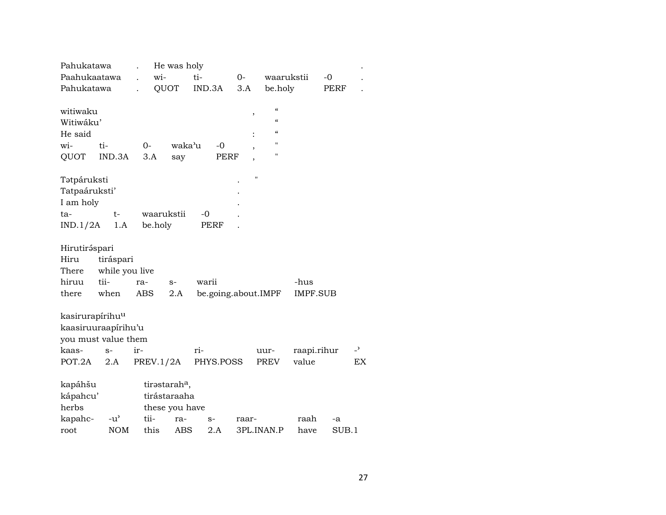| Pahukatawa                  |                |            | He was holy               |                     |                    |            |             |       |                |
|-----------------------------|----------------|------------|---------------------------|---------------------|--------------------|------------|-------------|-------|----------------|
| Paahukaatawa                |                | wi-        |                           | ti-                 | $O -$              | waarukstii |             | $-0$  |                |
| Pahukatawa                  |                |            | QUOT                      | IND.3A              | 3.A                | be.holy    |             | PERF  |                |
|                             |                |            |                           |                     |                    |            |             |       |                |
| witiwaku                    |                |            |                           |                     | ,                  | $\epsilon$ |             |       |                |
| Witiwáku'                   |                |            |                           |                     |                    | $\epsilon$ |             |       |                |
| He said                     |                |            |                           |                     |                    | $\epsilon$ |             |       |                |
| wi-                         | ti-            | $0-$       | waka'u                    | $-0$                |                    | Ħ          |             |       |                |
| QUOT                        | IND.3A         | 3.A        | say                       | <b>PERF</b>         |                    | п          |             |       |                |
|                             |                |            |                           |                     |                    |            |             |       |                |
| Tatpáruksti                 |                |            |                           |                     | $\pmb{\mathsf{H}}$ |            |             |       |                |
| Tatpaáruksti'               |                |            |                           |                     |                    |            |             |       |                |
| I am holy                   |                |            |                           |                     |                    |            |             |       |                |
| ta-                         | t-             | waarukstii |                           | -0                  |                    |            |             |       |                |
| IND.1/2A                    | 1.A            | be.holy    |                           | PERF                |                    |            |             |       |                |
|                             |                |            |                           |                     |                    |            |             |       |                |
| Hirutiráspari               |                |            |                           |                     |                    |            |             |       |                |
| Hiru                        | tiráspari      |            |                           |                     |                    |            |             |       |                |
| There                       | while you live |            |                           |                     |                    |            |             |       |                |
| hiruu                       | tii-           | ra-        | $S-$                      | warii               |                    |            | -hus        |       |                |
| there                       | when           | ABS        | 2.A                       | be.going.about.IMPF |                    |            | IMPF.SUB    |       |                |
|                             |                |            |                           |                     |                    |            |             |       |                |
| kasirurapírihu <sup>u</sup> |                |            |                           |                     |                    |            |             |       |                |
| kaasiruuraapírihu'u         |                |            |                           |                     |                    |            |             |       |                |
| you must value them         |                |            |                           |                     |                    |            |             |       |                |
| kaas-                       | $S-$           | ir-        |                           | ri-                 |                    | uur-       | raapi.rihur |       | $\overline{a}$ |
| POT.2A                      | 2.A            | PREV.1/2A  |                           | PHYS.POSS           |                    | PREV       | value       |       | EX             |
|                             |                |            |                           |                     |                    |            |             |       |                |
| kapáhšu                     |                |            | tirastarah <sup>a</sup> , |                     |                    |            |             |       |                |
| kápahcu'                    |                |            | tirástaraaha              |                     |                    |            |             |       |                |
| herbs                       |                |            | these you have            |                     |                    |            |             |       |                |
| kapahc-                     | $-u^{\prime}$  | tii-       | ra-                       | $S-$                | raar-              |            | raah        | -a    |                |
| root                        | <b>NOM</b>     | this       | ABS                       | 2.A                 |                    | 3PL.INAN.P | have        | SUB.1 |                |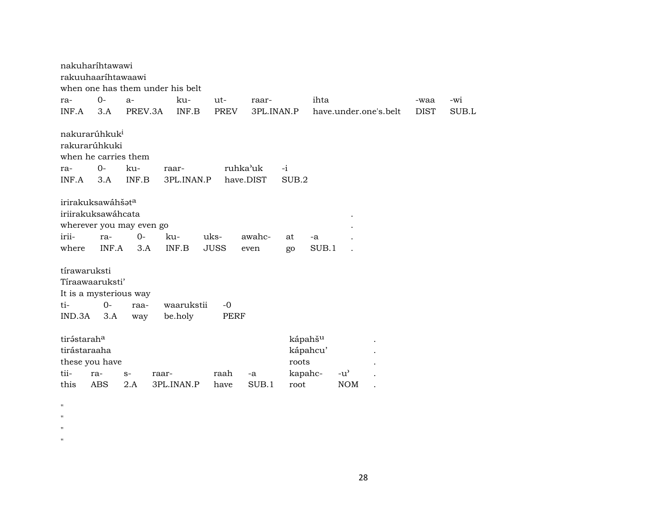|                         | nakuharihtawawi           |                 |                                  |              |                    |                     |                     |          |                       |                     |              |
|-------------------------|---------------------------|-----------------|----------------------------------|--------------|--------------------|---------------------|---------------------|----------|-----------------------|---------------------|--------------|
|                         | rakuuhaaríhtawaawi        |                 |                                  |              |                    |                     |                     |          |                       |                     |              |
|                         |                           |                 | when one has them under his belt |              |                    |                     |                     |          |                       |                     |              |
| ra-<br>INF.A            | $O -$<br>3.A              | $a-$<br>PREV.3A |                                  | ku-<br>INF.B | ut-<br><b>PREV</b> | raar-<br>3PL.INAN.P |                     | ihta     | have.under.one's.belt | -waa<br><b>DIST</b> | -wi<br>SUB.L |
|                         |                           |                 |                                  |              |                    |                     |                     |          |                       |                     |              |
|                         | nakurarúhkuk <sup>i</sup> |                 |                                  |              |                    |                     |                     |          |                       |                     |              |
|                         | rakurarúhkuki             |                 |                                  |              |                    |                     |                     |          |                       |                     |              |
|                         | when he carries them      |                 |                                  |              |                    |                     |                     |          |                       |                     |              |
| ra-                     | $O -$                     | ku-             | raar-                            |              |                    | ruhka'uk            | $-i$                |          |                       |                     |              |
| INF.A                   | 3.A                       | INF.B           |                                  | 3PL.INAN.P   |                    | have.DIST           | SUB.2               |          |                       |                     |              |
|                         |                           |                 |                                  |              |                    |                     |                     |          |                       |                     |              |
|                         | irirakuksawáhšata         |                 |                                  |              |                    |                     |                     |          |                       |                     |              |
|                         | iriirakuksawáhcata        |                 |                                  |              |                    |                     |                     |          |                       |                     |              |
|                         | wherever you may even go  |                 |                                  |              |                    |                     |                     |          |                       |                     |              |
| irii-                   | ra-                       | $0-$            | ku-                              |              | uks-               | awahc-              | at                  | -a       |                       |                     |              |
| where                   | INF.A                     | 3.A             | INF.B                            |              | <b>JUSS</b>        | even                | go                  | SUB.1    |                       |                     |              |
| tírawaruksti            |                           |                 |                                  |              |                    |                     |                     |          |                       |                     |              |
|                         | Tíraawaaruksti'           |                 |                                  |              |                    |                     |                     |          |                       |                     |              |
|                         | It is a mysterious way    |                 |                                  |              |                    |                     |                     |          |                       |                     |              |
| ti-                     | $0-$                      | raa-            |                                  | waarukstii   | $-0$               |                     |                     |          |                       |                     |              |
| IND.3A                  | 3.A                       | way             | be.holy                          |              | <b>PERF</b>        |                     |                     |          |                       |                     |              |
|                         |                           |                 |                                  |              |                    |                     |                     |          |                       |                     |              |
| tirástarah <sup>a</sup> |                           |                 |                                  |              |                    |                     | kápahš <sup>u</sup> |          |                       |                     |              |
| tirástaraaha            |                           |                 |                                  |              |                    |                     |                     | kápahcu' |                       |                     |              |
|                         | these you have            |                 |                                  |              |                    |                     | roots               |          |                       |                     |              |
| tii-                    | ra-                       | $S-$            | raar-                            |              | raah               | $-a$                | kapahc-             |          | $-u'$                 |                     |              |
| this                    | ABS                       | 2.A             | 3PL.INAN.P                       |              | have               | SUB.1               | root                |          | <b>NOM</b>            |                     |              |
|                         |                           |                 |                                  |              |                    |                     |                     |          |                       |                     |              |
| н                       |                           |                 |                                  |              |                    |                     |                     |          |                       |                     |              |

- "
- "
- 
- $\mathbf{u}$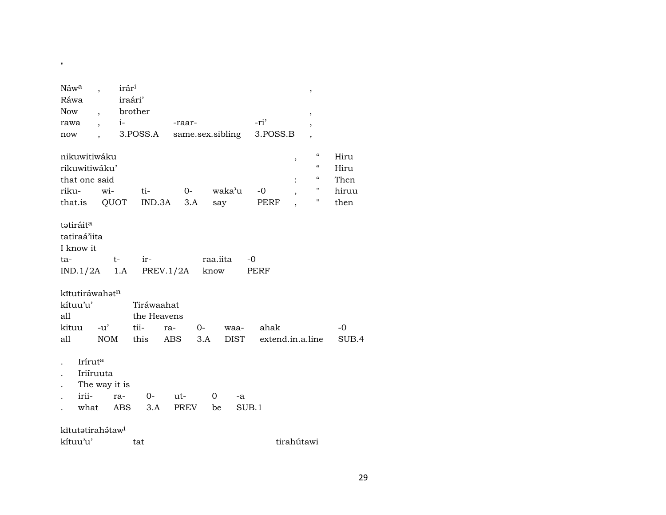| Náwa<br>Ráwa<br><b>Now</b><br>rawa<br>now                                   | $\overline{\phantom{a}}$<br>$i-$<br>$\overline{\phantom{a}}$<br>$\ddot{\phantom{0}}$ | irár <sup>i</sup><br>iraári'<br>brother<br>3.POSS.A | -raar-<br>same.sex.sibling |                      |              | -ri'<br>3.POSS.B         | ,<br>$^\mathrm{\textdegree}$<br>$\overline{\phantom{a}}$<br>$\overline{\phantom{a}}$ |                                                                                                                                      |                                       |
|-----------------------------------------------------------------------------|--------------------------------------------------------------------------------------|-----------------------------------------------------|----------------------------|----------------------|--------------|--------------------------|--------------------------------------------------------------------------------------|--------------------------------------------------------------------------------------------------------------------------------------|---------------------------------------|
| nikuwitiwáku<br>rikuwitiwáku'<br>that one said<br>riku-<br>that.is          | wi-<br>QUOT                                                                          | ti-                                                 | $0-$<br>$IND.3A$ 3.A       | waka'u<br>say        |              | -0<br>PERF               | $\, ,$<br>,                                                                          | $\boldsymbol{\zeta}\boldsymbol{\zeta}$<br>$\boldsymbol{\zeta}\boldsymbol{\zeta}$<br>$\boldsymbol{\zeta}\boldsymbol{\zeta}$<br>"<br>П | Hiru<br>Hiru<br>Then<br>hiruu<br>then |
| tatiráit <sup>a</sup><br>tatiraá'iita<br>I know it<br>ta-<br>$IND.1/2A$ 1.A | t-                                                                                   | ir-                                                 | PREV.1/2A know             | raa.iita             | $-0$         | PERF                     |                                                                                      |                                                                                                                                      |                                       |
| kītutiráwahatn<br>kítuu'u'<br>all<br>kituu<br>all                           | $-u'$<br><b>NOM</b>                                                                  | Tiráwaahat<br>the Heavens<br>tii-<br>this           | $O-$<br>ra-<br>ABS.<br>3.A |                      | waa-<br>DIST | ahak<br>extend.in.a.line |                                                                                      |                                                                                                                                      | -0<br>SUB.4                           |
| Iríruta<br>irii-<br>what                                                    | Iriíruuta<br>The way it is<br>ra-                                                    | $0-$<br>ABS<br>3.A                                  | ut-<br>PREV                | $\overline{0}$<br>be | -a<br>SUB.1  |                          |                                                                                      |                                                                                                                                      |                                       |
| kītutətirahətaw <sup>i</sup><br>kítuu'u'                                    |                                                                                      | tat                                                 |                            |                      |              |                          | tirahútawi                                                                           |                                                                                                                                      |                                       |

 $\mathbf{u}$  .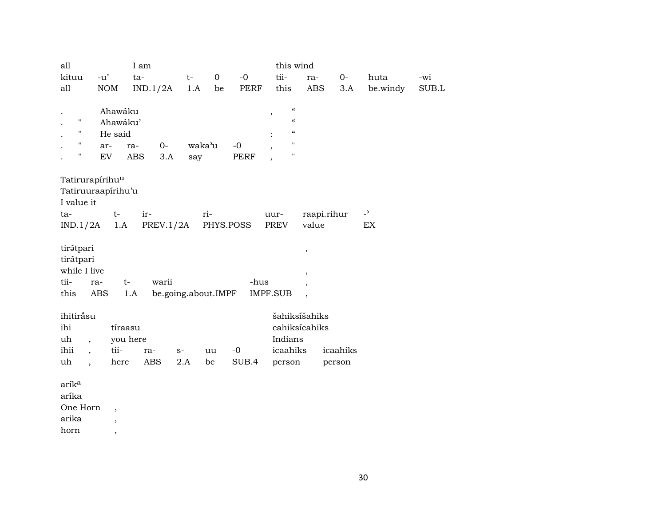| all                              |                             | I am              |                     |                |           | this wind                            |                          |          |                          |       |
|----------------------------------|-----------------------------|-------------------|---------------------|----------------|-----------|--------------------------------------|--------------------------|----------|--------------------------|-------|
| kituu                            | $-u'$                       | ta-               | $t-$                | $\overline{0}$ | $-0$      | tii-                                 | ra-                      | $0-$     | huta                     | -wi   |
| all                              | NOM                         | IND.1/2A          | 1.A                 | be             | PERF      | this                                 | ABS                      | 3.A      | be windy                 | SUB.L |
|                                  |                             |                   |                     |                |           |                                      |                          |          |                          |       |
|                                  | Ahawáku                     |                   |                     |                |           | $\boldsymbol{\mathcal{C}}$<br>$\, ,$ |                          |          |                          |       |
| н                                | Ahawáku'                    |                   |                     |                |           | $\boldsymbol{\mathcal{C}}$           |                          |          |                          |       |
| $\mathbf{H}$                     | He said                     |                   |                     |                |           | $\boldsymbol{\mathcal{C}}$           |                          |          |                          |       |
| $\pmb{\mathsf{H}}$               | ar-                         | $O -$<br>ra-      | waka'u              |                | $-0$      | $\pmb{\mathsf{H}}$<br>$\overline{ }$ |                          |          |                          |       |
| Н                                | EV                          | <b>ABS</b><br>3.A | say                 |                | PERF      | П                                    |                          |          |                          |       |
|                                  |                             |                   |                     |                |           |                                      |                          |          |                          |       |
|                                  | Tatirurapírihu <sup>u</sup> |                   |                     |                |           |                                      |                          |          |                          |       |
|                                  | Tatiruuraapírihu'u          |                   |                     |                |           |                                      |                          |          |                          |       |
| I value it                       |                             |                   |                     |                |           |                                      |                          |          |                          |       |
| ta-                              | $t-$                        | ir-               |                     | ri-            |           | uur-                                 | raapi.rihur              |          | $\overline{\phantom{0}}$ |       |
| IND.1/2A                         | 1.A                         |                   | PREV.1/2A           |                | PHYS.POSS | PREV                                 | value                    |          | EX                       |       |
|                                  |                             |                   |                     |                |           |                                      |                          |          |                          |       |
| tirátpari                        |                             |                   |                     |                |           |                                      | $\, ,$                   |          |                          |       |
| tirátpari                        |                             |                   |                     |                |           |                                      |                          |          |                          |       |
| while I live                     |                             |                   |                     |                |           |                                      | ,                        |          |                          |       |
| tii-                             | ra-                         | warii<br>$t-$     |                     |                | -hus      |                                      |                          |          |                          |       |
| this                             | ABS                         | 1.A               | be.going.about.IMPF |                |           | <b>IMPF.SUB</b>                      | $\overline{\phantom{a}}$ |          |                          |       |
|                                  |                             |                   |                     |                |           |                                      |                          |          |                          |       |
| ihitiråsu                        |                             |                   |                     |                |           |                                      | šahiksíšahiks            |          |                          |       |
| ihi                              | tíraasu                     |                   |                     |                |           |                                      | cahiksícahiks            |          |                          |       |
| uh<br>$\overline{\phantom{a}}$   |                             | you here          |                     |                |           | Indians                              |                          |          |                          |       |
| ihii<br>$\overline{\phantom{a}}$ | tii-                        | ra-               | $S-$                | uu             | $-0$      | icaahiks                             |                          | icaahiks |                          |       |
| uh<br>$\ddot{\phantom{1}}$       | here                        | ABS               | 2.A                 | be             | SUB.4     | person                               |                          | person   |                          |       |
|                                  |                             |                   |                     |                |           |                                      |                          |          |                          |       |
| arík <sup>a</sup>                |                             |                   |                     |                |           |                                      |                          |          |                          |       |
| aríka                            |                             |                   |                     |                |           |                                      |                          |          |                          |       |
| One Horn                         | $\overline{\phantom{a}}$    |                   |                     |                |           |                                      |                          |          |                          |       |
| arika                            | $\overline{\phantom{a}}$    |                   |                     |                |           |                                      |                          |          |                          |       |

horn ,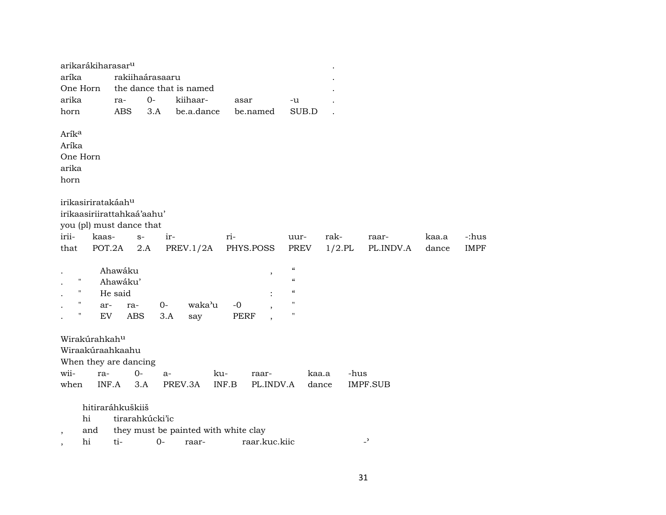| aríka<br>rakiihaárasaaru<br>the dance that is named<br>One Horn<br>$0-$<br>arika<br>kiihaar-<br>ra-<br>asar<br>-u<br>be.a.dance<br><b>ABS</b><br>3.A<br>SUB.D<br>horn<br>be.named<br>Arík <sup>a</sup><br>Aríka<br>One Horn<br>arika<br>horn<br>irikasiriratakáahu<br>irikaasiriirattahkaá'aahu'<br>you (pl) must dance that<br>irii-<br>rak-<br>kaas-<br>ir-<br>ri-<br>-:hus<br>$S-$<br>uur-<br>kaa.a<br>raar-<br>POT.2A<br>$1/2$ .PL<br>that<br>2.A<br>PREV.1/2A<br>PHYS.POSS<br>PREV<br>PL.INDV.A<br><b>IMPF</b><br>dance<br>$\boldsymbol{\zeta}\boldsymbol{\zeta}$<br>Ahawáku<br>,<br>$\pmb{\zeta}\pmb{\zeta}$<br>Ħ<br>Ahawáku'<br>$\pmb{\zeta}\pmb{\zeta}$<br>11<br>He said<br>11<br>waka'u<br>$O -$<br>$-0$<br>ar-<br>ra- | arikarákiharasar <sup>u</sup> |     |     |             |                    |  |  |  |
|---------------------------------------------------------------------------------------------------------------------------------------------------------------------------------------------------------------------------------------------------------------------------------------------------------------------------------------------------------------------------------------------------------------------------------------------------------------------------------------------------------------------------------------------------------------------------------------------------------------------------------------------------------------------------------------------------------------------------------|-------------------------------|-----|-----|-------------|--------------------|--|--|--|
|                                                                                                                                                                                                                                                                                                                                                                                                                                                                                                                                                                                                                                                                                                                                 |                               |     |     |             |                    |  |  |  |
|                                                                                                                                                                                                                                                                                                                                                                                                                                                                                                                                                                                                                                                                                                                                 |                               |     |     |             |                    |  |  |  |
|                                                                                                                                                                                                                                                                                                                                                                                                                                                                                                                                                                                                                                                                                                                                 |                               |     |     |             |                    |  |  |  |
|                                                                                                                                                                                                                                                                                                                                                                                                                                                                                                                                                                                                                                                                                                                                 |                               |     |     |             |                    |  |  |  |
|                                                                                                                                                                                                                                                                                                                                                                                                                                                                                                                                                                                                                                                                                                                                 |                               |     |     |             |                    |  |  |  |
|                                                                                                                                                                                                                                                                                                                                                                                                                                                                                                                                                                                                                                                                                                                                 |                               |     |     |             |                    |  |  |  |
|                                                                                                                                                                                                                                                                                                                                                                                                                                                                                                                                                                                                                                                                                                                                 |                               |     |     |             |                    |  |  |  |
|                                                                                                                                                                                                                                                                                                                                                                                                                                                                                                                                                                                                                                                                                                                                 |                               |     |     |             |                    |  |  |  |
|                                                                                                                                                                                                                                                                                                                                                                                                                                                                                                                                                                                                                                                                                                                                 |                               |     |     |             |                    |  |  |  |
|                                                                                                                                                                                                                                                                                                                                                                                                                                                                                                                                                                                                                                                                                                                                 |                               |     |     |             |                    |  |  |  |
|                                                                                                                                                                                                                                                                                                                                                                                                                                                                                                                                                                                                                                                                                                                                 |                               |     |     |             |                    |  |  |  |
|                                                                                                                                                                                                                                                                                                                                                                                                                                                                                                                                                                                                                                                                                                                                 |                               |     |     |             |                    |  |  |  |
|                                                                                                                                                                                                                                                                                                                                                                                                                                                                                                                                                                                                                                                                                                                                 |                               |     |     |             |                    |  |  |  |
|                                                                                                                                                                                                                                                                                                                                                                                                                                                                                                                                                                                                                                                                                                                                 |                               |     |     |             |                    |  |  |  |
|                                                                                                                                                                                                                                                                                                                                                                                                                                                                                                                                                                                                                                                                                                                                 |                               |     |     |             |                    |  |  |  |
|                                                                                                                                                                                                                                                                                                                                                                                                                                                                                                                                                                                                                                                                                                                                 |                               |     |     |             |                    |  |  |  |
|                                                                                                                                                                                                                                                                                                                                                                                                                                                                                                                                                                                                                                                                                                                                 |                               |     |     |             |                    |  |  |  |
|                                                                                                                                                                                                                                                                                                                                                                                                                                                                                                                                                                                                                                                                                                                                 |                               |     |     |             |                    |  |  |  |
|                                                                                                                                                                                                                                                                                                                                                                                                                                                                                                                                                                                                                                                                                                                                 |                               |     |     |             |                    |  |  |  |
|                                                                                                                                                                                                                                                                                                                                                                                                                                                                                                                                                                                                                                                                                                                                 |                               |     |     |             |                    |  |  |  |
| EV<br>ABS                                                                                                                                                                                                                                                                                                                                                                                                                                                                                                                                                                                                                                                                                                                       | $\pmb{\mathsf{H}}$            | 3.A | say | <b>PERF</b> | $\pmb{\mathsf{H}}$ |  |  |  |
|                                                                                                                                                                                                                                                                                                                                                                                                                                                                                                                                                                                                                                                                                                                                 |                               |     |     |             |                    |  |  |  |
| Wirakúrahkahu                                                                                                                                                                                                                                                                                                                                                                                                                                                                                                                                                                                                                                                                                                                   |                               |     |     |             |                    |  |  |  |
| Wiraakúraahkaahu                                                                                                                                                                                                                                                                                                                                                                                                                                                                                                                                                                                                                                                                                                                |                               |     |     |             |                    |  |  |  |
| When they are dancing                                                                                                                                                                                                                                                                                                                                                                                                                                                                                                                                                                                                                                                                                                           |                               |     |     |             |                    |  |  |  |
| wii-<br>$0-$<br>ra-<br>-hus<br>ku-<br>kaa.a<br>raar-<br>$a-$                                                                                                                                                                                                                                                                                                                                                                                                                                                                                                                                                                                                                                                                    |                               |     |     |             |                    |  |  |  |
| when<br>INF.A<br>3.A<br>PREV.3A<br>INF.B<br>PL.INDV.A<br><b>IMPF.SUB</b><br>dance                                                                                                                                                                                                                                                                                                                                                                                                                                                                                                                                                                                                                                               |                               |     |     |             |                    |  |  |  |
|                                                                                                                                                                                                                                                                                                                                                                                                                                                                                                                                                                                                                                                                                                                                 |                               |     |     |             |                    |  |  |  |
| hitiraráhkuškiiš                                                                                                                                                                                                                                                                                                                                                                                                                                                                                                                                                                                                                                                                                                                |                               |     |     |             |                    |  |  |  |
| hi<br>tirarahkúcki'ic                                                                                                                                                                                                                                                                                                                                                                                                                                                                                                                                                                                                                                                                                                           |                               |     |     |             |                    |  |  |  |
| they must be painted with white clay<br>and                                                                                                                                                                                                                                                                                                                                                                                                                                                                                                                                                                                                                                                                                     |                               |     |     |             |                    |  |  |  |
| $\overline{\phantom{0}}$<br>hi<br>$0 -$<br>ti-<br>raar.kuc.kiic<br>raar-<br>$\overline{\phantom{a}}$                                                                                                                                                                                                                                                                                                                                                                                                                                                                                                                                                                                                                            |                               |     |     |             |                    |  |  |  |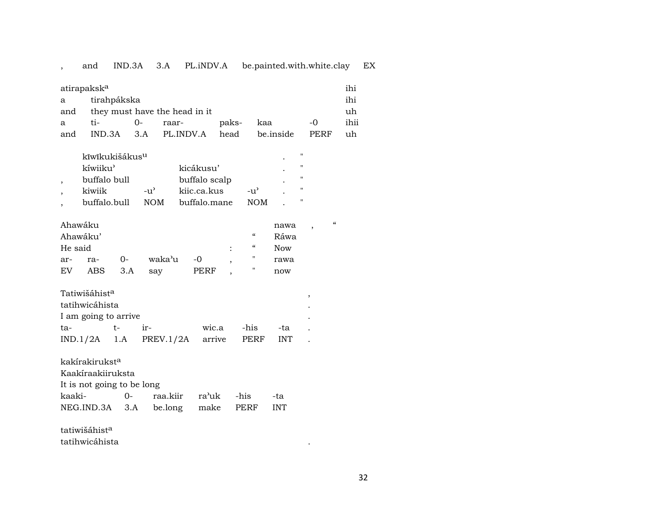## , and IND.3A 3.A PL.iNDV.A be.painted.with.white.clay EX

| atirapaksk <sup>a</sup> |                                     |        |                           |       |           |      | ihi  |  |  |
|-------------------------|-------------------------------------|--------|---------------------------|-------|-----------|------|------|--|--|
| a                       | tirahpákska                         |        |                           |       |           |      | ihi  |  |  |
| and                     | they must have the head in it<br>uh |        |                           |       |           |      |      |  |  |
| a                       | $t_{1-}$                            | $()$ - | raar-                     | paks- | kaa       | $-0$ | ihii |  |  |
| and                     |                                     |        | IND.3A 3.A PL.INDV.A head |       | be inside | PERF | uh   |  |  |

| kīwīkukišákus <sup>u</sup> |                    |               |        | ٠         | "                 |
|----------------------------|--------------------|---------------|--------|-----------|-------------------|
| kíwiiku'                   |                    | kicákusu'     |        |           | "                 |
| buffalo bull               |                    | buffalo scalp |        | $\bullet$ | $^{\prime\prime}$ |
| kiwiik                     | $-11$ <sup>2</sup> | kijc.ca.kus   | $-11'$ |           |                   |
| buffalo bull               | NOM.               | buffalo mane  | NOM    |           | "                 |

| Ahawáku  |     |         |           |      |        |          | nawa,      | " |
|----------|-----|---------|-----------|------|--------|----------|------------|---|
| Ahawáku' |     | Ráwa    |           |      |        |          |            |   |
| He said  |     |         |           |      | $\sim$ | $\alpha$ | <b>Now</b> |   |
| ar-      | ra- | $-$ 0-  | waka'u -0 |      |        |          | rawa       |   |
| EV       |     | ABS 3.A | sav       | PERF |        |          | now        |   |
|          |     |         |           |      |        |          |            |   |

| tatihwicáhista       |       |  |     |                                                        |  |  |  |  |  |  |
|----------------------|-------|--|-----|--------------------------------------------------------|--|--|--|--|--|--|
| I am going to arrive |       |  |     |                                                        |  |  |  |  |  |  |
| $ir-$                |       |  | -ta |                                                        |  |  |  |  |  |  |
|                      |       |  |     |                                                        |  |  |  |  |  |  |
|                      | $+ -$ |  |     | wic.a -his<br>$IND.1/2A$ 1.A PREV.1/2A arrive PERF INT |  |  |  |  |  |  |

| kakírakirukst <sup>a</sup>       |      |                     |  |  |            |  |  |  |
|----------------------------------|------|---------------------|--|--|------------|--|--|--|
| Kaakíraakiiruksta                |      |                     |  |  |            |  |  |  |
| It is not going to be long       |      |                     |  |  |            |  |  |  |
| kaaki-                           | $O-$ | raa.kiir ra'uk -his |  |  | -ta        |  |  |  |
| NEG.IND.3A 3.A be.long make PERF |      |                     |  |  | <b>INT</b> |  |  |  |

tatiwišáhist $^{\rm a}$ tatihwicáhista .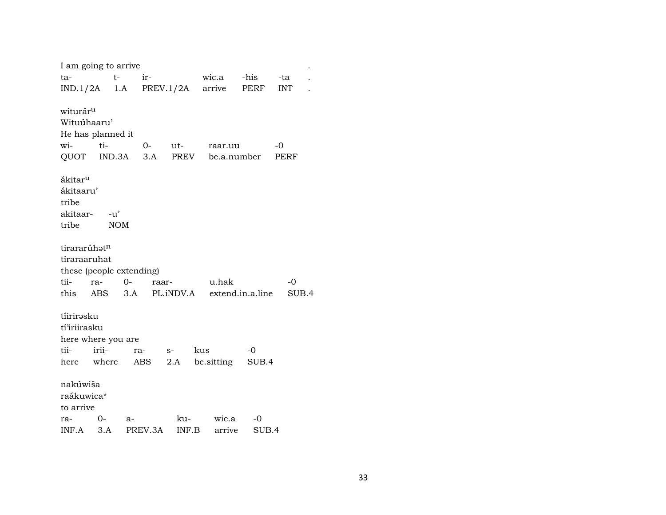|                                                    | I am going to arrive                      |         |       |             |                                                  |             |                   |  |
|----------------------------------------------------|-------------------------------------------|---------|-------|-------------|--------------------------------------------------|-------------|-------------------|--|
| ta-                                                | $t-$                                      |         | ir-   |             | wic.a                                            | -his        | -ta               |  |
|                                                    | $IND.1/2A$ 1.A PREV.1/2A                  |         |       |             | arrive                                           | PERF        | <b>INT</b>        |  |
| witurár <sup>u</sup><br>Wituúhaaru'<br>wi-<br>QUOT | He has planned it<br>ti-                  |         | 0-    | ut-         | raar.uu<br>IND.3A 3.A PREV be.a.number           |             | -0<br><b>PERF</b> |  |
| ákitar <sup>u</sup><br>ákitaaru'<br>tribe<br>tribe | akitaar- -u'<br><b>NOM</b>                |         |       |             |                                                  |             |                   |  |
| tirararúhat <sup>n</sup><br>tíraraaruhat<br>tii-   | these (people extending)<br>ra-           | $0-$    | raar- |             | u.hak<br>this ABS 3.A PL.iNDV.A extend.in.a.line |             | $-0$<br>SUB.4     |  |
| tíirirəsku<br>tí'iriirasku<br>tii-                 | here where you are<br>irii-<br>here where | ra-     | ABS   | $S-$<br>2.A | kus<br>be.sitting                                | -0<br>SUB.4 |                   |  |
| nakúwiša<br>raákuwica*<br>to arrive<br>ra-         | 0-                                        | a-      |       | ku-         | wic.a                                            | -0          |                   |  |
| INF.A                                              | 3.A                                       | PREV.3A |       | INF.B       | arrive                                           | SUB.4       |                   |  |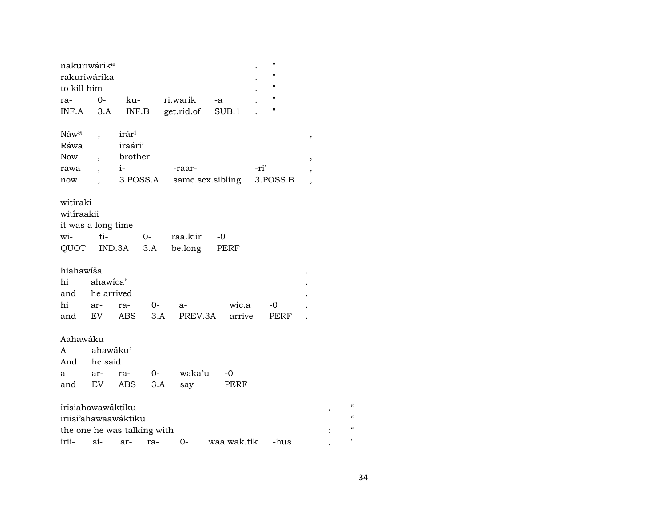| nakuriwárik <sup>a</sup><br>rakuriwárika<br>to kill him |            |                             |      |            |                  |      | $\pmb{\mathsf{H}}$<br>$\pmb{\mathsf{H}}$<br>$^{\prime}$ |   |   |            |
|---------------------------------------------------------|------------|-----------------------------|------|------------|------------------|------|---------------------------------------------------------|---|---|------------|
| ra-                                                     | $0-$       | ku-                         |      | ri.warik   | -a               |      | $\pmb{\mathsf{H}}$                                      |   |   |            |
|                                                         |            |                             |      |            |                  |      | п                                                       |   |   |            |
| INF.A                                                   | 3.A        | INF.B                       |      | get.rid.of | SUB.1            |      |                                                         |   |   |            |
| Náw <sup>a</sup>                                        |            | irár <sup>i</sup>           |      |            |                  |      |                                                         | , |   |            |
| Ráwa                                                    |            | iraári'                     |      |            |                  |      |                                                         |   |   |            |
| <b>Now</b>                                              |            | brother                     |      |            |                  |      |                                                         | , |   |            |
| rawa                                                    |            | $i$ -                       |      | -raar-     |                  | -ri' |                                                         |   |   |            |
| now                                                     |            | 3.POSS.A                    |      |            | same.sex.sibling |      | 3.POSS.B                                                |   |   |            |
|                                                         |            |                             |      |            |                  |      |                                                         |   |   |            |
| witiraki                                                |            |                             |      |            |                  |      |                                                         |   |   |            |
| witiraakii                                              |            |                             |      |            |                  |      |                                                         |   |   |            |
| it was a long time                                      |            |                             |      |            |                  |      |                                                         |   |   |            |
| wi-                                                     | ti-        |                             | $O-$ | raa.kiir   | -0               |      |                                                         |   |   |            |
| QUOT IND.3A                                             |            |                             | 3.A  | be.long    | PERF             |      |                                                         |   |   |            |
|                                                         |            |                             |      |            |                  |      |                                                         |   |   |            |
| hiahawiša                                               |            |                             |      |            |                  |      |                                                         |   |   |            |
| hi                                                      | ahawica'   |                             |      |            |                  |      |                                                         |   |   |            |
| and                                                     | he arrived |                             |      |            |                  |      |                                                         |   |   |            |
| hi                                                      | ar-        | ra-                         | $O-$ | a-         | wic.a            |      | -0                                                      |   |   |            |
| and                                                     | EV         | ABS                         | 3.A  | PREV.3A    | arrive           |      | PERF                                                    |   |   |            |
|                                                         |            |                             |      |            |                  |      |                                                         |   |   |            |
| Aahawáku                                                |            |                             |      |            |                  |      |                                                         |   |   |            |
| A                                                       | ahawáku'   |                             |      |            |                  |      |                                                         |   |   |            |
| And                                                     | he said    |                             |      |            |                  |      |                                                         |   |   |            |
| a                                                       | ar-        | ra-                         | $0-$ | waka'u     | $-0$             |      |                                                         |   |   |            |
| and                                                     | EV         | ABS                         | 3.A  | say        | PERF             |      |                                                         |   |   |            |
|                                                         |            |                             |      |            |                  |      |                                                         |   |   |            |
| irisiahawawáktiku                                       |            |                             |      |            |                  |      |                                                         |   | , |            |
|                                                         |            | iriisi'ahawaawáktiku        |      |            |                  |      |                                                         |   |   |            |
|                                                         |            | the one he was talking with |      |            |                  |      |                                                         |   |   | $\epsilon$ |
| irii-                                                   | $\sin$     | ar-                         | ra-  | 0-         | waa.wak.tik      |      | -hus                                                    |   |   | Ħ          |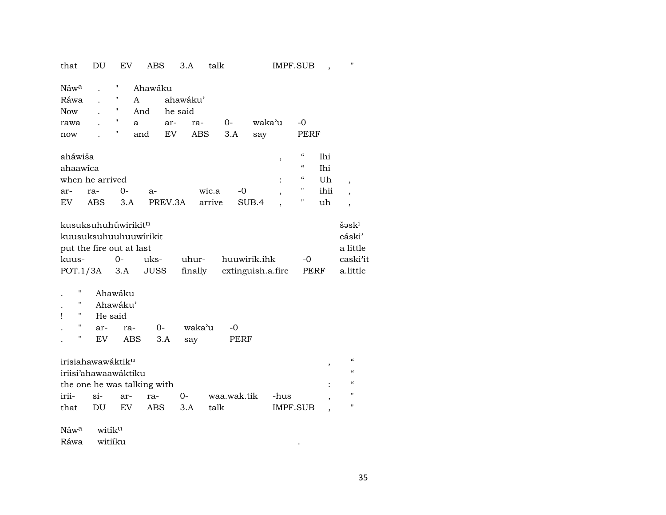that DU EV ABS 3.A talk IMPF.SUB , "

| IMPF.SUB |  |
|----------|--|
|----------|--|

| Náw <sup>a</sup><br>Ráwa<br>Now<br>rawa |     | Ħ<br>Ħ<br>Ħ<br>Ħ<br>" | Ahawáku<br>A<br>And<br>a | ahawáku'<br>he said<br>ar- | ra-    | $O -$ | waka'u |                | -0         |      |                          |
|-----------------------------------------|-----|-----------------------|--------------------------|----------------------------|--------|-------|--------|----------------|------------|------|--------------------------|
| now                                     |     |                       | and                      | EV                         | ABS    | 3.A   | say    |                | PERF       |      |                          |
|                                         |     |                       |                          |                            |        |       |        |                |            |      |                          |
| aháwiša                                 |     |                       |                          |                            |        |       |        | ,              | $\epsilon$ | Ihi  |                          |
| ahaawica                                |     |                       |                          |                            |        |       |        |                | $\epsilon$ | Ihi  |                          |
| when he arrived                         |     |                       |                          |                            |        |       |        | $\ddot{\cdot}$ | $\epsilon$ | Uh   | $\overline{\phantom{a}}$ |
| ar-                                     | ra- | 0-                    | $a-$                     |                            | wic.a  | -0    |        | ,              | "          | ihii | $\overline{\phantom{a}}$ |
| EV                                      | ABS | 3.A                   |                          | PREV.3A                    | arrive |       | SUB.4  | $\cdot$        | 11         | uh   | $\overline{\phantom{a}}$ |

| kusuksuhuhúwirikit <sup>n</sup><br>$\mathrm{S} \mathsf{a}$ sk $\mathrm{a}$ |  |  |  |                                                                       |      |          |  |  |  |  |
|----------------------------------------------------------------------------|--|--|--|-----------------------------------------------------------------------|------|----------|--|--|--|--|
| cáski'<br>kuusuksuhuuhuuwirikit                                            |  |  |  |                                                                       |      |          |  |  |  |  |
| put the fire out at last<br>a little                                       |  |  |  |                                                                       |      |          |  |  |  |  |
|                                                                            |  |  |  | kuus-                         uks-         uhur-         huuwirik.ihk | $-0$ | caski'it |  |  |  |  |
|                                                                            |  |  |  | POT.1/3A 3.A JUSS finally extinguish.a.fire PERF a.little             |      |          |  |  |  |  |

. " Ahawáku'

! " He said

|  |                | ar- $ra-$ 0- $waka'u$ -0 |      |
|--|----------------|--------------------------|------|
|  | EV ABS 3.A say |                          | PERF |

| irisiahawawáktik <sup>u</sup> |  |  |                      |     |                  |          |  |  |  |  |
|-------------------------------|--|--|----------------------|-----|------------------|----------|--|--|--|--|
| iriisi'ahawaawáktiku          |  |  |                      |     |                  |          |  |  |  |  |
| the one he was talking with   |  |  |                      |     |                  |          |  |  |  |  |
|                               |  |  | irii- si- ar- ra- 0- |     | waa.wak.tik -hus |          |  |  |  |  |
| that                          |  |  | DU EV ABS            | 3 A | talk             | IMPF.SUB |  |  |  |  |

 $\rm N$ áw<sup>a</sup> witík<sup>u</sup> Ráwa witiíku .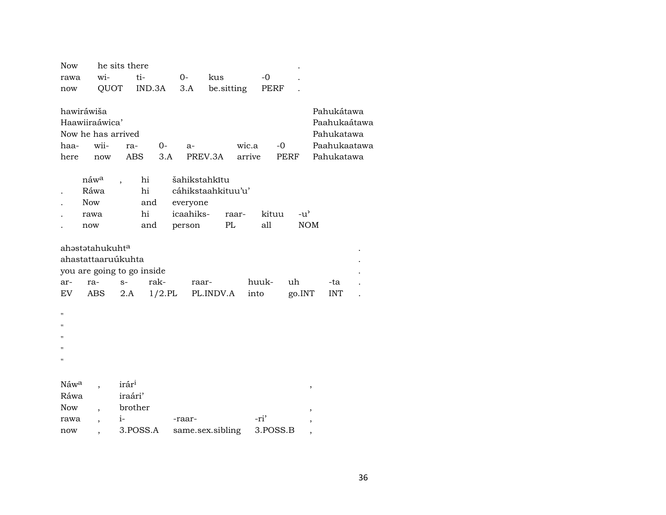| <b>Now</b>       |                             | he sits there              |           |                    |            |        |          |               |            |              |
|------------------|-----------------------------|----------------------------|-----------|--------------------|------------|--------|----------|---------------|------------|--------------|
| rawa             | wi-                         | ti-                        |           | $0-$               | kus        |        | $-0$     |               |            |              |
| now              | QUOT                        |                            | IND.3A    | 3.A                | be.sitting |        | PERF     |               |            |              |
|                  |                             |                            |           |                    |            |        |          |               |            |              |
| hawiráwiša       |                             |                            |           |                    |            |        |          |               | Pahukátawa |              |
|                  | Haawiiraáwica'              |                            |           |                    |            |        |          |               |            | Paahukaátawa |
|                  | Now he has arrived          |                            |           |                    |            |        |          |               | Pahukatawa |              |
| haa-             | wii-                        | ra-                        | $0-$      | $a-$               |            | wic.a  |          | -0            |            | Paahukaatawa |
| here             | now                         | <b>ABS</b>                 | 3.A       | PREV.3A            |            | arrive |          | PERF          | Pahukatawa |              |
|                  |                             |                            |           |                    |            |        |          |               |            |              |
|                  | náw <sup>a</sup>            | hi                         |           | šahikstahkītu      |            |        |          |               |            |              |
|                  | Ráwa                        | hi                         |           | cáhikstaahkituu'u' |            |        |          |               |            |              |
|                  | <b>Now</b>                  | and                        |           | everyone           |            |        |          |               |            |              |
|                  | rawa                        | hi                         |           | icaahiks-          |            | raar-  | kituu    | $-u^{\prime}$ |            |              |
|                  | now                         | and                        |           | person             | PL         |        | all      | <b>NOM</b>    |            |              |
|                  |                             |                            |           |                    |            |        |          |               |            |              |
|                  | ahəstətahukuht <sup>a</sup> |                            |           |                    |            |        |          |               |            |              |
|                  | ahastattaaruúkuhta          |                            |           |                    |            |        |          |               |            |              |
|                  |                             | you are going to go inside |           |                    |            |        |          |               |            |              |
| ar-              | ra-                         | $S-$                       | rak-      | raar-              |            |        | huuk-    | uh            | -ta        |              |
| EV               | ABS                         | 2.A                        | $1/2$ .PL |                    | PL.INDV.A  | into   |          | go.INT        | <b>INT</b> |              |
| Ħ                |                             |                            |           |                    |            |        |          |               |            |              |
| Ħ                |                             |                            |           |                    |            |        |          |               |            |              |
|                  |                             |                            |           |                    |            |        |          |               |            |              |
| Ħ                |                             |                            |           |                    |            |        |          |               |            |              |
| п                |                             |                            |           |                    |            |        |          |               |            |              |
|                  |                             |                            |           |                    |            |        |          |               |            |              |
| Náw <sup>a</sup> |                             | irár <sup>i</sup>          |           |                    |            |        |          |               |            |              |
| Ráwa             |                             | iraári'                    |           |                    |            |        |          |               | $\,$       |              |
| <b>Now</b>       |                             | brother                    |           |                    |            |        |          |               | ,          |              |
| rawa             |                             | $i-$                       |           | -raar-             |            |        | -ri'     |               |            |              |
| now              |                             | 3.POSS.A                   |           | same.sex.sibling   |            |        | 3.POSS.B |               | ,          |              |
|                  |                             |                            |           |                    |            |        |          |               |            |              |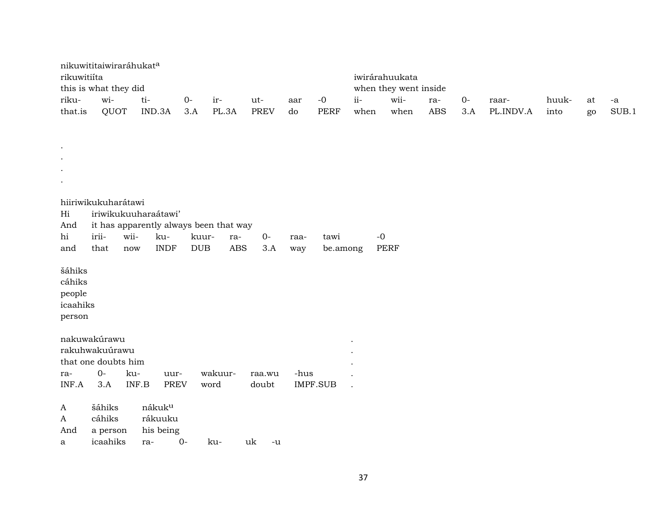| rikuwitiíta          | nikuwititaiwiraráhukata<br>this is what they did |       |                      |            |                                        |             |                 |             |                | iwirárahuukata<br>when they went inside |                      |      |           |       |    |       |
|----------------------|--------------------------------------------------|-------|----------------------|------------|----------------------------------------|-------------|-----------------|-------------|----------------|-----------------------------------------|----------------------|------|-----------|-------|----|-------|
| riku-                | wi-                                              |       | ti-                  | $0-$       | ir-                                    | ut-         | aar             | $-0$        | $ii -$         | wii-                                    | ra-                  | $0-$ | raar-     | huuk- | at | -a    |
| that.is              | QUOT                                             |       | IND.3A               | 3.A        | PL.3A                                  | <b>PREV</b> | do              | <b>PERF</b> | when           | when                                    | $\operatorname{ABS}$ | 3.A  | PL.INDV.A | into  | go | SUB.1 |
|                      |                                                  |       |                      |            |                                        |             |                 |             |                |                                         |                      |      |           |       |    |       |
|                      |                                                  |       |                      |            |                                        |             |                 |             |                |                                         |                      |      |           |       |    |       |
| $\bullet$            |                                                  |       |                      |            |                                        |             |                 |             |                |                                         |                      |      |           |       |    |       |
| $\cdot$              |                                                  |       |                      |            |                                        |             |                 |             |                |                                         |                      |      |           |       |    |       |
| $\ddot{\phantom{0}}$ |                                                  |       |                      |            |                                        |             |                 |             |                |                                         |                      |      |           |       |    |       |
| $\bullet$            |                                                  |       |                      |            |                                        |             |                 |             |                |                                         |                      |      |           |       |    |       |
|                      | hiiriwikukuharátawi                              |       |                      |            |                                        |             |                 |             |                |                                         |                      |      |           |       |    |       |
| Hi                   |                                                  |       | iriwikukuuharaátawi' |            |                                        |             |                 |             |                |                                         |                      |      |           |       |    |       |
| And                  |                                                  |       |                      |            | it has apparently always been that way |             |                 |             |                |                                         |                      |      |           |       |    |       |
| hi                   | irii-                                            | wii-  | ku-                  | kuur-      | ra-                                    | $0-$        | raa-            | tawi        | $-0$           |                                         |                      |      |           |       |    |       |
| and                  | that                                             | now   | <b>INDF</b>          | <b>DUB</b> | ABS                                    | 3.A         | way             | be.among    |                | <b>PERF</b>                             |                      |      |           |       |    |       |
| šáhiks               |                                                  |       |                      |            |                                        |             |                 |             |                |                                         |                      |      |           |       |    |       |
| cáhiks               |                                                  |       |                      |            |                                        |             |                 |             |                |                                         |                      |      |           |       |    |       |
| people               |                                                  |       |                      |            |                                        |             |                 |             |                |                                         |                      |      |           |       |    |       |
| icaahiks             |                                                  |       |                      |            |                                        |             |                 |             |                |                                         |                      |      |           |       |    |       |
| person               |                                                  |       |                      |            |                                        |             |                 |             |                |                                         |                      |      |           |       |    |       |
|                      |                                                  |       |                      |            |                                        |             |                 |             |                |                                         |                      |      |           |       |    |       |
|                      | nakuwakúrawu                                     |       |                      |            |                                        |             |                 |             |                |                                         |                      |      |           |       |    |       |
|                      | rakuhwakuúrawu<br>that one doubts him            |       |                      |            |                                        |             |                 |             |                |                                         |                      |      |           |       |    |       |
| ra-                  | $0-$                                             | ku-   | uur-                 |            | wakuur-                                | raa.wu      | -hus            |             |                |                                         |                      |      |           |       |    |       |
| INF.A                | 3.A                                              | INF.B | <b>PREV</b>          |            | word                                   | doubt       | <b>IMPF.SUB</b> |             | $\overline{a}$ |                                         |                      |      |           |       |    |       |
|                      |                                                  |       |                      |            |                                        |             |                 |             |                |                                         |                      |      |           |       |    |       |
| A                    | šáhiks                                           |       | nákuk <sup>u</sup>   |            |                                        |             |                 |             |                |                                         |                      |      |           |       |    |       |
| A                    | cáhiks                                           |       | rákuuku              |            |                                        |             |                 |             |                |                                         |                      |      |           |       |    |       |
| And                  | a person                                         |       | his being            |            |                                        |             |                 |             |                |                                         |                      |      |           |       |    |       |
| a                    | icaahiks                                         |       | ra-                  | $0 -$      | ku-                                    | uk<br>$-u$  |                 |             |                |                                         |                      |      |           |       |    |       |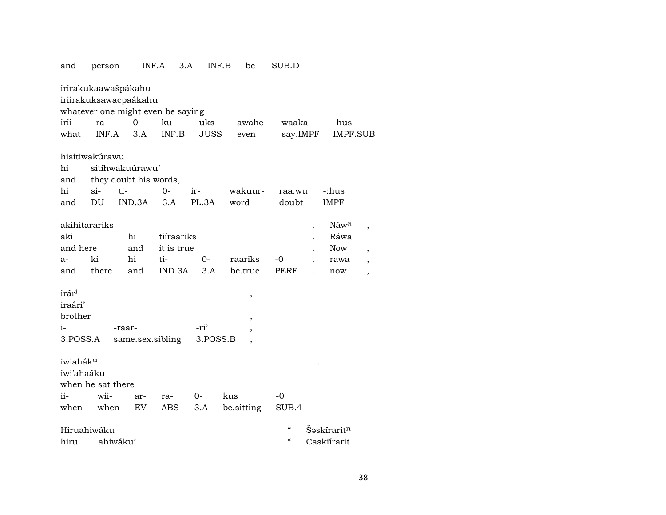| and                          | person            | INF.A                                                                             | 3.A        | INF.B       | be                       | SUB.D      |                         |   |
|------------------------------|-------------------|-----------------------------------------------------------------------------------|------------|-------------|--------------------------|------------|-------------------------|---|
|                              |                   | irirakukaawašpákahu<br>iriirakuksawacpaákahu<br>whatever one might even be saying |            |             |                          |            |                         |   |
| irii-                        | ra-               | $0-$                                                                              | ku-        | uks-        | awahc-                   | waaka      | -hus                    |   |
| what                         | INF.A             | 3.A                                                                               | INF.B      | <b>JUSS</b> | even                     | say.IMPF   | IMPF.SUB                |   |
|                              | hisitiwakúrawu    |                                                                                   |            |             |                          |            |                         |   |
| hi                           |                   | sitihwakuúrawu'                                                                   |            |             |                          |            |                         |   |
| and                          |                   | they doubt his words,                                                             |            |             |                          |            |                         |   |
| hi                           | $\sin$            | ti-                                                                               | $O -$      | ir-         | wakuur-                  | raa.wu     | -:hus                   |   |
| and                          | DU                | IND.3A                                                                            | 3.A        | PL.3A       | word                     | doubt      | <b>IMPF</b>             |   |
|                              |                   |                                                                                   |            |             |                          |            |                         |   |
| akihitarariks                |                   |                                                                                   |            |             |                          |            | Náw <sup>a</sup>        | , |
| aki                          |                   | $\hbox{hi}$                                                                       | tiíraariks |             |                          |            | Ráwa                    |   |
| and here                     |                   | and                                                                               | it is true |             |                          |            | <b>Now</b>              |   |
| $a-$                         | ki                | hi                                                                                | ti-        | $0-$        | raariks                  | $-0$       | rawa                    |   |
| and                          | there             | and                                                                               | IND.3A     | 3.A         | be.true                  | PERF       | now                     |   |
| irár <sup>i</sup><br>iraári' |                   |                                                                                   |            |             | ,                        |            |                         |   |
| brother                      |                   |                                                                                   |            |             | $\overline{\phantom{a}}$ |            |                         |   |
| $i-$                         |                   | -raar-                                                                            |            | -ri'        | ,                        |            |                         |   |
| 3.POSS.A                     |                   | same.sex.sibling                                                                  |            | 3.POSS.B    |                          |            |                         |   |
| iwiaháku<br>iwi'ahaáku       |                   |                                                                                   |            |             |                          |            |                         |   |
|                              | when he sat there |                                                                                   |            |             |                          |            |                         |   |
| ii-                          | wii-              | ar-                                                                               | ra-        | 0-          | kus                      | -0         |                         |   |
| when                         | when              | EV                                                                                | ABS        | 3.A         | be sitting               | SUB.4      |                         |   |
|                              | Hiruahiwáku       |                                                                                   |            |             |                          | $\epsilon$ | Šəskírarit <sup>n</sup> |   |
| hiru                         |                   | ahiwáku'                                                                          |            |             |                          | $\epsilon$ | Caskiírarit             |   |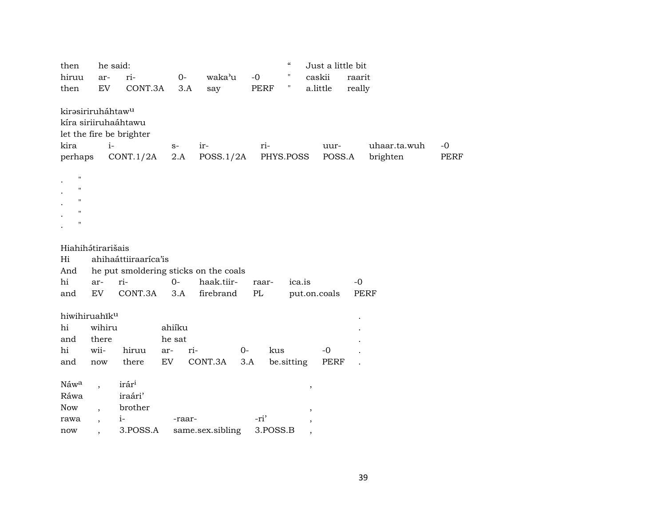| then                                                                            | he said:                 |                                                               |             |                                       |       | $\epsilon\epsilon$ | Just a little bit        |        |                          |                     |
|---------------------------------------------------------------------------------|--------------------------|---------------------------------------------------------------|-------------|---------------------------------------|-------|--------------------|--------------------------|--------|--------------------------|---------------------|
| hiruu                                                                           | ar-                      | ri-                                                           | $0-$        | waka'u                                | $-0$  | Ħ                  | caskii                   | raarit |                          |                     |
| then                                                                            | EV                       | CONT.3A                                                       | 3.A         | say                                   | PERF  | Ħ                  | a.little                 | really |                          |                     |
| kirasiriruháhtaw <sup>u</sup><br>kira<br>perhaps                                | $i-$                     | kíra siriiruhaáhtawu<br>let the fire be brighter<br>CONT.1/2A | $S-$<br>2.A | ir-<br>POSS.1/2A                      | ri-   | PHYS.POSS          | uur-<br>POSS.A           |        | uhaar.ta.wuh<br>brighten | $-0$<br><b>PERF</b> |
| $\mathbf{H}$<br>$\blacksquare$<br>$\pmb{\mathsf{H}}$<br>$\pmb{\mathsf{H}}$<br>н |                          |                                                               |             |                                       |       |                    |                          |        |                          |                     |
| Hiahihátirarišais                                                               |                          |                                                               |             |                                       |       |                    |                          |        |                          |                     |
| Hi                                                                              |                          | ahihaáttiiraaríca'is                                          |             |                                       |       |                    |                          |        |                          |                     |
| And                                                                             |                          |                                                               |             | he put smoldering sticks on the coals |       |                    |                          |        |                          |                     |
| hi                                                                              | ar-                      | ri-                                                           | $0 -$       | haak.tiir-                            | raar- | ica.is             |                          | $-0$   |                          |                     |
| and                                                                             | EV                       | CONT.3A                                                       | 3.A         | firebrand                             | PL    |                    | put.on.coals             | PERF   |                          |                     |
|                                                                                 |                          |                                                               |             |                                       |       |                    |                          |        |                          |                     |
| hiwihiruahiku<br>hi                                                             | wihiru                   |                                                               | ahiíku      |                                       |       |                    |                          |        |                          |                     |
| and                                                                             | there                    |                                                               | he sat      |                                       |       |                    |                          |        |                          |                     |
| hi                                                                              | wii-                     | hiruu                                                         | ri-<br>ar-  |                                       | $0-$  | kus                | $-0$                     |        |                          |                     |
| and                                                                             | now                      | there                                                         | EV          | CONT.3A                               | 3.A   | be.sitting         | PERF                     |        |                          |                     |
|                                                                                 |                          |                                                               |             |                                       |       |                    |                          |        |                          |                     |
| Náwa                                                                            | $\overline{\phantom{a}}$ | irár <sup>i</sup>                                             |             |                                       |       |                    | $\, ,$                   |        |                          |                     |
| Ráwa                                                                            |                          | iraári'                                                       |             |                                       |       |                    |                          |        |                          |                     |
| <b>Now</b>                                                                      |                          | brother                                                       |             |                                       |       |                    | $\overline{\phantom{a}}$ |        |                          |                     |
| rawa                                                                            | $\overline{ }$           | $i-$                                                          | -raar-      |                                       | -ri'  |                    |                          |        |                          |                     |
| now                                                                             | ,                        | 3.POSS.A                                                      |             | same.sex.sibling                      |       | 3.POSS.B           | $\, ,$                   |        |                          |                     |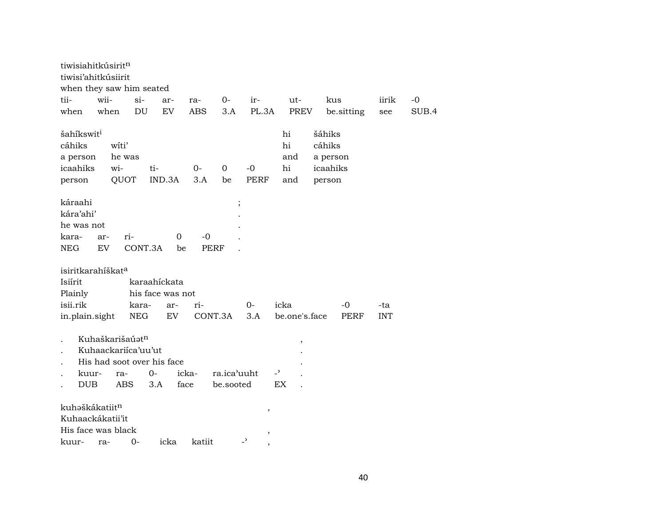| tiwisiahitkúsirit <sup>n</sup><br>tiwisi'ahitkúsiirit<br>when they saw him seated |                                                                                           |                                  |         |                   |                          |                                                     |                                          |                                                    |             |            |       |
|-----------------------------------------------------------------------------------|-------------------------------------------------------------------------------------------|----------------------------------|---------|-------------------|--------------------------|-----------------------------------------------------|------------------------------------------|----------------------------------------------------|-------------|------------|-------|
| tii-                                                                              | wii-                                                                                      | $\sin$                           | ar-     | ra-               | 0-                       | ir-                                                 | ut-                                      | kus                                                |             | iirik      | -0    |
| when                                                                              | when                                                                                      | DU                               | EV      | <b>ABS</b>        | 3.A                      | PL.3A                                               | PREV                                     |                                                    | be.sitting  | see        | SUB.4 |
| šahíkswit <sup>i</sup><br>cáhiks<br>a person<br>icaahiks<br>person                | witi'<br>he was<br>wi-<br>QUOT                                                            | ti-                              | IND.3A  | $0-$<br>3.A       | $\overline{0}$<br>be     | $-0$<br>PERF                                        | hi<br>hi<br>and<br>hi<br>and             | šáhiks<br>cáhiks<br>a person<br>icaahiks<br>person |             |            |       |
| káraahi<br>kára'ahi'<br>he was not<br>kara-<br><b>NEG</b>                         | ar-<br>EV                                                                                 | ri-<br>CONT.3A                   | 0<br>be | -0<br><b>PERF</b> | $\vdots$                 |                                                     |                                          |                                                    |             |            |       |
| isiritkarahíškat <sup>a</sup><br>Isiírit<br>Plainly                               |                                                                                           | karaahíckata<br>his face was not |         |                   |                          |                                                     |                                          |                                                    |             |            |       |
| isii.rik                                                                          |                                                                                           | kara-                            | ar-     | ri-               |                          | 0-                                                  | icka                                     |                                                    | -0          | -ta        |       |
| in.plain.sight                                                                    |                                                                                           | <b>NEG</b>                       | EV      | CONT.3A           |                          | 3.A                                                 | be.one's.face                            |                                                    | <b>PERF</b> | <b>INT</b> |       |
| kuur-<br><b>DUB</b>                                                               | Kuhaškarišaúatn<br>Kuhaackariíca'uu'ut<br>His had soot over his face<br>ra-<br><b>ABS</b> | 0-<br>3.A                        |         | icka-<br>face     | ra.ica'uuht<br>be.sooted |                                                     | $\, ,$<br>$\overline{\phantom{a}}$<br>EX |                                                    |             |            |       |
| kuhəškákatiit <sup>n</sup><br>Kuhaackákatii'it<br>His face was black<br>kuur-     | ra-                                                                                       | $0-$                             | icka    | katiit            |                          | $\, ,$<br>$^\mathrm{,}$<br>$\overline{\phantom{0}}$ |                                          |                                                    |             |            |       |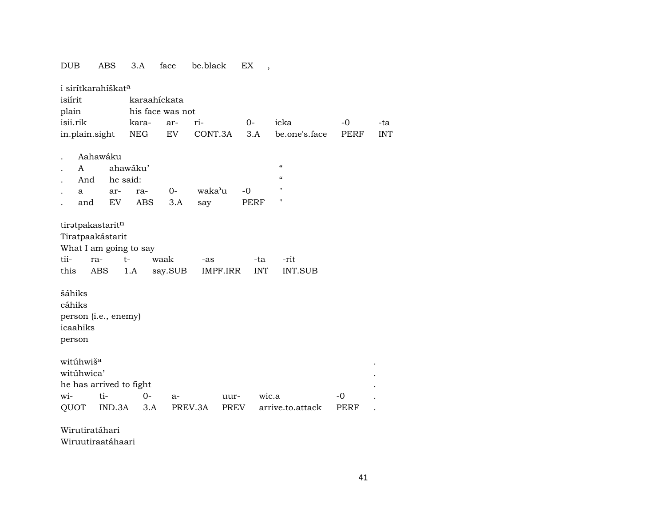## DUB ABS 3.A face be.black EX , i sirítkarahíškat<sup>a</sup> isiírit karaahíckata plain his face was not isii.rik kara- ar- ri- 0- icka -0 -ta in.plain.sight NEG EV CONT.3A 3.A be.one's.face PERF INT . Aahawáku A ahawáku' " And he said: . a ar- ra- 0- waka"u -0 " . and EV ABS 3.A say PERF " tiratpakastaritn Tiratpaakástarit What I am going to say tii- ra- t- waak -as -ta -rit this ABS 1.A say.SUB IMPF.IRR INT INT.SUB šáhiks cáhiks person (i.e., enemy) icaahiks person witúhwiš° . witúhwica' . he has arrived to fight . wi- ti- 0- a- uur- wic.a -0 .

QUOT IND.3A 3.A PREV.3A PREV arrive.to.attack PERF .

Wirutiratáhari

Wiruutiraatáhaari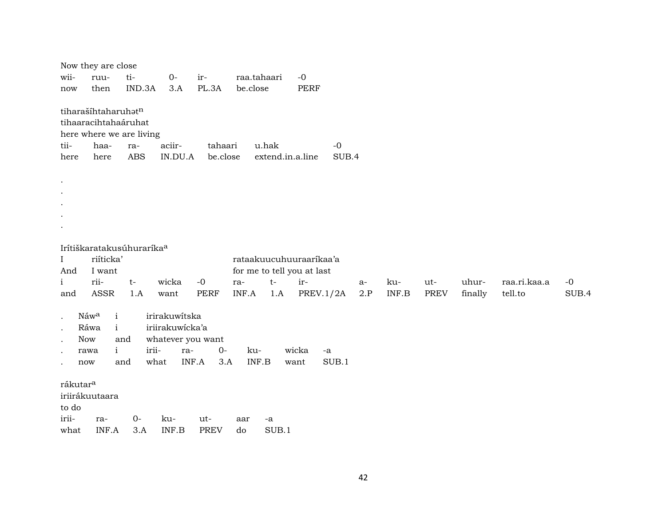| wii-<br>now                                                 | Now they are close<br>ruu-<br>then                                                        | ti-<br>IND.3A       | $0-$<br>3.A                                                          | ir-<br>PL.3A         | raa.tahaari<br>be.close |             | $-0$<br>PERF                                                                     |               |               |              |                    |                  |                         |               |
|-------------------------------------------------------------|-------------------------------------------------------------------------------------------|---------------------|----------------------------------------------------------------------|----------------------|-------------------------|-------------|----------------------------------------------------------------------------------|---------------|---------------|--------------|--------------------|------------------|-------------------------|---------------|
| tii-<br>here                                                | tiharašíhtaharuhatn<br>tihaaracihtahaáruhat<br>here where we are living<br>haa-<br>here   | ra-<br><b>ABS</b>   | aciir-<br>IN.DU.A                                                    | tahaari<br>be.close  |                         | u.hak       | extend.in.a.line                                                                 | $-0$<br>SUB.4 |               |              |                    |                  |                         |               |
| $\bullet$<br>$\bullet$<br>$\cdot$<br>$\bullet$<br>$\bullet$ |                                                                                           |                     |                                                                      |                      |                         |             |                                                                                  |               |               |              |                    |                  |                         |               |
| $\mathbf I$<br>And<br>$\mathbf{i}$<br>and                   | Irítiškaratakusúhuraríka <sup>a</sup><br>riíticka'<br>I want<br>rii-<br>ASSR              | $t-$<br>1.A         | wicka<br>want                                                        | $-0$<br><b>PERF</b>  | ra-<br>INF.A            | $t-$<br>1.A | rataakuucuhuuraarikaa'a<br>for me to tell you at last<br>ir-<br><b>PREV.1/2A</b> |               | $a-$<br>$2.P$ | ku-<br>INF.B | ut-<br><b>PREV</b> | uhur-<br>finally | raa.ri.kaa.a<br>tell.to | $-0$<br>SUB.4 |
| $\bullet$<br>$\cdot$<br>$\cdot$<br>$\bullet$                | $\mathbf{i}$<br>Náwa<br>$\mathbf{i}$<br>Ráwa<br><b>Now</b><br>$\mathbf{i}$<br>rawa<br>now | and<br>irii-<br>and | irirakuwitska<br>iriirakuwícka'a<br>whatever you want<br>ra-<br>what | $0-$<br>INF.A<br>3.A | ku-<br>INF.B            |             | wicka<br>$-a$<br>want                                                            | SUB.1         |               |              |                    |                  |                         |               |
| rákutar <sup>a</sup><br>to do<br>irii-<br>what              | iriirákuutaara<br>ra-<br>INF.A                                                            | $0-$<br>3.A         | ku-<br>INF.B                                                         | ut-<br><b>PREV</b>   | aar<br>do               | -a<br>SUB.1 |                                                                                  |               |               |              |                    |                  |                         |               |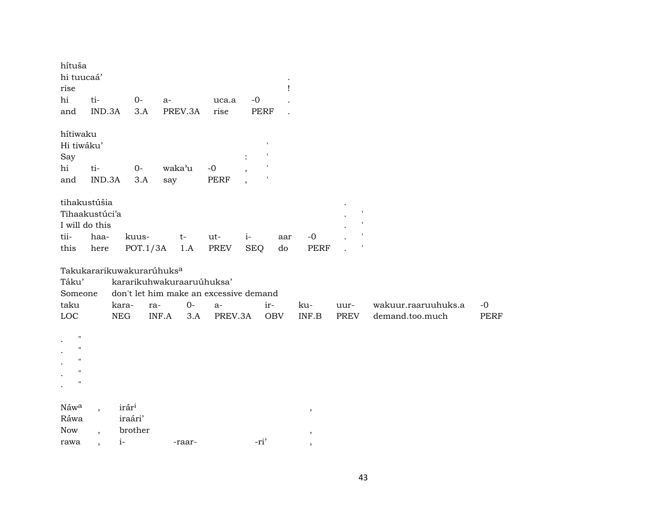| hítuša<br>hi tuucaá'<br>rise<br>hi<br>and                        | ti-<br>IND.3A            |                     | $0-$<br>3.A                                  | a-            | PREV.3A     | uca.a<br>rise                                                                          |                    | $-0$<br>PERF      | I         |                                  |              |                                        |                     |
|------------------------------------------------------------------|--------------------------|---------------------|----------------------------------------------|---------------|-------------|----------------------------------------------------------------------------------------|--------------------|-------------------|-----------|----------------------------------|--------------|----------------------------------------|---------------------|
| hítiwaku<br>Hi tiwáku'<br>Say<br>hi<br>and                       | ti-<br>IND.3A            |                     | $0-$<br>3.A                                  | waka'u<br>say |             | $-0$<br>PERF                                                                           |                    |                   |           |                                  |              |                                        |                     |
| tihakustúšia<br>Tihaakustúci'a<br>I will do this<br>tii-<br>this | haa-<br>here             |                     | kuus-<br>POT.1/3A                            |               | $t-$<br>1.A | ut-<br>PREV                                                                            | $i-$<br><b>SEQ</b> |                   | aar<br>do | $-0$<br><b>PERF</b>              |              |                                        |                     |
| Táku'<br>Someone<br>taku<br>$_{\mathrm{LOC}}$                    |                          | kara-<br><b>NEG</b> | Takukararikuwakurarúhuks <sup>a</sup><br>ra- | INF.A         | $0-$<br>3.A | kararikuhwakuraaruúhuksa'<br>don't let him make an excessive demand<br>$a-$<br>PREV.3A |                    | ir-<br><b>OBV</b> |           | ku-<br>$\textsf{INF}.\textsf{B}$ | uur-<br>PREV | wakuur.raaruuhuks.a<br>demand.too.much | $-0$<br><b>PERF</b> |
| п<br>$\pmb{\mathsf{H}}$<br>$\mathbf{H}$<br>п                     |                          |                     |                                              |               |             |                                                                                        |                    |                   |           |                                  |              |                                        |                     |
| Náwa<br>Ráwa<br><b>Now</b><br>rawa                               | $\overline{\phantom{a}}$ | irári<br>$i-$       | iraári'<br>brother                           |               | -raar-      |                                                                                        |                    | -ri'              |           | $\, ,$<br>$\, ,$                 |              |                                        |                     |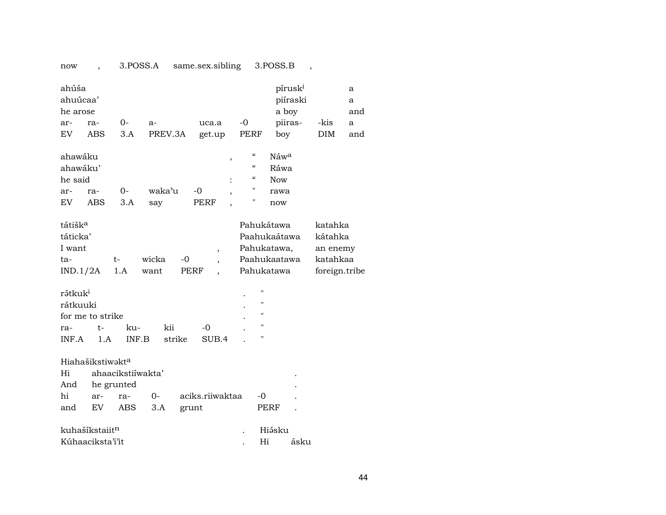| 3.POSS.A<br>same.sex.sibling<br>3.POSS.B<br>now                                                                                                                                                                                                                                                                |                                       |
|----------------------------------------------------------------------------------------------------------------------------------------------------------------------------------------------------------------------------------------------------------------------------------------------------------------|---------------------------------------|
| ahúša<br>pírusk <sup>i</sup><br>ahuúcaa'<br>piíraski<br>a boy<br>he arose<br>piiras-<br>$0-$<br>$-0$<br>-kis<br>ar-<br>ra-<br>uca.a<br>$a-$<br><b>ABS</b><br>3.A<br>PREV.3A<br>EV.<br>get.up<br>PERF<br>boy<br><b>DIM</b>                                                                                      | a<br>a<br>and<br>a<br>and             |
| $\mathcal{C}\mathcal{C}$<br>ahawáku<br>Náw <sup>a</sup><br>,<br>ahawáku'<br>$\mathcal{C}\mathcal{C}$<br>Ráwa<br>$\boldsymbol{\zeta}\boldsymbol{\zeta}$<br>he said<br><b>Now</b><br>11<br>waka'u<br>0-<br>$-0$<br>ra-<br>ar-<br>rawa<br>,<br>Ħ<br>EV<br><b>ABS</b><br>3.A<br><b>PERF</b><br>say<br>now          |                                       |
| tátišk <sup>a</sup><br>Pahukátawa<br>katahka<br>táticka'<br>Paahukaátawa<br>kátahka<br>Pahukatawa,<br>I want<br>$\overline{\phantom{a}}$<br>wicka<br>Paahukaatawa<br>$-0$<br>t-<br>ta-<br>1.A<br>Pahukatawa<br>IND.1/2A<br>want<br>PERF<br>rátkuk <sup>i</sup><br>$^{\prime}$<br>$^{\prime\prime}$<br>rátkuuki | an enemy<br>katahkaa<br>foreign.tribe |
| $\pmb{\mathsf{H}}$<br>for me to strike                                                                                                                                                                                                                                                                         |                                       |
| $^{\prime\prime}$<br>$-0$<br>$t-$<br>kii<br>ku-<br>ra-                                                                                                                                                                                                                                                         |                                       |
| Ħ<br>strike<br>INF.A<br>1.A<br>INF.B<br>SUB.4                                                                                                                                                                                                                                                                  |                                       |
| Hiahašikstiwakta<br>Hi<br>ahaacikstiiwakta'<br>And<br>he grunted<br>hi<br>aciks.riiwaktaa<br>$0-$<br>-0<br>ar-<br>ra-<br>EV<br>ABS.<br>3.A<br>PERF<br>and<br>grunt                                                                                                                                             |                                       |
| kuhašíkstaiitn<br>Hiásku                                                                                                                                                                                                                                                                                       |                                       |
| Kúhaaciksta'i'it<br>Hi<br>ásku                                                                                                                                                                                                                                                                                 |                                       |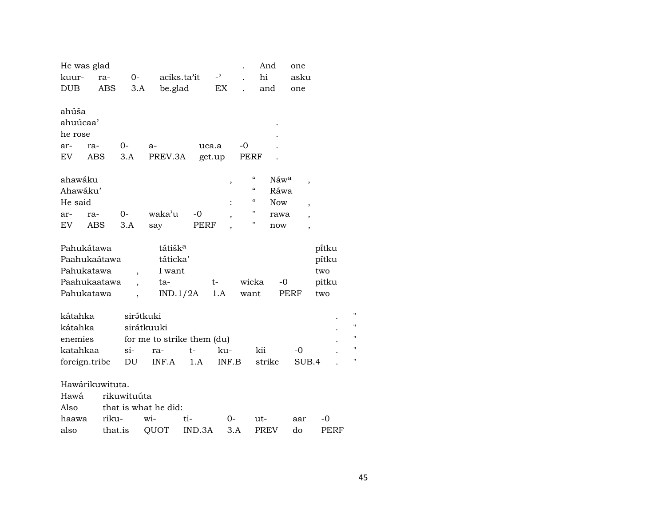| He was glad     |            |             |                            |        |       |                                        | And              | one                      |       |                |
|-----------------|------------|-------------|----------------------------|--------|-------|----------------------------------------|------------------|--------------------------|-------|----------------|
| kuur-           | ra-        | $0-$        | aciks.ta'it                |        | $-2$  |                                        | hi               | asku                     |       |                |
| <b>DUB</b>      | ABS        | 3.A         | be.glad                    |        | EX    |                                        | and              | one                      |       |                |
|                 |            |             |                            |        |       |                                        |                  |                          |       |                |
| ahúša           |            |             |                            |        |       |                                        |                  |                          |       |                |
| ahuúcaa'        |            |             |                            |        |       |                                        |                  |                          |       |                |
| he rose         |            |             |                            |        |       |                                        |                  |                          |       |                |
| ar-             | ra-        | $0-$        | $a-$                       | uca.a  |       | $-0$                                   |                  |                          |       |                |
| EV              | <b>ABS</b> | 3.A         | PREV.3A                    | get.up |       | PERF                                   |                  |                          |       |                |
| ahawáku         |            |             |                            |        |       | $\mathcal{C}\mathcal{C}$               | Náw <sup>a</sup> |                          |       |                |
| Ahawáku'        |            |             |                            |        | ,     | $\boldsymbol{\zeta}\boldsymbol{\zeta}$ | Ráwa             | $\overline{\phantom{a}}$ |       |                |
| He said         |            |             |                            |        |       | $\mathcal{C}$                          | <b>Now</b>       |                          |       |                |
| ar-             | ra-        | $0-$        | waka'u                     | -0     |       | Н                                      | rawa             | $\overline{\phantom{a}}$ |       |                |
| EV              | ABS        | 3.A         | say                        | PERF   | ,     | П                                      | now              |                          |       |                |
|                 |            |             |                            |        |       |                                        |                  | ,                        |       |                |
| Pahukátawa      |            |             | tátišk <sup>a</sup>        |        |       |                                        |                  |                          | pitku |                |
| Paahukaátawa    |            |             | táticka'                   |        |       |                                        |                  |                          | pítku |                |
| Pahukatawa      |            |             | I want                     |        |       |                                        |                  |                          | two   |                |
| Paahukaatawa    |            |             | ta-                        |        | t-    | wicka                                  | $-0$             |                          | pitku |                |
| Pahukatawa      |            |             | IND.1/2A                   |        | 1.A   | want                                   | PERF             |                          | two   |                |
|                 |            |             |                            |        |       |                                        |                  |                          |       |                |
| kátahka         |            | sirátkuki   |                            |        |       |                                        |                  |                          |       | П              |
| kátahka         |            | sirátkuuki  |                            |        |       |                                        |                  |                          |       | $\blacksquare$ |
| enemies         |            |             | for me to strike them (du) |        |       |                                        |                  |                          |       | 11             |
| katahkaa        |            | $\sin$      | ra-                        | $t-$   | ku-   |                                        | kii              | -0                       |       | Ħ              |
| foreign.tribe   |            | DU          | INF.A                      | 1.A    | INF.B |                                        | strike           | SUB.4                    |       | 11             |
|                 |            |             |                            |        |       |                                        |                  |                          |       |                |
| Hawárikuwituta. |            |             |                            |        |       |                                        |                  |                          |       |                |
| Hawá            |            | rikuwituúta |                            |        |       |                                        |                  |                          |       |                |
| Also            |            |             | that is what he did:       |        |       |                                        |                  |                          |       |                |
| haawa           | riku-      |             | wi-                        | ti-    | 0-    |                                        | ut-              | aar                      | -0    |                |
| also            | that.is    |             | QUOT                       | IND.3A | 3.A   |                                        | <b>PREV</b>      | do                       | PERF  |                |
|                 |            |             |                            |        |       |                                        |                  |                          |       |                |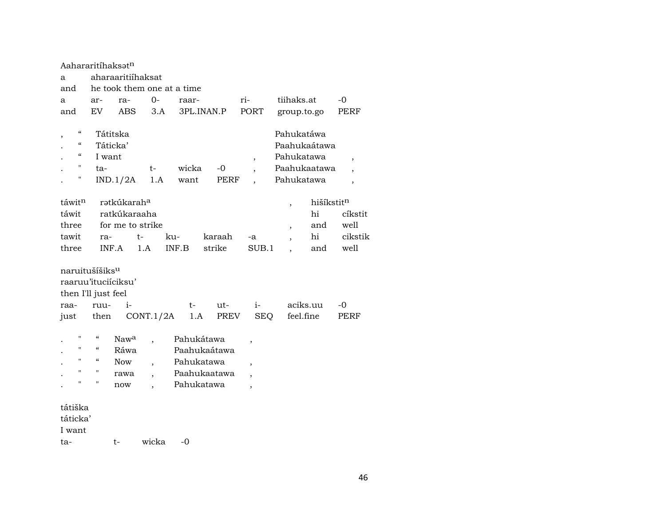| Aahararitíhaksət <sup>n</sup>                                      |                          |                         |                          |                            |              |                          |                          |            |                          |
|--------------------------------------------------------------------|--------------------------|-------------------------|--------------------------|----------------------------|--------------|--------------------------|--------------------------|------------|--------------------------|
| a                                                                  |                          | aharaaritiihaksat       |                          |                            |              |                          |                          |            |                          |
| and                                                                |                          |                         |                          | he took them one at a time |              |                          |                          |            |                          |
| a                                                                  | ar-                      | ra-                     | $0 -$                    | raar-                      |              | ri-                      | tiihaks.at               |            | -0                       |
| and                                                                | EV                       | ABS                     | 3.A                      |                            | 3PL.INAN.P   | PORT                     | group.to.go              |            | PERF                     |
|                                                                    |                          |                         |                          |                            |              |                          |                          |            |                          |
| $\boldsymbol{\zeta}\boldsymbol{\zeta}$<br>$\overline{\phantom{a}}$ |                          | Tátitska                |                          |                            |              |                          | Pahukatáwa               |            |                          |
| $\epsilon\epsilon$                                                 |                          | Táticka'                |                          |                            |              |                          | Paahukaátawa             |            |                          |
| $\boldsymbol{\zeta}\boldsymbol{\zeta}$                             | I want                   |                         |                          |                            |              | $\,$                     | Pahukatawa               |            | $\overline{\phantom{a}}$ |
| "                                                                  | ta-                      |                         | t-                       | wicka                      | $-0$         |                          | Paahukaatawa             |            |                          |
| н                                                                  |                          | IND.1/2A                | 1.A                      | want                       | PERF         |                          | Pahukatawa               |            | $\overline{\phantom{a}}$ |
|                                                                    |                          |                         |                          |                            |              |                          |                          |            |                          |
| táwitn                                                             |                          | rətkúkarah <sup>a</sup> |                          |                            |              |                          | $\overline{\phantom{a}}$ | hišíkstitn |                          |
| táwit                                                              |                          | ratkúkaraaha            |                          |                            |              |                          |                          | hi         | cíkstit                  |
| three                                                              |                          | for me to strike        |                          |                            |              |                          | $\overline{ }$           | and        | well                     |
| tawit                                                              | ra-                      |                         | $t-$                     | ku-                        | karaah       | -a                       |                          | hi         | cikstik                  |
| three                                                              |                          | INF.A                   | 1.A                      | INF.B                      | strike       | SUB.1                    |                          | and        | well                     |
|                                                                    |                          |                         |                          |                            |              |                          |                          |            |                          |
| naruitušíšiks <sup>u</sup>                                         |                          |                         |                          |                            |              |                          |                          |            |                          |
| raaruu'ituciíciksu'                                                |                          |                         |                          |                            |              |                          |                          |            |                          |
| then I'll just feel                                                |                          |                         |                          |                            |              |                          |                          |            |                          |
| raa-                                                               | ruu-                     | $i-$                    |                          | $t-$                       | $ut -$       | $i-$                     |                          | aciks.uu   | -0                       |
| just                                                               | then                     |                         | CONT.1/2A                | 1.A                        | PREV         | SEQ                      |                          | feel.fine  | PERF                     |
|                                                                    |                          |                         |                          |                            |              |                          |                          |            |                          |
| 11                                                                 | $\mathcal{C}\mathcal{C}$ | Nawa                    | $\overline{\phantom{a}}$ | Pahukátawa                 |              | ,                        |                          |            |                          |
| 11                                                                 | $\mathcal{C}\mathcal{C}$ | Ráwa                    |                          |                            | Paahukaátawa |                          |                          |            |                          |
| 11                                                                 | $\mathcal{C}$            | <b>Now</b>              | $\overline{\phantom{a}}$ | Pahukatawa                 |              | $\overline{ }$           |                          |            |                          |
| 11                                                                 | $^{\prime\prime}$        | rawa                    | $\overline{\phantom{a}}$ |                            | Paahukaatawa | $\overline{ }$           |                          |            |                          |
| 11                                                                 | $\pmb{\mathsf{H}}$       | now                     |                          | Pahukatawa                 |              | $\overline{\phantom{a}}$ |                          |            |                          |
|                                                                    |                          |                         |                          |                            |              |                          |                          |            |                          |
| tátiška                                                            |                          |                         |                          |                            |              |                          |                          |            |                          |
| táticka'                                                           |                          |                         |                          |                            |              |                          |                          |            |                          |
| I want                                                             |                          |                         |                          |                            |              |                          |                          |            |                          |
| ta-                                                                |                          | t-                      | wicka                    | $-0$                       |              |                          |                          |            |                          |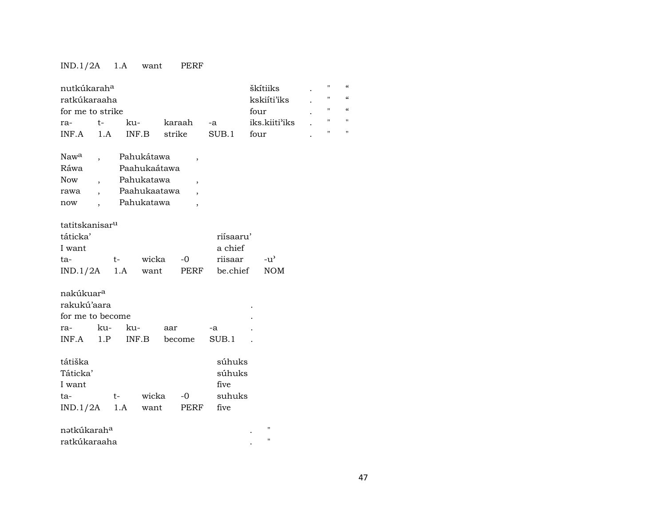## IND.1/2A 1.A want PERF

| nutkúkarah <sup>a</sup><br>ratkúkaraaha<br>for me to strike |               |                          |           | škítiiks<br>kskiíti'iks<br>four | П<br>$\pmb{\mathsf{H}}$<br>$\pmb{\mathsf{H}}$ | $\epsilon$<br>$\epsilon$<br>$\epsilon$ |
|-------------------------------------------------------------|---------------|--------------------------|-----------|---------------------------------|-----------------------------------------------|----------------------------------------|
| $t-$<br>ra-                                                 | ku-           | karaah                   | -a        | iks.kiiti'iks                   | $\pmb{\mathsf{H}}$                            | $\blacksquare$                         |
| 1.A<br>INF.A                                                | INF.B         | strike                   | SUB.1     | four                            | $\mathbf{H}$                                  | $\blacksquare$                         |
|                                                             |               |                          |           |                                 |                                               |                                        |
| Naw <sup>a</sup>                                            | Pahukátawa    | $\overline{\phantom{a}}$ |           |                                 |                                               |                                        |
| Ráwa                                                        | Paahukaátawa  |                          |           |                                 |                                               |                                        |
| Now<br>$\overline{\phantom{a}}$                             | Pahukatawa    | $\overline{\phantom{a}}$ |           |                                 |                                               |                                        |
| rawa<br>$\ddot{\phantom{0}}$                                | Paahukaatawa  |                          |           |                                 |                                               |                                        |
| now                                                         | Pahukatawa    | $\overline{\phantom{a}}$ |           |                                 |                                               |                                        |
|                                                             |               |                          |           |                                 |                                               |                                        |
| tatitskanisar <sup>u</sup>                                  |               |                          |           |                                 |                                               |                                        |
| táticka'                                                    |               |                          | riísaaru' |                                 |                                               |                                        |
| I want                                                      |               |                          | a chief   |                                 |                                               |                                        |
| ta-                                                         | wicka<br>$t-$ | $-0$                     | riisaar   | $-u^{\prime}$                   |                                               |                                        |
| IND.1/2A                                                    | 1.A<br>want   | PERF                     | be.chief  | <b>NOM</b>                      |                                               |                                        |
|                                                             |               |                          |           |                                 |                                               |                                        |
| nakúkuar <sup>a</sup>                                       |               |                          |           |                                 |                                               |                                        |
| rakukú'aara                                                 |               |                          |           |                                 |                                               |                                        |
| for me to become                                            |               |                          |           |                                 |                                               |                                        |
| ku-<br>ra-                                                  | ku-           | aar                      | -a        |                                 |                                               |                                        |
| $INF.A$ 1.P                                                 | INF.B         | become                   | SUB.1     |                                 |                                               |                                        |
|                                                             |               |                          |           |                                 |                                               |                                        |
| tátiška                                                     |               |                          | súhuks    |                                 |                                               |                                        |
| Táticka'                                                    |               |                          | súhuks    |                                 |                                               |                                        |
| I want                                                      |               |                          | five      |                                 |                                               |                                        |
| ta-                                                         | wicka<br>$t-$ | $-0$                     | suhuks    |                                 |                                               |                                        |
| $IND.1/2A$ 1.A                                              | want          | PERF                     | five      |                                 |                                               |                                        |
|                                                             |               |                          |           | $\pmb{\mathsf{H}}$              |                                               |                                        |
| nətkúkarah <sup>a</sup>                                     |               |                          |           | $\pmb{\mathsf{H}}$              |                                               |                                        |
| ratkúkaraaha                                                |               |                          |           |                                 |                                               |                                        |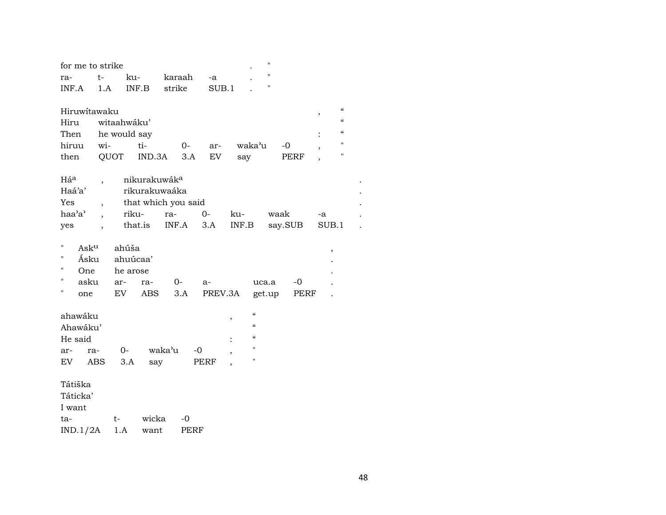| for me to strike |                          |              |                               |                     |             |                          |                          | $\mathbf{H}$       |             |        |                          |  |
|------------------|--------------------------|--------------|-------------------------------|---------------------|-------------|--------------------------|--------------------------|--------------------|-------------|--------|--------------------------|--|
| ra-              | t-                       | ku-          |                               | karaah              | -a          |                          |                          | $\mathbf{H}$       |             |        |                          |  |
| INF.A            | 1.A                      | INF.B        |                               | strike              |             | SUB.1                    |                          | $\pmb{\mathsf{H}}$ |             |        |                          |  |
|                  |                          |              |                               |                     |             |                          |                          |                    |             |        |                          |  |
| Hiruwitawaku     |                          |              |                               |                     |             |                          |                          |                    |             | $\, ,$ | $\mathcal{C}\mathcal{C}$ |  |
| Hiru             |                          | witaahwáku'  |                               |                     |             |                          |                          |                    |             |        | $\pmb{\zeta}\pmb{\zeta}$ |  |
| Then             |                          | he would say |                               |                     |             |                          |                          |                    |             |        | $\mathcal{C}\mathcal{C}$ |  |
| hiruu            | wi-                      |              | ti-                           | $0-$                | ar-         |                          | waka'u                   | $-0$               |             |        | $\pmb{\mathsf{H}}$       |  |
| then             | QUOT                     |              | IND.3A                        | 3.A                 | ${\rm EV}$  |                          | say                      |                    | <b>PERF</b> |        | $\pmb{\mathsf{H}}$       |  |
|                  |                          |              |                               |                     |             |                          |                          |                    |             |        |                          |  |
| Háa<br>Haá'a'    | $\overline{\phantom{a}}$ |              | nikurakuwáka<br>rikurakuwaáka |                     |             |                          |                          |                    |             |        |                          |  |
| Yes              |                          |              |                               | that which you said |             |                          |                          |                    |             |        |                          |  |
| haa'a'           | $\overline{\phantom{a}}$ | riku-        |                               | ra-                 | $0-$        | ku-                      |                          | waak               |             | -a     |                          |  |
| yes              | $\overline{\phantom{a}}$ | that.is      |                               | INF.A               | 3.A         | INF.B                    |                          | say.SUB            |             | SUB.1  |                          |  |
|                  |                          |              |                               |                     |             |                          |                          |                    |             |        |                          |  |
| 11<br>Asku       |                          | ahúša        |                               |                     |             |                          |                          |                    |             | $\, ,$ |                          |  |
| Π<br>Ásku        |                          | ahuúcaa'     |                               |                     |             |                          |                          |                    |             |        |                          |  |
| П<br>One         |                          | he arose     |                               |                     |             |                          |                          |                    |             |        |                          |  |
| 11<br>asku       |                          | ar-          | ra-                           | $0-$                | $a-$        |                          | uca.a                    |                    | $-0$        |        |                          |  |
| П<br>one         |                          | EV           | <b>ABS</b>                    | 3.A                 |             | PREV.3A                  |                          | get.up             | PERF        |        |                          |  |
|                  |                          |              |                               |                     |             |                          |                          |                    |             |        |                          |  |
| ahawáku          |                          |              |                               |                     |             | ,                        | $\pmb{\zeta}\pmb{\zeta}$ |                    |             |        |                          |  |
| Ahawáku'         |                          |              |                               |                     |             |                          | $\pmb{\zeta}\pmb{\zeta}$ |                    |             |        |                          |  |
| He said          |                          |              |                               |                     |             | $\ddot{\cdot}$           | $\pmb{\zeta}\pmb{\zeta}$ |                    |             |        |                          |  |
| ar-              | ra-                      | $O-$         |                               | waka'u              | $-0$        | ,                        | $\pmb{\mathsf{H}}$       |                    |             |        |                          |  |
| EV               | <b>ABS</b>               | 3.A          | say                           |                     | PERF        | $\overline{\phantom{a}}$ | $\pmb{\mathsf{H}}$       |                    |             |        |                          |  |
| Tátiška          |                          |              |                               |                     |             |                          |                          |                    |             |        |                          |  |
| Táticka'         |                          |              |                               |                     |             |                          |                          |                    |             |        |                          |  |
| I want           |                          |              |                               |                     |             |                          |                          |                    |             |        |                          |  |
| ta-              |                          | t-           | wicka                         | $-0$                |             |                          |                          |                    |             |        |                          |  |
| IND.1/2A         |                          | $1.A$        | want                          |                     | <b>PERF</b> |                          |                          |                    |             |        |                          |  |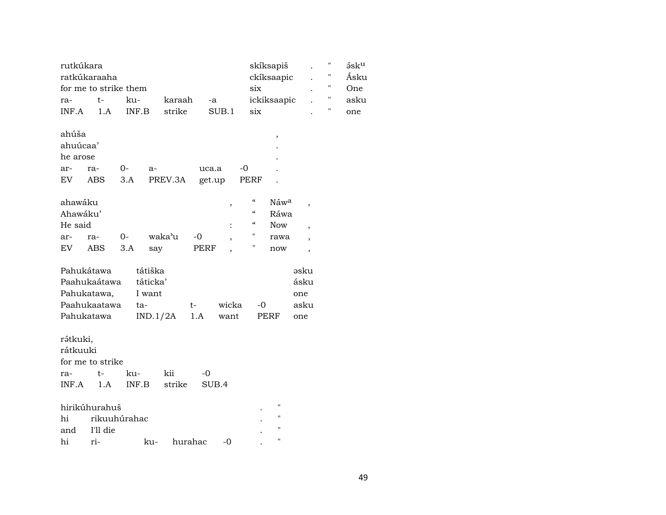| rutkúkara  |                       |              |          |         |        |                                        | skíksapiš          |                          | $\pmb{\mathsf{H}}$ | $5$ s $ku$ |
|------------|-----------------------|--------------|----------|---------|--------|----------------------------------------|--------------------|--------------------------|--------------------|------------|
|            | ratkúkaraaha          |              |          |         |        |                                        | ckíksaapic         |                          | 11                 | Ásku       |
|            | for me to strike them |              |          |         |        | six                                    |                    |                          | 11                 | One        |
| ra-        | t-                    | ku-          | karaah   |         | -a     |                                        | ickiksaapic        |                          | $\pmb{\mathsf{H}}$ | asku       |
| INF.A      | 1.A                   | INF.B        | strike   |         | SUB.1  | six                                    |                    |                          | П                  | one        |
| ahúša      |                       |              |          |         |        |                                        | $\, ,$             |                          |                    |            |
| ahuúcaa'   |                       |              |          |         |        |                                        |                    |                          |                    |            |
| he arose   |                       |              |          |         |        |                                        |                    |                          |                    |            |
| ar-        | ra-                   | $0-$         | $a-$     | uca.a   |        | $-0$                                   |                    |                          |                    |            |
| EV         | ABS                   | 3.A          | PREV.3A  |         | get.up | PERF                                   |                    |                          |                    |            |
| ahawáku    |                       |              |          |         |        | $\epsilon\epsilon$                     | Náw <sup>a</sup>   |                          |                    |            |
| Ahawáku'   |                       |              |          |         |        | $\boldsymbol{\zeta}\boldsymbol{\zeta}$ | Ráwa               |                          |                    |            |
| He said    |                       |              |          |         |        | $\boldsymbol{\mathcal{C}}$             | <b>Now</b>         | ,                        |                    |            |
| ar-        | ra-                   | $0-$         | waka'u   | $-0$    |        | $\mathbf{H}$                           | rawa               |                          |                    |            |
| EV         | <b>ABS</b>            | 3.A          | say      | PERF    |        | Н                                      | now                | $\overline{\phantom{a}}$ |                    |            |
|            |                       |              |          |         |        |                                        |                    |                          |                    |            |
| Pahukátawa |                       |              | tátiška  |         |        |                                        |                    | əsku                     |                    |            |
|            | Paahukaátawa          |              | táticka' |         |        |                                        |                    | ásku                     |                    |            |
|            | Pahukatawa,           |              | I want   |         |        |                                        |                    | one                      |                    |            |
|            | Paahukaatawa          | ta-          |          | t-      | wicka  | $-0$                                   |                    | asku                     |                    |            |
| Pahukatawa |                       |              | IND.1/2A | 1.A     | want   |                                        | PERF               | one                      |                    |            |
| rátkuki,   |                       |              |          |         |        |                                        |                    |                          |                    |            |
| rátkuuki   |                       |              |          |         |        |                                        |                    |                          |                    |            |
|            | for me to strike      |              |          |         |        |                                        |                    |                          |                    |            |
| ra-        | t-                    | ku-          | kii      | $-0$    |        |                                        |                    |                          |                    |            |
| INF.A      | 1.A                   | INF.B        | strike   |         | SUB.4  |                                        |                    |                          |                    |            |
|            |                       |              |          |         |        |                                        |                    |                          |                    |            |
|            | hirikúhurahuš         |              |          |         |        |                                        | $\pmb{\mathsf{H}}$ |                          |                    |            |
| hi         |                       | rikuuhúrahac |          |         |        |                                        | 11                 |                          |                    |            |
| and        | I'll die              |              |          |         |        |                                        | $\pmb{\mathsf{H}}$ |                          |                    |            |
| hi         | ri-                   |              | ku-      | hurahac | $-0$   |                                        | Ħ                  |                          |                    |            |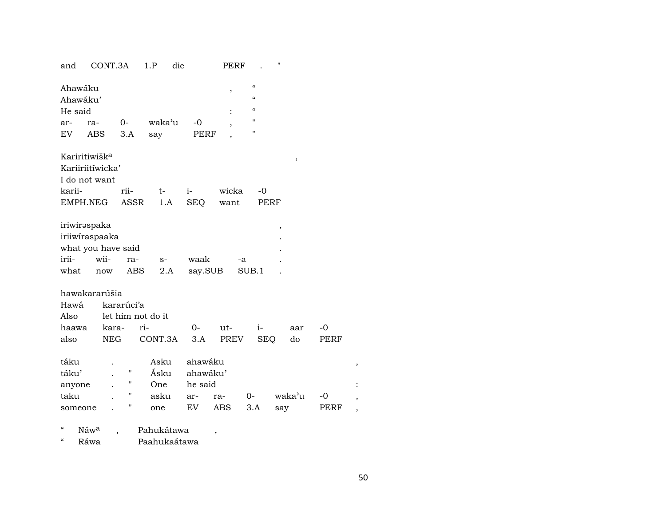| and                                    | CONT.3A                                                             |                   | 1.P               | die             | PERF                     |                                                 | 11     |      |  |
|----------------------------------------|---------------------------------------------------------------------|-------------------|-------------------|-----------------|--------------------------|-------------------------------------------------|--------|------|--|
| Ahawáku<br>Ahawáku'<br>He said         |                                                                     |                   |                   |                 | $\, ,$                   | $\alpha$<br>$\epsilon\epsilon$<br>$\mathcal{C}$ |        |      |  |
| ar-                                    | ra-                                                                 | 0-                | waka'u            | $-0$            |                          | Ħ                                               |        |      |  |
| <b>EV</b>                              | <b>ABS</b>                                                          | 3.A               | say               | PERF            | ,                        | $\pmb{\mathsf{H}}$                              |        |      |  |
|                                        | Kariritiwišk <sup>a</sup>                                           |                   |                   |                 |                          |                                                 | ,      |      |  |
|                                        | Kariiriitíwicka'                                                    |                   |                   |                 |                          |                                                 |        |      |  |
|                                        | I do not want                                                       |                   |                   |                 |                          |                                                 |        |      |  |
| karii-                                 |                                                                     | rii-              | t-                | $i-$            | wicka                    | -0                                              |        |      |  |
|                                        | EMPH.NEG                                                            | <b>ASSR</b>       | 1.A               | <b>SEQ</b>      | want                     |                                                 | PERF   |      |  |
|                                        |                                                                     |                   |                   |                 |                          |                                                 |        |      |  |
| irii-<br>what                          | iriwirəspaka<br>iriiwiraspaaka<br>what you have said<br>wii-<br>now | ra-<br><b>ABS</b> | $S-$<br>$2.A$     | waak<br>say.SUB |                          | -a<br>SUB.1                                     | ,      |      |  |
| Hawá<br>Also                           | hawakararúšia                                                       | kararúci'a        | let him not do it |                 |                          |                                                 |        |      |  |
| haawa                                  | kara-                                                               |                   | ri-               | $O-$            | ut-                      | $i-$                                            | aar    | -0   |  |
| also                                   | <b>NEG</b>                                                          |                   | CONT.3A           | 3.A             | PREV                     | <b>SEQ</b>                                      | do     | PERF |  |
| táku                                   |                                                                     |                   | Asku              | ahawáku         |                          |                                                 |        |      |  |
| táku'                                  |                                                                     | Н                 | Ásku              | ahawáku'        |                          |                                                 |        |      |  |
| anyone                                 |                                                                     | 11                | One               | he said         |                          |                                                 |        |      |  |
| taku                                   |                                                                     | $\mathbf{H}$      | asku              | ar-             | ra-                      | $O-$                                            | waka'u | -0   |  |
| someone                                |                                                                     | Ħ                 | one               | EV              | ABS                      | 3.A                                             | say    | PERF |  |
| $\boldsymbol{\zeta}\boldsymbol{\zeta}$ | Náw <sup>a</sup>                                                    |                   | Pahukátawa        |                 | $\overline{\phantom{a}}$ |                                                 |        |      |  |
| $\boldsymbol{\zeta}\boldsymbol{\zeta}$ | Ráwa                                                                |                   |                   | Paahukaátawa    |                          |                                                 |        |      |  |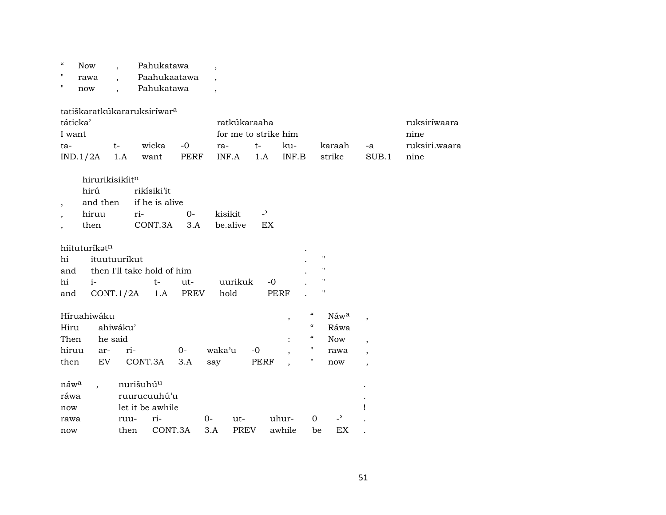| $\mathcal{C}$            | <b>Now</b>                              |              |                       | Pahukatawa                 |             | $\overline{\phantom{a}}$ |             |                          |                |                          |                |                          |                          |               |
|--------------------------|-----------------------------------------|--------------|-----------------------|----------------------------|-------------|--------------------------|-------------|--------------------------|----------------|--------------------------|----------------|--------------------------|--------------------------|---------------|
| $\pmb{\mathsf{H}}$       | rawa                                    |              |                       | Paahukaatawa               |             |                          |             |                          |                |                          |                |                          |                          |               |
| $\pmb{\mathsf{H}}$       | now                                     |              |                       | Pahukatawa                 |             | $\overline{\phantom{a}}$ |             |                          |                |                          |                |                          |                          |               |
|                          |                                         |              |                       |                            |             |                          |             |                          |                |                          |                |                          |                          |               |
|                          | tatiškaratkúkararuksiríwar <sup>a</sup> |              |                       |                            |             |                          |             |                          |                |                          |                |                          |                          |               |
| táticka'                 |                                         |              |                       |                            |             |                          |             | ratkúkaraaha             |                |                          |                |                          |                          | ruksiríwaara  |
| I want                   |                                         |              |                       |                            |             |                          |             | for me to strike him     |                |                          |                |                          |                          | nine          |
| ta-                      |                                         | $t-$         |                       | wicka                      | $-0$        | ra-                      |             | $t-$                     | ku-            |                          |                | karaah                   | -a                       | ruksiri.waara |
|                          | IND.1/2A                                | 1.A          |                       | want                       | <b>PERF</b> |                          | INF.A       | 1.A                      | INF.B          |                          |                | strike                   | SUB.1                    | nine          |
|                          |                                         |              |                       |                            |             |                          |             |                          |                |                          |                |                          |                          |               |
|                          | hirurikisikiitn                         |              |                       |                            |             |                          |             |                          |                |                          |                |                          |                          |               |
|                          | hirú                                    |              |                       | rikísiki'it                |             |                          |             |                          |                |                          |                |                          |                          |               |
| $\, ,$                   | and then                                |              |                       | if he is alive             |             |                          |             |                          |                |                          |                |                          |                          |               |
| $\overline{\phantom{a}}$ | hiruu                                   |              | ri-                   |                            | $0-$        | kisikit                  |             | $\overline{\phantom{a}}$ |                |                          |                |                          |                          |               |
| $\overline{ }$           | then                                    |              |                       | CONT.3A                    | 3.A         |                          | be.alive    | EX                       |                |                          |                |                          |                          |               |
|                          |                                         |              |                       |                            |             |                          |             |                          |                |                          |                |                          |                          |               |
|                          | hiituturíkatn                           |              |                       |                            |             |                          |             |                          |                |                          |                |                          |                          |               |
| hi                       |                                         | ituutuuríkut |                       |                            |             |                          |             |                          |                |                          | $^{\prime}$    |                          |                          |               |
| and                      |                                         |              |                       | then I'll take hold of him |             |                          |             |                          |                |                          | $\blacksquare$ |                          |                          |               |
| hi                       | $i-$                                    |              |                       | $t-$                       | ut-         |                          | uurikuk     | $-0$                     |                |                          | $^{\prime}$    |                          |                          |               |
| and                      |                                         | CONT.1/2A    |                       | 1.A                        | <b>PREV</b> | hold                     |             |                          | <b>PERF</b>    |                          | $\blacksquare$ |                          |                          |               |
|                          |                                         |              |                       |                            |             |                          |             |                          |                |                          |                |                          |                          |               |
|                          | Híruahiwáku                             |              |                       |                            |             |                          |             |                          | $\, ,$         | $\mathcal{C}\mathcal{C}$ |                | Náwa                     | $\overline{\phantom{a}}$ |               |
| Hiru                     |                                         | ahiwáku'     |                       |                            |             |                          |             |                          |                | $\mathcal{C}\mathcal{C}$ |                | Ráwa                     |                          |               |
| Then                     |                                         | he said      |                       |                            |             |                          |             |                          | $\ddot{\cdot}$ | $\mathcal{C}\mathcal{C}$ |                | <b>Now</b>               | $\overline{\phantom{a}}$ |               |
| hiruu                    | ar-                                     |              | ri-                   |                            | $0-$        | waka'u                   |             | $-0$                     |                | 11                       |                | rawa                     | $\cdot$                  |               |
| then                     | EV                                      |              | CONT.3A               |                            | 3.A         | say                      |             | PERF                     |                | Н                        |                | now                      | $\overline{\phantom{a}}$ |               |
|                          |                                         |              |                       |                            |             |                          |             |                          |                |                          |                |                          |                          |               |
| náw <sup>a</sup>         |                                         |              | nurišuhú <sup>u</sup> |                            |             |                          |             |                          |                |                          |                |                          |                          |               |
| ráwa                     |                                         |              |                       | ruurucuuhú'u               |             |                          |             |                          |                |                          |                |                          |                          |               |
| now                      |                                         |              |                       | let it be awhile           |             |                          |             |                          |                |                          |                |                          | Ţ                        |               |
| rawa                     |                                         |              | ruu-                  | ri-                        |             | $0-$                     | ut-         |                          | uhur-          | $\mathbf 0$              |                | $\overline{\phantom{a}}$ |                          |               |
| now                      |                                         |              | then                  | CONT.3A                    |             | 3.A                      | <b>PREV</b> |                          | awhile         | be                       |                | EX                       |                          |               |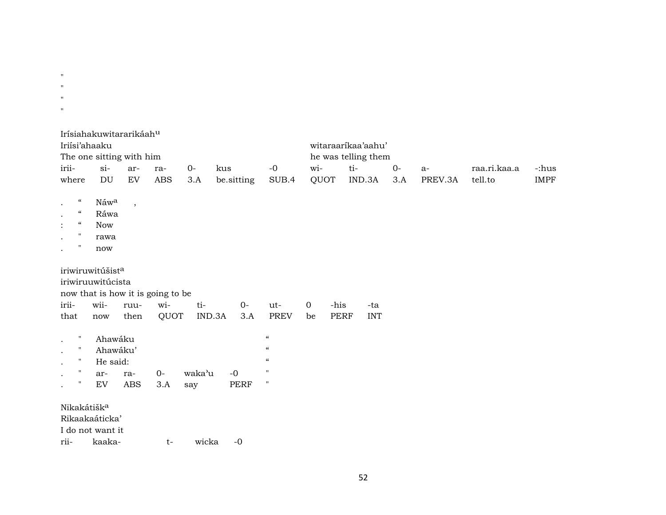| $\mathbf H$<br>$\mathsf{H}$              |                                   |                          |                                   |        |                 |                            |             |                     |                            |       |         |              |             |
|------------------------------------------|-----------------------------------|--------------------------|-----------------------------------|--------|-----------------|----------------------------|-------------|---------------------|----------------------------|-------|---------|--------------|-------------|
| $\mathsf{H}$<br>$\mathbf H$              |                                   |                          |                                   |        |                 |                            |             |                     |                            |       |         |              |             |
|                                          |                                   |                          |                                   |        |                 |                            |             |                     |                            |       |         |              |             |
| Iriísi'ahaaku                            | Irísiahakuwitararikáahu           |                          |                                   |        |                 |                            |             |                     | witaraarikaa'aahu'         |       |         |              |             |
| irii-                                    | The one sitting with him<br>$si-$ | ar-                      | ra-                               | $0-$   | kus             | $-0$                       | wi-         |                     | he was telling them<br>ti- | $O -$ | $a-$    | raa.ri.kaa.a | -:hus       |
| where                                    | DU                                | ${\rm EV}$               | <b>ABS</b>                        | 3.A    | be.sitting      | SUB.4                      |             | QUOT                | IND.3A                     | 3.A   | PREV.3A | tell.to      | <b>IMPF</b> |
| $\epsilon\epsilon$                       | Náwa                              | $\overline{\phantom{a}}$ |                                   |        |                 |                            |             |                     |                            |       |         |              |             |
| $\mathcal{C}\mathcal{C}$                 | Ráwa                              |                          |                                   |        |                 |                            |             |                     |                            |       |         |              |             |
| $\mathcal{C}\mathcal{C}$<br>$\mathbf{H}$ | <b>Now</b>                        |                          |                                   |        |                 |                            |             |                     |                            |       |         |              |             |
| $\pmb{\mathsf{H}}$                       | rawa                              |                          |                                   |        |                 |                            |             |                     |                            |       |         |              |             |
|                                          | now                               |                          |                                   |        |                 |                            |             |                     |                            |       |         |              |             |
|                                          | iriwiruwitúšista                  |                          |                                   |        |                 |                            |             |                     |                            |       |         |              |             |
|                                          | iriwiruuwitúcista                 |                          |                                   |        |                 |                            |             |                     |                            |       |         |              |             |
|                                          |                                   |                          | now that is how it is going to be |        |                 |                            |             |                     |                            |       |         |              |             |
| irii-                                    | wii-                              | ruu-                     | wi-                               | ti-    | $O -$<br>IND.3A | ut-<br><b>PREV</b>         | $\mathbf 0$ | -his<br><b>PERF</b> | -ta<br><b>INT</b>          |       |         |              |             |
| that                                     | now                               | then                     | QUOT                              |        | 3.A             |                            | be          |                     |                            |       |         |              |             |
| $\pmb{\pi}$                              | Ahawáku                           |                          |                                   |        |                 | $\boldsymbol{\mathcal{C}}$ |             |                     |                            |       |         |              |             |
| $\mathbf{H}$                             | Ahawáku'                          |                          |                                   |        |                 | $\boldsymbol{\mathcal{C}}$ |             |                     |                            |       |         |              |             |
| $\mathbf{H}$                             | He said:                          |                          |                                   |        |                 | $\boldsymbol{\mathcal{C}}$ |             |                     |                            |       |         |              |             |
| $\pmb{\mathsf{H}}$                       | ar-                               | ra-                      | $O -$                             | waka'u | $-0$            | $\pmb{\mathsf{H}}$         |             |                     |                            |       |         |              |             |
| $\pmb{\mathsf{H}}$                       | EV                                | ABS                      | 3.A                               | say    | PERF            | $\pmb{\mathsf{H}}$         |             |                     |                            |       |         |              |             |
| Nikakátišk <sup>a</sup>                  |                                   |                          |                                   |        |                 |                            |             |                     |                            |       |         |              |             |
|                                          | Rikaakaáticka'                    |                          |                                   |        |                 |                            |             |                     |                            |       |         |              |             |
|                                          | I do not want it                  |                          |                                   |        |                 |                            |             |                     |                            |       |         |              |             |
|                                          |                                   |                          |                                   |        |                 |                            |             |                     |                            |       |         |              |             |

rii- kaaka- t- wicka -0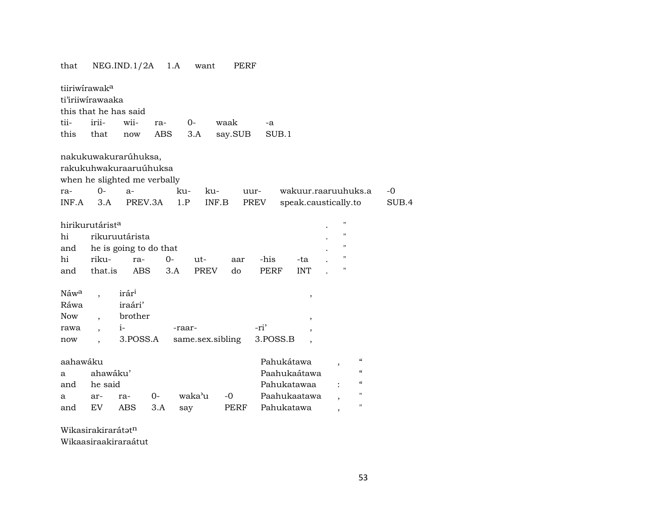| that         |                                                                        | NEG.ID.1/2A                                                                                       | 1.A   | want              | PERF    |              |              |                                                      |               |
|--------------|------------------------------------------------------------------------|---------------------------------------------------------------------------------------------------|-------|-------------------|---------|--------------|--------------|------------------------------------------------------|---------------|
|              | tiiriwirawak <sup>a</sup><br>ti'iriiwirawaaka<br>this that he has said |                                                                                                   |       |                   |         |              |              |                                                      |               |
| tii-         | irii-                                                                  | wii-                                                                                              | ra-   | $0-$              | waak    | -a           |              |                                                      |               |
| this         | that                                                                   | now                                                                                               | ABS   | 3.A               | say.SUB | SUB.1        |              |                                                      |               |
| ra-<br>INF.A | $O -$<br>3.A                                                           | nakukuwakurarúhuksa,<br>rakukuhwakuraaruúhuksa<br>when he slighted me verbally<br>$a-$<br>PREV.3A |       | ku-<br>ku-<br>1.P | INF.B   | uur-<br>PREV |              | wakuur.raaruuhuks.a<br>speak.caustically.to          | $-0$<br>SUB.4 |
|              | hirikurutárist <sup>a</sup>                                            |                                                                                                   |       |                   |         |              |              | $\pmb{\mathsf{H}}$                                   |               |
| hi           |                                                                        | rikuruutárista                                                                                    |       |                   |         |              |              | $\pmb{\mathsf{H}}$                                   |               |
| and          |                                                                        | he is going to do that                                                                            |       |                   |         |              |              | $\pmb{\mathsf{H}}$                                   |               |
| hi           | riku-                                                                  |                                                                                                   | $0 -$ |                   |         | -his         | -ta          | $\pmb{\mathsf{H}}$                                   |               |
|              |                                                                        | ra-                                                                                               |       | ut-               | aar     |              |              | П                                                    |               |
| and          | that.is                                                                | ABS                                                                                               | 3.A   | <b>PREV</b>       | do      | PERF         | <b>INT</b>   |                                                      |               |
| Náwa         |                                                                        | irár <sup>i</sup>                                                                                 |       |                   |         |              | $\, ,$       |                                                      |               |
| Ráwa         |                                                                        | iraári'                                                                                           |       |                   |         |              |              |                                                      |               |
| Now          | $\overline{\phantom{a}}$                                               | brother                                                                                           |       |                   |         |              | $\,$         |                                                      |               |
| rawa         | $\ddot{\phantom{0}}$                                                   | $i-$                                                                                              |       | -raar-            |         | -ri'         | ,            |                                                      |               |
| now          |                                                                        | 3.POSS.A                                                                                          |       | same.sex.sibling  |         | 3.POSS.B     |              |                                                      |               |
|              |                                                                        |                                                                                                   |       |                   |         |              |              |                                                      |               |
| aahawáku     |                                                                        |                                                                                                   |       |                   |         | Pahukátawa   |              | $\mathcal{C}\mathcal{C}$<br>$\overline{\phantom{a}}$ |               |
| a            | ahawáku'                                                               |                                                                                                   |       |                   |         |              | Paahukaátawa | $\epsilon\epsilon$                                   |               |
| and          | he said                                                                |                                                                                                   |       |                   |         | Pahukatawaa  |              | $\boldsymbol{\zeta}\boldsymbol{\zeta}$               |               |
| a            | ar-                                                                    | ra-                                                                                               | 0-    | waka'u            | $-0$    |              | Paahukaatawa | 11                                                   |               |
| and          | EV                                                                     | ABS                                                                                               | 3.A   | say               | PERF    | Pahukatawa   |              | $\blacksquare$<br>,                                  |               |

Wikasirakirarátatn

Wikaasiraakiraraátut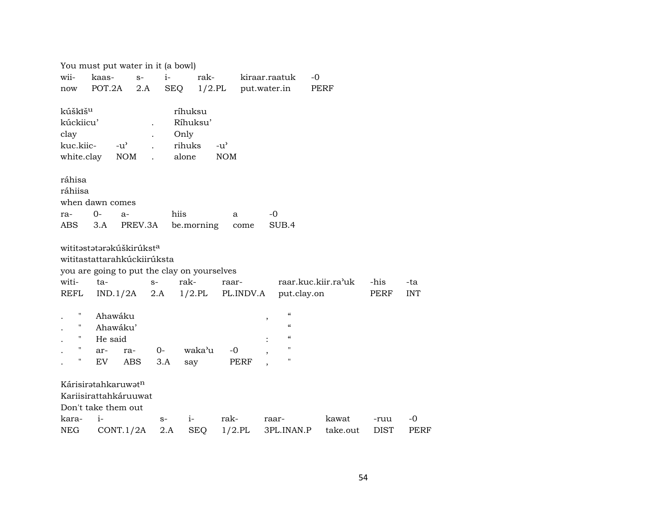|                                                                     | You must put water in it (a bowl)                                                   |                            |                                                                  |                     |                                                                                                                     |                     |              |                   |
|---------------------------------------------------------------------|-------------------------------------------------------------------------------------|----------------------------|------------------------------------------------------------------|---------------------|---------------------------------------------------------------------------------------------------------------------|---------------------|--------------|-------------------|
| wii-                                                                | kaas-                                                                               | $i-$<br>$S-$               | rak-                                                             |                     | kiraar.raatuk                                                                                                       | -0                  |              |                   |
| now                                                                 | POT.2A                                                                              | 2.A                        | SEQ<br>$1/2$ .PL                                                 |                     | put.water.in                                                                                                        | PERF                |              |                   |
| kúškīš <sup>u</sup><br>kúckiicu'<br>clay<br>kuc.kiic-<br>white.clay | $-u^{\prime}$<br><b>NOM</b>                                                         | $\mathbf{r}$               | ríhuksu<br>Ríhuksu'<br>Only<br>rihuks<br>alone                   | $-u'$<br><b>NOM</b> |                                                                                                                     |                     |              |                   |
| ráhisa<br>ráhiisa<br>ra-<br>ABS                                     | when dawn comes<br>$0-$<br>$a-$<br>3.A                                              | PREV.3A                    | hiis<br>be.morning                                               | a<br>come           | -0<br>SUB.4                                                                                                         |                     |              |                   |
| witi-<br>REFL                                                       | wititastatarakúškirúksta<br>wititastattarahkúckiirúksta<br>ta-<br>IND.1/2A          | $S-$<br>2.A                | you are going to put the clay on yourselves<br>rak-<br>$1/2$ .PL | raar-<br>PL.INDV.A  | put.clay.on                                                                                                         | raar.kuc.kiir.ra'uk | -his<br>PERF | -ta<br><b>INT</b> |
| Ħ<br>"<br>"<br>$\pmb{\mathsf{H}}$<br>П                              | Ahawáku<br>Ahawáku'<br>He said<br>ar-<br>ra-<br>EV                                  | $O -$<br><b>ABS</b><br>3.A | waka'u<br>say                                                    | -0<br>PERF          | $\boldsymbol{\zeta}\boldsymbol{\zeta}$<br>,<br>$\epsilon\epsilon$<br>$\epsilon\epsilon$<br>$\pmb{\mathsf{H}}$<br>11 |                     |              |                   |
| kara-                                                               | Kárisiratahkaruwatn<br>Kariisirattahkáruuwat<br>Don't take them out<br>$\mathbf{i}$ | $S-$                       | $i-$                                                             | rak-                | raar-                                                                                                               | kawat               | -ruu         | $-0$              |
| <b>NEG</b>                                                          | CONT.1/2A                                                                           | 2.A                        | <b>SEQ</b>                                                       | $1/2$ .PL           | 3PL.INAN.P                                                                                                          | take.out            | <b>DIST</b>  | <b>PERF</b>       |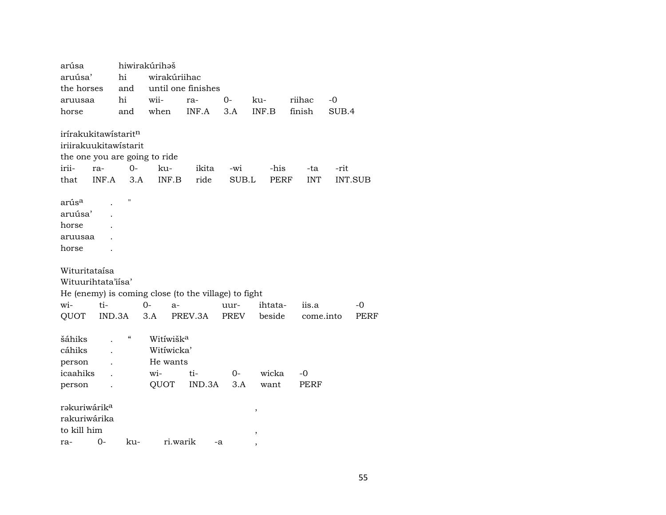arúsa hiwirakúrihəš aruúsa' hi wirakúriihac the horses and until one finishes aruusaa hi wii- ra- 0- ku- riihac -0 horse and when INF.A 3.A INF.B finish SUB.4  $irírakukitawístarit<sup>n</sup>$ iriirakuukitawístarit the one you are going to ride irii- ra- 0- ku- ikita -wi -his -ta -rit that INF.A 3.A INF.B ride SUB.L PERF INT INT.SUB arús<sup>a</sup> . " aruúsa' . horse . aruusaa . horse . Wituritataísa Wituurihtata'iísa' He (enemy) is coming close (to the village) to fight wi- ti- 0- a- uur- ihtata- iis.a -0 QUOT IND.3A 3.A PREV.3A PREV beside come.into PERF šáhiks . " Witíwišk<sup>a</sup><br>cáhiks . Witíwicka change . Witíwicka' person . He wants icaahiks . wi- ti- 0- wicka -0 person . QUOT IND.3A 3.A want PERF rŸkuriwárik° , rakuriwárika to kill him , ra- 0- ku- ri.warik -a ,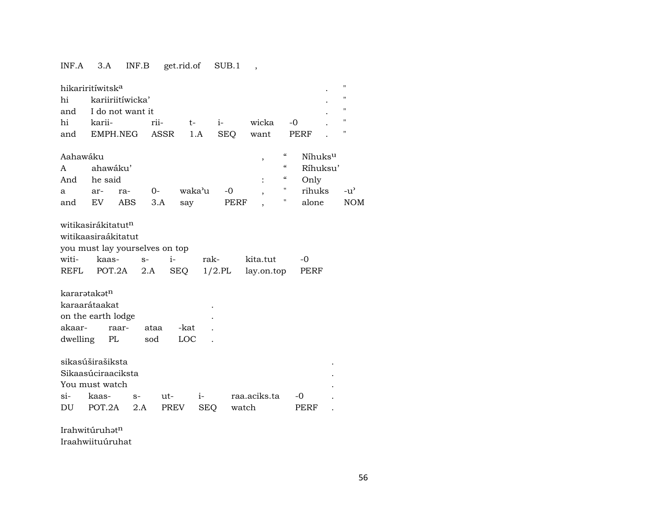## INF.A 3.A INF.B get.rid.of SUB.1 ,

| hi<br>and<br>hi<br>and             | hikariritíwitsk <sup>a</sup><br>kariiriitíwicka'<br>I do not want it<br>karii-<br>EMPH.NEG                 |             | rii-<br><b>ASSR</b> | $t-$<br>1.A        | $i-$<br><b>SEQ</b> | wicka<br>want          | $-0$<br><b>PERF</b>                                                                                     |                                                            | п<br>п<br>п<br>п<br>п       |
|------------------------------------|------------------------------------------------------------------------------------------------------------|-------------|---------------------|--------------------|--------------------|------------------------|---------------------------------------------------------------------------------------------------------|------------------------------------------------------------|-----------------------------|
| Aahawáku<br>A<br>And<br>a<br>and   | ahawáku'<br>he said<br>ar-<br>EV.                                                                          | ra-<br>ABS  | 0-<br>3.A           | waka'u<br>say      | $-0$<br>PERF       | ,                      | $\pmb{\zeta}\pmb{\zeta}$<br>$\epsilon\epsilon$<br>$\boldsymbol{\mathcal{C}}$<br>$\pmb{\mathsf{H}}$<br>" | Níhuks <sup>u</sup><br>Ríhuksu'<br>Only<br>rihuks<br>alone | $-u^{\prime}$<br><b>NOM</b> |
| witi-<br>REFL                      | witikasirákitatut <sup>n</sup><br>witikaasiraákitatut<br>you must lay yourselves on top<br>kaas-<br>POT.2A | $S-$        | $i-$<br>2.A         | SEQ                | rak-<br>$1/2$ .PL  | kita.tut<br>lay.on.top |                                                                                                         | -0<br>PERF                                                 |                             |
| kararətakətn<br>akaar-<br>dwelling | karaarátaakat<br>on the earth lodge<br>raar-<br>PL                                                         |             | ataa<br>sod         | -kat<br>LOC        |                    |                        |                                                                                                         |                                                            |                             |
| $Si-$<br>DU                        | sikasúširašiksta<br>Sikaasúciraaciksta<br>You must watch<br>kaas-<br>POT.2A                                | $S-$<br>2.A | ut-<br><b>PREV</b>  | $i-$<br><b>SEQ</b> |                    | raa.aciks.ta<br>watch  | -0                                                                                                      | PERF                                                       |                             |

Irahwitúruhə $\mathfrak{t}^{\text{n}}$ 

Iraahwiituúruhat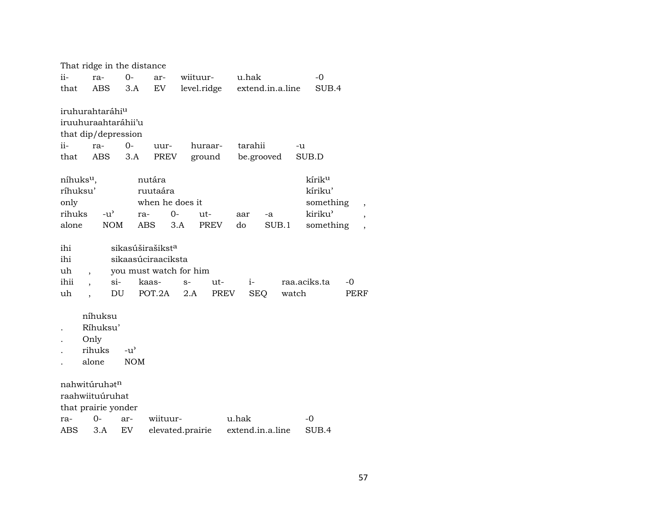|                       |                             |               | That ridge in the distance |                              |                        |             |            |                              |                    |       |                                                      |
|-----------------------|-----------------------------|---------------|----------------------------|------------------------------|------------------------|-------------|------------|------------------------------|--------------------|-------|------------------------------------------------------|
| ii-                   | ra-                         |               | $O -$                      | ar-                          | wiituur-               |             | u.hak      |                              | $-0$               |       |                                                      |
| that                  | ABS                         |               | 3.A                        | EV                           |                        |             |            | level.ridge extend.in.a.line |                    | SUB.4 |                                                      |
|                       |                             |               |                            |                              |                        |             |            |                              |                    |       |                                                      |
|                       | iruhurahtaráhi <sup>u</sup> |               |                            |                              |                        |             |            |                              |                    |       |                                                      |
|                       | iruuhuraahtaráhii'u         |               |                            |                              |                        |             |            |                              |                    |       |                                                      |
|                       | that dip/depression         |               |                            |                              |                        |             |            |                              |                    |       |                                                      |
| ii-                   | ra-                         |               | $0 -$                      | uur-                         | huraar-                |             | tarahii    |                              | -u                 |       |                                                      |
| that                  | ABS                         |               | 3.A                        | PREV                         |                        | ground      | be.grooved |                              | SUB.D              |       |                                                      |
| níhuks <sup>u</sup> , |                             |               |                            | nutára                       |                        |             |            |                              | kírik <sup>u</sup> |       |                                                      |
| ríhuksu'              |                             |               |                            | ruutaára                     |                        |             |            |                              | kíriku'            |       |                                                      |
| only                  |                             |               |                            | when he does it              |                        |             |            |                              | something          |       |                                                      |
| rihuks                |                             | $-u^{\prime}$ | ra-                        | 0-                           | ut-                    |             | aar        | -a                           | kiriku'            |       |                                                      |
| alone                 |                             | <b>NOM</b>    |                            | ABS<br>3.A                   |                        | PREV        | do         | SUB.1                        | something          |       | $\overline{\phantom{a}}$<br>$\overline{\phantom{a}}$ |
|                       |                             |               |                            |                              |                        |             |            |                              |                    |       |                                                      |
| ihi                   |                             |               |                            | sikasúširašikst <sup>a</sup> |                        |             |            |                              |                    |       |                                                      |
| ihi                   |                             |               |                            | sikaasúciraaciksta           |                        |             |            |                              |                    |       |                                                      |
| uh                    | $\overline{\phantom{a}}$    |               |                            |                              | you must watch for him |             |            |                              |                    |       |                                                      |
| ihii                  |                             | $\sin$        | kaas-                      |                              | $S-$                   | ut-         | $i-$       |                              | raa.aciks.ta       | -0    |                                                      |
| uh                    |                             | DU            |                            | POT.2A                       | 2.A                    | <b>PREV</b> | <b>SEQ</b> |                              | watch              | PERF  |                                                      |
|                       |                             |               |                            |                              |                        |             |            |                              |                    |       |                                                      |
|                       | níhuksu<br>Ríhuksu'         |               |                            |                              |                        |             |            |                              |                    |       |                                                      |
|                       |                             |               |                            |                              |                        |             |            |                              |                    |       |                                                      |
|                       | Only<br>rihuks              |               | $-u^{\prime}$              |                              |                        |             |            |                              |                    |       |                                                      |
|                       | alone                       |               | <b>NOM</b>                 |                              |                        |             |            |                              |                    |       |                                                      |
|                       |                             |               |                            |                              |                        |             |            |                              |                    |       |                                                      |
|                       | nahwitúruhatn               |               |                            |                              |                        |             |            |                              |                    |       |                                                      |
|                       | raahwiituúruhat             |               |                            |                              |                        |             |            |                              |                    |       |                                                      |
|                       | that prairie yonder         |               |                            |                              |                        |             |            |                              |                    |       |                                                      |
| ra-                   | 0-                          |               | ar-                        | wiituur-                     |                        |             | u.hak      |                              | -0                 |       |                                                      |
| <b>ABS</b>            | 3.A                         |               | EV                         |                              | elevated.prairie       |             |            | extend.in.a.line             | SUB.4              |       |                                                      |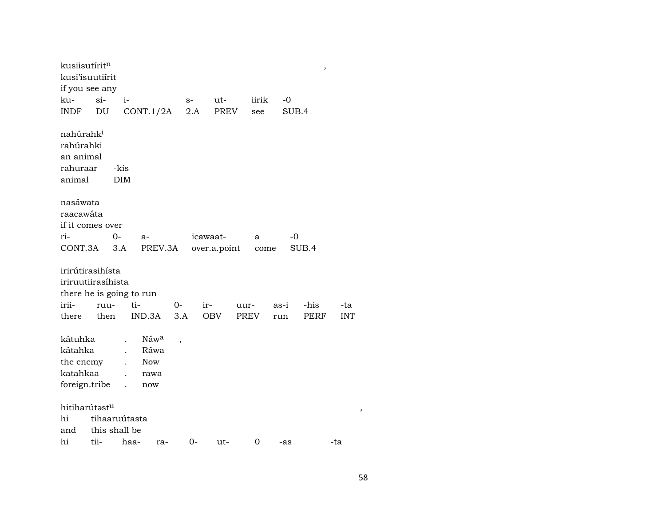| kusiisutírit <sup>n</sup>                                                   |               |                                |                                           |       |              |       |       | $\,$  |            |
|-----------------------------------------------------------------------------|---------------|--------------------------------|-------------------------------------------|-------|--------------|-------|-------|-------|------------|
| kusi'isuutiírit                                                             |               |                                |                                           |       |              |       |       |       |            |
| if you see any                                                              |               |                                |                                           |       |              |       |       |       |            |
| ku-                                                                         | $\sin$        | $i-$                           |                                           | $S-$  | ut-          | iirik | -0    |       |            |
| INDF                                                                        | DU            |                                | CONT.1/2A                                 | 2.A   | PREV         | see   | SUB.4 |       |            |
| nahúrahk <sup>i</sup><br>rahúrahki<br>an animal<br>rahuraar<br>animal       |               | -kis<br><b>DIM</b>             |                                           |       |              |       |       |       |            |
| nasáwata<br>raacawáta<br>if it comes over                                   |               |                                |                                           |       |              |       |       |       |            |
| ri-                                                                         |               | 0-                             | $a-$                                      |       | icawaat-     | a     | -0    |       |            |
| CONT.3A                                                                     |               | 3.A                            | PREV.3A                                   |       | over.a.point |       | come  | SUB.4 |            |
| irirútirasihísta<br>iriruutiirasíhista<br>there he is going to run<br>irii- | ruu-          | ti-                            |                                           | $O -$ | ir-          | uur-  | as-i  | -his  | -ta        |
| there                                                                       | then          |                                | IND.3A                                    | 3.A   | OBV          | PREV  | run   | PERF  | <b>INT</b> |
| kátuhka<br>kátahka<br>the enemy<br>katahkaa<br>foreign.tribe                |               | $\mathbf{r}$<br>$\overline{a}$ | Náwa<br>Ráwa<br><b>Now</b><br>rawa<br>now | ,     |              |       |       |       |            |
| hitiharútast <sup>u</sup>                                                   |               |                                |                                           |       |              |       |       |       |            |
| hi                                                                          |               | tihaaruútasta                  |                                           |       |              |       |       |       |            |
| and                                                                         | this shall be |                                |                                           |       |              |       |       |       |            |
| hi                                                                          | tii-          | haa-                           | ra-                                       | $0-$  | ut-          | 0     | -as   |       | -ta        |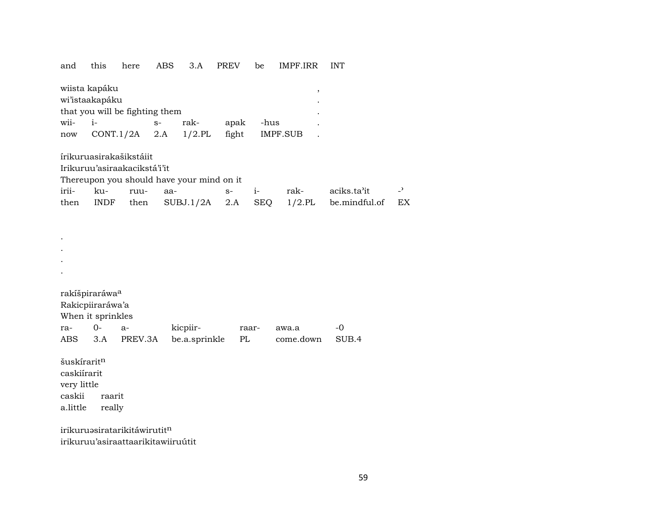and this here ABS 3.A PREV be IMPF.IRR INT

| wiista kapáku                  |                          |  |      |       |          |  |  |  |  |  |
|--------------------------------|--------------------------|--|------|-------|----------|--|--|--|--|--|
| wi'istaakapáku                 |                          |  |      |       |          |  |  |  |  |  |
| that you will be fighting them |                          |  |      |       |          |  |  |  |  |  |
| wii-                           | $1-$                     |  | rak- | apak  | -hus     |  |  |  |  |  |
| now                            | $CONT.1/2A$ 2.A $1/2.PL$ |  |      | fight | IMPF.SUB |  |  |  |  |  |

írikuruasirakašikstáiit

Irikuruu'asiraakacikstá'i'it

Thereupon you should have your mind on it

| irii- ku- ruu- aa- |  |  | s- i- rak- aciks.ta'it -'                                  |  |
|--------------------|--|--|------------------------------------------------------------|--|
|                    |  |  | then INDF then $SUBJ.1/2A$ 2.A SEQ 1/2.PL be.mindful.of EX |  |

|     | rakíšpiraráwa <sup>a</sup> |         |               |       |           |       |
|-----|----------------------------|---------|---------------|-------|-----------|-------|
|     | Rakicpiiraráwa'a           |         |               |       |           |       |
|     | When it sprinkles          |         |               |       |           |       |
| ra- | $()$ -                     | a-      | kicpiir-      | raar- | awa.a     | $-()$ |
|     | ABS 3.A                    | PREV.3A | be.a.sprinkle | PL    | come.down | SUB.4 |

šuskírarit $<sup>n</sup>$ </sup> caskiírarit very little caskii raarit a.little really

. . . .

irikuruəsiratarikitáwirutitn irikuruu'asiraattaarikitawiiruútit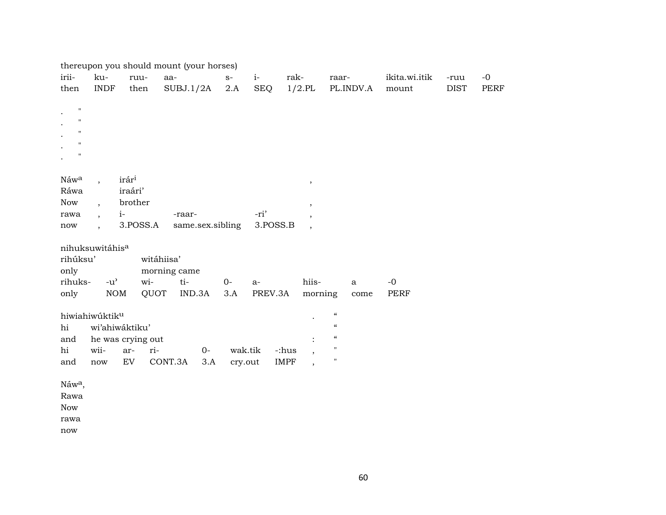|                    |                          |                   | thereupon you should mount (your horses) |                  |                   |          |                          |                            |               |             |             |
|--------------------|--------------------------|-------------------|------------------------------------------|------------------|-------------------|----------|--------------------------|----------------------------|---------------|-------------|-------------|
| irii-              | ku-                      | ruu-              | aa-                                      |                  | $i-$<br>$S-$      | rak-     |                          | raar-                      | ikita.wi.itik | -ruu        | $-0$        |
| then               | <b>INDF</b>              | then              | SUBJ.1/2A                                |                  | 2.A<br><b>SEQ</b> |          | $1/2$ .PL                | PL.INDV.A                  | mount         | <b>DIST</b> | <b>PERF</b> |
| $\mathbf{H}$       |                          |                   |                                          |                  |                   |          |                          |                            |               |             |             |
| $\mathbf{H}$       |                          |                   |                                          |                  |                   |          |                          |                            |               |             |             |
| $\mathbf{H}$       |                          |                   |                                          |                  |                   |          |                          |                            |               |             |             |
| $\mathbf{H}$       |                          |                   |                                          |                  |                   |          |                          |                            |               |             |             |
| $\mathbf{H}$       |                          |                   |                                          |                  |                   |          |                          |                            |               |             |             |
|                    |                          |                   |                                          |                  |                   |          |                          |                            |               |             |             |
| Náwa               | $\overline{\phantom{a}}$ | irár <sup>i</sup> |                                          |                  |                   |          | $\, ,$                   |                            |               |             |             |
| Ráwa               |                          | iraári'           |                                          |                  |                   |          |                          |                            |               |             |             |
| Now                | $\cdot$                  | brother           |                                          |                  |                   |          | $\overline{\phantom{a}}$ |                            |               |             |             |
| rawa               | $\overline{ }$ ,         | $i-$              | -raar-                                   |                  | -ri'              |          |                          |                            |               |             |             |
| now                | $\ddot{\phantom{0}}$     | 3.POSS.A          |                                          | same.sex.sibling |                   | 3.POSS.B |                          |                            |               |             |             |
|                    | nihuksuwitáhisa          |                   |                                          |                  |                   |          |                          |                            |               |             |             |
| rihúksu'           |                          |                   | witáhiisa'                               |                  |                   |          |                          |                            |               |             |             |
| only               |                          |                   | morning came                             |                  |                   |          |                          |                            |               |             |             |
| rihuks-            | $-u^{\prime}$            | wi-               | $ti-$                                    | $0-$             | $a-$              |          | hiis-                    | $\mathbf{a}$               | $-0$          |             |             |
| only               | $\rm{NOM}$               |                   | IND.3A<br>QUOT                           |                  | 3.A               | PREV.3A  | morning                  | come                       | <b>PERF</b>   |             |             |
|                    | hiwiahiwúktiku           |                   |                                          |                  |                   |          |                          | $\boldsymbol{\mathcal{C}}$ |               |             |             |
| hi                 |                          | wi'ahiwáktiku'    |                                          |                  |                   |          |                          | $\boldsymbol{\mathcal{C}}$ |               |             |             |
| and                |                          | he was crying out |                                          |                  |                   |          |                          | $\epsilon\epsilon$         |               |             |             |
| hi                 | wii-                     | ar-               | ri-                                      | $0-$             | wak.tik           | -:hus    | $\cdot$                  | $\pmb{\mathsf{H}}$         |               |             |             |
| and                | $\operatorname{now}$     | EV                | CONT.3A                                  | 3.A              | cry.out           | IMPF     | $\overline{\phantom{a}}$ | $\pmb{\mathsf{H}}$         |               |             |             |
|                    |                          |                   |                                          |                  |                   |          |                          |                            |               |             |             |
| Náw <sup>a</sup> , |                          |                   |                                          |                  |                   |          |                          |                            |               |             |             |
| Rawa               |                          |                   |                                          |                  |                   |          |                          |                            |               |             |             |
| <b>Now</b>         |                          |                   |                                          |                  |                   |          |                          |                            |               |             |             |
| rawa               |                          |                   |                                          |                  |                   |          |                          |                            |               |             |             |

now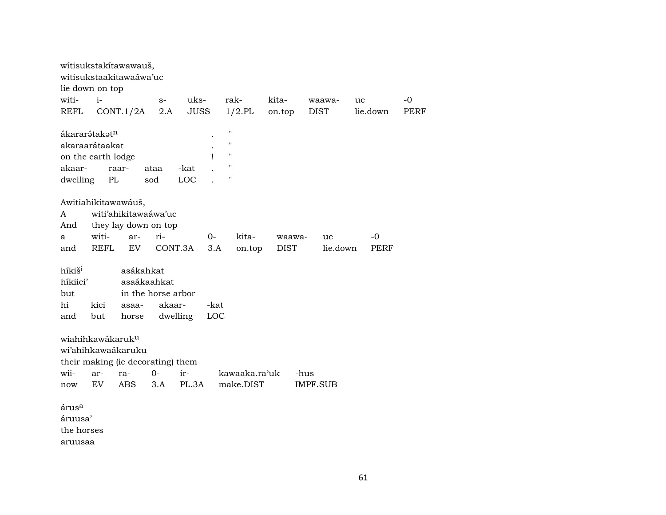|                              |             | wítisukstakítawawauš,<br>witisukstaakitawaáwa'uc |                                            |             |      |                    |               |             |        |                 |    |          |      |
|------------------------------|-------------|--------------------------------------------------|--------------------------------------------|-------------|------|--------------------|---------------|-------------|--------|-----------------|----|----------|------|
| lie down on top              |             |                                                  |                                            |             |      |                    |               |             |        |                 |    |          |      |
| witi-                        | $i-$        |                                                  | $S-$                                       | uks-        |      | rak-               |               | kita-       |        | waawa-          | uc |          | $-0$ |
| <b>REFL</b>                  |             | CONT.1/2A                                        | 2.A                                        | <b>JUSS</b> |      |                    | $1/2$ .PL     | on.top      |        | <b>DIST</b>     |    | lie.down | PERF |
|                              |             |                                                  |                                            |             |      |                    |               |             |        |                 |    |          |      |
| ákararátakatn                |             |                                                  |                                            |             |      | $\pmb{\mathsf{H}}$ |               |             |        |                 |    |          |      |
| akaraarátaakat               |             |                                                  |                                            |             |      | $\pmb{\mathsf{H}}$ |               |             |        |                 |    |          |      |
| on the earth lodge           |             |                                                  |                                            |             |      | $\pmb{\mathsf{H}}$ |               |             |        |                 |    |          |      |
| akaar-                       |             | raar-                                            | ataa                                       | -kat        |      | $\pmb{\mathsf{H}}$ |               |             |        |                 |    |          |      |
| dwelling                     |             | PL                                               | sod                                        | <b>LOC</b>  |      | $\pmb{\mathsf{H}}$ |               |             |        |                 |    |          |      |
|                              |             |                                                  |                                            |             |      |                    |               |             |        |                 |    |          |      |
|                              |             | Awitiahikitawawáuš,                              |                                            |             |      |                    |               |             |        |                 |    |          |      |
| A                            |             |                                                  | witi'ahikitawaáwa'uc                       |             |      |                    |               |             |        |                 |    |          |      |
| And                          |             |                                                  | they lay down on top                       |             |      |                    |               |             |        |                 |    |          |      |
| a                            | witi-       | ar-                                              | ri-                                        |             | $0-$ |                    | kita-         |             | waawa- | uc              |    | -0       |      |
| and                          | <b>REFL</b> | EV                                               |                                            | CONT.3A     | 3.A  |                    | on.top        | <b>DIST</b> |        | lie.down        |    | PERF     |      |
|                              |             |                                                  |                                            |             |      |                    |               |             |        |                 |    |          |      |
| híkiš <sup>i</sup>           |             | asákahkat                                        |                                            |             |      |                    |               |             |        |                 |    |          |      |
| híkiici'                     |             |                                                  | asaákaahkat                                |             |      |                    |               |             |        |                 |    |          |      |
| but                          |             |                                                  | in the horse arbor                         |             |      |                    |               |             |        |                 |    |          |      |
| hi                           | kici        | asaa-                                            | akaar-                                     |             | -kat |                    |               |             |        |                 |    |          |      |
| and                          | but         | horse                                            |                                            | dwelling    | LOC  |                    |               |             |        |                 |    |          |      |
|                              |             |                                                  |                                            |             |      |                    |               |             |        |                 |    |          |      |
| wiahihkawákaruk <sup>u</sup> |             |                                                  |                                            |             |      |                    |               |             |        |                 |    |          |      |
|                              |             | wi'ahihkawaákaruku                               |                                            |             |      |                    |               |             |        |                 |    |          |      |
|                              |             |                                                  |                                            |             |      |                    |               |             |        |                 |    |          |      |
|                              |             |                                                  | their making (ie decorating) them<br>$0 -$ | ir-         |      |                    |               |             |        |                 |    |          |      |
| wii-                         | ar-         | ra-                                              |                                            |             |      |                    | kawaaka.ra'uk |             | -hus   |                 |    |          |      |
| now                          | EV          | <b>ABS</b>                                       | 3.A                                        | PL.3A       |      |                    | make.DIST     |             |        | <b>IMPF.SUB</b> |    |          |      |
|                              |             |                                                  |                                            |             |      |                    |               |             |        |                 |    |          |      |
| árus <sup>a</sup>            |             |                                                  |                                            |             |      |                    |               |             |        |                 |    |          |      |
| áruusa'                      |             |                                                  |                                            |             |      |                    |               |             |        |                 |    |          |      |
| the horses                   |             |                                                  |                                            |             |      |                    |               |             |        |                 |    |          |      |
| aruusaa                      |             |                                                  |                                            |             |      |                    |               |             |        |                 |    |          |      |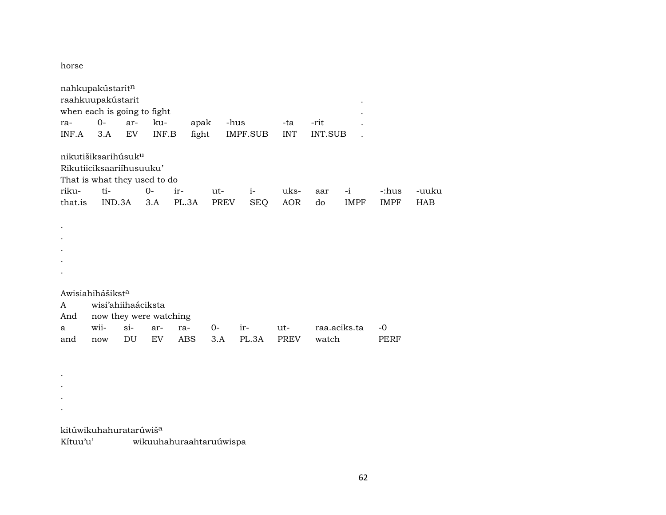horse

|         | nahkupakústaritn<br>raahkuupakústarit |        |       |       |       |            |             |         |              |             |            |
|---------|---------------------------------------|--------|-------|-------|-------|------------|-------------|---------|--------------|-------------|------------|
|         | when each is going to fight           |        |       |       |       |            |             |         |              |             |            |
| ra-     | $0-$                                  | ar-    | ku-   | apak  |       | -hus       | -ta         | -rit    |              |             |            |
| INF.A   | 3.A                                   | EV     | INF.B | fight |       | IMPF.SUB   | <b>INT</b>  | INT.SUB |              |             |            |
|         |                                       |        |       |       |       |            |             |         |              |             |            |
|         | nikutišiksarihúsuk <sup>u</sup>       |        |       |       |       |            |             |         |              |             |            |
|         | Rikutiiciksaariihusuuku'              |        |       |       |       |            |             |         |              |             |            |
|         | That is what they used to do          |        |       |       |       |            |             |         |              |             |            |
| riku-   | ti-                                   |        | $0-$  | ir-   | ut-   | $i-$       | uks-        | aar     | $-i$         | -:hus       | -uuku      |
| that.is | IND.3A                                |        | 3.A   | PL.3A | PREV  | <b>SEQ</b> | <b>AOR</b>  | do      | <b>IMPF</b>  | <b>IMPF</b> | <b>HAB</b> |
|         |                                       |        |       |       |       |            |             |         |              |             |            |
|         |                                       |        |       |       |       |            |             |         |              |             |            |
|         |                                       |        |       |       |       |            |             |         |              |             |            |
|         |                                       |        |       |       |       |            |             |         |              |             |            |
|         |                                       |        |       |       |       |            |             |         |              |             |            |
|         |                                       |        |       |       |       |            |             |         |              |             |            |
|         |                                       |        |       |       |       |            |             |         |              |             |            |
|         | Awisiahihášikst <sup>a</sup>          |        |       |       |       |            |             |         |              |             |            |
| A       | wisi'ahiihaáciksta                    |        |       |       |       |            |             |         |              |             |            |
| And     | now they were watching                |        |       |       |       |            |             |         |              |             |            |
| a       | wii-                                  | $\sin$ | ar-   | ra-   | $O -$ | ir-        | ut-         |         | raa.aciks.ta | $-0$        |            |
| and     | now                                   | DU     | EV    | ABS   | 3.A   | PL.3A      | <b>PREV</b> | watch   |              | PERF        |            |
|         |                                       |        |       |       |       |            |             |         |              |             |            |

kitúwikuhahuratarúwiš<sup>a</sup>

. . . .

Kítuu'u' wikuuhahuraahtaruúwispa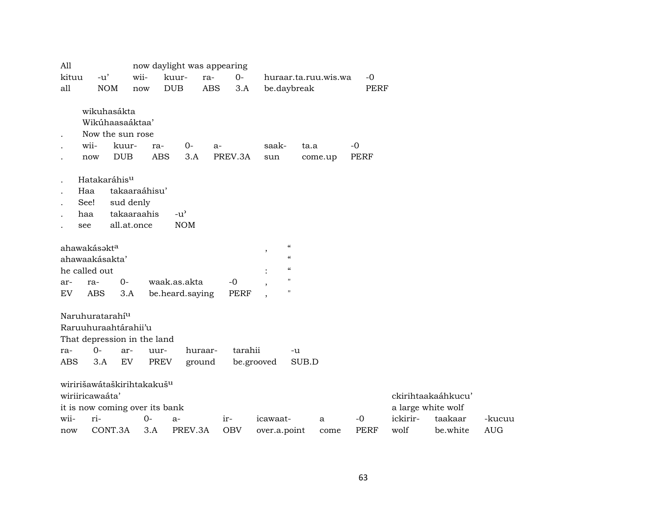| All                                                                                                     |                                                                   |                     |                   | now daylight was appearing |            |                   |                          |                                                                |                      |                     |                  |                     |                      |
|---------------------------------------------------------------------------------------------------------|-------------------------------------------------------------------|---------------------|-------------------|----------------------------|------------|-------------------|--------------------------|----------------------------------------------------------------|----------------------|---------------------|------------------|---------------------|----------------------|
| kituu                                                                                                   | $-u'$                                                             | wii-                |                   | kuur-                      | ra-        | $0 -$             |                          |                                                                | huraar.ta.ruu.wis.wa | $-0$                |                  |                     |                      |
| all                                                                                                     | <b>NOM</b>                                                        |                     | now               | <b>DUB</b>                 | <b>ABS</b> | 3.A               | be.daybreak              |                                                                |                      | <b>PERF</b>         |                  |                     |                      |
|                                                                                                         | wikuhasákta<br>Wikúhaasaáktaa'<br>Now the sun rose<br>wii-<br>now | kuur-<br><b>DUB</b> | ra-<br><b>ABS</b> | $O-$<br>3.A                | $a-$       | PREV.3A           | saak-<br>sun             |                                                                | ta.a<br>come.up      | $-0$<br><b>PERF</b> |                  |                     |                      |
|                                                                                                         | Hatakaráhis <sup>u</sup>                                          |                     |                   |                            |            |                   |                          |                                                                |                      |                     |                  |                     |                      |
|                                                                                                         | Haa                                                               |                     | takaaraáhisu'     |                            |            |                   |                          |                                                                |                      |                     |                  |                     |                      |
|                                                                                                         | See!                                                              | sud denly           |                   |                            |            |                   |                          |                                                                |                      |                     |                  |                     |                      |
|                                                                                                         | takaaraahis<br>$-u^{\prime}$<br>haa                               |                     |                   |                            |            |                   |                          |                                                                |                      |                     |                  |                     |                      |
| see                                                                                                     |                                                                   | all.at.once         |                   | <b>NOM</b>                 |            |                   |                          |                                                                |                      |                     |                  |                     |                      |
|                                                                                                         | ahawakásakt <sup>a</sup><br>ahawaakásakta'<br>he called out       |                     |                   |                            |            |                   | $\overline{\phantom{a}}$ | $\zeta\zeta$<br>$\epsilon\epsilon$<br>$\mathcal{C}\mathcal{C}$ |                      |                     |                  |                     |                      |
| ar-                                                                                                     | ra-                                                               | $O -$               |                   | waak.as.akta               |            | $-0$              |                          | $\pmb{\mathsf{H}}$                                             |                      |                     |                  |                     |                      |
| EV                                                                                                      | <b>ABS</b>                                                        | 3.A                 |                   | be.heard.saying            |            | <b>PERF</b>       |                          | $\pmb{\mathsf{H}}$                                             |                      |                     |                  |                     |                      |
| Naruhuratarahí <sup>u</sup><br>Raruuhuraahtárahii'u<br>That depression in the land<br>ra-<br><b>ABS</b> | ar-<br>EV                                                         | uur-<br><b>PREV</b> | huraar-<br>ground | tarahii                    | be.grooved | -u                | SUB.D                    |                                                                |                      |                     |                  |                     |                      |
|                                                                                                         | wiririšawátaškirihtakakuš <sup>u</sup><br>wiriiricawaáta'         |                     |                   |                            |            |                   |                          |                                                                |                      |                     |                  | ckirihtaakaáhkucu'  |                      |
|                                                                                                         | it is now coming over its bank                                    |                     |                   |                            |            |                   |                          |                                                                |                      |                     |                  | a large white wolf  |                      |
| wii-<br>now                                                                                             | ri-<br>CONT.3A                                                    |                     | $0-$<br>3.A       | $a-$<br>PREV.3A            |            | ir-<br><b>OBV</b> | icawaat-<br>over.a.point |                                                                | a<br>come            | $-0$<br><b>PERF</b> | ickirir-<br>wolf | taakaar<br>be.white | -kucuu<br><b>AUG</b> |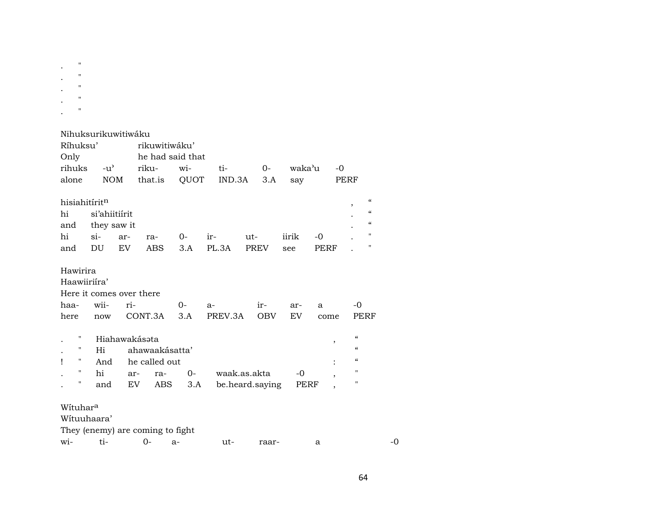| $\pmb{\mathsf{H}}$<br>$^{\prime\prime}$<br>$\pmb{\mathsf{H}}$<br>$^{\prime\prime}$<br>" |                                              |                            |                                               |                                 |               |                                 |                  |                               |                                                                                                                                                                  |    |
|-----------------------------------------------------------------------------------------|----------------------------------------------|----------------------------|-----------------------------------------------|---------------------------------|---------------|---------------------------------|------------------|-------------------------------|------------------------------------------------------------------------------------------------------------------------------------------------------------------|----|
| Nihuksurikuwitiwáku<br>Ríhuksu'<br>Only<br>rihuks<br>alone                              | $-u^{\prime}$<br><b>NOM</b>                  |                            | rikuwitiwáku'<br>riku-<br>that.is             | he had said that<br>wi-<br>QUOT | ti-<br>IND.3A | 0-<br>3.A                       | waka'u<br>say    | -0                            | PERF                                                                                                                                                             |    |
| hisiahitíritn<br>hi<br>and<br>hi<br>and                                                 | si'ahiitiírit<br>they saw it<br>$\sin$<br>DU | ar-<br>EV                  | ra-<br><b>ABS</b>                             | 0-<br>3.A                       | ir-<br>PL.3A  | ut-<br><b>PREV</b>              | iirik<br>see     | -0<br><b>PERF</b>             | $\boldsymbol{\zeta}\boldsymbol{\zeta}$<br>$\boldsymbol{\zeta}\boldsymbol{\zeta}$<br>$\boldsymbol{\zeta}\boldsymbol{\zeta}$<br>$\mathbf{H}$<br>$\pmb{\mathsf{H}}$ |    |
| Hawirira<br>Haawiiriíra'<br>Here it comes over there<br>haa-<br>here                    | wii-<br>now                                  | ri-                        | CONT.3A                                       | 0-<br>3.A                       | a-<br>PREV.3A | ir-<br><b>OBV</b>               | ar-<br><b>EV</b> | a<br>come                     | $-0$<br>PERF                                                                                                                                                     |    |
| н<br>11<br>н<br>Ţ<br>$\mathbf{H}$<br>11                                                 | Hi<br>And<br>hi<br>and                       | Hiahawakásata<br>ar-<br>EV | ahawaakásatta'<br>he called out<br>ra-<br>ABS | 0-<br>3.A                       |               | waak.as.akta<br>be.heard.saying | $-0$<br>PERF     | ,<br>$\overline{\phantom{a}}$ | $\mathcal{C}$<br>$\epsilon\epsilon$<br>$\epsilon\epsilon$<br>$\mathbf{H}$<br>$\mathbf{H}$                                                                        |    |
| Wituhara<br>Wituuhaara'<br>They (enemy) are coming to fight<br>wi-                      | ti-                                          |                            | 0-                                            | a-                              | ut-           | raar-                           |                  | a                             |                                                                                                                                                                  | -0 |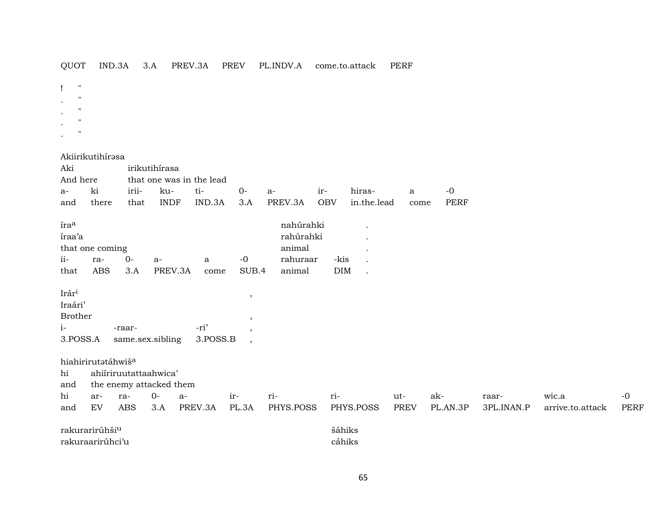| OUOT |  |  | IND.3A 3.A PREV.3A |  |  | PREV PL.INDV.A come.to.attack | PERF |
|------|--|--|--------------------|--|--|-------------------------------|------|
|------|--|--|--------------------|--|--|-------------------------------|------|

! "  $\cdot$  "

- $\mathbf{.}$  "
- . "
- $\mathbf{.}$  "

Akiirikutihírəsa

| Aki               |                                |        | irikutihírasa           |                          |         |           |            |             |              |             |            |                  |             |
|-------------------|--------------------------------|--------|-------------------------|--------------------------|---------|-----------|------------|-------------|--------------|-------------|------------|------------------|-------------|
| And here          |                                |        |                         | that one was in the lead |         |           |            |             |              |             |            |                  |             |
| $a-$              | ki                             | irii-  | ku-                     | ti-                      | $0-$    | a-        | ir-        | hiras-      | $\mathbf{a}$ | $-0$        |            |                  |             |
| and               | there                          | that   | <b>INDF</b>             | IND.3A                   | 3.A     | PREV.3A   | <b>OBV</b> | in.the.lead | come         | <b>PERF</b> |            |                  |             |
| íra <sup>a</sup>  |                                |        |                         |                          |         | nahúrahki |            |             |              |             |            |                  |             |
| íraa'a            |                                |        |                         |                          |         | rahúrahki |            |             |              |             |            |                  |             |
|                   | that one coming                |        |                         |                          |         | animal    |            |             |              |             |            |                  |             |
| $ii-$             | ra-                            | $0-$   | a-                      | a                        | $-0$    | rahuraar  | -kis       |             |              |             |            |                  |             |
| that              | <b>ABS</b>                     | 3.A    | PREV.3A                 | come                     | SUB.4   | animal    | DIM        |             |              |             |            |                  |             |
|                   |                                |        |                         |                          |         |           |            |             |              |             |            |                  |             |
| Irár <sup>i</sup> |                                |        |                         |                          | $\,$    |           |            |             |              |             |            |                  |             |
| Iraári'           |                                |        |                         |                          |         |           |            |             |              |             |            |                  |             |
| <b>Brother</b>    |                                |        |                         |                          | $\cdot$ |           |            |             |              |             |            |                  |             |
| $i-$              |                                | -raar- |                         | -ri'                     | $\cdot$ |           |            |             |              |             |            |                  |             |
| 3.POSS.A          |                                |        | same.sex.sibling        | 3.POSS.B                 | $\cdot$ |           |            |             |              |             |            |                  |             |
|                   |                                |        |                         |                          |         |           |            |             |              |             |            |                  |             |
|                   | hiahirirutatáhwiš <sup>a</sup> |        |                         |                          |         |           |            |             |              |             |            |                  |             |
| hi                |                                |        | ahiiriruutattaahwica'   |                          |         |           |            |             |              |             |            |                  |             |
| and               |                                |        | the enemy attacked them |                          |         |           |            |             |              |             |            |                  |             |
| hi                | ar-                            | ra-    | $0-$                    | a-                       | ir-     | ri-       | ri-        |             | ut-          | ak-         | raar-      | wic.a            | $-0$        |
| and               | EV                             | ABS    | 3.A                     | PREV.3A                  | PL.3A   | PHYS.POSS |            | PHYS.POSS   | <b>PREV</b>  | PL.AN.3P    | 3PL.INAN.P | arrive.to.attack | <b>PERF</b> |
|                   | rakurarirúhši <sup>u</sup>     |        |                         |                          |         |           |            | šáhiks      |              |             |            |                  |             |
|                   | rakuraarirúhci'u               |        |                         |                          |         |           |            | cáhiks      |              |             |            |                  |             |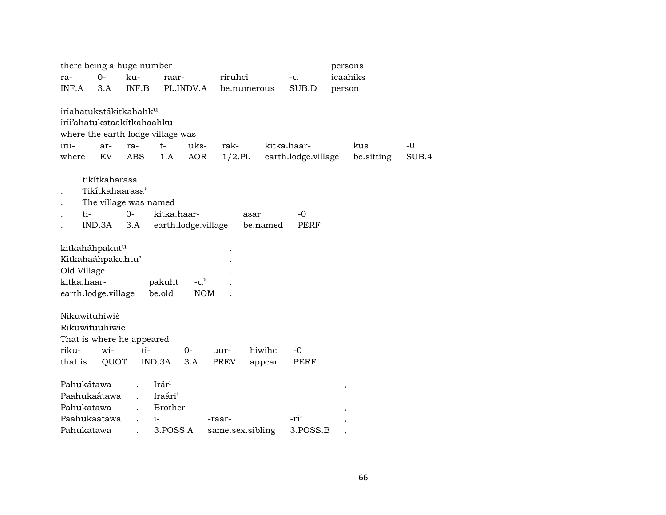| there being a huge number                                                                                                            |                                                |                                    |                   |                  |                     | persons           |               |
|--------------------------------------------------------------------------------------------------------------------------------------|------------------------------------------------|------------------------------------|-------------------|------------------|---------------------|-------------------|---------------|
| $O -$<br>ra-                                                                                                                         | ku-                                            | raar-                              | riruhci           |                  | -u                  | icaahiks          |               |
| INF.A<br>3.A                                                                                                                         | INF.B                                          | PL.INDV.A                          | be.numerous       |                  | SUB.D               | person            |               |
| iriahatukstákitkahahk <sup>u</sup><br>irii'ahatukstaakitkahaahku<br>where the earth lodge village was<br>irii-<br>ar-<br>where<br>EV | $t-$<br>ra-<br><b>ABS</b><br>1.A               | uks-<br><b>AOR</b>                 | rak-<br>$1/2$ .PL | kitka.haar-      | earth.lodge.village | kus<br>be.sitting | $-0$<br>SUB.4 |
| tikítkaharasa<br>Tikitkahaarasa'<br>ti-<br>IND.3A                                                                                    | The village was named<br>$0-$<br>3.A           | kitka.haar-<br>earth.lodge.village | asar              | be.named         | $-0$<br><b>PERF</b> |                   |               |
| kitkaháhpakut <sup>u</sup><br>Kitkahaáhpakuhtu'<br>Old Village<br>kitka.haar-<br>earth.lodge.village                                 | pakuht<br>be.old                               | $-u^{\prime}$<br><b>NOM</b>        |                   |                  |                     |                   |               |
| Nikuwituhíwiš<br>Rikuwituuhíwic<br>That is where he appeared<br>riku-<br>wi-<br>QUOT<br>that.is                                      | ti-<br>IND.3A                                  | $0-$<br>3.A                        | uur-<br>PREV      | hiwihc<br>appear | $-0$<br>PERF        |                   |               |
| Pahukátawa<br>Paahukaátawa<br>Pahukatawa                                                                                             | Irár <sup>i</sup><br>Iraári'<br><b>Brother</b> |                                    |                   |                  |                     | ,                 |               |
| Paahukaatawa                                                                                                                         | $i-$                                           |                                    | -raar-            |                  | -ri'                | ,                 |               |
| Pahukatawa                                                                                                                           |                                                | 3.POSS.A                           | same.sex.sibling  |                  | 3.POSS.B            | ,                 |               |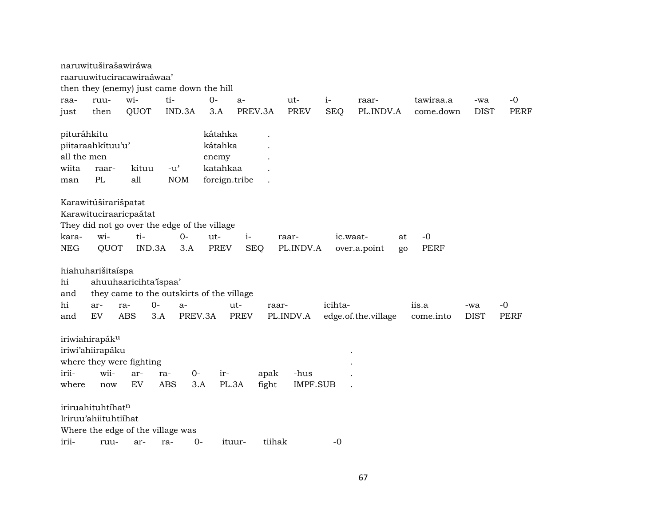|                            | naruwituširašawiráwa                                                                                          |            |                                     |             |                                           |               |                         |            |                                      |                     |             |             |
|----------------------------|---------------------------------------------------------------------------------------------------------------|------------|-------------------------------------|-------------|-------------------------------------------|---------------|-------------------------|------------|--------------------------------------|---------------------|-------------|-------------|
|                            | raaruuwituciracawiraáwaa'                                                                                     |            |                                     |             |                                           |               |                         |            |                                      |                     |             |             |
|                            | then they (enemy) just came down the hill                                                                     |            |                                     |             |                                           |               |                         |            |                                      |                     |             |             |
| raa-                       | ruu-                                                                                                          | wi-        | ti-                                 | $0-$        | a-                                        |               | ut-                     | $i-$       | raar-                                | tawiraa.a           | -wa         | $-0$        |
| just                       | then                                                                                                          | QUOT       |                                     | IND.3A      | 3.A                                       | PREV.3A       | <b>PREV</b>             | <b>SEQ</b> | PL.INDV.A                            | come.down           | <b>DIST</b> | <b>PERF</b> |
| pituráhkitu<br>all the men | piitaraahkituu'u'                                                                                             |            |                                     |             | kátahka<br>kátahka<br>enemy               |               |                         |            |                                      |                     |             |             |
| wiita                      | raar-                                                                                                         | kituu      | $-u$ <sup><math>\prime</math></sup> |             | katahkaa                                  |               |                         |            |                                      |                     |             |             |
| man                        | PL                                                                                                            | all        | <b>NOM</b>                          |             | foreign.tribe                             |               |                         |            |                                      |                     |             |             |
| kara-<br><b>NEG</b>        | Karawitúširarišpatat<br>Karawituciraaricpaátat<br>They did not go over the edge of the village<br>wi-<br>QUOT | ti-        | IND.3A                              | 0-<br>3.A   | ut-<br>$i-$<br>PREV                       | <b>SEQ</b>    | raar-<br>PL.INDV.A      |            | ic.waat-<br>at<br>over.a.point<br>go | $-0$<br><b>PERF</b> |             |             |
| hi<br>and                  | hiahuharišitaíspa<br>ahuuhaaricihta'ispaa'                                                                    |            |                                     |             | they came to the outskirts of the village |               |                         |            |                                      |                     |             |             |
| hi                         | ar-                                                                                                           | ra-        | 0-                                  | $a-$        | ut-                                       | raar-         |                         | icihta-    |                                      | iis.a               | -wa         | -0          |
| and                        | EV                                                                                                            | <b>ABS</b> | 3.A                                 | PREV.3A     | <b>PREV</b>                               |               | PL.INDV.A               |            | edge.of.the.village                  | come.into           | <b>DIST</b> | <b>PERF</b> |
| irii-<br>where             | iriwiahirapák <sup>u</sup><br>iriwi'ahiirapáku<br>where they were fighting<br>wii-<br>now                     | ar-<br>EV  | ra-<br>ABS                          | $0-$<br>3.A | ir-<br>PL.3A                              | apak<br>fight | -hus<br><b>IMPF.SUB</b> |            |                                      |                     |             |             |
|                            | iriruahituhtíhatn                                                                                             |            |                                     |             |                                           |               |                         |            |                                      |                     |             |             |
|                            | Iriruu'ahiituhtiihat                                                                                          |            |                                     |             |                                           |               |                         |            |                                      |                     |             |             |
|                            | Where the edge of the village was                                                                             |            |                                     |             |                                           |               |                         |            |                                      |                     |             |             |
| irii-                      | ruu-                                                                                                          | ar-        | ra-                                 | $0-$        | ituur-                                    | tiihak        |                         | $-0$       |                                      |                     |             |             |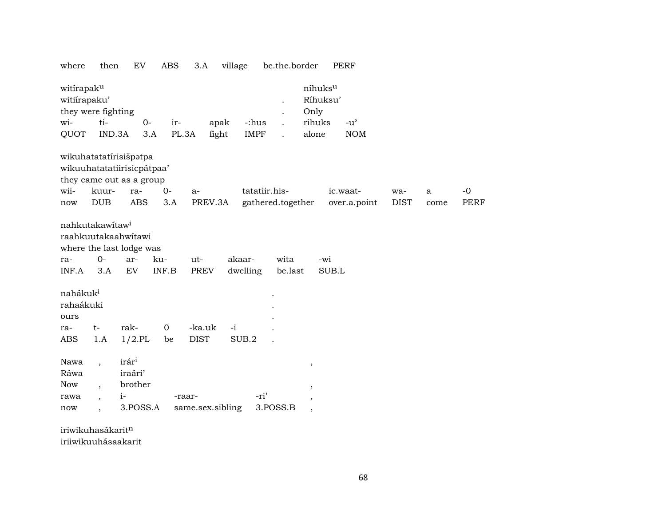where then EV ABS 3.A village be.the.border PERF

| witirapaku<br>witiirapaku'<br>they were fighting                               |                                     |                                         |                    |              |                  |        |                   |                      | Only                     | níhuksu<br>Ríhuksu' |                                     |             |              |             |
|--------------------------------------------------------------------------------|-------------------------------------|-----------------------------------------|--------------------|--------------|------------------|--------|-------------------|----------------------|--------------------------|---------------------|-------------------------------------|-------------|--------------|-------------|
| wi-                                                                            | ti-                                 |                                         | $0-$               | ir-          | apak             |        | -:hus             | $\ddot{\phantom{a}}$ | rihuks                   |                     | $-u$ <sup><math>\prime</math></sup> |             |              |             |
| QUOT                                                                           | IND.3A                              |                                         | 3.A                | PL.3A        | fight            |        | <b>IMPF</b>       |                      | alone                    |                     | <b>NOM</b>                          |             |              |             |
| wikuhatatatírisišpatpa                                                         |                                     |                                         |                    |              |                  |        |                   |                      |                          |                     |                                     |             |              |             |
| wikuuhatatatiirisicpátpaa'                                                     |                                     |                                         |                    |              |                  |        |                   |                      |                          |                     |                                     |             |              |             |
| they came out as a group                                                       |                                     |                                         |                    |              |                  |        |                   |                      |                          |                     |                                     |             |              |             |
| wii-                                                                           | kuur-                               | ra-                                     |                    | $0-$<br>$a-$ |                  |        | tatatiir.his-     |                      |                          |                     | ic.waat-                            | wa-         | $\mathbf{a}$ | $-0$        |
| now                                                                            | <b>DUB</b>                          | <b>ABS</b>                              |                    | 3.A          | PREV.3A          |        | gathered.together |                      |                          |                     | over.a.point                        | <b>DIST</b> | come         | <b>PERF</b> |
| nahkutakawitaw <sup>i</sup><br>raahkuutakaahwitawi<br>where the last lodge was |                                     |                                         |                    |              |                  |        |                   |                      |                          |                     |                                     |             |              |             |
| ra-                                                                            | $0-$                                | ar-                                     | ku-                | ut-          |                  | akaar- |                   | wita                 |                          | -wi                 |                                     |             |              |             |
| INF.A                                                                          | 3.A                                 | EV                                      | $\textsf{INF.B}{}$ |              | PREV             |        | dwelling          | be.last              |                          | SUB.L               |                                     |             |              |             |
| nahákuk <sup>i</sup><br>rahaákuki<br>ours                                      |                                     |                                         |                    |              |                  |        |                   |                      |                          |                     |                                     |             |              |             |
| ra-                                                                            | $t-$                                | rak-                                    | $\overline{0}$     |              | -ka.uk           | $-i$   |                   |                      |                          |                     |                                     |             |              |             |
| ABS                                                                            | 1.A                                 | $1/2$ .PL                               |                    | be           | <b>DIST</b>      |        | SUB.2             |                      |                          |                     |                                     |             |              |             |
| Nawa<br>Ráwa<br><b>Now</b>                                                     | $\overline{\phantom{a}}$<br>$\cdot$ | irár <sup>i</sup><br>iraári'<br>brother |                    |              |                  |        |                   |                      | $^\mathrm{,}$<br>$\, ,$  |                     |                                     |             |              |             |
| rawa                                                                           | $\overline{\phantom{a}}$            | $i-$                                    |                    | -raar-       |                  |        | -ri'              |                      | ,                        |                     |                                     |             |              |             |
| now                                                                            | $\overline{ }$                      |                                         | 3.POSS.A           |              | same.sex.sibling |        |                   | 3.POSS.B             | $\overline{\phantom{a}}$ |                     |                                     |             |              |             |

iriwikuhasákarit¶ iriiwikuuhásaakarit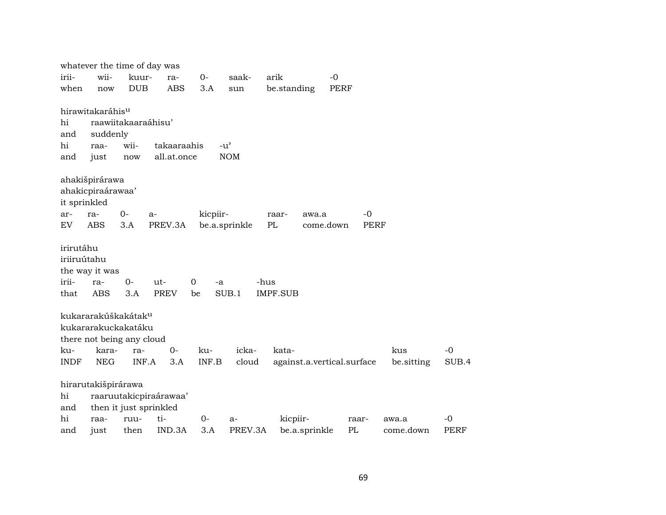|              |                                    |                     | whatever the time of day was |          |               |                            |             |             |            |       |
|--------------|------------------------------------|---------------------|------------------------------|----------|---------------|----------------------------|-------------|-------------|------------|-------|
| irii-        | wii-                               | kuur-               | ra-                          | $0-$     | saak-         | arik                       | $-0$        |             |            |       |
| when         | now                                | <b>DUB</b>          | <b>ABS</b>                   | 3.A      | sun           | be.standing                | <b>PERF</b> |             |            |       |
|              |                                    |                     |                              |          |               |                            |             |             |            |       |
|              | hirawitakaráhis <sup>u</sup>       |                     |                              |          |               |                            |             |             |            |       |
| hi           |                                    | raawiitakaaraáhisu' |                              |          |               |                            |             |             |            |       |
| and          | suddenly                           |                     |                              |          |               |                            |             |             |            |       |
| hi           | raa-                               | wii-                | takaaraahis                  |          | $-u^{\prime}$ |                            |             |             |            |       |
| and          | just                               | now                 | all.at.once                  |          | <b>NOM</b>    |                            |             |             |            |       |
|              |                                    |                     |                              |          |               |                            |             |             |            |       |
|              | ahakišpirárawa                     |                     |                              |          |               |                            |             |             |            |       |
|              | ahakicpiraárawaa'                  |                     |                              |          |               |                            |             |             |            |       |
| it sprinkled |                                    |                     |                              |          |               |                            |             |             |            |       |
| ar-          | ra-                                | $0-$                | a-                           | kicpiir- |               | raar-<br>awa.a             |             | -0          |            |       |
| <b>EV</b>    | <b>ABS</b>                         | 3.A                 | PREV.3A                      |          | be.a.sprinkle | PL                         | come.down   | <b>PERF</b> |            |       |
|              |                                    |                     |                              |          |               |                            |             |             |            |       |
| irirutáhu    |                                    |                     |                              |          |               |                            |             |             |            |       |
| iriiruútahu  |                                    |                     |                              |          |               |                            |             |             |            |       |
|              | the way it was                     |                     |                              |          |               |                            |             |             |            |       |
| irii-        | ra-                                | $O -$               | ut-                          | 0<br>-a  |               | -hus                       |             |             |            |       |
| that         | ABS                                | 3.A                 | PREV                         | be       | SUB.1         | <b>IMPF.SUB</b>            |             |             |            |       |
|              | kukararakúškakátak <sup>u</sup>    |                     |                              |          |               |                            |             |             |            |       |
|              | kukararakuckakatáku                |                     |                              |          |               |                            |             |             |            |       |
|              |                                    |                     |                              |          |               |                            |             |             |            |       |
|              | there not being any cloud<br>kara- |                     | $0-$                         |          | icka-         |                            |             |             | kus        | $-0$  |
| ku-          |                                    | ra-<br>INF.A        |                              | ku-      |               | kata-                      |             |             |            |       |
| <b>INDF</b>  | <b>NEG</b>                         |                     | 3.A                          | INF.B    | cloud         | against.a.vertical.surface |             |             | be.sitting | SUB.4 |
|              | hirarutakišpirárawa                |                     |                              |          |               |                            |             |             |            |       |
| hi           |                                    |                     | raaruutakicpiraárawaa'       |          |               |                            |             |             |            |       |
| and          |                                    |                     | then it just sprinkled       |          |               |                            |             |             |            |       |
| hi           | raa-                               | ruu-                | ti-                          | 0-       | a-            | kicpiir-                   |             | raar-       | awa.a      | $-0$  |
| and          | just                               | then                | IND.3A                       | 3.A      | PREV.3A       | be.a.sprinkle              | PL          |             | come.down  | PERF  |
|              |                                    |                     |                              |          |               |                            |             |             |            |       |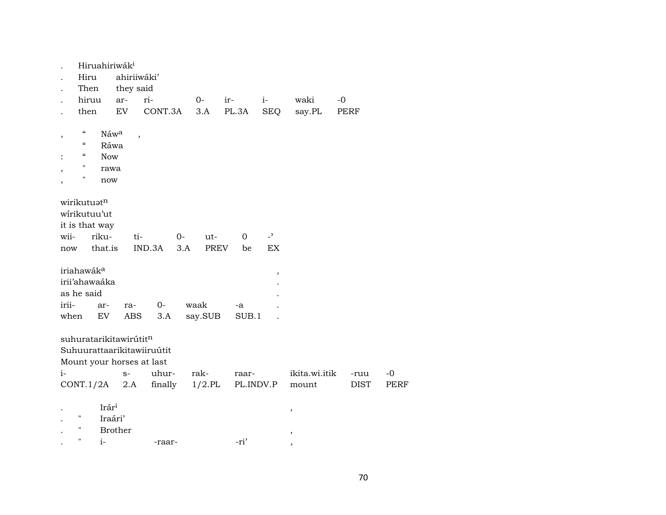|             | Hiruahiriwák <sup>i</sup>                                         |                                                                                           |         |                                   |                   |                      |               |             |             |
|-------------|-------------------------------------------------------------------|-------------------------------------------------------------------------------------------|---------|-----------------------------------|-------------------|----------------------|---------------|-------------|-------------|
|             | Hiru                                                              | ahiriiwáki'                                                                               |         |                                   |                   |                      |               |             |             |
|             | Then                                                              | they said                                                                                 |         |                                   |                   |                      |               |             |             |
|             | hiruu                                                             | ar-                                                                                       | ri-     | $0-$                              | ir-               | $i-$                 | waki          | $-0$        |             |
|             | then                                                              | EV                                                                                        | CONT.3A | 3.A                               | PL.3A             | <b>SEQ</b>           | say.PL        | PERF        |             |
|             | $\epsilon$<br>$\epsilon$<br>$\epsilon$<br>11<br>н                 | Náwa<br>$\overline{\phantom{a}}$<br>Ráwa<br><b>Now</b><br>rawa<br>now                     |         |                                   |                   |                      |               |             |             |
| wii-<br>now | wirikutuatn<br>wirikutuu'ut<br>it is that way<br>riku-<br>that.is | ti-                                                                                       | IND.3A  | $0-$<br>ut-<br>3.A<br><b>PREV</b> | $\mathbf 0$<br>be | $\overline{a}$<br>EX |               |             |             |
|             | iriahawák <sup>a</sup><br>irii'ahawaáka<br>as he said             |                                                                                           |         |                                   |                   | $\,$                 |               |             |             |
| irii-       | ar-                                                               | ra-                                                                                       | $O -$   | waak                              | -a                |                      |               |             |             |
| when        | EV                                                                | ABS                                                                                       | 3.A     | say.SUB                           | SUB.1             |                      |               |             |             |
| $i-$        |                                                                   | suhuratarikitawirútitn<br>Suhuurattaarikitawiiruútit<br>Mount your horses at last<br>$S-$ | uhur-   | rak-                              | raar-             |                      | ikita.wi.itik | -ruu        | $-0$        |
|             |                                                                   | $CONT.1/2A$ 2.A                                                                           | finally | $1/2$ .PL                         |                   | PL.INDV.P            | mount         | <b>DIST</b> | <b>PERF</b> |
|             | Ħ<br>Н<br>$\pmb{\mathsf{H}}$<br>$i-$                              | Irári<br>Iraári'<br><b>Brother</b>                                                        | -raar-  |                                   | -ri'              |                      | ,<br>,        |             |             |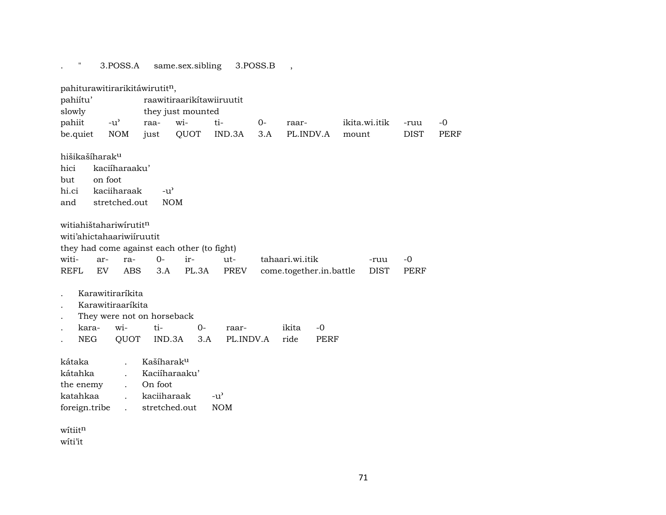. " 3.POSS.A same.sex.sibling 3.POSS.B , pahiturawitirarikitáwirutit<sup>n</sup>, pahiítu' raawitiraarikítawiiruutit slowly they just mounted pahiit -u" raa- wi- ti- 0- raar- ikita.wi.itik -ruu -0 be.quiet NOM just QUOT IND.3A 3.A PL.INDV.A mount DIST PERF hišikašíharak<sup>u</sup> hici kaciíharaaku' but on foot hi.ci kaciiharaak -u' and stretched.out NOM witiahištahariwírutitn witi'ahictahaariwiíruutit they had come against each other (to fight) witi- ar- ra- 0- ir- ut- tahaari.wi.itik -ruu -0 REFL EV ABS 3.A PL.3A PREV come.together.in.battle DIST PERF . Karawitiraríkita . Karawitiraaríkita . They were not on horseback . kara- wi- ti- 0- raar- ikita -0 . NEG QUOT IND.3A 3.A PL.INDV.A ride PERF kátaka . Kašíharak<sup>u</sup> kátahka . Kaciíharaaku' the enemy . On foot katahkaa . kaciiharaak -u" foreign.tribe . stretched.out NOM  $w$ ítiit $<sup>n</sup>$ </sup> wíti'it

71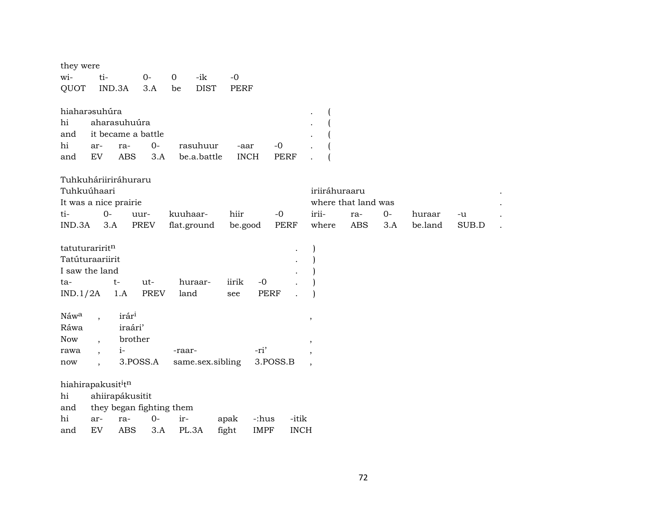| they were                      |                          |                                    |              |          |                  |               |                      |             |                      |                     |            |     |         |       |  |
|--------------------------------|--------------------------|------------------------------------|--------------|----------|------------------|---------------|----------------------|-------------|----------------------|---------------------|------------|-----|---------|-------|--|
| wi-                            | ti-                      |                                    | $O -$        | $\Omega$ | -ik              | $-0$          |                      |             |                      |                     |            |     |         |       |  |
| QUOT                           |                          | IND.3A                             | 3.A          | be       | <b>DIST</b>      | PERF          |                      |             |                      |                     |            |     |         |       |  |
| hiaharasuhúra                  |                          |                                    |              |          |                  |               |                      |             |                      |                     |            |     |         |       |  |
| hi<br>and                      |                          | aharasuhuúra<br>it became a battle |              |          |                  |               |                      |             |                      |                     |            |     |         |       |  |
| hi                             | ar-                      | ra-                                | 0-           |          | rasuhuur         | -aar          |                      | $-0$        |                      |                     |            |     |         |       |  |
| and                            | EV                       | ABS                                | 3.A          |          | be.a.battle      | <b>INCH</b>   |                      | <b>PERF</b> |                      |                     |            |     |         |       |  |
| Tuhkuháriiriráhuraru           |                          |                                    |              |          |                  |               |                      |             |                      |                     |            |     |         |       |  |
| Tuhkuúhaari                    |                          |                                    |              |          |                  |               |                      |             |                      | iriiráhuraaru       |            |     |         |       |  |
| It was a nice prairie          |                          |                                    |              |          |                  |               |                      |             |                      | where that land was |            |     |         |       |  |
| ti-                            | $0-$                     |                                    | uur-         | kuuhaar- |                  | hiir          |                      | $-0$        |                      | irii-               | ra-        | 0-  | huraar  | -u    |  |
| IND.3A                         | 3.A                      |                                    | PREV         |          | flat.ground      | be.good       |                      | <b>PERF</b> |                      | where               | <b>ABS</b> | 3.A | be.land | SUB.D |  |
| tatuturariritn                 |                          |                                    |              |          |                  |               |                      |             |                      |                     |            |     |         |       |  |
| Tatúturaariirit                |                          |                                    |              |          |                  |               |                      |             |                      |                     |            |     |         |       |  |
| I saw the land                 |                          |                                    |              |          |                  |               |                      |             |                      |                     |            |     |         |       |  |
| ta-                            |                          | t-                                 | ut-          |          | huraar-          | iirik         | $-0$                 |             |                      |                     |            |     |         |       |  |
| IND.1/2A                       |                          | 1.A                                | <b>PREV</b>  | land     |                  | see           | <b>PERF</b>          |             |                      |                     |            |     |         |       |  |
| Náwa                           |                          | irár <sup>i</sup>                  |              |          |                  |               |                      |             |                      | $^\mathrm{,}$       |            |     |         |       |  |
| Ráwa                           |                          | iraári'                            |              |          |                  |               |                      |             |                      |                     |            |     |         |       |  |
| <b>Now</b>                     | $\cdot$                  | brother                            |              |          |                  |               |                      |             |                      |                     |            |     |         |       |  |
| rawa                           | $\overline{\phantom{a}}$ | $i-$                               |              | -raar-   |                  |               | -ri'                 |             |                      |                     |            |     |         |       |  |
| now                            |                          |                                    | 3.POSS.A     |          | same.sex.sibling |               | 3.POSS.B             |             |                      |                     |            |     |         |       |  |
| hiahirapakusit <sup>i</sup> tn |                          |                                    |              |          |                  |               |                      |             |                      |                     |            |     |         |       |  |
| hi                             |                          | ahiirapákusitit                    |              |          |                  |               |                      |             |                      |                     |            |     |         |       |  |
| and                            |                          | they began fighting them           |              |          |                  |               |                      |             |                      |                     |            |     |         |       |  |
| hi<br>and                      | ar-<br>${\rm EV}$        | ra-<br><b>ABS</b>                  | $O -$<br>3.A | ir-      | PL.3A            | apak<br>fight | -:hus<br><b>IMPF</b> |             | -itik<br><b>INCH</b> |                     |            |     |         |       |  |
|                                |                          |                                    |              |          |                  |               |                      |             |                      |                     |            |     |         |       |  |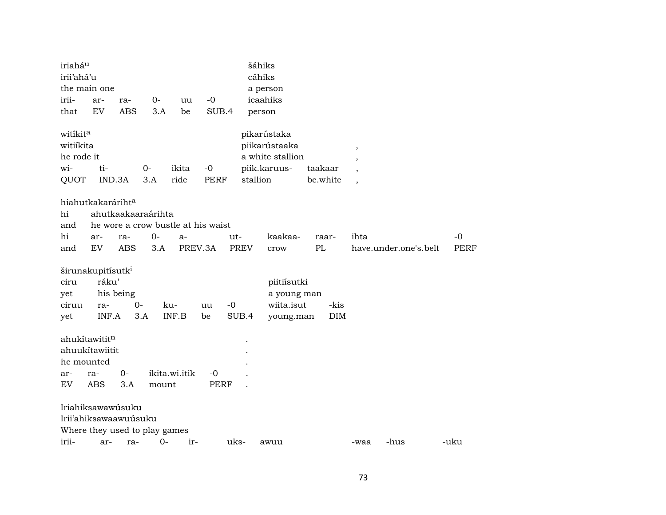| iriahá <sup>u</sup><br>irii'ahá'u<br>irii-<br>that | the main one<br>ar-<br>EV                              | ra-<br><b>ABS</b> | 0-<br>3.A                     | uu<br>be      | $-0$<br>SUB.4                      |             | šáhiks<br>cáhiks<br>a person<br>icaahiks<br>person               |                     |                    |                                                                 |                       |             |  |
|----------------------------------------------------|--------------------------------------------------------|-------------------|-------------------------------|---------------|------------------------------------|-------------|------------------------------------------------------------------|---------------------|--------------------|-----------------------------------------------------------------|-----------------------|-------------|--|
| witikita<br>witiikita<br>he rode it<br>wi-<br>QUOT | ti-<br>IND.3A                                          |                   | $0-$<br>3.A                   | ikita<br>ride | $-0$<br><b>PERF</b>                | stallion    | pikarústaka<br>piikarústaaka<br>a white stallion<br>piik.karuus- | taakaar<br>be.white |                    | $\overline{\phantom{a}}$<br>$\cdot$<br>$\overline{\phantom{a}}$ |                       |             |  |
| hi<br>and<br>hi                                    | hiahutkakarárihta<br>ar-                               | ra-               | ahutkaakaaraárihta<br>$0-$    | $a-$          | he wore a crow bustle at his waist | ut-         | kaakaa-                                                          |                     | raar-              | ihta                                                            |                       | $-0$        |  |
| and                                                | EV                                                     | <b>ABS</b>        | 3.A                           |               | PREV.3A                            | <b>PREV</b> | crow                                                             | PL                  |                    |                                                                 | have.under.one's.belt | <b>PERF</b> |  |
| ciru<br>yet<br>ciruu<br>yet                        | širunakupitísutk <sup>i</sup><br>ráku'<br>ra-<br>INF.A | his being         | $0 -$<br>3.A                  | ku-<br>INF.B  | $-0$<br>uu<br>be                   | SUB.4       | piitiísutki<br>a young man<br>wiita.isut<br>young.man            |                     | -kis<br><b>DIM</b> |                                                                 |                       |             |  |
| he mounted                                         | ahukítawititn<br>ahuukítawiitit                        |                   |                               |               |                                    |             |                                                                  |                     |                    |                                                                 |                       |             |  |
| ar-<br>EV                                          | ra-<br><b>ABS</b>                                      | $0-$<br>3.A       | mount                         | ikita.wi.itik | $-0$<br>PERF                       |             |                                                                  |                     |                    |                                                                 |                       |             |  |
|                                                    | Iriahiksawawúsuku<br>Irii'ahiksawaawuúsuku             |                   | Where they used to play games |               |                                    |             |                                                                  |                     |                    |                                                                 |                       |             |  |
| irii-                                              | ar-                                                    | ra-               | $0-$                          | ir-           |                                    | uks-        | awuu                                                             |                     |                    | -waa                                                            | -hus                  | -uku        |  |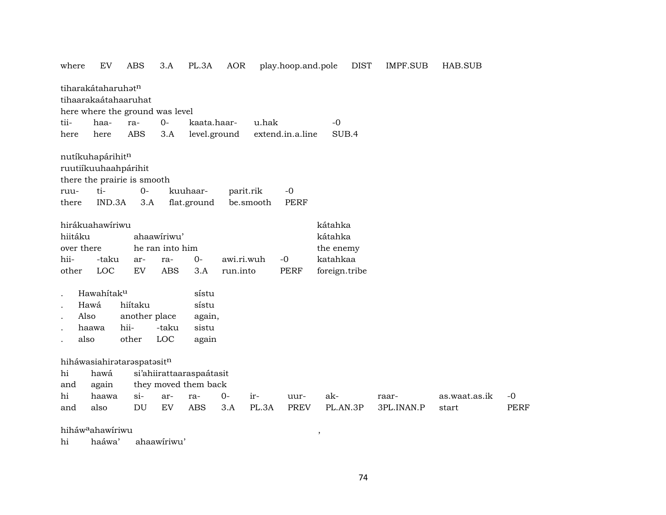| where |            | EV                             | <b>ABS</b>                  | 3.A                             | PL.3A                    | AOR        |           | play.hoop.and.pole |               | <b>DIST</b> | <b>IMPF.SUB</b> | HAB.SUB       |             |
|-------|------------|--------------------------------|-----------------------------|---------------------------------|--------------------------|------------|-----------|--------------------|---------------|-------------|-----------------|---------------|-------------|
|       |            | tiharakátaharuhat <sup>n</sup> |                             |                                 |                          |            |           |                    |               |             |                 |               |             |
|       |            |                                | tihaarakaátahaaruhat        |                                 |                          |            |           |                    |               |             |                 |               |             |
|       |            |                                |                             | here where the ground was level |                          |            |           |                    |               |             |                 |               |             |
| tii-  |            | haa-                           | ra-                         | $0-$                            | kaata.haar-              |            | u.hak     |                    | $-0$          |             |                 |               |             |
| here  |            | here                           | <b>ABS</b>                  | 3.A                             | level.ground             |            |           | extend.in.a.line   | SUB.4         |             |                 |               |             |
|       |            | nutíkuhapárihitn               |                             |                                 |                          |            |           |                    |               |             |                 |               |             |
|       |            |                                | ruutiíkuuhaahpárihit        |                                 |                          |            |           |                    |               |             |                 |               |             |
|       |            |                                | there the prairie is smooth |                                 |                          |            |           |                    |               |             |                 |               |             |
| ruu-  |            | ti-                            | $0-$                        |                                 | kuuhaar-                 | parit.rik  |           | $-0$               |               |             |                 |               |             |
| there |            | IND.3A                         | 3.A                         |                                 | flat.ground              |            | be.smooth | <b>PERF</b>        |               |             |                 |               |             |
|       |            | hirákuahawíriwu                |                             |                                 |                          |            |           |                    | kátahka       |             |                 |               |             |
|       | hiitáku    |                                |                             | ahaawiriwu'                     |                          |            |           |                    | kátahka       |             |                 |               |             |
|       | over there |                                |                             | he ran into him                 |                          |            |           |                    | the enemy     |             |                 |               |             |
| hii-  |            | -taku                          | ar-                         | ra-                             | $0-$                     | awi.ri.wuh |           | $-0$               | katahkaa      |             |                 |               |             |
| other |            | LOC                            | EV                          | <b>ABS</b>                      | 3.A                      | run.into   |           | <b>PERF</b>        | foreign.tribe |             |                 |               |             |
|       |            | Hawahitak <sup>u</sup>         |                             |                                 | sístu                    |            |           |                    |               |             |                 |               |             |
|       | Hawá       |                                | hiítaku                     |                                 | sístu                    |            |           |                    |               |             |                 |               |             |
|       | Also       |                                | another place               |                                 | again,                   |            |           |                    |               |             |                 |               |             |
|       | haawa      |                                | hii-                        | -taku                           | sistu                    |            |           |                    |               |             |                 |               |             |
|       | also       |                                | other                       | LOC                             | again                    |            |           |                    |               |             |                 |               |             |
|       |            |                                | hiháwasiahirataraspatasitn  |                                 |                          |            |           |                    |               |             |                 |               |             |
| hi    |            | hawá                           |                             |                                 | si'ahiirattaaraspaátasit |            |           |                    |               |             |                 |               |             |
| and   |            | again                          |                             |                                 | they moved them back     |            |           |                    |               |             |                 |               |             |
| hi    |            | haawa                          | $\sin$                      | ar-                             | ra-                      | $0 -$      | ir-       | uur-               | ak-           |             | raar-           | as.waat.as.ik | $-0$        |
| and   |            | also                           | DU                          | EV                              | <b>ABS</b>               | 3.A        | PL.3A     | <b>PREV</b>        | PL.AN.3P      |             | 3PL.INAN.P      | start         | <b>PERF</b> |

## hiháw°ahawíriwu ,

hi haáwa' ahaawíriwu'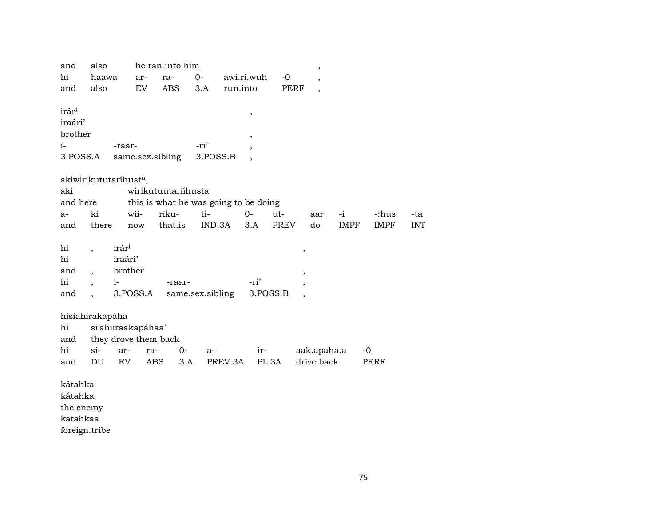| and               | also                     |                       | he ran into him                       |                  |                          |          |                          | ,                         |             |             |            |
|-------------------|--------------------------|-----------------------|---------------------------------------|------------------|--------------------------|----------|--------------------------|---------------------------|-------------|-------------|------------|
| hi                | haawa                    | ar-                   | ra-                                   | $0-$             | awi.ri.wuh               |          | $-0$                     |                           |             |             |            |
| and               | also                     | EV                    | <b>ABS</b>                            | 3.A              | run.into                 |          | <b>PERF</b>              | $\overline{\phantom{a}}$  |             |             |            |
|                   |                          |                       |                                       |                  |                          |          |                          |                           |             |             |            |
| irár <sup>i</sup> |                          |                       |                                       |                  | $\, ,$                   |          |                          |                           |             |             |            |
| iraári'           |                          |                       |                                       |                  |                          |          |                          |                           |             |             |            |
| brother           |                          |                       |                                       |                  | $\overline{\phantom{a}}$ |          |                          |                           |             |             |            |
| i-                |                          | -raar-                |                                       | -ri'             |                          |          |                          |                           |             |             |            |
| 3.POSS.A          |                          |                       | same.sex.sibling                      | 3.POSS.B         |                          |          |                          |                           |             |             |            |
|                   |                          |                       |                                       |                  |                          |          |                          |                           |             |             |            |
|                   |                          | akiwirikututaríhusta, |                                       |                  |                          |          |                          |                           |             |             |            |
| aki               |                          |                       | wirikutuutariihusta                   |                  |                          |          |                          |                           |             |             |            |
| and here          |                          |                       | this is what he was going to be doing |                  |                          |          |                          |                           |             |             |            |
| a-                | ki                       | wii-                  | riku-                                 | ti-              | $0 -$                    | ut-      |                          | aar                       | -i          | -:hus       | -ta        |
| and               | there                    | now                   | that.is                               | IND.3A           |                          | 3.A      | <b>PREV</b>              | do                        | <b>IMPF</b> | <b>IMPF</b> | <b>INT</b> |
|                   |                          |                       |                                       |                  |                          |          |                          |                           |             |             |            |
| hi                | $\overline{\phantom{a}}$ | irár <sup>i</sup>     |                                       |                  |                          |          | $\, ,$                   |                           |             |             |            |
| hi                |                          | iraári'               |                                       |                  |                          |          |                          |                           |             |             |            |
| and               | $\overline{\phantom{a}}$ | brother               |                                       |                  |                          |          | $^\mathrm{,}$            |                           |             |             |            |
| hi                | $\overline{\phantom{a}}$ | $i-$                  | -raar-                                |                  |                          | -ri'     | $\overline{\phantom{a}}$ |                           |             |             |            |
| and               |                          | 3.POSS.A              |                                       | same.sex.sibling |                          | 3.POSS.B |                          |                           |             |             |            |
|                   |                          |                       |                                       |                  |                          |          |                          |                           |             |             |            |
| hi                | hisiahirakapáha          |                       |                                       |                  |                          |          |                          |                           |             |             |            |
|                   |                          | si'ahiiraakapáhaa'    |                                       |                  |                          |          |                          |                           |             |             |            |
| and<br>hi         | $si-$                    |                       | they drove them back                  |                  |                          |          |                          |                           |             |             |            |
|                   |                          | ar-                   | ra-                                   | $0-$<br>$a-$     |                          | ir-      |                          | aak.apaha.a<br>drive.back |             | $-0$        |            |
| and               | DU                       | EV                    | <b>ABS</b>                            | 3.A              | PREV.3A                  | PL.3A    |                          |                           |             | PERF        |            |
| kátahka           |                          |                       |                                       |                  |                          |          |                          |                           |             |             |            |
| kátahka           |                          |                       |                                       |                  |                          |          |                          |                           |             |             |            |
| the enemy         |                          |                       |                                       |                  |                          |          |                          |                           |             |             |            |
| katahkaa          |                          |                       |                                       |                  |                          |          |                          |                           |             |             |            |

foreign.tribe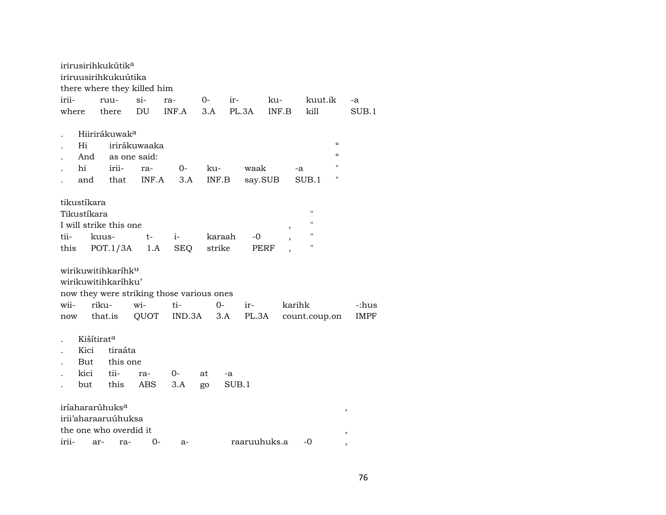|                            |                            |         | irirusirihkukútik <sup>a</sup><br>iriruusirihkukuútika                              | there where they killed him               |            |        |        |       |              |       |        |                    |                            |             |
|----------------------------|----------------------------|---------|-------------------------------------------------------------------------------------|-------------------------------------------|------------|--------|--------|-------|--------------|-------|--------|--------------------|----------------------------|-------------|
| irii-                      |                            |         | ruu-                                                                                | $\sin$                                    | ra-        |        | $0-$   | $ir-$ |              | ku-   |        | kuut.ik            |                            | $-a$        |
| where                      |                            |         | there                                                                               | DU                                        | INF.A      |        | 3.A    | PL.3A |              | INF.B |        | kill               |                            | SUB.1       |
|                            |                            |         |                                                                                     |                                           |            |        |        |       |              |       |        |                    |                            |             |
|                            |                            |         | Hiirirákuwak <sup>a</sup>                                                           |                                           |            |        |        |       |              |       |        |                    |                            |             |
|                            | Hi                         |         |                                                                                     | irirákuwaaka                              |            |        |        |       |              |       |        |                    | $\boldsymbol{\mathcal{C}}$ |             |
|                            | And                        |         |                                                                                     | as one said:                              |            |        |        |       |              |       |        |                    | $\alpha$                   |             |
|                            | hi                         |         | irii-                                                                               | ra-                                       | $O -$      |        | ku-    |       | waak         |       | -a     |                    | $\pmb{\mathsf{H}}$         |             |
|                            | and                        |         | that                                                                                | INF.A                                     |            | 3.A    | INF.B  |       | say.SUB      |       |        | SUB.1              | 11                         |             |
|                            |                            |         |                                                                                     |                                           |            |        |        |       |              |       |        |                    |                            |             |
| tikustíkara<br>Tikustíkara |                            |         |                                                                                     |                                           |            |        |        |       |              |       |        | $\pmb{\mathsf{H}}$ |                            |             |
|                            |                            |         | I will strike this one                                                              |                                           |            |        |        |       |              |       | $\, ,$ | $^{\prime\prime}$  |                            |             |
| tii-                       |                            | kuus-   |                                                                                     | $t-$                                      | $i-$       |        | karaah |       | -0           |       |        | $\pmb{\mathsf{H}}$ |                            |             |
| this                       |                            |         |                                                                                     | $POT.1/3A$ 1.A                            | <b>SEQ</b> |        | strike |       | PERF         |       |        | $\pmb{\mathsf{H}}$ |                            |             |
|                            |                            |         | wirikuwitihkaríhk <sup>u</sup><br>wirikuwitihkarihku'                               | now they were striking those various ones |            |        |        |       |              |       |        |                    |                            |             |
| wii-                       |                            | riku-   |                                                                                     | wi-                                       | ti-        |        | $O -$  |       | ir-          |       | karihk |                    |                            | -:hus       |
| now                        |                            | that.is |                                                                                     | QUOT                                      |            | IND.3A |        | 3.A   | PL.3A        |       |        | count.coup.on      |                            | <b>IMPF</b> |
|                            | Kišítirata<br>Kici<br>kici |         | tiraáta<br>But this one<br>tii-                                                     | ra-                                       | 0-         |        | at     | -a    |              |       |        |                    |                            |             |
|                            | but                        |         | this                                                                                | ABS                                       | 3.A        |        | go     | SUB.1 |              |       |        |                    |                            |             |
| irii-                      |                            | ar-     | iríahararúhuks <sup>a</sup><br>irii'aharaaruúhuksa<br>the one who overdid it<br>ra- | 0-                                        | a-         |        |        |       | raaruuhuks.a |       |        | -0                 | $\,$<br>$\,$               |             |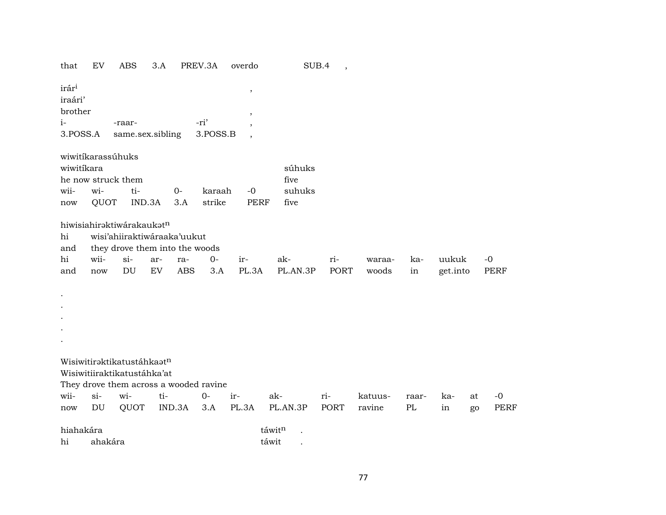| that                                                        | EV                                   | <b>ABS</b>                                                                                                | 3.A       |                   | PREV.3A          | overdo                                      | SUB.4                            | $\overline{\phantom{a}}$ |                   |                   |                   |          |                     |
|-------------------------------------------------------------|--------------------------------------|-----------------------------------------------------------------------------------------------------------|-----------|-------------------|------------------|---------------------------------------------|----------------------------------|--------------------------|-------------------|-------------------|-------------------|----------|---------------------|
| irár <sup>i</sup><br>iraári'<br>brother<br>$i-$<br>3.POSS.A |                                      | -raar-<br>same.sex.sibling                                                                                |           |                   | -ri'<br>3.POSS.B | $\,$<br>$\overline{\phantom{a}}$<br>$\cdot$ |                                  |                          |                   |                   |                   |          |                     |
| wiwitikara<br>wii-<br>now                                   | wiwitikarassúhuks<br>wi-<br>QUOT     | he now struck them<br>ti-                                                                                 | IND.3A    | $O -$<br>3.A      | karaah<br>strike | $-0$<br><b>PERF</b>                         | súhuks<br>five<br>suhuks<br>five |                          |                   |                   |                   |          |                     |
| hi<br>and<br>hi<br>and                                      | wii-<br>now                          | hiwisiahiraktiwárakaukatn<br>wisi'ahiiraktiwáraaka'uukut<br>they drove them into the woods<br>$si-$<br>DU | ar-<br>EV | ra-<br><b>ABS</b> | $O -$<br>3.A     | ir-<br>PL.3A                                | ak-<br>PL.AN.3P                  | ri-<br>PORT              | waraa-<br>woods   | ka-<br>in         | uukuk<br>get.into |          | $-0$<br><b>PERF</b> |
|                                                             |                                      | Wisiwitiraktikatustáhkaatn<br>Wisiwitiiraktikatustáhka'at<br>They drove them across a wooded ravine       |           |                   |                  |                                             |                                  |                          |                   |                   |                   |          |                     |
| wii-<br>$\operatorname{now}$                                | $si$ -<br>$\mathop{\rm DU}\nolimits$ | wi-<br>QUOT                                                                                               | ti-       | IND.3A            | $0-$<br>3.A      | ir-<br>PL.3A                                | ak-<br>PL.AN.3P                  | ri-<br>PORT              | katuus-<br>ravine | raar-<br>$\rm PL$ | ka-<br>in         | at<br>go | $-0$<br><b>PERF</b> |
| hiahakára<br>hi                                             | ahakára                              |                                                                                                           |           |                   |                  |                                             | táwitn<br>táwit                  |                          |                   |                   |                   |          |                     |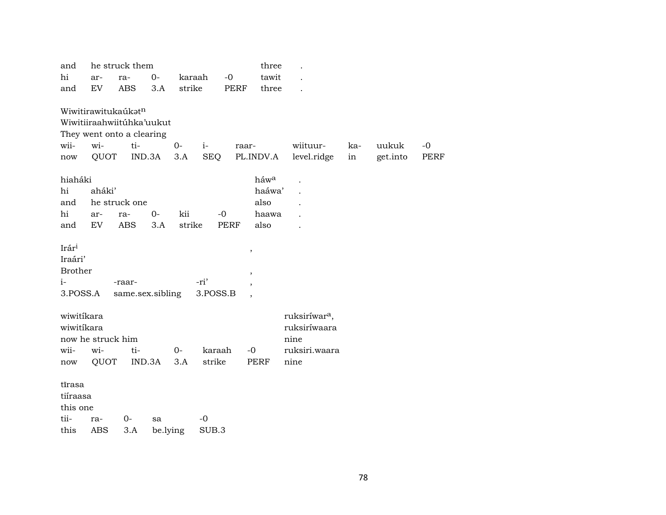| and            |                   | he struck them            |        |          |            |             | three                   |                           |     |          |             |
|----------------|-------------------|---------------------------|--------|----------|------------|-------------|-------------------------|---------------------------|-----|----------|-------------|
| hi             | ar-               | ra-                       | $O -$  |          | karaah     | $-0$        | tawit                   |                           |     |          |             |
| and            | <b>EV</b>         | <b>ABS</b>                | 3.A    | strike   |            | <b>PERF</b> | three                   |                           |     |          |             |
|                |                   |                           |        |          |            |             |                         |                           |     |          |             |
|                |                   | Wiwitirawitukaúkatn       |        |          |            |             |                         |                           |     |          |             |
|                |                   | Wiwitiiraahwiitúhka'uukut |        |          |            |             |                         |                           |     |          |             |
|                |                   | They went onto a clearing |        |          |            |             |                         |                           |     |          |             |
| wii-           | wi-               | ti-                       |        | $0-$     | $i-$       | raar-       |                         | wiituur-                  | ka- | uukuk    | $-0$        |
| now            | QUOT              |                           | IND.3A | 3.A      | <b>SEQ</b> |             | PL.INDV.A               | level.ridge               | in  | get.into | <b>PERF</b> |
| hiaháki        |                   |                           |        |          |            |             | háw <sup>a</sup>        |                           |     |          |             |
| hi             | aháki'            |                           |        |          |            |             | haáwa'                  |                           |     |          |             |
| and            |                   | he struck one             |        |          |            |             | also                    |                           |     |          |             |
| hi             | ar-               | ra-                       | $0-$   | kii      |            | $-0$        | haawa                   |                           |     |          |             |
| and            | EV                | <b>ABS</b>                | 3.A    | strike   |            | <b>PERF</b> | also                    |                           |     |          |             |
|                |                   |                           |        |          |            |             |                         |                           |     |          |             |
| Irári          |                   |                           |        |          |            |             | $^\mathrm{^\mathrm{o}}$ |                           |     |          |             |
| Iraári'        |                   |                           |        |          |            |             |                         |                           |     |          |             |
| <b>Brother</b> |                   |                           |        |          |            |             | ,                       |                           |     |          |             |
| $i-$           |                   | -raar-                    |        |          | -ri'       |             |                         |                           |     |          |             |
| 3.POSS.A       |                   | same.sex.sibling          |        |          | 3.POSS.B   |             |                         |                           |     |          |             |
|                |                   |                           |        |          |            |             |                         |                           |     |          |             |
| wiwitíkara     |                   |                           |        |          |            |             |                         | ruksiríwar <sup>a</sup> , |     |          |             |
| wiwitíkara     |                   |                           |        |          |            |             |                         | ruksiríwaara              |     |          |             |
|                | now he struck him |                           |        |          |            |             |                         | nine                      |     |          |             |
| wii-           | wi-               | ti-                       |        | $0-$     | karaah     |             | $-0$                    | ruksiri.waara             |     |          |             |
| now            | QUOT              |                           | IND.3A | 3.A      | strike     |             | <b>PERF</b>             | nine                      |     |          |             |
| tīrasa         |                   |                           |        |          |            |             |                         |                           |     |          |             |
| tiíraasa       |                   |                           |        |          |            |             |                         |                           |     |          |             |
| this one       |                   |                           |        |          |            |             |                         |                           |     |          |             |
| tii-           |                   | $0-$                      | sa     |          | -0         |             |                         |                           |     |          |             |
| this           | ra-<br><b>ABS</b> | 3.A                       |        |          | SUB.3      |             |                         |                           |     |          |             |
|                |                   |                           |        | be.lying |            |             |                         |                           |     |          |             |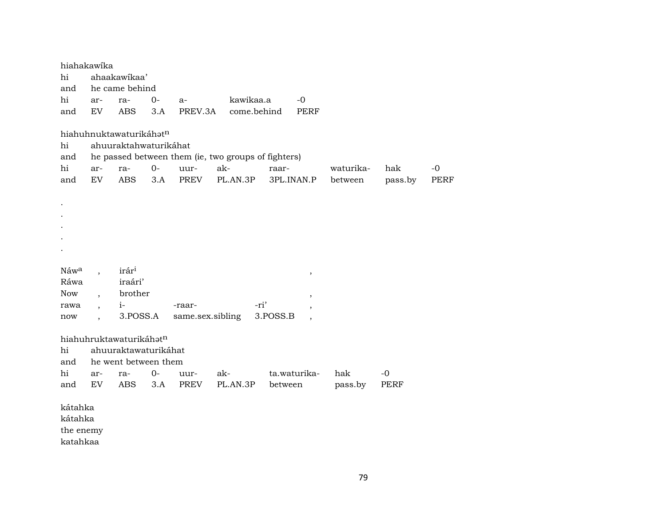|                  | hiahakawika              |                         |      |                  |                                                     |          |                          |           |             |             |
|------------------|--------------------------|-------------------------|------|------------------|-----------------------------------------------------|----------|--------------------------|-----------|-------------|-------------|
| hi               |                          | ahaakawikaa'            |      |                  |                                                     |          |                          |           |             |             |
| and              |                          | he came behind          |      |                  |                                                     |          |                          |           |             |             |
| hi               | ar-                      | ra-                     | $0-$ | $a-$             | kawikaa.a                                           |          | $-0$                     |           |             |             |
| and              | EV                       | <b>ABS</b>              | 3.A  | PREV.3A          | come.behind                                         |          | PERF                     |           |             |             |
|                  |                          |                         |      |                  |                                                     |          |                          |           |             |             |
|                  |                          | hiahuhnuktawaturikáhatn |      |                  |                                                     |          |                          |           |             |             |
| hi               |                          | ahuuraktahwaturikáhat   |      |                  |                                                     |          |                          |           |             |             |
| and              |                          |                         |      |                  | he passed between them (ie, two groups of fighters) |          |                          |           |             |             |
| hi               | ar-                      | ra-                     | $0-$ | uur-             | ak-                                                 | raar-    |                          | waturika- | hak         | $-0$        |
| and              | EV                       | <b>ABS</b>              | 3.A  | <b>PREV</b>      | PL.AN.3P                                            |          | 3PL.INAN.P               | between   | pass.by     | <b>PERF</b> |
|                  |                          |                         |      |                  |                                                     |          |                          |           |             |             |
|                  |                          |                         |      |                  |                                                     |          |                          |           |             |             |
|                  |                          |                         |      |                  |                                                     |          |                          |           |             |             |
|                  |                          |                         |      |                  |                                                     |          |                          |           |             |             |
|                  |                          |                         |      |                  |                                                     |          |                          |           |             |             |
|                  |                          |                         |      |                  |                                                     |          |                          |           |             |             |
|                  |                          |                         |      |                  |                                                     |          |                          |           |             |             |
| Náw <sup>a</sup> |                          | irár <sup>i</sup>       |      |                  |                                                     |          | $\, ,$                   |           |             |             |
| Ráwa             |                          | iraári'                 |      |                  |                                                     |          |                          |           |             |             |
| Now              | $\ddot{\phantom{0}}$     | brother                 |      |                  |                                                     |          | $^\mathrm{^\mathrm{o}}$  |           |             |             |
| rawa             | $\overline{\phantom{a}}$ | $i-$                    |      | -raar-           | -ri'                                                |          | $\overline{\phantom{a}}$ |           |             |             |
| now              |                          | 3.POSS.A                |      | same.sex.sibling |                                                     | 3.POSS.B | $\overline{\phantom{a}}$ |           |             |             |
|                  |                          |                         |      |                  |                                                     |          |                          |           |             |             |
|                  |                          | hiahuhruktawaturikáhatn |      |                  |                                                     |          |                          |           |             |             |
| hi               |                          | ahuuraktawaturikáhat    |      |                  |                                                     |          |                          |           |             |             |
| and              |                          | he went between them    |      |                  |                                                     |          |                          |           |             |             |
| hi               | ar-                      | ra-                     | 0-   | uur-             | ak-                                                 |          | ta.waturika-             | hak       | $-0$        |             |
| and              | EV                       | <b>ABS</b>              | 3.A  | PREV             | PL.AN.3P                                            | between  |                          | pass.by   | <b>PERF</b> |             |
| kátahka          |                          |                         |      |                  |                                                     |          |                          |           |             |             |
| kátahka          |                          |                         |      |                  |                                                     |          |                          |           |             |             |
| the enemy        |                          |                         |      |                  |                                                     |          |                          |           |             |             |
| katahkaa         |                          |                         |      |                  |                                                     |          |                          |           |             |             |
|                  |                          |                         |      |                  |                                                     |          |                          |           |             |             |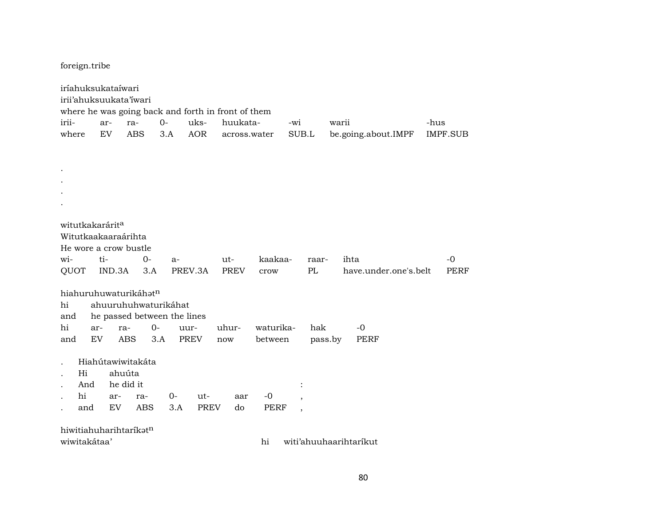foreign.tribe

|       | iríahuksukataíwari                 |        |                   |                             |      |             |                                                    |             |                          |         |       |                        |      |                 |
|-------|------------------------------------|--------|-------------------|-----------------------------|------|-------------|----------------------------------------------------|-------------|--------------------------|---------|-------|------------------------|------|-----------------|
|       | irii'ahuksuukata'iwari             |        |                   |                             |      |             |                                                    |             |                          |         |       |                        |      |                 |
|       |                                    |        |                   |                             |      |             | where he was going back and forth in front of them |             |                          |         |       |                        |      |                 |
| irii- |                                    | ar-    | ra-               | $0-$                        |      | uks-        | huukata-                                           |             | -wi                      |         | warii |                        | -hus |                 |
| where |                                    | EV     | <b>ABS</b>        |                             | 3.A  | <b>AOR</b>  | across.water                                       |             | SUB.L                    |         |       | be.going.about.IMPF    |      | <b>IMPF.SUB</b> |
|       |                                    |        |                   |                             |      |             |                                                    |             |                          |         |       |                        |      |                 |
|       |                                    |        |                   |                             |      |             |                                                    |             |                          |         |       |                        |      |                 |
|       |                                    |        |                   |                             |      |             |                                                    |             |                          |         |       |                        |      |                 |
|       |                                    |        |                   |                             |      |             |                                                    |             |                          |         |       |                        |      |                 |
|       |                                    |        |                   |                             |      |             |                                                    |             |                          |         |       |                        |      |                 |
|       |                                    |        |                   |                             |      |             |                                                    |             |                          |         |       |                        |      |                 |
|       |                                    |        |                   |                             |      |             |                                                    |             |                          |         |       |                        |      |                 |
|       | witutkakarárita                    |        |                   |                             |      |             |                                                    |             |                          |         |       |                        |      |                 |
|       | Witutkaakaaraárihta                |        |                   |                             |      |             |                                                    |             |                          |         |       |                        |      |                 |
|       | He wore a crow bustle              |        |                   |                             |      |             |                                                    |             |                          |         |       |                        |      |                 |
| wi-   |                                    | ti-    |                   | $O -$                       | a-   |             | ut-                                                | kaakaa-     |                          | raar-   |       | ihta                   |      | $-0$            |
| QUOT  |                                    | IND.3A |                   | 3.A                         |      | PREV.3A     | <b>PREV</b>                                        | crow        |                          | PL      |       | have.under.one's.belt  |      | <b>PERF</b>     |
|       |                                    |        |                   |                             |      |             |                                                    |             |                          |         |       |                        |      |                 |
|       | hiahuruhuwaturikáhatn              |        |                   |                             |      |             |                                                    |             |                          |         |       |                        |      |                 |
| hi    |                                    |        |                   | ahuuruhuhwaturikáhat        |      |             |                                                    |             |                          |         |       |                        |      |                 |
| and   |                                    |        |                   | he passed between the lines |      |             |                                                    |             |                          |         |       |                        |      |                 |
| hi    | ar-                                |        | ra-               | $0-$                        | uur- |             | uhur-                                              | waturika-   |                          | hak     |       | $-0$                   |      |                 |
| and   | EV                                 |        | <b>ABS</b>        | 3.A                         |      | <b>PREV</b> | now                                                | between     |                          | pass.by |       | <b>PERF</b>            |      |                 |
|       |                                    |        | Hiahútawiwitakáta |                             |      |             |                                                    |             |                          |         |       |                        |      |                 |
|       | Hi                                 |        | ahuúta            |                             |      |             |                                                    |             |                          |         |       |                        |      |                 |
|       | And                                |        | he did it         |                             |      |             |                                                    |             |                          |         |       |                        |      |                 |
|       | hi                                 |        |                   |                             |      |             |                                                    |             |                          |         |       |                        |      |                 |
|       |                                    | ar-    |                   | ra-                         | 0-   | ut-         | aar                                                | $-0$        |                          |         |       |                        |      |                 |
|       | and                                | EV     |                   | <b>ABS</b>                  | 3.A  | <b>PREV</b> | do                                                 | <b>PERF</b> | $\overline{\phantom{a}}$ |         |       |                        |      |                 |
|       | hiwitiahuharihtarikat <sup>n</sup> |        |                   |                             |      |             |                                                    |             |                          |         |       |                        |      |                 |
|       | wiwitakátaa'                       |        |                   |                             |      |             |                                                    | hi          |                          |         |       |                        |      |                 |
|       |                                    |        |                   |                             |      |             |                                                    |             |                          |         |       | witi'ahuuhaarihtarikut |      |                 |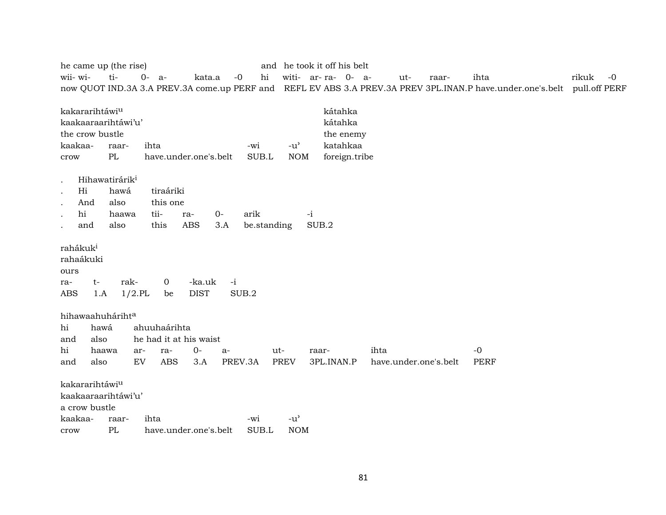| he came up (the rise)      |                            |            |              |                        |      |         |             |                                     |       | and he took it off his belt |      |     |                       |             |                                                                                                                          |       |      |
|----------------------------|----------------------------|------------|--------------|------------------------|------|---------|-------------|-------------------------------------|-------|-----------------------------|------|-----|-----------------------|-------------|--------------------------------------------------------------------------------------------------------------------------|-------|------|
| wii- wi-                   | ti-                        | $0-$<br>a- |              | kata.a                 |      | $-0$    | hi          |                                     |       | witi- ar-ra- 0- a-          |      | ut- | raar-                 | ihta        |                                                                                                                          | rikuk | $-0$ |
|                            |                            |            |              |                        |      |         |             |                                     |       |                             |      |     |                       |             | now QUOT IND.3A 3.A PREV.3A come.up PERF and REFL EV ABS 3.A PREV.3A PREV 3PL.INAN.P have.under.one's.belt pull.off PERF |       |      |
|                            |                            |            |              |                        |      |         |             |                                     |       |                             |      |     |                       |             |                                                                                                                          |       |      |
| kakararihtáwiu             |                            |            |              |                        |      |         |             |                                     |       | kátahka                     |      |     |                       |             |                                                                                                                          |       |      |
| kaakaaraarihtáwi'u'        |                            |            |              |                        |      |         |             |                                     |       | kátahka                     |      |     |                       |             |                                                                                                                          |       |      |
| the crow bustle            |                            |            |              |                        |      |         |             |                                     |       | the enemy                   |      |     |                       |             |                                                                                                                          |       |      |
| kaakaa-                    | raar-                      | ihta       |              |                        |      | -wi     |             | $-u$ <sup><math>\prime</math></sup> |       | katahkaa                    |      |     |                       |             |                                                                                                                          |       |      |
| crow                       | $\rm PL$                   |            |              | have.under.one's.belt  |      |         | SUB.L       | <b>NOM</b>                          |       | foreign.tribe               |      |     |                       |             |                                                                                                                          |       |      |
| $\bullet$                  | Hihawatirárik <sup>i</sup> |            |              |                        |      |         |             |                                     |       |                             |      |     |                       |             |                                                                                                                          |       |      |
| Hi<br>$\bullet$            | hawá                       |            | tiraáriki    |                        |      |         |             |                                     |       |                             |      |     |                       |             |                                                                                                                          |       |      |
| And<br>$\bullet$           | also                       |            | this one     |                        |      |         |             |                                     |       |                             |      |     |                       |             |                                                                                                                          |       |      |
| hi<br>$\ddot{\phantom{a}}$ | haawa                      | tii-       |              | ra-                    | $0-$ | arik    |             |                                     | $-i$  |                             |      |     |                       |             |                                                                                                                          |       |      |
| and<br>$\bullet$           | also                       | this       |              | <b>ABS</b>             | 3.A  |         | be.standing |                                     | SUB.2 |                             |      |     |                       |             |                                                                                                                          |       |      |
|                            |                            |            |              |                        |      |         |             |                                     |       |                             |      |     |                       |             |                                                                                                                          |       |      |
| rahákuk <sup>i</sup>       |                            |            |              |                        |      |         |             |                                     |       |                             |      |     |                       |             |                                                                                                                          |       |      |
| rahaákuki                  |                            |            |              |                        |      |         |             |                                     |       |                             |      |     |                       |             |                                                                                                                          |       |      |
| ours                       |                            |            |              |                        |      |         |             |                                     |       |                             |      |     |                       |             |                                                                                                                          |       |      |
| t-<br>ra-                  | rak-                       |            | 0            | -ka.uk                 | $-i$ |         |             |                                     |       |                             |      |     |                       |             |                                                                                                                          |       |      |
| <b>ABS</b><br>1.A          | $1/2$ .PL                  |            | be           | <b>DIST</b>            |      | SUB.2   |             |                                     |       |                             |      |     |                       |             |                                                                                                                          |       |      |
|                            |                            |            |              |                        |      |         |             |                                     |       |                             |      |     |                       |             |                                                                                                                          |       |      |
| hihawaahuhárihta           |                            |            |              |                        |      |         |             |                                     |       |                             |      |     |                       |             |                                                                                                                          |       |      |
| hi<br>hawá                 |                            |            | ahuuhaárihta |                        |      |         |             |                                     |       |                             |      |     |                       |             |                                                                                                                          |       |      |
| also<br>and                |                            |            |              | he had it at his waist |      |         |             |                                     |       |                             |      |     |                       |             |                                                                                                                          |       |      |
| hi<br>haawa                | ar-                        |            | ra-          | $0-$                   | $a-$ |         | ut-         |                                     | raar- |                             | ihta |     |                       | $-0$        |                                                                                                                          |       |      |
| also<br>and                | EV                         |            | <b>ABS</b>   | 3.A                    |      | PREV.3A |             | <b>PREV</b>                         |       | 3PL.INAN.P                  |      |     | have.under.one's.belt | <b>PERF</b> |                                                                                                                          |       |      |
| kakararihtáwiu             |                            |            |              |                        |      |         |             |                                     |       |                             |      |     |                       |             |                                                                                                                          |       |      |
| kaakaaraarihtáwi'u'        |                            |            |              |                        |      |         |             |                                     |       |                             |      |     |                       |             |                                                                                                                          |       |      |
| a crow bustle              |                            |            |              |                        |      |         |             |                                     |       |                             |      |     |                       |             |                                                                                                                          |       |      |
| kaakaa-                    | raar-                      | ihta       |              |                        |      | -wi     |             | $-u$ <sup><math>\prime</math></sup> |       |                             |      |     |                       |             |                                                                                                                          |       |      |
| crow                       | PL                         |            |              | have.under.one's.belt  |      |         | SUB.L       | <b>NOM</b>                          |       |                             |      |     |                       |             |                                                                                                                          |       |      |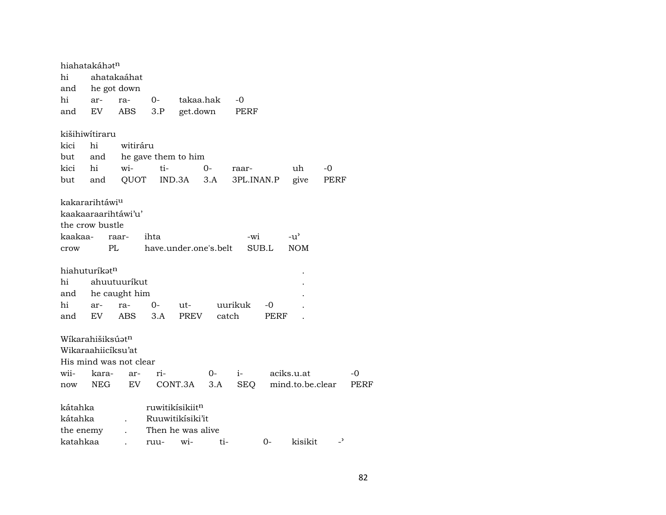|           | hiahatakáhət <sup>n</sup>    |                         |                        |           |      |              |       |                  |                          |      |
|-----------|------------------------------|-------------------------|------------------------|-----------|------|--------------|-------|------------------|--------------------------|------|
| hi        |                              | ahatakaáhat             |                        |           |      |              |       |                  |                          |      |
| and       | he got down                  |                         |                        |           |      |              |       |                  |                          |      |
| hi        | ar-                          | ra-                     | $0-$                   | takaa.hak |      | -0           |       |                  |                          |      |
| and       | EV                           | ABS                     | 3.P                    | get.down  |      | PERF         |       |                  |                          |      |
|           | kišihiwítiraru               |                         |                        |           |      |              |       |                  |                          |      |
| kici      | hi                           | witiráru                |                        |           |      |              |       |                  |                          |      |
| but       |                              | and he gave them to him |                        |           |      |              |       |                  |                          |      |
| kici      | hi                           | wi-                     | ti-                    |           | $0-$ | raar-        |       | uh               | -0                       |      |
| but       | and                          | QUOT                    |                        | IND.3A    | 3.A  | 3PL.INAN.P   |       | give             | PERF                     |      |
|           |                              |                         |                        |           |      |              |       |                  |                          |      |
|           | kakararihtáwi <sup>u</sup>   |                         |                        |           |      |              |       |                  |                          |      |
|           | kaakaaraarihtáwi'u'          |                         |                        |           |      |              |       |                  |                          |      |
|           | the crow bustle              |                         |                        |           |      |              |       |                  |                          |      |
| kaakaa-   |                              | raar-                   | ihta                   |           |      | -wi          |       | $-u^{\prime}$    |                          |      |
| crow      |                              | PL                      | have.under.one's.belt  |           |      |              | SUB.L | <b>NOM</b>       |                          |      |
|           | hiahuturíkat <sup>n</sup>    |                         |                        |           |      |              |       |                  |                          |      |
| hi        |                              | ahuutuuríkut            |                        |           |      |              |       |                  |                          |      |
| and       |                              | he caught him           |                        |           |      |              |       |                  |                          |      |
| hi        | ar-                          | ra-                     | $0-$                   | ut-       |      | uurikuk      | -0    |                  |                          |      |
| and       | EV.                          | ABS                     | 3.A                    | PREV      |      | catch        | PERF  |                  |                          |      |
|           |                              |                         |                        |           |      |              |       |                  |                          |      |
|           | Wikarahišiksúat <sup>n</sup> |                         |                        |           |      |              |       |                  |                          |      |
|           | Wikaraahiicíksu'at           |                         |                        |           |      |              |       |                  |                          |      |
|           |                              | His mind was not clear  |                        |           |      |              |       |                  |                          |      |
| wii-      | kara-                        | ar-                     | ri-                    |           | $0-$ | $i$ - $\sim$ |       | aciks.u.at       |                          | -0   |
| now       | NEG                          | EV                      |                        | CONT.3A   | 3.A  | SEQ          |       | mind.to.be.clear |                          | PERF |
|           |                              |                         | ruwitikisikiitn        |           |      |              |       |                  |                          |      |
| kátahka   |                              |                         |                        |           |      |              |       |                  |                          |      |
| kátahka   |                              |                         | Ruuwitikisiki'it       |           |      |              |       |                  |                          |      |
| the enemy |                              |                         | Then he was alive      |           |      |              |       |                  |                          |      |
| katahkaa  |                              |                         | $r1111 - W1 - W1 - 11$ |           |      |              | $O-$  | kisikit          | $\overline{\phantom{a}}$ |      |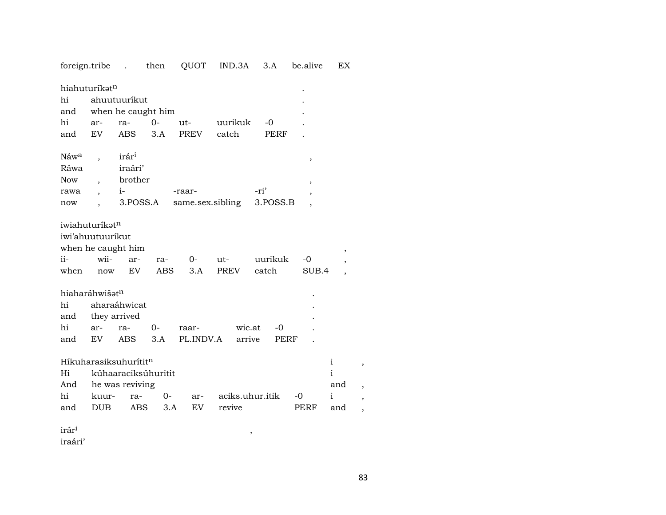|                     |                          |                                   |       |           | foreign.tribe . then QUOT IND.3A | 3.A      | be.alive                 | EX.          |
|---------------------|--------------------------|-----------------------------------|-------|-----------|----------------------------------|----------|--------------------------|--------------|
| hiahuturíkatn<br>hi |                          | ahuutuurikut                      |       |           |                                  |          |                          |              |
| and                 |                          | when he caught him                |       |           |                                  |          |                          |              |
| hi                  | ar-                      | ra-                               | $0 -$ | ut-       | uurikuk                          | $-0$     |                          |              |
| and                 | EV                       | <b>ABS</b>                        | 3.A   | PREV      | catch                            | PERF     |                          |              |
|                     |                          |                                   |       |           |                                  |          |                          |              |
| Náw <sup>a</sup>    | $\overline{\phantom{a}}$ | irár <sup>i</sup>                 |       |           |                                  |          | $\, ,$                   |              |
| Ráwa                |                          | iraári'                           |       |           |                                  |          |                          |              |
| <b>Now</b>          |                          | brother                           |       |           |                                  |          | $\overline{\phantom{a}}$ |              |
| rawa                | $\overline{\phantom{a}}$ | $i$ - $\sim$                      |       | -raar-    |                                  | -ri'     |                          |              |
| now                 |                          | 3.POSS.A                          |       |           | same.sex.sibling                 | 3.POSS.B |                          |              |
|                     |                          |                                   |       |           |                                  |          |                          |              |
| iwiahuturíkatn      |                          |                                   |       |           |                                  |          |                          |              |
| iwi'ahuutuurikut    |                          |                                   |       |           |                                  |          |                          |              |
|                     |                          | when he caught him                |       |           |                                  |          |                          | ,            |
| ii-                 | wii-                     | ar-                               | ra-   | $O-$      | ut-                              | uurikuk  | -0                       |              |
| when                | now                      | EV                                | ABS   | 3.A       | <b>PREV</b>                      | catch    | SUB.4                    |              |
| hiaharáhwišatn      |                          |                                   |       |           |                                  |          |                          |              |
| hi                  |                          | aharaáhwicat                      |       |           |                                  |          |                          |              |
| and                 | they arrived             |                                   |       |           |                                  |          |                          |              |
| hi                  | ar-                      | ra-                               | 0-    | raar-     | wic.at                           | $-0$     |                          |              |
|                     | EV                       | ABS                               | 3.A   | PL.INDV.A | arrive                           | PERF     |                          |              |
| and                 |                          |                                   |       |           |                                  |          |                          |              |
|                     |                          | Híkuharasiksuhurítit <sup>n</sup> |       |           |                                  |          |                          | $\mathbf{i}$ |
| Hi                  |                          | kúhaaraciksúhuritit               |       |           |                                  |          |                          | $\mathbf{i}$ |
| And                 |                          | he was reviving                   |       |           |                                  |          |                          | and          |
| hi                  | kuur-                    | ra-                               | $0-$  | ar-       | aciks.uhur.itik                  |          | $-0$                     | i            |
| and                 | <b>DUB</b>               | ABS                               | 3.A   | EV.       | revive                           |          | PERF                     | and          |
|                     |                          |                                   |       |           |                                  |          |                          |              |

 $\overline{\phantom{a}}$ 

 $\mathrm{ir\acute{a}r^{i}}$ 

iraári'

 $\overline{\phantom{a}}$ 

 $\,$  ,  $\,$  ,  $\,$  ,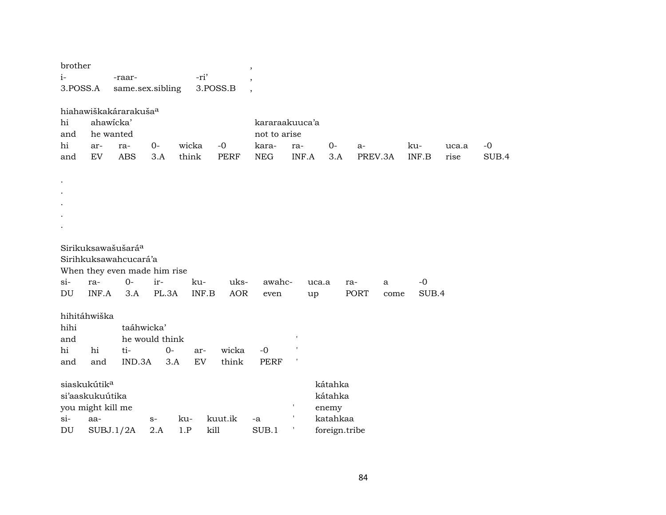| brother<br>$i-$<br>3.POSS.A |                                                                         | -raar-<br>same.sex.sibling                                                                             |                               | -ri'               | 3.POSS.B           | $\overline{\phantom{a}}$<br>$\overline{\phantom{a}}$  |              |                             |                           |                 |           |               |               |               |
|-----------------------------|-------------------------------------------------------------------------|--------------------------------------------------------------------------------------------------------|-------------------------------|--------------------|--------------------|-------------------------------------------------------|--------------|-----------------------------|---------------------------|-----------------|-----------|---------------|---------------|---------------|
| hi<br>and<br>hi<br>and      | ar-<br>EV                                                               | hiahawiškakárarakuša <sup>a</sup><br>ahawicka'<br>he wanted<br>ra-<br><b>ABS</b>                       | $O -$<br>3.A                  | wicka<br>think     | $-0$<br>PERF       | kararaakuuca'a<br>not to arise<br>kara-<br><b>NEG</b> | ra-<br>INF.A | $0-$                        | 3.A                       | $a-$<br>PREV.3A |           | ku-<br>INF.B  | uca.a<br>rise | $-0$<br>SUB.4 |
|                             |                                                                         |                                                                                                        |                               |                    |                    |                                                       |              |                             |                           |                 |           |               |               |               |
| $si-$<br>DU                 | ra-<br>INF.A                                                            | Sirikuksawašušará <sup>a</sup><br>Sirihkuksawahcucará'a<br>When they even made him rise<br>$0-$<br>3.A | ir-<br>PL.3A                  | ku-<br>INF.B       | uks-<br><b>AOR</b> | awahc-<br>even                                        |              | uca.a<br>up                 | ra-                       | PORT            | a<br>come | $-0$<br>SUB.4 |               |               |
| hihi<br>and<br>hi<br>and    | hihitáhwiška<br>hi<br>and                                               | taáhwicka'<br>ti-<br>IND.3A                                                                            | he would think<br>$0-$<br>3.A | ar-<br>EV          | wicka<br>think     | $-0$<br><b>PERF</b>                                   | ,            |                             |                           |                 |           |               |               |               |
| $si-$<br>DU                 | siaskukútik <sup>a</sup><br>si'aaskukuútika<br>you might kill me<br>aa- | SUBJ.1/2A                                                                                              | $S-$<br>2.A                   | ku-<br>1.P<br>kill | kuut.ik            | -a<br>SUB.1                                           |              | kátahka<br>kátahka<br>enemy | katahkaa<br>foreign.tribe |                 |           |               |               |               |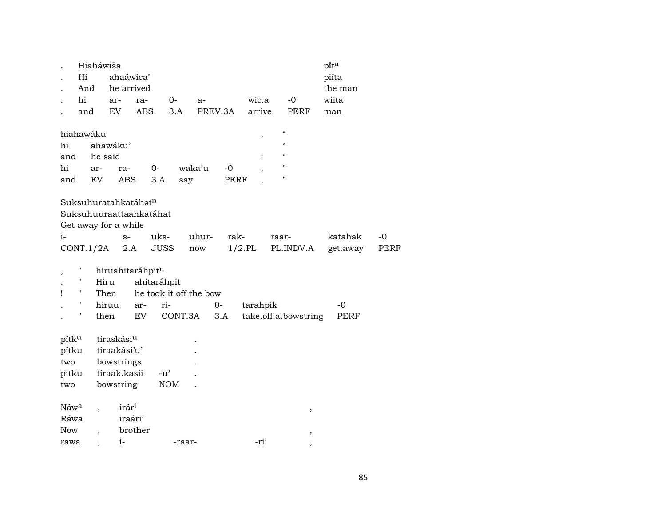|                         | Hiaháwiša                |                        |                  |                        |        |         |           |                    |                      | pita     |             |
|-------------------------|--------------------------|------------------------|------------------|------------------------|--------|---------|-----------|--------------------|----------------------|----------|-------------|
| Hi                      |                          | ahaáwica'              |                  |                        |        |         |           |                    |                      | piíta    |             |
|                         | And                      | he arrived             |                  |                        |        |         |           |                    |                      | the man  |             |
| hi                      |                          | ar-                    | ra-              | $0-$                   | $a-$   |         | wic.a     |                    | $-0$                 | wiita    |             |
|                         | and                      | EV.                    | <b>ABS</b>       | 3.A                    |        | PREV.3A | arrive    |                    | PERF                 | man      |             |
|                         |                          |                        |                  |                        |        |         |           |                    |                      |          |             |
| hiahawáku               |                          |                        |                  |                        |        |         | ,         | $\epsilon\epsilon$ |                      |          |             |
| hi                      |                          | ahawáku'               |                  |                        |        |         |           | $\epsilon\epsilon$ |                      |          |             |
| and                     | he said                  |                        |                  |                        |        |         |           | $\epsilon\epsilon$ |                      |          |             |
| hi                      | ar-                      | ra-                    |                  | $0 -$                  | waka'u | $-0$    |           | $\pmb{\mathsf{H}}$ |                      |          |             |
| and                     | EV                       | ABS                    |                  | 3.A<br>say             |        | PERF    |           | $\pmb{\mathsf{H}}$ |                      |          |             |
|                         |                          |                        |                  |                        |        |         |           |                    |                      |          |             |
| Suksuhuratahkatáhatn    |                          |                        |                  |                        |        |         |           |                    |                      |          |             |
| Suksuhuuraattaahkatáhat |                          |                        |                  |                        |        |         |           |                    |                      |          |             |
| Get away for a while    |                          |                        |                  |                        |        |         |           |                    |                      |          |             |
| $i-$                    |                          | $S-$                   |                  | uks-                   | uhur-  | rak-    |           | raar-              |                      | katahak  | $-0$        |
| CONT.1/2A               |                          |                        | 2.A              | <b>JUSS</b>            | now    |         | $1/2$ .PL |                    | PL.INDV.A            | get.away | <b>PERF</b> |
|                         |                          |                        | hiruahitaráhpitn |                        |        |         |           |                    |                      |          |             |
| Н                       |                          | Hiru                   |                  | ahitaráhpit            |        |         |           |                    |                      |          |             |
| Ħ<br>ı                  |                          | Then                   |                  | he took it off the bow |        |         |           |                    |                      |          |             |
| Ħ                       |                          | hiruu                  | ar-              | ri-                    |        | $0-$    | tarahpik  |                    |                      | -0       |             |
| Н                       |                          | then                   | EV               | CONT.3A                |        | 3.A     |           |                    | take.off.a.bowstring | PERF     |             |
|                         |                          |                        |                  |                        |        |         |           |                    |                      |          |             |
| pítku                   |                          | tiraskási <sup>u</sup> |                  |                        |        |         |           |                    |                      |          |             |
| pítku                   |                          | tiraakási'u'           |                  |                        |        |         |           |                    |                      |          |             |
| two                     |                          | bowstrings             |                  |                        |        |         |           |                    |                      |          |             |
| pitku                   |                          | tiraak.kasii           |                  | $-u^{\prime}$          |        |         |           |                    |                      |          |             |
| two                     |                          | bowstring              |                  | <b>NOM</b>             |        |         |           |                    |                      |          |             |
|                         |                          |                        |                  |                        |        |         |           |                    |                      |          |             |
| Náwa                    |                          | irár <sup>i</sup>      |                  |                        |        |         |           |                    | $\, ,$               |          |             |
| Ráwa                    |                          |                        | iraári'          |                        |        |         |           |                    |                      |          |             |
| <b>Now</b>              | $\overline{\phantom{a}}$ |                        | brother          |                        |        |         |           |                    | $^\mathrm{,}$        |          |             |
| rawa                    |                          | $i-$                   |                  | -raar-                 |        |         | -ri'      |                    |                      |          |             |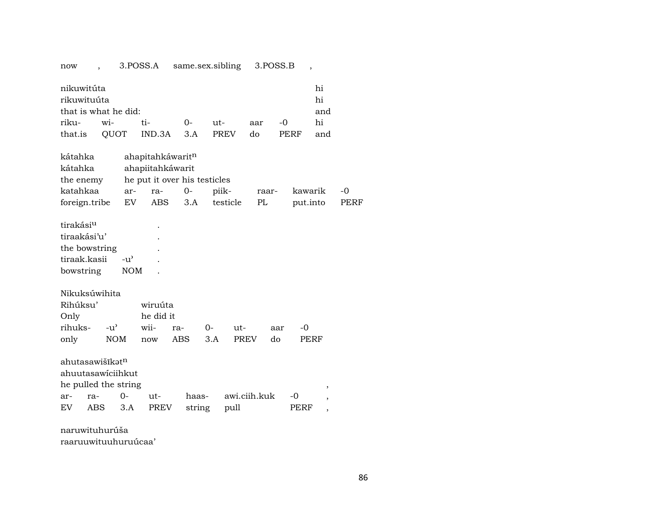now , 3.POSS.A same.sex.sibling 3.POSS.B ,

| nikuwitúta                  |  |                              |  |  |        |      | hi  |  |  |  |
|-----------------------------|--|------------------------------|--|--|--------|------|-----|--|--|--|
| rikuwituúta                 |  |                              |  |  |        |      | hi  |  |  |  |
| that is what he did:<br>and |  |                              |  |  |        |      |     |  |  |  |
|                             |  |                              |  |  | aar -0 |      | hi  |  |  |  |
|                             |  | that.is QUOT IND.3A 3.A PREV |  |  | do     | PERF | and |  |  |  |

| kátahka                     |            |               | ahapitahkáwaritn             |     |       |             |    |       |          |      |
|-----------------------------|------------|---------------|------------------------------|-----|-------|-------------|----|-------|----------|------|
| kátahka                     |            |               | ahapiitahkáwarit             |     |       |             |    |       |          |      |
| the enemy                   |            |               | he put it over his testicles |     |       |             |    |       |          |      |
| katahkaa                    |            | ar-           | ra-                          | 0-  | piik- |             |    | raar- | kawarik  | -0   |
| foreign.tribe               |            | EV            | ABS                          | 3.A |       | testicle    | PL |       | put.into | PERF |
| tirakási <sup>u</sup>       |            |               |                              |     |       |             |    |       |          |      |
| tiraakási'u'                |            |               |                              |     |       |             |    |       |          |      |
| the bowstring               |            |               |                              |     |       |             |    |       |          |      |
| tiraak.kasii                |            | $-u^{\prime}$ |                              |     |       |             |    |       |          |      |
| bowstring                   |            | NOM           |                              |     |       |             |    |       |          |      |
| Nikuksúwihita               |            |               |                              |     |       |             |    |       |          |      |
| Rihúksu'                    |            |               | wiruúta                      |     |       |             |    |       |          |      |
| Only                        |            |               | he did it                    |     |       |             |    |       |          |      |
| rihuks-                     | $-u'$      |               | wii-                         | ra- | 0-    | ut-         |    | aar   | $-0$     |      |
| only                        | <b>NOM</b> |               | now                          | ABS | 3.A   | <b>PREV</b> |    | do    | PERF     |      |
| ahutasawišīkət <sup>n</sup> |            |               |                              |     |       |             |    |       |          |      |
| ahuutasawiciihkut           |            |               |                              |     |       |             |    |       |          |      |

| he pulled the string |  |                             |                                      |       |  |
|----------------------|--|-----------------------------|--------------------------------------|-------|--|
|                      |  |                             | ar- ra- 0- ut- haas- awi.ciih.kuk -0 |       |  |
|                      |  | EV ABS 3.A PREV string pull |                                      | PERF. |  |

naruwituhurúša raaruuwituuhuruúcaa'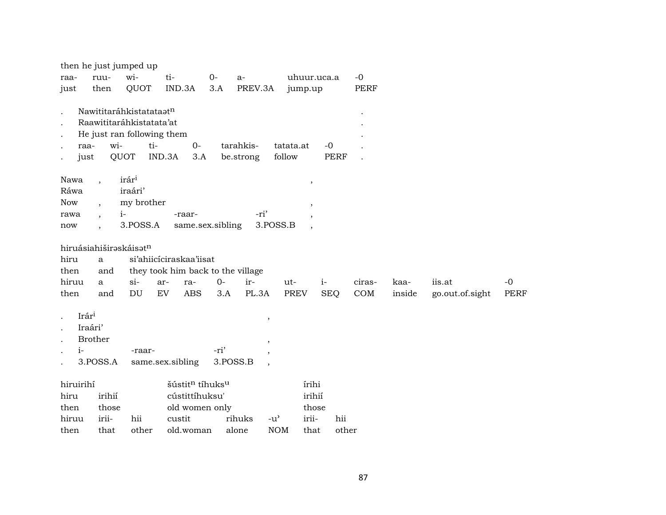|               |                                       | then he just jumped up                                                                           |                                         |                  |                                                        |                     |                     |        |        |                 |             |
|---------------|---------------------------------------|--------------------------------------------------------------------------------------------------|-----------------------------------------|------------------|--------------------------------------------------------|---------------------|---------------------|--------|--------|-----------------|-------------|
| raa-          | ruu-                                  | wi-                                                                                              | ti-                                     | $0-$             | $a-$                                                   |                     | uhuur.uca.a         | $-0$   |        |                 |             |
| just          | then                                  | QUOT                                                                                             | IND.3A                                  | 3.A              | PREV.3A                                                | jump.up             |                     | PERF   |        |                 |             |
| raa-<br>just  | wi-                                   | Nawititaráhkistatataatn<br>Raawititaráhkistatata'at<br>He just ran following them<br>ti-<br>QUOT | $O -$<br>IND.3A<br>3.A                  |                  | tarahkis-<br>be.strong                                 | tatata.at<br>follow | $-0$<br><b>PERF</b> |        |        |                 |             |
| Nawa          |                                       | irári                                                                                            |                                         |                  |                                                        | $\, ,$              |                     |        |        |                 |             |
| Ráwa          |                                       | iraári'                                                                                          |                                         |                  |                                                        |                     |                     |        |        |                 |             |
| <b>Now</b>    | $\ddot{\phantom{0}}$                  | my brother                                                                                       |                                         |                  |                                                        |                     |                     |        |        |                 |             |
| rawa          | $\ddot{\phantom{0}}$                  | $i-$                                                                                             | -raar-                                  |                  | -ri'                                                   |                     |                     |        |        |                 |             |
| now           |                                       | 3.POSS.A                                                                                         | same.sex.sibling                        |                  | 3.POSS.B                                               |                     |                     |        |        |                 |             |
|               | hiruásiahiširəskáisətn                |                                                                                                  |                                         |                  |                                                        |                     |                     |        |        |                 |             |
| hiru          | $\mathbf{a}$                          |                                                                                                  | si'ahiicíciraskaa'iisat                 |                  |                                                        |                     |                     |        |        |                 |             |
| then          | and                                   |                                                                                                  | they took him back to the village       |                  |                                                        |                     |                     |        |        |                 |             |
| hiruu         | a                                     | $si-$                                                                                            | ar-<br>ra-                              | $0 -$            | ir-                                                    | ut-                 | $i-$                | ciras- | kaa-   | iis.at          | $-0$        |
| then          | and                                   | DU                                                                                               | <b>ABS</b><br>EV                        | 3.A              | PL.3A                                                  | <b>PREV</b>         | <b>SEQ</b>          | COM    | inside | go.out.of.sight | <b>PERF</b> |
| Irári<br>$i-$ | Iraári'<br><b>Brother</b><br>3.POSS.A | -raar-                                                                                           | same.sex.sibling                        | -ri'<br>3.POSS.B | $\,$<br>$\overline{\phantom{a}}$<br>$\cdot$<br>$\cdot$ |                     |                     |        |        |                 |             |
| hiruirihí     |                                       |                                                                                                  | šústit <sup>n</sup> tíhuks <sup>u</sup> |                  |                                                        | írihi               |                     |        |        |                 |             |
| hiru          | irihií                                |                                                                                                  | cústittíhuksu'                          |                  |                                                        | irihií              |                     |        |        |                 |             |
| then          | those                                 |                                                                                                  | old women only                          |                  |                                                        |                     | those               |        |        |                 |             |
| hiruu         | irii-                                 | hii                                                                                              | custit                                  |                  | rihuks<br>$-u^{\prime}$                                | irii-               | hii                 |        |        |                 |             |
| then          | that                                  | other                                                                                            | old.woman                               |                  | alone                                                  | <b>NOM</b><br>that  | other               |        |        |                 |             |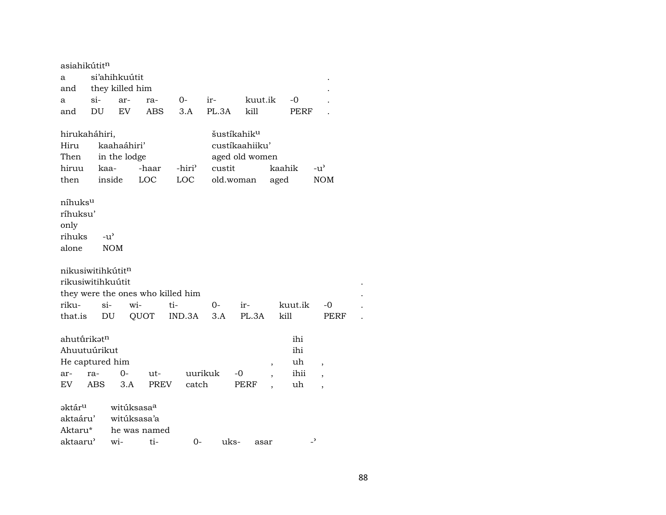asiahikútit $^{\rm n}$ a si'ahihkuútit and they killed him . a si- ar- ra- 0- ir- kuut.ik -0 . and DU EV ABS 3.A PL.3A kill PERF . hirukaháhiri, šustíkahik<sup>u</sup> Hiru kaahaáhiri' custíkaahiiku' Then in the lodge aged old women hiruu kaa- -haar -hiri' custit kaahik -u' then inside LOC LOC old.woman aged NOM níhuksµ ríhuksu' only rihuks -u" alone NOM nikusiwitihkútitn rikusiwitihkuútit . they were the ones who killed him riku- si- wi- ti- 0- ir- kuut.ik -0 . that.is DU QUOT IND.3A 3.A PL.3A kill PERF ahuturikət<sup>n</sup> ihi Ahuutuúrikut ihi He captured him states and the captured him states of the states of the states of the states of the states of the states of the states of the states of the states of the states of the states of the states of the states of ar- ra- 0- ut- uurikuk -0 , ihii , EV ABS 3.A PREV catch PERF , uh , aktár<sup>u</sup> witúksasa<sup>a</sup> aktaáru' witúksasa'a Aktaru\* he was named aktaaru<sup>"</sup> wi- ti- 0- uks- asar -<sup>"</sup>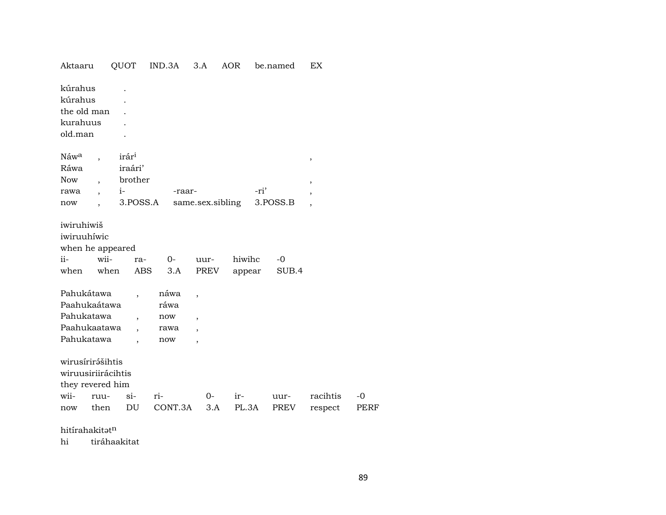| Aktaaru                                                                                   | QUOT                                                        | IND.3A                             | 3.A                                                                                                | AOR              | be.named      | EX                      |              |
|-------------------------------------------------------------------------------------------|-------------------------------------------------------------|------------------------------------|----------------------------------------------------------------------------------------------------|------------------|---------------|-------------------------|--------------|
| kúrahus<br>kúrahus<br>the old man<br>kurahuus<br>old.man                                  |                                                             |                                    |                                                                                                    |                  |               |                         |              |
| Náw <sup>a</sup><br>Ráwa<br>Now<br>rawa<br>now<br>$\overline{\phantom{a}}$                | irár <sup>i</sup><br>iraári'<br>brother<br>$i-$<br>3.POSS.A | -raar-                             | same.sex.sibling                                                                                   | -ri'             | 3.POSS.B      | $^\mathrm{,}$<br>$\, ,$ |              |
| iwiruhiwiš<br>iwiruuhíwic<br>when he appeared<br>$ii -$<br>wii-<br>when                   | ra-<br>when<br><b>ABS</b>                                   | $0-$<br>3.A                        | uur-<br>PREV                                                                                       | hiwihc<br>appear | $-0$<br>SUB.4 |                         |              |
| Pahukátawa<br>Paahukaátawa<br>Pahukatawa<br>Paahukaatawa<br>Pahukatawa                    | $\overline{\phantom{a}}$<br>$\ddot{\phantom{0}}$            | náwa<br>ráwa<br>now<br>rawa<br>now | $\overline{\phantom{a}}$<br>$\overline{\phantom{a}}$<br>$\overline{\phantom{a}}$<br>$\overline{ }$ |                  |               |                         |              |
| wirusírirášihtis<br>wiruusiriirácihtis<br>they revered him<br>wii-<br>ruu-<br>then<br>now | $\sin$<br>DU                                                | ri-<br>CONT.3A                     | $O-$<br>3.A                                                                                        | ir-<br>PL.3A     | uur-<br>PREV  | racihtis<br>respect     | $-0$<br>PERF |

hitírahakit $\mathfrak{h}^n$ 

hi tiráhaakitat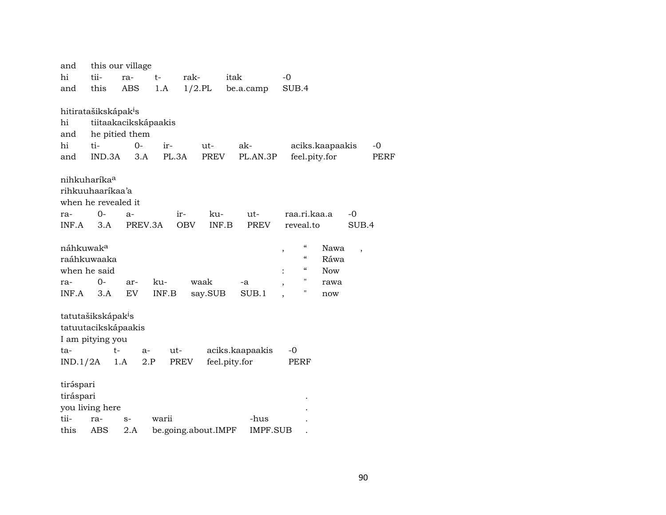| and                   |                                  | this our village     |       |                     |                 |                                |                 |                          |             |
|-----------------------|----------------------------------|----------------------|-------|---------------------|-----------------|--------------------------------|-----------------|--------------------------|-------------|
| hi                    | tii-                             | ra-                  | $t-$  | rak-                | itak            | $-0$                           |                 |                          |             |
| and                   | this                             | ABS                  | 1.A   | $1/2$ .PL           | be.a.camp       | SUB.4                          |                 |                          |             |
|                       |                                  |                      |       |                     |                 |                                |                 |                          |             |
|                       | hitiratašikskápak <sup>i</sup> s |                      |       |                     |                 |                                |                 |                          |             |
| hi                    |                                  | tiitaakacikskápaakis |       |                     |                 |                                |                 |                          |             |
| and                   |                                  | he pitied them       |       |                     |                 |                                |                 |                          |             |
| hi                    | ti-                              | $O -$                | ir-   | ut-                 | ak-             |                                | aciks.kaapaakis | $-0$                     |             |
| and                   | IND.3A                           | 3.A                  | PL.3A | PREV                | PL.AN.3P        | feel.pity.for                  |                 |                          | <b>PERF</b> |
|                       |                                  |                      |       |                     |                 |                                |                 |                          |             |
|                       | nihkuharíka <sup>a</sup>         |                      |       |                     |                 |                                |                 |                          |             |
|                       | rihkuuhaaríkaa'a                 |                      |       |                     |                 |                                |                 |                          |             |
|                       | when he revealed it              |                      |       |                     |                 |                                |                 |                          |             |
| ra-                   | 0-                               | a-                   | ir-   | ku-                 | ut-             | raa.ri.kaa.a                   |                 | -0                       |             |
| INF.A                 | 3.A                              | PREV.3A              |       | INF.B<br><b>OBV</b> | <b>PREV</b>     | reveal.to                      |                 | SUB.4                    |             |
|                       |                                  |                      |       |                     |                 |                                |                 |                          |             |
| náhkuwak <sup>a</sup> |                                  |                      |       |                     |                 | "<br>,                         | Nawa            | $\overline{\phantom{a}}$ |             |
|                       | raáhkuwaaka                      |                      |       |                     |                 | $\mathcal{C}$                  | Ráwa            |                          |             |
|                       | when he said                     |                      |       |                     |                 | $\boldsymbol{\mathcal{C}}$     | <b>Now</b>      |                          |             |
| ra-                   | $0-$                             | ar-                  | ku-   | waak                | -a              | 11<br>$\overline{\phantom{a}}$ | rawa            |                          |             |
| INF.A                 | 3.A                              | EV                   | INF.B | say.SUB             | SUB.1           | 11                             | now             |                          |             |
|                       |                                  |                      |       |                     |                 |                                |                 |                          |             |
|                       | tatutašikskápak <sup>i</sup> s   |                      |       |                     |                 |                                |                 |                          |             |
|                       | tatuutacikskápaakis              |                      |       |                     |                 |                                |                 |                          |             |
|                       | I am pitying you                 |                      |       |                     |                 |                                |                 |                          |             |
| ta-                   | $t-$                             | $a-$                 | ut-   |                     | aciks.kaapaakis | $-0$                           |                 |                          |             |
| IND.1/2A              |                                  | 1.A<br>2.P           | PREV  |                     | feel.pity.for   | PERF                           |                 |                          |             |
|                       |                                  |                      |       |                     |                 |                                |                 |                          |             |
| tiráspari             |                                  |                      |       |                     |                 |                                |                 |                          |             |
| tiráspari             |                                  |                      |       |                     |                 |                                |                 |                          |             |
|                       | you living here                  |                      |       |                     |                 |                                |                 |                          |             |
| tii-                  | ra-                              | $S-$                 | warii |                     | -hus            |                                |                 |                          |             |
| this                  | ABS                              | 2.A                  |       | be.going.about.IMPF | IMPF.SUB        |                                |                 |                          |             |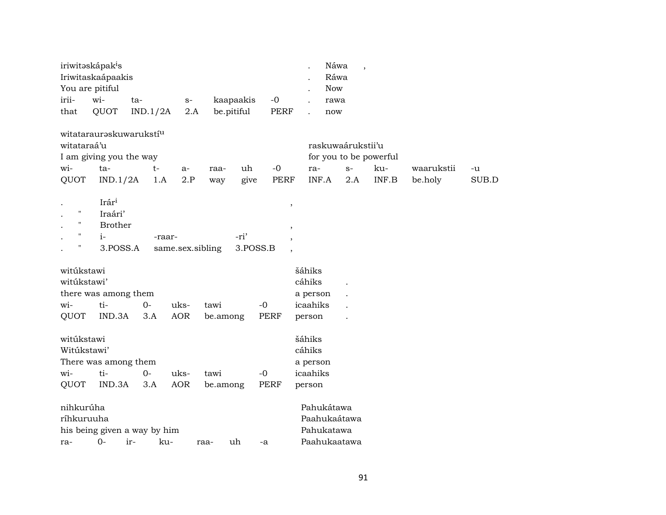| You are pitiful<br><b>Now</b><br>irii-<br>wi-<br>$-0$<br>kaapaakis<br>ta-<br>$S-$<br>rawa<br>QUOT<br>be.pitiful<br><b>PERF</b><br>that<br>IND.1/2A<br>2.A<br>now<br>witatarauraskuwarukstí <sup>u</sup><br>witataraá'u<br>raskuwaárukstii'u<br>I am giving you the way<br>for you to be powerful<br>wi-<br>ta-<br>$t-$<br>$-0$<br>ku-<br>uh<br>$S-$<br>waarukstii<br>ra-<br>raa-<br>-u<br>$a-$<br>2.P<br>INF.B<br>QUOT<br>IND.1/2A<br>PERF<br>INF.A<br>2.A<br>be.holy<br>1.A<br>give<br>way<br>Irár <sup>i</sup><br>$\overline{\phantom{a}}$<br>$\pmb{\mathsf{H}}$<br>Iraári'<br>"<br><b>Brother</b><br>$^\mathrm{^\mathrm{o}}$<br>"<br>-ri'<br>$i-$<br>-raar-<br>$\overline{\phantom{a}}$<br>Ħ<br>3.POSS.A<br>3.POSS.B<br>same.sex.sibling<br>$\overline{\phantom{a}}$<br>šáhiks<br>witúkstawi<br>witúkstawi'<br>cáhiks<br>there was among them<br>a person<br>ti-<br>icaahiks<br>$O -$<br>uks-<br>$-0$<br>wi-<br>tawi<br><b>AOR</b><br>QUOT<br>IND.3A<br><b>PERF</b><br>3.A<br>be.among<br>person<br>šáhiks<br>witúkstawi<br>Witúkstawi'<br>cáhiks<br>There was among them<br>a person<br>wi-<br>ti-<br>$0-$<br>icaahiks<br>uks-<br>$-0$<br>tawi<br>QUOT<br>IND.3A<br><b>AOR</b><br><b>PERF</b><br>3.A<br>be.among<br>person<br>nihkurúha<br>Pahukátawa | iriwitəskápak <sup>i</sup> s | Iriwitaskaápaakis |  |  |  | Náwa<br>Ráwa | $\overline{\phantom{a}}$ |  |       |
|-----------------------------------------------------------------------------------------------------------------------------------------------------------------------------------------------------------------------------------------------------------------------------------------------------------------------------------------------------------------------------------------------------------------------------------------------------------------------------------------------------------------------------------------------------------------------------------------------------------------------------------------------------------------------------------------------------------------------------------------------------------------------------------------------------------------------------------------------------------------------------------------------------------------------------------------------------------------------------------------------------------------------------------------------------------------------------------------------------------------------------------------------------------------------------------------------------------------------------------------------------------|------------------------------|-------------------|--|--|--|--------------|--------------------------|--|-------|
|                                                                                                                                                                                                                                                                                                                                                                                                                                                                                                                                                                                                                                                                                                                                                                                                                                                                                                                                                                                                                                                                                                                                                                                                                                                           |                              |                   |  |  |  |              |                          |  |       |
|                                                                                                                                                                                                                                                                                                                                                                                                                                                                                                                                                                                                                                                                                                                                                                                                                                                                                                                                                                                                                                                                                                                                                                                                                                                           |                              |                   |  |  |  |              |                          |  |       |
|                                                                                                                                                                                                                                                                                                                                                                                                                                                                                                                                                                                                                                                                                                                                                                                                                                                                                                                                                                                                                                                                                                                                                                                                                                                           |                              |                   |  |  |  |              |                          |  |       |
|                                                                                                                                                                                                                                                                                                                                                                                                                                                                                                                                                                                                                                                                                                                                                                                                                                                                                                                                                                                                                                                                                                                                                                                                                                                           |                              |                   |  |  |  |              |                          |  |       |
|                                                                                                                                                                                                                                                                                                                                                                                                                                                                                                                                                                                                                                                                                                                                                                                                                                                                                                                                                                                                                                                                                                                                                                                                                                                           |                              |                   |  |  |  |              |                          |  |       |
|                                                                                                                                                                                                                                                                                                                                                                                                                                                                                                                                                                                                                                                                                                                                                                                                                                                                                                                                                                                                                                                                                                                                                                                                                                                           |                              |                   |  |  |  |              |                          |  |       |
|                                                                                                                                                                                                                                                                                                                                                                                                                                                                                                                                                                                                                                                                                                                                                                                                                                                                                                                                                                                                                                                                                                                                                                                                                                                           |                              |                   |  |  |  |              |                          |  | SUB.D |
|                                                                                                                                                                                                                                                                                                                                                                                                                                                                                                                                                                                                                                                                                                                                                                                                                                                                                                                                                                                                                                                                                                                                                                                                                                                           |                              |                   |  |  |  |              |                          |  |       |
|                                                                                                                                                                                                                                                                                                                                                                                                                                                                                                                                                                                                                                                                                                                                                                                                                                                                                                                                                                                                                                                                                                                                                                                                                                                           |                              |                   |  |  |  |              |                          |  |       |
|                                                                                                                                                                                                                                                                                                                                                                                                                                                                                                                                                                                                                                                                                                                                                                                                                                                                                                                                                                                                                                                                                                                                                                                                                                                           |                              |                   |  |  |  |              |                          |  |       |
|                                                                                                                                                                                                                                                                                                                                                                                                                                                                                                                                                                                                                                                                                                                                                                                                                                                                                                                                                                                                                                                                                                                                                                                                                                                           |                              |                   |  |  |  |              |                          |  |       |
|                                                                                                                                                                                                                                                                                                                                                                                                                                                                                                                                                                                                                                                                                                                                                                                                                                                                                                                                                                                                                                                                                                                                                                                                                                                           |                              |                   |  |  |  |              |                          |  |       |
|                                                                                                                                                                                                                                                                                                                                                                                                                                                                                                                                                                                                                                                                                                                                                                                                                                                                                                                                                                                                                                                                                                                                                                                                                                                           |                              |                   |  |  |  |              |                          |  |       |
| Paahukaátawa<br>ríhkuruuha<br>his being given a way by him<br>Pahukatawa<br>$0-$<br>ir-<br>Paahukaatawa<br>ku-<br>uh<br>ra-<br>raa-<br>-a                                                                                                                                                                                                                                                                                                                                                                                                                                                                                                                                                                                                                                                                                                                                                                                                                                                                                                                                                                                                                                                                                                                 |                              |                   |  |  |  |              |                          |  |       |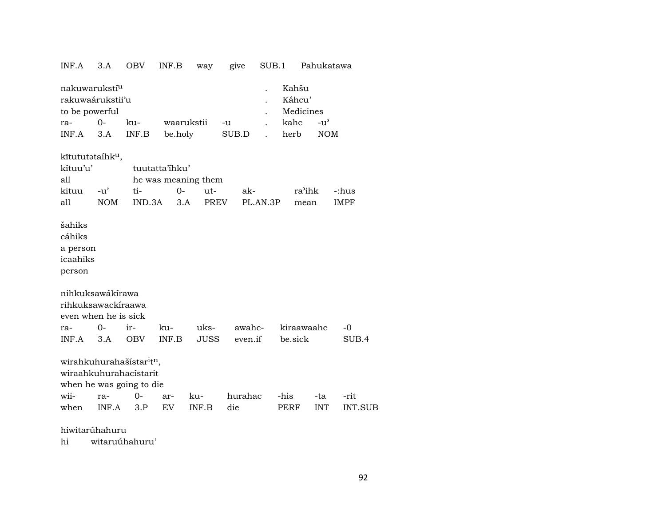| INF.A                                                                                                   | 3.A                 | OBV           | INF.B                                                | way                | give    | SUB.1    |                                      | Pahukatawa    |                      |
|---------------------------------------------------------------------------------------------------------|---------------------|---------------|------------------------------------------------------|--------------------|---------|----------|--------------------------------------|---------------|----------------------|
| nakuwarukstí <sup>u</sup><br>rakuwaárukstii'u<br>to be powerful<br>ra-                                  | $O -$               | ku-           | waarukstii                                           |                    | -u      |          | Kahšu<br>Káhcu'<br>Medicines<br>kahc | $-u^{\prime}$ |                      |
| INF.A                                                                                                   | 3.A                 | INF.B         | be.holy                                              |                    | SUB.D   |          | herb                                 | <b>NOM</b>    |                      |
| kītututataihk <sup>u</sup> ,<br>kítuu'u'<br>all<br>kituu<br>all                                         | $-u'$<br><b>NOM</b> | ti-<br>IND.3A | tuutatta'ihku'<br>he was meaning them<br>$0-$<br>3.A | ut-<br><b>PREV</b> | ak-     | PL.AN.3P | ra'ihk<br>mean                       |               | -:hus<br><b>IMPF</b> |
| šahiks<br>cáhiks<br>a person<br>icaahiks<br>person                                                      |                     |               |                                                      |                    |         |          |                                      |               |                      |
| nihkuksawákírawa<br>rihkuksawackíraawa<br>even when he is sick<br>ra-                                   | 0-                  | ir-           | ku-                                                  | uks-               | awahc-  |          | kiraawaahc                           |               | $-0$                 |
| INF.A                                                                                                   | 3.A                 | <b>OBV</b>    | INF.B                                                | <b>JUSS</b>        | even.if |          | be.sick                              |               | SUB.4                |
| wirahkuhurahašístar <sup>i</sup> t <sup>n</sup> ,<br>wiraahkuhurahacístarit<br>when he was going to die |                     |               |                                                      |                    |         |          |                                      |               |                      |
| wii-                                                                                                    | ra-                 | 0-            | ar-                                                  | ku-                | hurahac |          | -his                                 | -ta           | -rit                 |
| when                                                                                                    | INF.A               | 3.P           | EV <sub></sub>                                       | INF.B              | die     |          | PERF                                 | <b>INT</b>    | <b>INT.SUB</b>       |
|                                                                                                         |                     |               |                                                      |                    |         |          |                                      |               |                      |

hiwitarúhahuru

 $hi$ witaruúhahuru'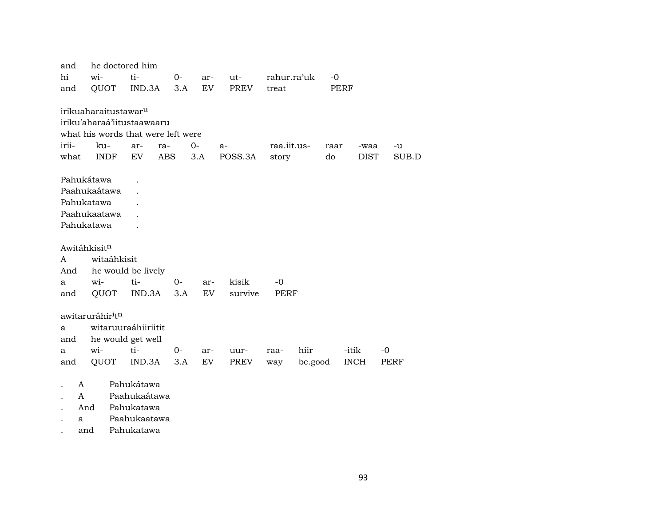| and                                                                     | he doctored him                                                                                                            |            |            |             |               |                      |            |                     |             |
|-------------------------------------------------------------------------|----------------------------------------------------------------------------------------------------------------------------|------------|------------|-------------|---------------|----------------------|------------|---------------------|-------------|
| hi                                                                      | wi-                                                                                                                        | ti-        | $0-$       | ar-         | ut-           | rahur.ra'uk          | $-0$       |                     |             |
| and                                                                     | QUOT                                                                                                                       | IND.3A     | 3.A        | EV.         | <b>PREV</b>   | treat                |            | PERF                |             |
| irii-<br>what                                                           | irikuaharaitustawar <sup>u</sup><br>iriku'aharaá'iitustaawaaru<br>what his words that were left were<br>ku-<br><b>INDF</b> | ar-<br>EV. | ra-<br>ABS | $0-$<br>3.A | a-<br>POSS.3A | raa.iit.us-<br>story | raar<br>do | -waa<br><b>DIST</b> | -u<br>SUB.D |
|                                                                         |                                                                                                                            |            |            |             |               |                      |            |                     |             |
| Pahukátawa<br>Pahukatawa<br>Pahukatawa<br>Awitáhkisitn<br>A<br>And<br>a | Paahukaátawa<br>Paahukaatawa<br>witaáhkisit<br>he would be lively<br>wi-                                                   | ti-        | $O -$      | ar-         | kisik         | $-0$                 |            |                     |             |
| and                                                                     | QUOT                                                                                                                       | IND.3A     | 3.A        | EV.         | survive       | PERF                 |            |                     |             |
| a<br>and<br>a                                                           | awitaruráhir <sup>i</sup> t <sup>n</sup><br>witaruuraáhiiriitit<br>he would get well<br>wi-                                | ti-        | 0-         | ar-         | uur-          | raa-                 | hiir       | -itik               | $-0$        |
| and                                                                     | QUOT                                                                                                                       | IND.3A     | 3.A        | EV          | PREV          | way                  | be.good    | <b>INCH</b>         | PERF        |
|                                                                         |                                                                                                                            |            |            |             |               |                      |            |                     |             |

- . A Pahukátawa
- . A Paahukaátawa
- . And Pahukatawa
- . a Paahukaatawa
- . and Pahukatawa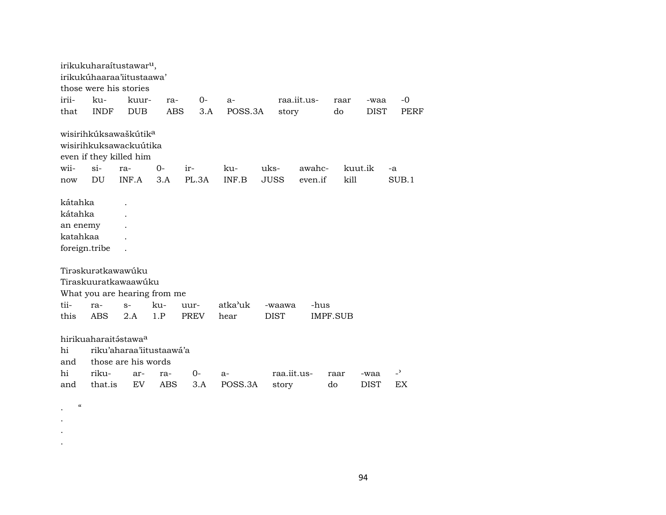|                                                             |             | irikukuharaitustawar <sup>u</sup> ,                                                    |            |             |         |             |             |          |             |                          |
|-------------------------------------------------------------|-------------|----------------------------------------------------------------------------------------|------------|-------------|---------|-------------|-------------|----------|-------------|--------------------------|
|                                                             |             | irikukúhaaraa'iitustaawa'                                                              |            |             |         |             |             |          |             |                          |
|                                                             |             | those were his stories                                                                 |            |             |         |             |             |          |             |                          |
| irii-                                                       | ku-         | kuur-                                                                                  | ra-        | $O -$       | $a-$    |             | raa.iit.us- | raar     | -waa        | -0                       |
| that                                                        | <b>INDF</b> | <b>DUB</b>                                                                             | <b>ABS</b> | 3.A         | POSS.3A | story       |             | do       | DIST        | <b>PERF</b>              |
|                                                             |             | wisirihkúksawaškútik <sup>a</sup><br>wisirihkuksawackuútika<br>even if they killed him |            |             |         |             |             |          |             |                          |
| wii-                                                        | $\sin$      | ra-                                                                                    | $0-$       | ir-         | ku-     | uks-        | awahc-      |          | kuut.ik     | -a                       |
| now                                                         | DU          | INF.A                                                                                  | 3.A        | PL.3A       | INF.B   | <b>JUSS</b> | even.if     | kill     |             | SUB.1                    |
| kátahka<br>kátahka<br>an enemy<br>katahkaa<br>foreign.tribe |             | Tirəskurətkawawúku<br>Tiraskuuratkawaawúku                                             |            |             |         |             |             |          |             |                          |
|                                                             |             | What you are hearing from me                                                           |            |             |         |             |             |          |             |                          |
| tii-                                                        | ra-         | $S-$                                                                                   | ku-        | uur-        | atka'uk | -waawa      | -hus        |          |             |                          |
| this                                                        | <b>ABS</b>  | 2.A                                                                                    | 1.P        | <b>PREV</b> | hear    | <b>DIST</b> |             | IMPF.SUB |             |                          |
| hi<br>and                                                   |             | hirikuaharaitástawa <sup>a</sup><br>riku'aharaa'iitustaawá'a<br>those are his words    |            |             |         |             |             |          |             |                          |
| hi                                                          | riku-       | ar-                                                                                    | ra-        | $0-$        | a-      |             | raa.iit.us- | raar     | -waa        | $\overline{\phantom{0}}$ |
| and                                                         | that.is     | EV.                                                                                    | ABS        | 3.A         | POSS.3A | story       |             | do       | <b>DIST</b> | EX                       |
| $\mathcal{C}$                                               |             |                                                                                        |            |             |         |             |             |          |             |                          |

. . .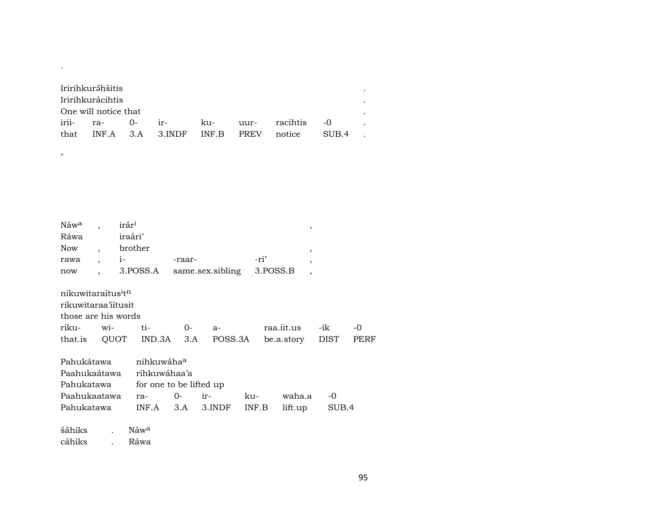| Iririhkuráhšitis     |                                         |  |       |  |
|----------------------|-----------------------------------------|--|-------|--|
| Iririhkurácihtis     |                                         |  |       |  |
| One will notice that |                                         |  |       |  |
| irii- ra- 0-         |                                         |  |       |  |
|                      | that INF.A 3.A 3.INDF INF.B PREV notice |  | SUB 4 |  |

| Náw <sup>a</sup><br>Ráwa                                                                 |                          | irár <sup>i</sup><br>iraári' |                                                                   |        |                  |       |            | $\overline{\phantom{a}}$ |       |      |
|------------------------------------------------------------------------------------------|--------------------------|------------------------------|-------------------------------------------------------------------|--------|------------------|-------|------------|--------------------------|-------|------|
| <b>Now</b>                                                                               | $\overline{\phantom{a}}$ | brother                      |                                                                   |        |                  |       |            | ,                        |       |      |
| rawa                                                                                     | $\overline{\phantom{a}}$ | $i-$                         |                                                                   | -raar- |                  |       | -ri'       | $\overline{ }$           |       |      |
| now                                                                                      |                          |                              | 3.POSS.A                                                          |        | same.sex.sibling |       | 3.POSS.B   | $\overline{ }$           |       |      |
| nikuwitaraítus <sup>i</sup> t <sup>n</sup><br>rikuwitaraa'iitusit<br>those are his words |                          |                              |                                                                   |        |                  |       |            |                          |       |      |
| riku-                                                                                    | wi-                      |                              | ti-                                                               | $0-$   | $a-$             |       | raa.iit.us |                          | -ik   | -0   |
| that.is                                                                                  |                          | QUOT                         | IND.3A                                                            | 3.A    | POSS.3A          |       | be.a.story |                          | DIST  | PERF |
| Pahukátawa<br>Paahukaátawa<br>Pahukatawa                                                 |                          |                              | nihkuwáha <sup>a</sup><br>rihkuwáhaa'a<br>for one to be lifted up |        |                  |       |            |                          |       |      |
| Paahukaatawa                                                                             |                          |                              | ra-                                                               | 0-     | ir-              | ku-   | waha.a     |                          | $-0$  |      |
| Pahukatawa                                                                               |                          |                              | INF.A                                                             | 3.A    | 3.INDF           | INF.B | lift.up    |                          | SUB.4 |      |

šáhiks  $\rm N$ áw $\rm ^a$  $\ddot{\phantom{0}}$ cáhiks Ráwa  $\ddot{\phantom{a}}$ 

 $\sim$ 

 $\mathbf{u}$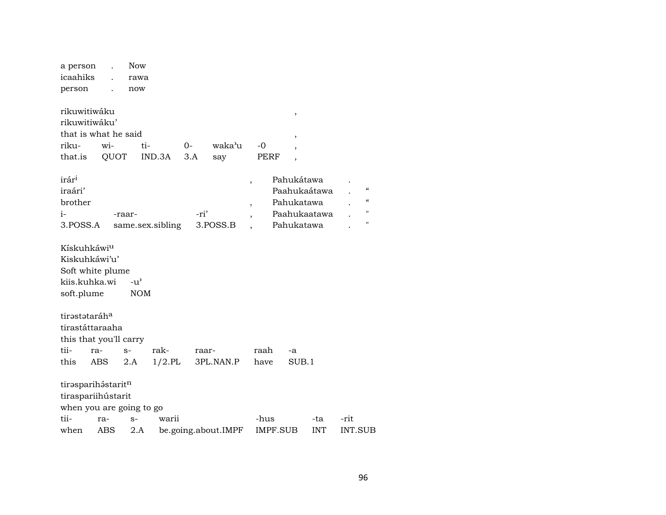| a person                  |     | Now           |                  |       |                     |                          |                          |            |                |                            |
|---------------------------|-----|---------------|------------------|-------|---------------------|--------------------------|--------------------------|------------|----------------|----------------------------|
| icaahiks                  |     | rawa          |                  |       |                     |                          |                          |            |                |                            |
| person                    |     | now           |                  |       |                     |                          |                          |            |                |                            |
|                           |     |               |                  |       |                     |                          |                          |            |                |                            |
| rikuwitiwáku              |     |               |                  |       |                     |                          | $\,$                     |            |                |                            |
| rikuwitiwáku'             |     |               |                  |       |                     |                          |                          |            |                |                            |
| that is what he said      |     |               |                  |       |                     |                          | $\overline{\phantom{a}}$ |            |                |                            |
| riku-                     | wi- | ti-           |                  | $0-$  | waka'u              | -0                       |                          |            |                |                            |
| that.is                   |     | QUOT          | IND.3A           | 3.A   | say                 | PERF                     | $\overline{\phantom{a}}$ |            |                |                            |
|                           |     |               |                  |       |                     |                          |                          |            |                |                            |
| irár <sup>i</sup>         |     |               |                  |       |                     | $\overline{\phantom{a}}$ | Pahukátawa               |            |                |                            |
| iraári'                   |     |               |                  |       |                     |                          | Paahukaátawa             |            |                | $\epsilon\epsilon$         |
| brother                   |     |               |                  |       |                     | $\overline{ }$           | Pahukatawa               |            |                | $\boldsymbol{\mathcal{C}}$ |
| $i-$                      |     | -raar-        |                  | -ri'  |                     |                          | Paahukaatawa             |            |                | $\mathbf{H}$               |
| 3.POSS.A                  |     |               | same.sex.sibling |       | 3.POSS.B            |                          | Pahukatawa               |            |                | п                          |
|                           |     |               |                  |       |                     |                          |                          |            |                |                            |
| Kískuhkáwi <sup>u</sup>   |     |               |                  |       |                     |                          |                          |            |                |                            |
| Kiskuhkáwi'u'             |     |               |                  |       |                     |                          |                          |            |                |                            |
| Soft white plume          |     |               |                  |       |                     |                          |                          |            |                |                            |
| kiis.kuhka.wi             |     | $-u^{\prime}$ |                  |       |                     |                          |                          |            |                |                            |
|                           |     |               |                  |       |                     |                          |                          |            |                |                            |
| soft.plume                |     | <b>NOM</b>    |                  |       |                     |                          |                          |            |                |                            |
|                           |     |               |                  |       |                     |                          |                          |            |                |                            |
| tirəstətaráh <sup>a</sup> |     |               |                  |       |                     |                          |                          |            |                |                            |
| tirastáttaraaha           |     |               |                  |       |                     |                          |                          |            |                |                            |
| this that you'll carry    |     |               |                  |       |                     |                          |                          |            |                |                            |
| tii-                      | ra- | $S-$          | rak-             | raar- |                     | raah                     | -a                       |            |                |                            |
| this                      | ABS | 2.A           | $1/2$ .PL        |       | 3PL.NAN.P           | have                     | SUB.1                    |            |                |                            |
|                           |     |               |                  |       |                     |                          |                          |            |                |                            |
| tirasparihástaritn        |     |               |                  |       |                     |                          |                          |            |                |                            |
| tiraspariihústarit        |     |               |                  |       |                     |                          |                          |            |                |                            |
| when you are going to go  |     |               |                  |       |                     |                          |                          |            |                |                            |
| tii-                      | ra- | $S-$          | warii            |       |                     | -hus                     |                          | -ta        | -rit           |                            |
| when                      | ABS | 2.A           |                  |       | be.going.about.IMPF |                          | IMPF.SUB                 | <b>INT</b> | <b>INT.SUB</b> |                            |
|                           |     |               |                  |       |                     |                          |                          |            |                |                            |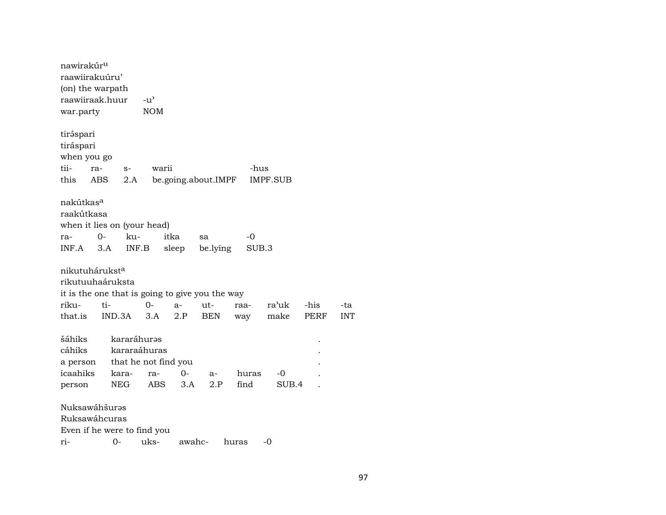nawirakúrµ raawiirakuúru' (on) the warpath raawiiraak.huur -u" war.party NOM tiráspari tiráspari when you go tii- ra- s- warii -hus this ABS 2.A be.going.about.IMPF IMPF.SUB nakútkas° raakútkasa when it lies on (your head) ra- 0- ku- itka sa -0 INF.A 3.A INF.B sleep be.lying SUB.3 nikutuhárukst<sup>a</sup> rikutuuhaáruksta it is the one that is going to give you the way riku- ti- 0- a- ut- raa- ra"uk -his -ta that.is IND.3A 3.A 2.P BEN way make PERF INT šáhiks kararáhuras cáhiks kararaáhuras . a person that he not find you . icaahiks kara- ra- 0- a- huras -0 . person NEG ABS 3.A 2.P find SUB.4 . NuksawáhšurŸs Ruksawáhcuras Even if he were to find you ri- 0- uks- awahc- huras -0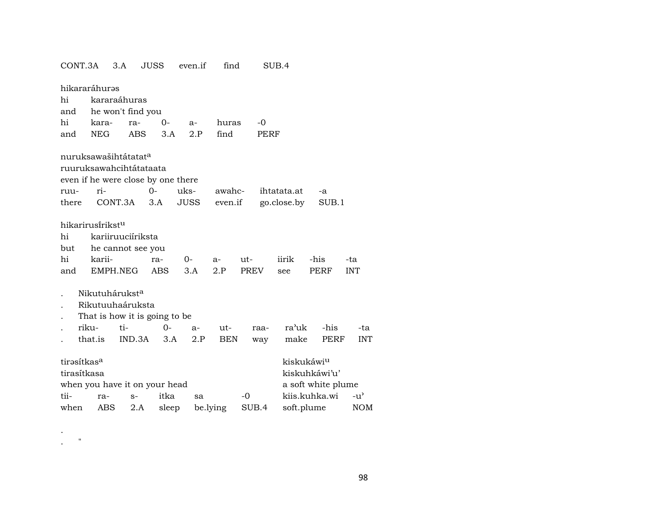|                         | 3.A              |                                                                                             |                                                                                                                                                       |                                                                                                                                                                        |                                                                                                                                                                    |                         |                                                  |                                                  |                              |                                                                                                                                                       |
|-------------------------|------------------|---------------------------------------------------------------------------------------------|-------------------------------------------------------------------------------------------------------------------------------------------------------|------------------------------------------------------------------------------------------------------------------------------------------------------------------------|--------------------------------------------------------------------------------------------------------------------------------------------------------------------|-------------------------|--------------------------------------------------|--------------------------------------------------|------------------------------|-------------------------------------------------------------------------------------------------------------------------------------------------------|
|                         |                  |                                                                                             |                                                                                                                                                       |                                                                                                                                                                        |                                                                                                                                                                    |                         |                                                  |                                                  |                              |                                                                                                                                                       |
|                         |                  |                                                                                             |                                                                                                                                                       |                                                                                                                                                                        |                                                                                                                                                                    |                         |                                                  |                                                  |                              |                                                                                                                                                       |
|                         |                  |                                                                                             |                                                                                                                                                       |                                                                                                                                                                        |                                                                                                                                                                    |                         |                                                  |                                                  |                              |                                                                                                                                                       |
|                         |                  |                                                                                             |                                                                                                                                                       |                                                                                                                                                                        |                                                                                                                                                                    |                         |                                                  |                                                  |                              |                                                                                                                                                       |
|                         |                  |                                                                                             |                                                                                                                                                       |                                                                                                                                                                        |                                                                                                                                                                    |                         |                                                  |                                                  |                              |                                                                                                                                                       |
|                         |                  |                                                                                             |                                                                                                                                                       |                                                                                                                                                                        |                                                                                                                                                                    |                         |                                                  |                                                  |                              |                                                                                                                                                       |
|                         |                  |                                                                                             |                                                                                                                                                       |                                                                                                                                                                        |                                                                                                                                                                    |                         |                                                  |                                                  |                              |                                                                                                                                                       |
|                         |                  |                                                                                             |                                                                                                                                                       |                                                                                                                                                                        |                                                                                                                                                                    |                         |                                                  |                                                  |                              |                                                                                                                                                       |
|                         |                  |                                                                                             |                                                                                                                                                       |                                                                                                                                                                        |                                                                                                                                                                    |                         |                                                  |                                                  |                              |                                                                                                                                                       |
|                         |                  | $0 -$                                                                                       |                                                                                                                                                       |                                                                                                                                                                        |                                                                                                                                                                    |                         |                                                  |                                                  | -a                           |                                                                                                                                                       |
| there                   |                  |                                                                                             |                                                                                                                                                       |                                                                                                                                                                        |                                                                                                                                                                    |                         |                                                  |                                                  |                              |                                                                                                                                                       |
|                         |                  |                                                                                             |                                                                                                                                                       |                                                                                                                                                                        |                                                                                                                                                                    |                         |                                                  |                                                  |                              |                                                                                                                                                       |
|                         |                  |                                                                                             |                                                                                                                                                       |                                                                                                                                                                        |                                                                                                                                                                    |                         |                                                  |                                                  |                              |                                                                                                                                                       |
|                         |                  |                                                                                             |                                                                                                                                                       |                                                                                                                                                                        |                                                                                                                                                                    |                         |                                                  |                                                  |                              |                                                                                                                                                       |
| but                     |                  |                                                                                             |                                                                                                                                                       |                                                                                                                                                                        |                                                                                                                                                                    |                         |                                                  |                                                  |                              |                                                                                                                                                       |
|                         |                  |                                                                                             |                                                                                                                                                       | $0-$                                                                                                                                                                   | $a-$                                                                                                                                                               |                         |                                                  | iirik                                            | -his                         | -ta                                                                                                                                                   |
|                         |                  |                                                                                             |                                                                                                                                                       | 3.A                                                                                                                                                                    | 2.P                                                                                                                                                                |                         |                                                  | see                                              | PERF                         | <b>INT</b>                                                                                                                                            |
|                         |                  |                                                                                             |                                                                                                                                                       |                                                                                                                                                                        |                                                                                                                                                                    |                         |                                                  |                                                  |                              |                                                                                                                                                       |
|                         |                  |                                                                                             |                                                                                                                                                       |                                                                                                                                                                        |                                                                                                                                                                    |                         |                                                  |                                                  |                              |                                                                                                                                                       |
|                         |                  |                                                                                             |                                                                                                                                                       |                                                                                                                                                                        |                                                                                                                                                                    |                         |                                                  |                                                  |                              |                                                                                                                                                       |
|                         |                  |                                                                                             |                                                                                                                                                       |                                                                                                                                                                        |                                                                                                                                                                    |                         |                                                  |                                                  |                              | -ta                                                                                                                                                   |
|                         |                  |                                                                                             |                                                                                                                                                       |                                                                                                                                                                        |                                                                                                                                                                    |                         |                                                  |                                                  |                              | <b>INT</b>                                                                                                                                            |
|                         |                  |                                                                                             |                                                                                                                                                       |                                                                                                                                                                        |                                                                                                                                                                    |                         |                                                  |                                                  |                              |                                                                                                                                                       |
| tirasítkas <sup>a</sup> |                  |                                                                                             |                                                                                                                                                       |                                                                                                                                                                        |                                                                                                                                                                    |                         |                                                  |                                                  |                              |                                                                                                                                                       |
| tirasítkasa             |                  |                                                                                             |                                                                                                                                                       |                                                                                                                                                                        |                                                                                                                                                                    |                         |                                                  |                                                  |                              |                                                                                                                                                       |
|                         |                  |                                                                                             |                                                                                                                                                       |                                                                                                                                                                        |                                                                                                                                                                    |                         |                                                  |                                                  |                              |                                                                                                                                                       |
|                         |                  | $S-$                                                                                        |                                                                                                                                                       | sa                                                                                                                                                                     |                                                                                                                                                                    | $-0$                    |                                                  |                                                  |                              | $-u^{\prime}$                                                                                                                                         |
| when                    |                  | 2.A                                                                                         | sleep                                                                                                                                                 |                                                                                                                                                                        |                                                                                                                                                                    |                         |                                                  |                                                  |                              | NOM                                                                                                                                                   |
|                         | CONT.3A<br>riku- | hikararáhurəs<br>kara-<br>NEG<br>ri-<br>hikarirusirikstu<br>karii-<br>that.is<br>ra-<br>ABS | kararaáhuras<br>ra-<br><b>ABS</b><br>nuruksawašihtátatat <sup>a</sup><br>CONT.3A<br>EMPH.NEG<br>Nikutuhárukst <sup>a</sup><br>Rikutuuhaáruksta<br>ti- | JUSS<br>he won't find you<br>0-<br>3.A<br>ruuruksawahcihtátataata<br>3.A<br>kariiruuciíriksta<br>he cannot see you<br>ra-<br><b>ABS</b><br>0-<br>IND.3A<br>3.A<br>itka | even.if<br>$a-$<br>2.P<br>even if he were close by one there<br>uks-<br><b>JUSS</b><br>That is how it is going to be<br>a-<br>2.P<br>when you have it on your head | find<br>ut-<br>be.lying | find<br>huras<br>awahc-<br>even.if<br><b>BEN</b> | -0<br>ut-<br><b>PREV</b><br>raa-<br>way<br>SUB.4 | SUB.4<br>PERF<br>ihtatata.at | go.close.by<br>SUB.1<br>ra'uk<br>-his<br>make<br>PERF<br>kiskukáwi <sup>u</sup><br>kiskuhkáwi'u'<br>a soft white plume<br>kiis.kuhka.wi<br>soft.plume |

. . "

98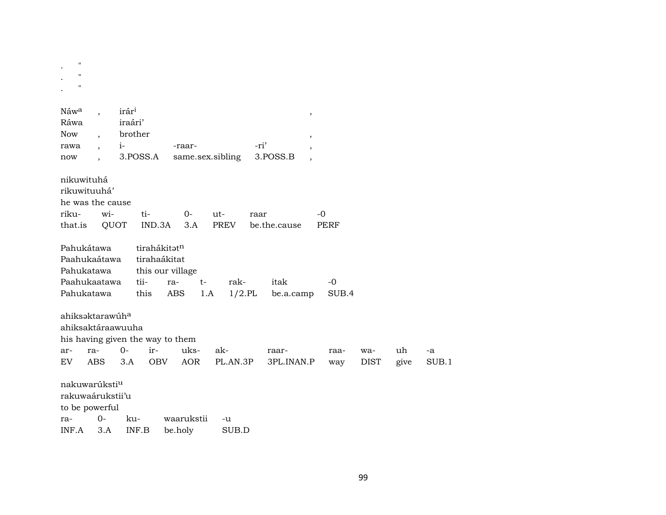| ,,                          |                      |                                  |                          |                  |              |                         |             |             |      |       |
|-----------------------------|----------------------|----------------------------------|--------------------------|------------------|--------------|-------------------------|-------------|-------------|------|-------|
| $\pmb{\mathsf{H}}$          |                      |                                  |                          |                  |              |                         |             |             |      |       |
| $\pmb{\mathsf{H}}$          |                      |                                  |                          |                  |              |                         |             |             |      |       |
|                             |                      |                                  |                          |                  |              |                         |             |             |      |       |
| Náwa                        |                      | irár <sup>i</sup>                |                          |                  |              |                         |             |             |      |       |
| Ráwa                        |                      | iraári'                          |                          |                  |              | $^\mathrm{^\mathrm{o}}$ |             |             |      |       |
| <b>Now</b>                  |                      | brother                          |                          |                  |              | $^\mathrm{,}$           |             |             |      |       |
| rawa                        | $\ddot{\phantom{0}}$ | $i-$                             | -raar-                   |                  | -ri'         |                         |             |             |      |       |
| now                         |                      | 3.POSS.A                         |                          | same.sex.sibling | 3.POSS.B     |                         |             |             |      |       |
| nikuwituhá                  |                      |                                  |                          |                  |              |                         |             |             |      |       |
| rikuwituuhá'                |                      |                                  |                          |                  |              |                         |             |             |      |       |
| he was the cause            |                      |                                  |                          |                  |              |                         |             |             |      |       |
| riku-                       | wi-                  | $ti-$                            | $0 -$                    | ut-              | raar         |                         | -0          |             |      |       |
| that.is                     |                      | QUOT                             | IND.3A<br>3.A            | PREV             | be.the.cause |                         | <b>PERF</b> |             |      |       |
| Pahukátawa                  |                      |                                  | tirahákitatn             |                  |              |                         |             |             |      |       |
| Paahukaátawa                |                      |                                  | tirahaákitat             |                  |              |                         |             |             |      |       |
| Pahukatawa                  |                      |                                  | this our village         |                  |              |                         |             |             |      |       |
| Paahukaatawa                |                      | tii-                             | ra-                      | rak-<br>$t-$     | itak         |                         | $-0$        |             |      |       |
| Pahukatawa                  |                      | this                             | ABS                      | 1.A              | $1/2$ .PL    | be.a.camp               | SUB.4       |             |      |       |
| ahiksəktarawúh <sup>a</sup> |                      |                                  |                          |                  |              |                         |             |             |      |       |
|                             |                      | ahiksaktáraawuuha                |                          |                  |              |                         |             |             |      |       |
|                             |                      | his having given the way to them |                          |                  |              |                         |             |             |      |       |
| ar-                         | ra-                  | $O -$<br>ir-                     | uks-                     | ak-              | raar-        |                         | raa-        | wa-         | uh   | -a    |
| <b>EV</b>                   | <b>ABS</b>           | 3.A                              | <b>OBV</b><br><b>AOR</b> | PL.AN.3P         |              | 3PL.INAN.P              | way         | <b>DIST</b> | give | SUB.1 |
| nakuwarúksti <sup>u</sup>   |                      |                                  |                          |                  |              |                         |             |             |      |       |
| rakuwaárukstii'u            |                      |                                  |                          |                  |              |                         |             |             |      |       |
| to be powerful              |                      |                                  |                          |                  |              |                         |             |             |      |       |
| ra-                         | $0-$                 | ku-                              | waarukstii               | -u               |              |                         |             |             |      |       |
| INF.A                       | 3.A                  | INF.B                            | be.holy                  | SUB.D            |              |                         |             |             |      |       |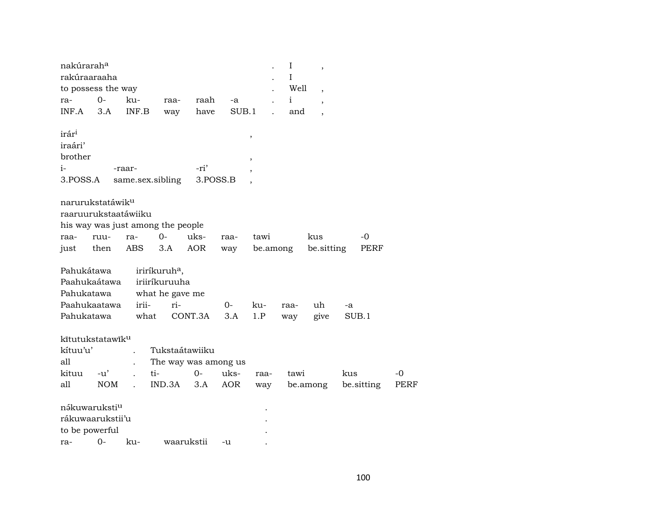| nakúrarah <sup>a</sup><br>rakúraaraaha |            |                                   |                           |                      |       |      | I<br>I       | $\overline{\phantom{a}}$ |     |            |      |
|----------------------------------------|------------|-----------------------------------|---------------------------|----------------------|-------|------|--------------|--------------------------|-----|------------|------|
| to possess the way                     |            |                                   |                           |                      |       |      | Well         | $\overline{ }$           |     |            |      |
| ra-                                    | $0-$       | ku-                               | raa-                      | raah                 | -a    |      | $\mathbf{i}$ | $\overline{ }$           |     |            |      |
| INF.A                                  | 3.A        | INF.B                             | way                       | have                 | SUB.1 |      | and          |                          |     |            |      |
| irár <sup>i</sup>                      |            |                                   |                           |                      |       | ,    |              |                          |     |            |      |
| iraári'                                |            |                                   |                           |                      |       |      |              |                          |     |            |      |
| brother                                |            |                                   |                           |                      |       | ,    |              |                          |     |            |      |
| $i-$                                   |            | -raar-                            |                           | -ri'                 |       |      |              |                          |     |            |      |
| 3.POSS.A                               |            | same.sex.sibling                  |                           | 3.POSS.B             |       |      |              |                          |     |            |      |
| narurukstatáwik <sup>u</sup>           |            |                                   |                           |                      |       |      |              |                          |     |            |      |
| raaruurukstaatáwiiku                   |            |                                   |                           |                      |       |      |              |                          |     |            |      |
|                                        |            | his way was just among the people |                           |                      |       |      |              |                          |     |            |      |
| raa-                                   | ruu-       | ra-                               | $0-$                      | uks-                 | raa-  | tawi |              | kus                      |     | -0         |      |
| just                                   | then       | ABS                               | 3.A                       | <b>AOR</b>           | way   |      | be.among     | be.sitting               |     | PERF       |      |
| Pahukátawa                             |            |                                   | iriríkuruh <sup>a</sup> , |                      |       |      |              |                          |     |            |      |
| Paahukaátawa                           |            |                                   | iriiríkuruuha             |                      |       |      |              |                          |     |            |      |
| Pahukatawa                             |            |                                   | what he gave me           |                      |       |      |              |                          |     |            |      |
| Paahukaatawa                           |            | irii-                             | ri-                       |                      | 0-    | ku-  | raa-         | uh                       | -a  |            |      |
| Pahukatawa                             |            | what                              |                           | CONT.3A              | 3.A   | 1.P  | way          | give                     |     | SUB.1      |      |
| kītutukstatawīk <sup>u</sup>           |            |                                   |                           |                      |       |      |              |                          |     |            |      |
| kítuu'u'                               |            |                                   |                           | Tukstaátawiiku       |       |      |              |                          |     |            |      |
| all                                    |            |                                   |                           | The way was among us |       |      |              |                          |     |            |      |
| kituu                                  | $-u'$      | ti-                               |                           | $0-$                 | uks-  | raa- | tawi         |                          | kus |            | $-0$ |
| all                                    | <b>NOM</b> | $\mathbb{R}^2$                    | IND.3A                    | 3.A                  | AOR   | way  |              | be.among                 |     | be sitting | PERF |
| nákuwaruksti <sup>u</sup>              |            |                                   |                           |                      |       |      |              |                          |     |            |      |
| rákuwaarukstii'u                       |            |                                   |                           |                      |       |      |              |                          |     |            |      |
| to be powerful                         |            |                                   |                           |                      |       |      |              |                          |     |            |      |
| ra-                                    | $0-$       | ku-                               | waarukstii                |                      | -u    |      |              |                          |     |            |      |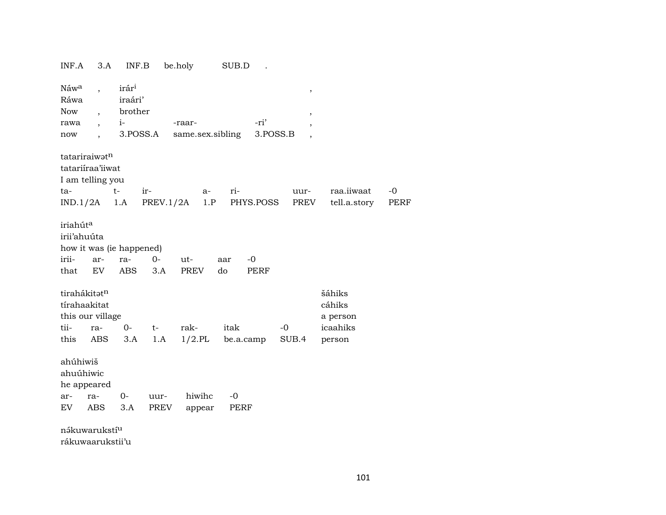|               | INF.A                                | 3.A                                                                                                      | INF.B                                           |                  | be.holy                    | SUB.D        |                  |                                                                         |                                                    |                     |
|---------------|--------------------------------------|----------------------------------------------------------------------------------------------------------|-------------------------------------------------|------------------|----------------------------|--------------|------------------|-------------------------------------------------------------------------|----------------------------------------------------|---------------------|
| Now<br>now    | Náw <sup>a</sup><br>Ráwa<br>rawa     | $\ddot{\phantom{0}}$<br>$\overline{\phantom{a}}$<br>$\overline{\phantom{a}}$<br>$\overline{\phantom{a}}$ | irár <sup>i</sup><br>iraári'<br>brother<br>$i-$ | 3.POSS.A         | -raar-<br>same.sex.sibling |              | -ri'<br>3.POSS.B | $^\mathrm{^\mathrm{o}}$<br>$^\mathrm{^{^\circ}}$<br>,<br>$\overline{ }$ |                                                    |                     |
| ta-           | tatariraiwatn                        | tatariiraa'iiwat<br>I am telling you<br>$IND.1/2A$ 1.A                                                   | $t-$                                            | ir-<br>PREV.1/2A | $a-$<br>1.P                | ri-          | PHYS.POSS        | uur-<br>PREV                                                            | raa.iiwaat<br>tell.a.story                         | $-0$<br><b>PERF</b> |
| irii-<br>that | iriahút <sup>a</sup><br>irii'ahuúta  | ar-<br>EV                                                                                                | how it was (ie happened)<br>ra-<br><b>ABS</b>   | 0-<br>3.A        | ut-<br>PREV                | aar<br>do    | $-0$<br>PERF     |                                                                         |                                                    |                     |
| tii-<br>this  | tirahákitatn<br>tírahaakitat         | this our village<br>ra-<br>ABS                                                                           | $0-$<br>3.A                                     | $t-$<br>1.A      | rak-<br>$1/2$ .PL          | itak         | be.a.camp        | $-0$<br>SUB.4                                                           | šáhiks<br>cáhiks<br>a person<br>icaahiks<br>person |                     |
| ar-<br>EV.    | ahúhiwiš<br>ahuúhiwic<br>he appeared | ra-<br>ABS                                                                                               | $0-$<br>3.A                                     | uur-<br>PREV     | hiwihc<br>appear           | $-0$<br>PERF |                  |                                                                         |                                                    |                     |
|               |                                      | nákuwarukstí <sup>u</sup>                                                                                |                                                 |                  |                            |              |                  |                                                                         |                                                    |                     |

rákuwaarukstii'u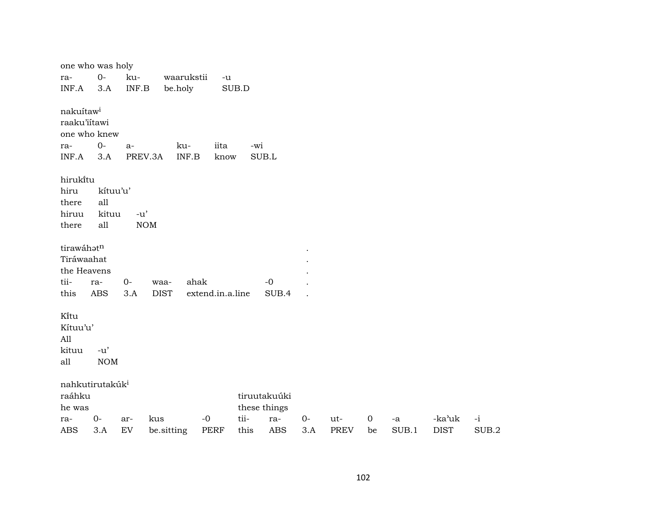| one who was holy            |            |                                        |             |            |                  |      |              |      |             |                  |             |             |       |
|-----------------------------|------------|----------------------------------------|-------------|------------|------------------|------|--------------|------|-------------|------------------|-------------|-------------|-------|
| ra-                         | $0 -$      | ku-                                    |             | waarukstii | $-u$             |      |              |      |             |                  |             |             |       |
| INF.A                       | 3.A        | $\ensuremath{\mathsf{INF}.\mathsf{B}}$ |             | be.holy    | SUB.D            |      |              |      |             |                  |             |             |       |
| nakuítaw <sup>i</sup>       |            |                                        |             |            |                  |      |              |      |             |                  |             |             |       |
| raaku'iítawi                |            |                                        |             |            |                  |      |              |      |             |                  |             |             |       |
| one who knew                |            |                                        |             |            |                  |      |              |      |             |                  |             |             |       |
| ra-                         | $O -$      | $a-$                                   |             | ku-        | iita             | -wi  |              |      |             |                  |             |             |       |
| INF.A                       | 3.A        | PREV.3A                                |             | INF.B      | know             |      | SUB.L        |      |             |                  |             |             |       |
| hirukítu                    |            |                                        |             |            |                  |      |              |      |             |                  |             |             |       |
| hiru                        | kítuu'u'   |                                        |             |            |                  |      |              |      |             |                  |             |             |       |
| there                       | all        |                                        |             |            |                  |      |              |      |             |                  |             |             |       |
| hiruu                       | kituu      | $-u'$                                  |             |            |                  |      |              |      |             |                  |             |             |       |
| there                       | all        | $\rm{NOM}$                             |             |            |                  |      |              |      |             |                  |             |             |       |
| tirawáhatn                  |            |                                        |             |            |                  |      |              |      |             |                  |             |             |       |
| Tiráwaahat                  |            |                                        |             |            |                  |      |              |      |             |                  |             |             |       |
| the Heavens                 |            |                                        |             |            |                  |      |              |      |             |                  |             |             |       |
| tii-                        | ra-        | $0-$                                   | waa-        | ahak       |                  |      | $-0$         |      |             |                  |             |             |       |
| this                        | <b>ABS</b> | 3.A                                    | <b>DIST</b> |            | extend.in.a.line |      | SUB.4        |      |             |                  |             |             |       |
| Kítu                        |            |                                        |             |            |                  |      |              |      |             |                  |             |             |       |
| Kítuu'u'                    |            |                                        |             |            |                  |      |              |      |             |                  |             |             |       |
| All                         |            |                                        |             |            |                  |      |              |      |             |                  |             |             |       |
| kituu                       | $-u'$      |                                        |             |            |                  |      |              |      |             |                  |             |             |       |
| all                         | $\rm{NOM}$ |                                        |             |            |                  |      |              |      |             |                  |             |             |       |
| nahkutirutakúk <sup>i</sup> |            |                                        |             |            |                  |      |              |      |             |                  |             |             |       |
| raáhku                      |            |                                        |             |            |                  |      | tiruutakuúki |      |             |                  |             |             |       |
| he was                      |            |                                        |             |            |                  |      | these things |      |             |                  |             |             |       |
| ra-                         | $0-$       | ar-                                    | kus         | $-0$       |                  | tii- | ra-          | $0-$ | ut-         | $\boldsymbol{0}$ | $\mbox{-a}$ | -ka'uk      | $-i$  |
| <b>ABS</b>                  | 3.A        | EV                                     | be.sitting  |            | <b>PERF</b>      | this | <b>ABS</b>   | 3.A  | <b>PREV</b> | be               | SUB.1       | <b>DIST</b> | SUB.2 |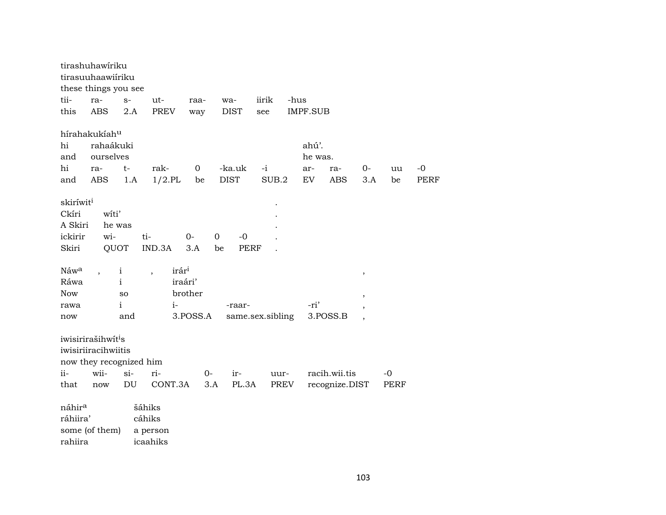|                                                               | tirashuhawíriku<br>tirasuuhaawiiriku<br>these things you see                                    |                                     |                                                                  |                                  |                            |               |                               |                                 |                                                      |              |                     |
|---------------------------------------------------------------|-------------------------------------------------------------------------------------------------|-------------------------------------|------------------------------------------------------------------|----------------------------------|----------------------------|---------------|-------------------------------|---------------------------------|------------------------------------------------------|--------------|---------------------|
| tii-                                                          | ra-                                                                                             | $S-$                                | $ut-$                                                            | raa-                             | wa-                        | iirik         | -hus                          |                                 |                                                      |              |                     |
| this                                                          | <b>ABS</b>                                                                                      | 2.A                                 | <b>PREV</b>                                                      | way                              | <b>DIST</b>                | see           | <b>IMPF.SUB</b>               |                                 |                                                      |              |                     |
| hi<br>and<br>hi<br>and                                        | hírahakukíahu<br>rahaákuki<br>ourselves<br>ra-<br>ABS                                           | $t-$<br>1.A                         | rak-<br>$1/2$ .PL                                                | $\boldsymbol{0}$<br>be           | -ka.uk<br><b>DIST</b>      | $-i$<br>SUB.2 | ahú'.<br>he was.<br>ar-<br>EV | ra-<br><b>ABS</b>               | $0-$<br>3.A                                          | uu<br>be     | $-0$<br><b>PERF</b> |
| skiríwit <sup>i</sup><br>Ckíri<br>A Skiri<br>ickirir<br>Skiri | witi'<br>he was<br>wi-<br>QUOT                                                                  |                                     | ti-<br>IND.3A                                                    | $0-$<br>$\mathbf 0$<br>3.A<br>be | $-0$<br><b>PERF</b>        |               |                               |                                 |                                                      |              |                     |
| Náw <sup>a</sup><br>Ráwa<br><b>Now</b><br>rawa<br>now         |                                                                                                 | i<br>i<br>SO<br>i<br>and            | irár <sup>i</sup><br>$\overline{\phantom{a}}$<br>iraári'<br>$i-$ | brother<br>3.POSS.A              | -raar-<br>same.sex.sibling |               | -ri'                          | 3.POSS.B                        | $\, ,$<br>$\overline{ }$<br>$\overline{\phantom{a}}$ |              |                     |
| ii-<br>that                                                   | iwisirirašihwít <sup>i</sup> s<br>iwisiriiracihwiitis<br>now they recognized him<br>wii-<br>now | $si-$<br>$\mathop{\rm DU}\nolimits$ | ri-<br>CONT.3A                                                   | 0-<br>3.A                        | ir-<br>PL.3A               | uur-<br>PREV  |                               | racih.wii.tis<br>recognize.DIST |                                                      | $-0$<br>PERF |                     |
| náhir <sup>a</sup><br>ráhiira'<br>rahiira                     | some (of them)                                                                                  |                                     | šáhiks<br>cáhiks<br>a person<br>icaahiks                         |                                  |                            |               |                               |                                 |                                                      |              |                     |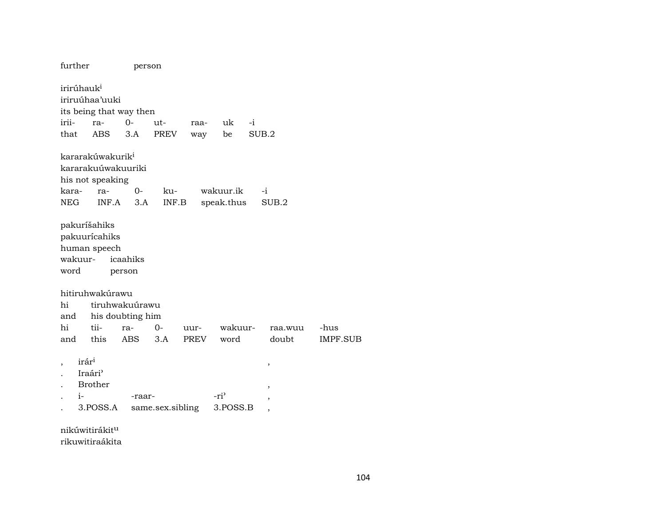| further                          |                                                                                 | person                  |                         |      |                                      |      |                                                                                   |          |
|----------------------------------|---------------------------------------------------------------------------------|-------------------------|-------------------------|------|--------------------------------------|------|-----------------------------------------------------------------------------------|----------|
| irirúhauk <sup>i</sup>           | iriruúhaa'uuki                                                                  | its being that way then |                         |      |                                      |      |                                                                                   |          |
| irii-                            | ra-                                                                             | 0-                      | ut-                     | raa- | uk                                   | $-i$ |                                                                                   |          |
| that                             | <b>ABS</b>                                                                      | 3.A                     | <b>PREV</b>             | way  | be                                   |      | SUB.2                                                                             |          |
| kara-                            | kararakúwakurik <sup>i</sup><br>kararakuúwakuuriki<br>his not speaking<br>ra-   | 0-                      | ku-                     |      | wakuur.ik                            |      | $-i$                                                                              |          |
| <b>NEG</b>                       | INF.A                                                                           | 3.A                     | INF.B                   |      | speak.thus                           |      | SUB.2                                                                             |          |
| pakuríšahiks<br>wakuur-<br>word  | pakuurícahiks<br>human speech<br>hitiruhwakúrawu                                | icaahiks<br>person      |                         |      |                                      |      |                                                                                   |          |
| hi                               |                                                                                 | tiruhwakuúrawu          |                         |      |                                      |      |                                                                                   |          |
| and<br>hi                        | tii-                                                                            | his doubting him        |                         |      |                                      |      |                                                                                   |          |
|                                  |                                                                                 | ra-                     | 0-                      | uur- | wakuur-                              |      | raa.wuu                                                                           | -hus     |
| and<br>irár <sup>i</sup><br>$i-$ | this<br>Iraári <sup></sup><br>Brother<br>3.POSS.A<br>nikúwitirákit <sup>u</sup> | <b>ABS</b><br>-raar-    | 3.A<br>same.sex.sibling | PREV | word<br>-ri <sup>3</sup><br>3.POSS.B |      | doubt<br>$\, ,$<br>$\, ,$<br>$\overline{\phantom{a}}$<br>$\overline{\phantom{a}}$ | IMPF.SUB |

rikuwitiraákita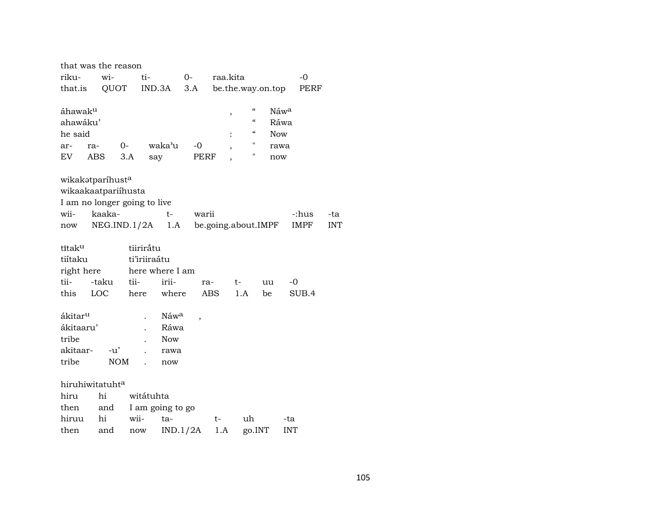| that was the reason                                     |                   |             |                              |                     |                          |                                                                      |                                           |            |     |
|---------------------------------------------------------|-------------------|-------------|------------------------------|---------------------|--------------------------|----------------------------------------------------------------------|-------------------------------------------|------------|-----|
| riku-                                                   | wi-               |             | ti-                          | $O-$                | raa.kita                 |                                                                      |                                           | $-0$       |     |
| that.is                                                 |                   | QUOT        | IND.3A                       | 3.A                 |                          | be.the.way.on.top                                                    |                                           | PERF       |     |
| áhawak <sup>u</sup><br>ahawáku'<br>he said<br>ar-<br>EV | ra-<br><b>ABS</b> | $0-$<br>3.A | waka'u<br>say                | $-0$<br><b>PERF</b> | ,<br>$\ddot{\cdot}$<br>, | $\mathcal{C}\mathcal{C}$<br>$\mathcal{C}\mathcal{C}$<br>"<br>11<br>Ħ | Náwa<br>Ráwa<br><b>Now</b><br>rawa<br>now |            |     |
| wikakatparíhusta                                        |                   |             |                              |                     |                          |                                                                      |                                           |            |     |
| wikaakaatpariihusta                                     |                   |             |                              |                     |                          |                                                                      |                                           |            |     |
|                                                         |                   |             | I am no longer going to live |                     |                          |                                                                      |                                           |            |     |
| wii-                                                    | kaaka-            |             | t-                           | warii               |                          |                                                                      |                                           | -:hus      | -ta |
| now                                                     | NEG.ID.1/2A       |             | 1.A                          |                     |                          | be.going.about.IMPF                                                  |                                           | IMPF       | INT |
| tītaku                                                  |                   |             | tiiriratu                    |                     |                          |                                                                      |                                           |            |     |
| tiítaku                                                 |                   |             | ti'iriiraátu                 |                     |                          |                                                                      |                                           |            |     |
| right here                                              |                   |             | here where I am              |                     |                          |                                                                      |                                           |            |     |
| tii-                                                    | -taku             | tii-        | irii-                        | ra-                 |                          | t-                                                                   | uu                                        | -0         |     |
| this                                                    | LOC               | here        | where                        |                     | <b>ABS</b>               | 1.A                                                                  | be                                        | SUB.4      |     |
|                                                         |                   |             |                              |                     |                          |                                                                      |                                           |            |     |
| ákitar <sup>u</sup>                                     |                   |             | Náw <sup>a</sup>             | ,                   |                          |                                                                      |                                           |            |     |
| ákitaaru'                                               |                   |             | Ráwa                         |                     |                          |                                                                      |                                           |            |     |
| tribe                                                   | $-u'$             |             | <b>Now</b>                   |                     |                          |                                                                      |                                           |            |     |
| akitaar-                                                |                   |             | rawa                         |                     |                          |                                                                      |                                           |            |     |
| tribe                                                   |                   | <b>NOM</b>  | now                          |                     |                          |                                                                      |                                           |            |     |
| hiruhiwitatuhta                                         |                   |             |                              |                     |                          |                                                                      |                                           |            |     |
| hiru                                                    | hi                |             | witátuhta                    |                     |                          |                                                                      |                                           |            |     |
| then                                                    | and               |             | I am going to go             |                     |                          |                                                                      |                                           |            |     |
| hiruu                                                   | hi                | wii-        | ta-                          |                     | t-                       | uh                                                                   |                                           | -ta        |     |
| then                                                    | and               | now         |                              | IND.1/2A            | 1.A                      | go.INT                                                               |                                           | <b>INT</b> |     |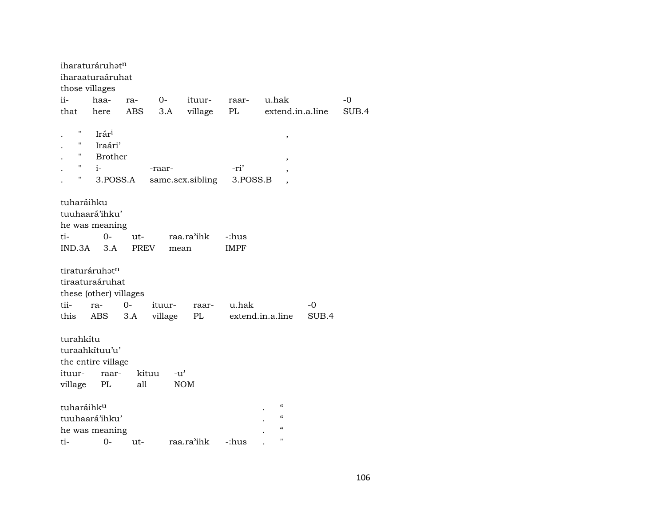|                    | iharaturáruhatn        |             |                        |                  |             |                          |       |       |
|--------------------|------------------------|-------------|------------------------|------------------|-------------|--------------------------|-------|-------|
|                    | iharaaturaáruhat       |             |                        |                  |             |                          |       |       |
| those villages     |                        |             |                        |                  |             |                          |       |       |
| ii-                | haa-                   | ra-         | $O-$                   | ituur-           | raar-       | u.hak                    |       | $-0$  |
| that               | here                   | ABS         | 3.A                    | village          | PL          | extend.in.a.line         |       | SUB.4 |
| Ħ                  |                        |             |                        |                  |             |                          |       |       |
| Η                  | Irári                  |             |                        |                  |             | $\,$                     |       |       |
| 11                 | Iraári'                |             |                        |                  |             |                          |       |       |
| $\pmb{\mathsf{H}}$ | <b>Brother</b>         |             |                        |                  |             | $\,$                     |       |       |
|                    | $i-$                   |             | -raar-                 |                  | -ri'        | $\overline{\phantom{a}}$ |       |       |
| 11                 | 3.POSS.A               |             |                        | same.sex.sibling | 3.POSS.B    | $\overline{\phantom{a}}$ |       |       |
|                    |                        |             |                        |                  |             |                          |       |       |
| tuharáihku         |                        |             |                        |                  |             |                          |       |       |
|                    | tuuhaará'ihku'         |             |                        |                  |             |                          |       |       |
|                    | he was meaning         |             |                        |                  |             |                          |       |       |
| ti-                | 0-                     | ut-         |                        | raa.ra'ihk       | -:hus       |                          |       |       |
| IND.3A             | 3.A                    | <b>PREV</b> | mean                   |                  | <b>IMPF</b> |                          |       |       |
|                    |                        |             |                        |                  |             |                          |       |       |
|                    | tiraturáruhatn         |             |                        |                  |             |                          |       |       |
|                    | tiraaturaáruhat        |             |                        |                  |             |                          |       |       |
|                    | these (other) villages |             |                        |                  |             |                          |       |       |
| tii-               | ra-                    | $0-$        | ituur-                 | raar-            | u.hak       |                          | $-0$  |       |
| this               | ABS                    | 3.A         | village                | $\rm PL$         |             | extend.in.a.line         | SUB.4 |       |
|                    |                        |             |                        |                  |             |                          |       |       |
| turahkítu          |                        |             |                        |                  |             |                          |       |       |
|                    | turaahkítuu'u'         |             |                        |                  |             |                          |       |       |
|                    | the entire village     |             |                        |                  |             |                          |       |       |
| ituur-             | raar-                  |             | kituu<br>$-u^{\prime}$ |                  |             |                          |       |       |
| village            | PL                     | all         |                        | <b>NOM</b>       |             |                          |       |       |
|                    |                        |             |                        |                  |             |                          |       |       |
| tuharáihku         |                        |             |                        |                  |             | $\mathcal{C}$            |       |       |
|                    | tuuhaará'ihku'         |             |                        |                  |             | $\mathcal{C}\mathcal{C}$ |       |       |
|                    | he was meaning         |             |                        |                  |             | $\pmb{\zeta}\pmb{\zeta}$ |       |       |
| ti-                | $0-$                   | ut-         |                        | raa.ra'ihk       | -:hus       | $\pmb{\mathsf{H}}$       |       |       |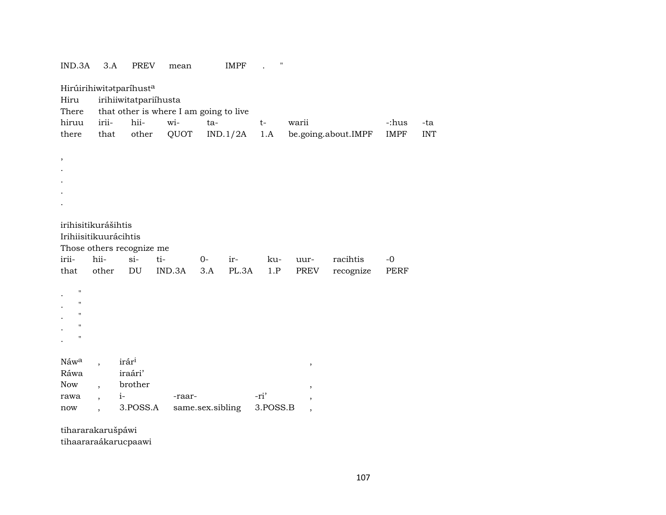| IND.3A             | 3.A                              | <b>PREV</b>                | mean                                   |                  | <b>IMPF</b> | $\pmb{\mathsf{H}}$ |                               |                     |             |            |
|--------------------|----------------------------------|----------------------------|----------------------------------------|------------------|-------------|--------------------|-------------------------------|---------------------|-------------|------------|
|                    |                                  | Hirúirihiwitatparíhusta    |                                        |                  |             |                    |                               |                     |             |            |
| Hiru               |                                  | irihiiwitatpariíhusta      |                                        |                  |             |                    |                               |                     |             |            |
| There              |                                  |                            | that other is where I am going to live |                  |             |                    |                               |                     |             |            |
| hiruu              | irii-                            | hii-                       | wi-                                    | ta-              |             | t-                 | warii                         |                     | -:hus       | -ta        |
| there              | that                             | other                      | QUOT                                   |                  | IND.1/2A    | 1.A                |                               | be.going.about.IMPF | <b>IMPF</b> | <b>INT</b> |
|                    |                                  |                            |                                        |                  |             |                    |                               |                     |             |            |
| $\, ,$             |                                  |                            |                                        |                  |             |                    |                               |                     |             |            |
|                    |                                  |                            |                                        |                  |             |                    |                               |                     |             |            |
|                    |                                  |                            |                                        |                  |             |                    |                               |                     |             |            |
|                    |                                  |                            |                                        |                  |             |                    |                               |                     |             |            |
|                    |                                  |                            |                                        |                  |             |                    |                               |                     |             |            |
|                    |                                  |                            |                                        |                  |             |                    |                               |                     |             |            |
|                    | irihisitikurášihtis              |                            |                                        |                  |             |                    |                               |                     |             |            |
|                    | Irihiisitikuurácihtis            |                            |                                        |                  |             |                    |                               |                     |             |            |
|                    |                                  |                            |                                        |                  |             |                    |                               |                     |             |            |
|                    |                                  | Those others recognize me  |                                        |                  |             |                    |                               |                     |             |            |
| irii-              | hii-                             | $si-$                      | ti-                                    | $0-$             | ir-         | ku-                | uur-                          | racihtis            | $-0$        |            |
| that               | other                            | $\mathop{\rm DU}\nolimits$ | IND.3A                                 | 3.A              | PL.3A       | 1.P                | PREV                          | recognize           | <b>PERF</b> |            |
|                    |                                  |                            |                                        |                  |             |                    |                               |                     |             |            |
| $\pmb{\mathsf{H}}$ |                                  |                            |                                        |                  |             |                    |                               |                     |             |            |
| $\pmb{\mathsf{H}}$ |                                  |                            |                                        |                  |             |                    |                               |                     |             |            |
| $\pmb{\mathsf{H}}$ |                                  |                            |                                        |                  |             |                    |                               |                     |             |            |
| $\pmb{\mathsf{H}}$ |                                  |                            |                                        |                  |             |                    |                               |                     |             |            |
| $\pmb{\mathsf{H}}$ |                                  |                            |                                        |                  |             |                    |                               |                     |             |            |
|                    |                                  |                            |                                        |                  |             |                    |                               |                     |             |            |
| Náwa               |                                  | irári                      |                                        |                  |             |                    |                               |                     |             |            |
| Ráwa               |                                  | iraári'                    |                                        |                  |             |                    | $^\mathrm{^\mathrm{o}}$       |                     |             |            |
| Now                | $\overline{\phantom{a}}$         | brother                    |                                        |                  |             |                    |                               |                     |             |            |
| rawa               | $i-$<br>$\overline{\phantom{a}}$ |                            | -raar-                                 |                  |             | -ri'               | $\, ,$                        |                     |             |            |
| now                |                                  | 3.POSS.A                   |                                        | same.sex.sibling |             | 3.POSS.B           | ,<br>$\overline{\phantom{a}}$ |                     |             |            |

tihararakarušpáwi tihaararaákarucpaawi

107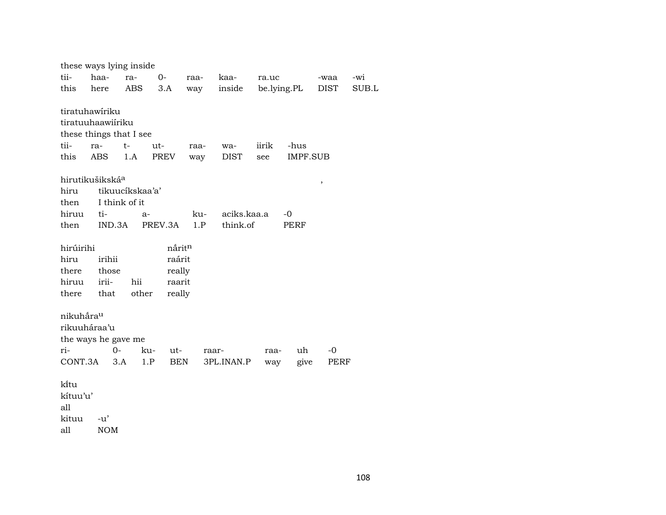| these ways lying inside          |        |        |              |                            |             |       |                 |      |       |  |
|----------------------------------|--------|--------|--------------|----------------------------|-------------|-------|-----------------|------|-------|--|
| tii-                             | haa-   | ra-    | $0-$         | raa-                       | kaa-        | ra.uc |                 | -waa | -wi   |  |
| this                             | here   | ABS    | 3.A          | way                        | inside      |       | be.lying.PL     | DIST | SUB.L |  |
|                                  |        |        |              |                            |             |       |                 |      |       |  |
| tiratuhawíriku                   |        |        |              |                            |             |       |                 |      |       |  |
| tiratuuhaawiíriku                |        |        |              |                            |             |       |                 |      |       |  |
| these things that I see          |        |        |              |                            |             |       |                 |      |       |  |
| tii-                             | ra-    | $t-$   | ut-          | raa-                       | wa-         | iirik | -hus            |      |       |  |
| this                             | ABS    | 1.A    | <b>PREV</b>  | way                        | <b>DIST</b> | see   | <b>IMPF.SUB</b> |      |       |  |
|                                  |        |        |              |                            |             |       |                 |      |       |  |
| hirutikušikská <sup>a</sup><br>, |        |        |              |                            |             |       |                 |      |       |  |
| tikuucíkskaa'a'<br>hiru          |        |        |              |                            |             |       |                 |      |       |  |
| I think of it<br>then            |        |        |              |                            |             |       |                 |      |       |  |
| hiruu                            | ti-    | $a-$   |              | aciks.kaa.a<br>ku-<br>$-0$ |             |       |                 |      |       |  |
| then                             |        | IND.3A | PREV.3A      | 1.P                        | think.of    |       | PERF            |      |       |  |
|                                  |        |        |              |                            |             |       |                 |      |       |  |
| hirúirihi                        |        |        |              | nårit <sup>n</sup>         |             |       |                 |      |       |  |
| hiru                             | irihii |        |              | raárit                     |             |       |                 |      |       |  |
| there                            | those  |        |              | really                     |             |       |                 |      |       |  |
| hiruu                            | irii-  | hii    | raarit       |                            |             |       |                 |      |       |  |
| there                            | that   | other  | really       |                            |             |       |                 |      |       |  |
|                                  |        |        |              |                            |             |       |                 |      |       |  |
| nikuhåra <sup>u</sup>            |        |        |              |                            |             |       |                 |      |       |  |
| rikuuháraa'u                     |        |        |              |                            |             |       |                 |      |       |  |
| the ways he gave me              |        |        |              |                            |             |       |                 |      |       |  |
| ri-                              |        | $0 -$  | ku-<br>$ut-$ |                            | raar-       | raa-  | uh              | -0   |       |  |
| CONT.3A                          |        | 3.A    | 1.P          | BEN                        | 3PL.INAN.P  | way   | give            | PERF |       |  |
|                                  |        |        |              |                            |             |       |                 |      |       |  |
| ki̇̃tu                           |        |        |              |                            |             |       |                 |      |       |  |
| kítuu'u'                         |        |        |              |                            |             |       |                 |      |       |  |
| all                              |        |        |              |                            |             |       |                 |      |       |  |

kituu -u'

all NOM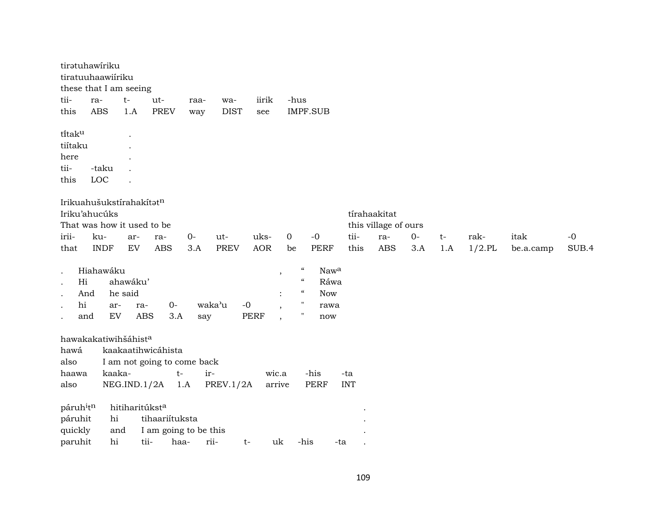|                                   | tiratuhawíriku<br>tiratuuhaawiiriku<br>these that I am seeing |            |                             |                |                       |             |             |                          |                            |            |      |                      |      |     |           |           |       |
|-----------------------------------|---------------------------------------------------------------|------------|-----------------------------|----------------|-----------------------|-------------|-------------|--------------------------|----------------------------|------------|------|----------------------|------|-----|-----------|-----------|-------|
| tii-                              | ra-                                                           | $t-$       | ut-                         |                | raa-                  | wa-         | iirik       | -hus                     |                            |            |      |                      |      |     |           |           |       |
| this                              | <b>ABS</b>                                                    | 1.A        |                             | <b>PREV</b>    | way                   | <b>DIST</b> | see         |                          | <b>IMPF.SUB</b>            |            |      |                      |      |     |           |           |       |
| titaku                            |                                                               |            |                             |                |                       |             |             |                          |                            |            |      |                      |      |     |           |           |       |
| tiítaku                           |                                                               |            |                             |                |                       |             |             |                          |                            |            |      |                      |      |     |           |           |       |
| here                              |                                                               |            |                             |                |                       |             |             |                          |                            |            |      |                      |      |     |           |           |       |
| tii-                              | -taku                                                         |            |                             |                |                       |             |             |                          |                            |            |      |                      |      |     |           |           |       |
| this                              | LOC                                                           |            |                             |                |                       |             |             |                          |                            |            |      |                      |      |     |           |           |       |
|                                   | Irikuahušukstírahakítatn                                      |            |                             |                |                       |             |             |                          |                            |            |      |                      |      |     |           |           |       |
|                                   | Iriku'ahucúks                                                 |            |                             |                |                       |             |             |                          |                            |            |      | tírahaakitat         |      |     |           |           |       |
|                                   | That was how it used to be                                    |            |                             |                |                       |             |             |                          |                            |            |      | this village of ours |      |     |           |           |       |
| irii-                             | ku-                                                           | ar-        | ra-                         |                | $0-$                  | ut-         | uks-        | 0                        | $-0$                       |            | tii- | ra-                  | $0-$ | t-  | rak-      | itak      | $-0$  |
| that                              | <b>INDF</b>                                                   | ${\rm EV}$ |                             | <b>ABS</b>     | 3.A                   | <b>PREV</b> | <b>AOR</b>  | be                       | <b>PERF</b>                |            | this | <b>ABS</b>           | 3.A  | 1.A | $1/2$ .PL | be.a.camp | SUB.4 |
| $\cdot$                           | Hiahawáku                                                     |            |                             |                |                       |             |             | $\cdot$                  | $\boldsymbol{\mathcal{C}}$ | Nawa       |      |                      |      |     |           |           |       |
| Hi<br>$\bullet$                   |                                                               | ahawáku'   |                             |                |                       |             |             |                          | $\boldsymbol{\mathcal{U}}$ | Ráwa       |      |                      |      |     |           |           |       |
| And                               |                                                               | he said    |                             |                |                       |             |             |                          | $\boldsymbol{\mathcal{G}}$ | <b>Now</b> |      |                      |      |     |           |           |       |
| hi                                | ar-                                                           |            | ra-                         | $0-$           |                       | waka'u      | $-0$        | $\cdot$                  | $\pmb{\mathsf{H}}$         | rawa       |      |                      |      |     |           |           |       |
| and<br>$\cdot$                    | EV                                                            |            | <b>ABS</b>                  | 3.A            | say                   |             | <b>PERF</b> | $\overline{\phantom{a}}$ | $\pmb{\mathsf{H}}$         | now        |      |                      |      |     |           |           |       |
|                                   | hawakakatiwihšáhista                                          |            |                             |                |                       |             |             |                          |                            |            |      |                      |      |     |           |           |       |
| hawá                              |                                                               |            | kaakaatihwicáhista          |                |                       |             |             |                          |                            |            |      |                      |      |     |           |           |       |
| also                              |                                                               |            | I am not going to come back |                |                       |             |             |                          |                            |            |      |                      |      |     |           |           |       |
| haawa                             | kaaka-                                                        |            |                             | $t-$           |                       | ir-         | wic.a       |                          | -his                       | -ta        |      |                      |      |     |           |           |       |
| also                              |                                                               |            | NEG.IND.1/2A                | 1.A            |                       | PREV.1/2A   | arrive      |                          | PERF                       | <b>INT</b> |      |                      |      |     |           |           |       |
| páruh <sup>i</sup> t <sup>n</sup> |                                                               |            | hitiharitúkst <sup>a</sup>  |                |                       |             |             |                          |                            |            |      |                      |      |     |           |           |       |
| páruhit                           | hi                                                            |            |                             | tihaariítuksta |                       |             |             |                          |                            |            |      |                      |      |     |           |           |       |
| quickly                           |                                                               | and        |                             |                | I am going to be this |             |             |                          |                            |            |      |                      |      |     |           |           |       |
| paruhit                           | hi                                                            |            | tii-                        | haa-           |                       | rii-        | uk<br>t-    |                          | -his                       | -ta        |      |                      |      |     |           |           |       |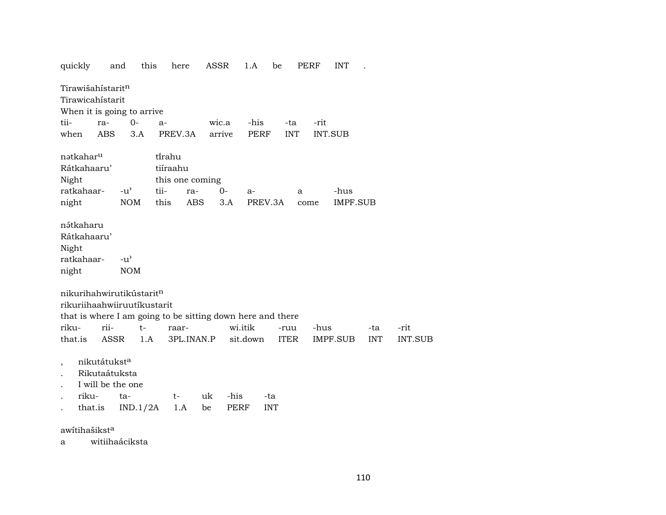| quickly                                                    |                                                      | this<br>and                          | here               |                 | ASSR         | 1.A      | be                | PERF | <b>INT</b>     |            |                |
|------------------------------------------------------------|------------------------------------------------------|--------------------------------------|--------------------|-----------------|--------------|----------|-------------------|------|----------------|------------|----------------|
| Tirawišahístarit <sup>n</sup><br>Tirawicahistarit          |                                                      |                                      |                    |                 |              |          |                   |      |                |            |                |
| When it is going to arrive                                 |                                                      |                                      |                    |                 |              |          |                   |      |                |            |                |
| tii-                                                       | ra-                                                  | $0-$                                 | a-                 |                 | wic.a        | -his     | -ta               | -rit |                |            |                |
| when                                                       | <b>ABS</b>                                           | 3.A                                  | PREV.3A            |                 | arrive       | PERF     | <b>INT</b>        |      | <b>INT.SUB</b> |            |                |
| nətkahar <sup>u</sup><br>Rátkahaaru'<br>Night              |                                                      |                                      | tirahu<br>tiíraahu | this one coming |              |          |                   |      |                |            |                |
| ratkahaar-                                                 |                                                      | $-u^{\prime}$                        | tii-               | ra-             | $0-$         | $a-$     |                   | a    | -hus           |            |                |
| night                                                      |                                                      | <b>NOM</b>                           | this               | ABS             | 3.A          | PREV.3A  |                   | come | IMPF.SUB       |            |                |
| nátkaharu<br>Rátkahaaru'<br>Night<br>ratkahaar-<br>night   |                                                      | -u'<br><b>NOM</b>                    |                    |                 |              |          |                   |      |                |            |                |
| nikurihahwirutikústaritn<br>rikuriihaahwiiruutíkustarit    |                                                      |                                      |                    |                 |              |          |                   |      |                |            |                |
| that is where I am going to be sitting down here and there |                                                      |                                      |                    |                 |              |          |                   |      |                |            |                |
| riku-                                                      | rii-                                                 | $t-$                                 | raar-              |                 |              | wi.itik  | -ruu              | -hus |                | -ta        | -rit           |
| that.is                                                    | ASSR                                                 | 1.A                                  |                    | 3PL.INAN.P      |              | sit.down | ITER              |      | IMPF.SUB       | <b>INT</b> | <b>INT.SUB</b> |
| $\overline{\phantom{a}}$<br>riku-                          | nikutátukst <sup>a</sup><br>Rikutaátuksta<br>that.is | I will be the one<br>ta-<br>IND.1/2A | t-<br>1.A          | uk<br>be        | -his<br>PERF |          | -ta<br><b>INT</b> |      |                |            |                |
| $\overline{ }$                                             | $\sim$                                               |                                      |                    |                 |              |          |                   |      |                |            |                |

awítihašikst $^a$ 

a witiihaáciksta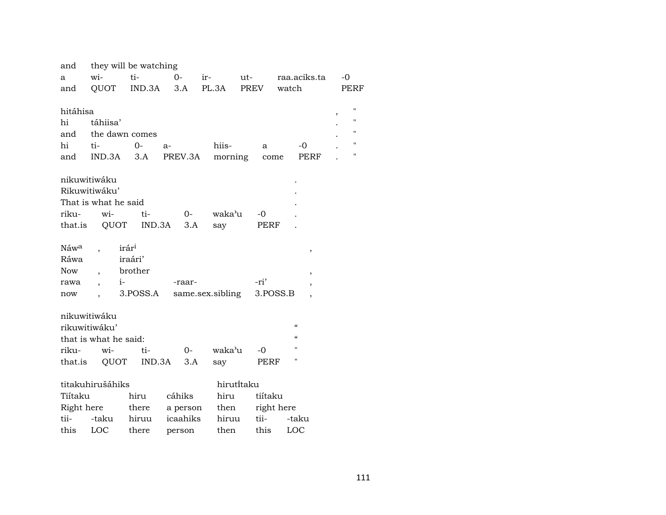| and              |                                  | they will be watching |                |                  |                 |                          |                         |
|------------------|----------------------------------|-----------------------|----------------|------------------|-----------------|--------------------------|-------------------------|
| a                | wi-                              | ti-                   | $0-$           | $ir-$            | $ut$ - $\qquad$ | raa.aciks.ta             | $-0$                    |
| and              | QUOT                             |                       | $IND.3A$ $3.A$ | PL.3A            | PREV            | watch                    | PERF                    |
|                  |                                  |                       |                |                  |                 |                          |                         |
| hitáhisa         |                                  |                       |                |                  |                 |                          | $\bar{\mathbf{H}}$<br>, |
| hi               | táhiisa'                         |                       |                |                  |                 |                          | $\pmb{\mathsf{H}}$      |
| and              | the dawn comes                   |                       |                |                  |                 |                          | п                       |
| hi               | ti-                              | $0-$                  | a-             | hiis-            | a               | $-0$                     | $\mathbf{H}$            |
| and              | IND.3A                           | 3.A                   | PREV.3A        | morning          |                 | PERF<br>come             | $\pmb{\mathsf{H}}$      |
|                  |                                  |                       |                |                  |                 |                          |                         |
|                  | nikuwitiwáku                     |                       |                |                  |                 |                          |                         |
|                  | Rikuwitiwáku'                    |                       |                |                  |                 |                          |                         |
|                  | That is what he said             |                       |                |                  |                 |                          |                         |
| riku-            | wi-                              | ti-                   | $0-$           | waka'u           | -0              |                          |                         |
|                  | that.is QUOT IND.3A              |                       | 3.A            | say              | PERF            |                          |                         |
|                  |                                  |                       |                |                  |                 |                          |                         |
| Náw <sup>a</sup> |                                  | irár <sup>i</sup>     |                |                  |                 | $\, ,$                   |                         |
| Ráwa             |                                  | iraári'               |                |                  |                 |                          |                         |
| <b>Now</b>       | $\overline{\phantom{a}}$         | brother               |                |                  |                 | $\overline{\phantom{a}}$ |                         |
| rawa             | $i-$<br>$\overline{\phantom{a}}$ |                       | -raar-         |                  | -ri'            | ,                        |                         |
| now              |                                  | 3.POSS.A              |                | same.sex.sibling |                 | 3.POSS.B                 |                         |
|                  | nikuwitiwáku                     |                       |                |                  |                 |                          |                         |
|                  | rikuwitiwáku'                    |                       |                |                  |                 | $\epsilon\epsilon$       |                         |
|                  | that is what he said:            |                       |                |                  |                 | $\epsilon\epsilon$       |                         |
| riku-            | wi-                              | ti-                   | $0-$           | waka'u           | -0              | 11                       |                         |
| that.is          | QUOT                             | IND.3A                | 3.A            | say              | PERF            | 11                       |                         |
|                  |                                  |                       |                |                  |                 |                          |                         |
|                  | titakuhirušáhiks                 |                       |                |                  | hirutitaku      |                          |                         |
| Tiitaku          |                                  | hiru                  | cáhiks         | hiru             | tiítaku         |                          |                         |
| Right here       |                                  | there                 | a person       | then             |                 | right here               |                         |
| tii-             | -taku                            | hiruu                 | icaahiks       | hiruu            | tii-            | -taku                    |                         |
| this             | LOC                              | there                 | person         | then             | this            | LOC                      |                         |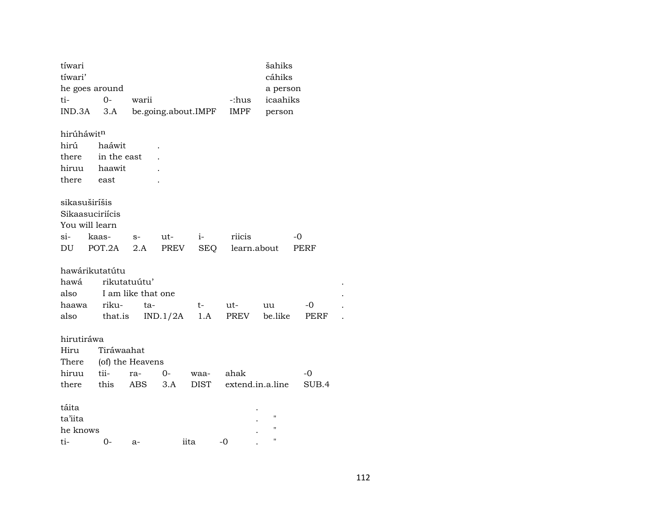| tíwari        |                 |                    |          |                     |             | šahiks             |       |  |
|---------------|-----------------|--------------------|----------|---------------------|-------------|--------------------|-------|--|
| tíwari'       |                 |                    |          |                     |             | cáhiks             |       |  |
|               | he goes around  |                    |          |                     |             | a person           |       |  |
| ti-           | $0-$            | warii              |          |                     | -:hus       | icaahiks           |       |  |
| IND.3A        | 3.A             |                    |          | be.going.about.IMPF | IMPF        | person             |       |  |
| hirúháwitn    |                 |                    |          |                     |             |                    |       |  |
| hirú          | haáwit          |                    |          |                     |             |                    |       |  |
| there         | in the east     |                    |          |                     |             |                    |       |  |
| hiruu         | haawit          |                    |          |                     |             |                    |       |  |
| there         | east            |                    |          |                     |             |                    |       |  |
| sikasuširíšis |                 |                    |          |                     |             |                    |       |  |
|               | Sikaasuciriícis |                    |          |                     |             |                    |       |  |
|               | You will learn  |                    |          |                     |             |                    |       |  |
| si-           | kaas-           | $S-$               | ut-      | $i-$                | riicis      |                    | -0    |  |
| DU            | POT.2A          | 2.A                | PREV     | SEQ                 | learn.about |                    | PERF  |  |
|               | hawárikutatútu  |                    |          |                     |             |                    |       |  |
| hawá          |                 | rikutatuútu'       |          |                     |             |                    |       |  |
| also          |                 | I am like that one |          |                     |             |                    |       |  |
| haawa         | riku-           | ta-                |          | t-                  | ut-         | uu                 | -0    |  |
| also          | that.is         |                    | IND.1/2A | 1.A                 | PREV        | be.like            | PERF  |  |
| hirutiráwa    |                 |                    |          |                     |             |                    |       |  |
| Hiru          | Tiráwaahat      |                    |          |                     |             |                    |       |  |
| There         |                 | (of) the Heavens   |          |                     |             |                    |       |  |
| hiruu         | tii-            | ra-                | $0 -$    | waa-                | ahak        |                    | $-0$  |  |
| there         | this            | ABS                | 3.A      | <b>DIST</b>         |             | extend.in.a.line   | SUB.4 |  |
| táita         |                 |                    |          |                     |             |                    |       |  |
| ta'iita       |                 |                    |          |                     |             | 11                 |       |  |
| he knows      |                 |                    |          |                     |             | $\pmb{\mathsf{H}}$ |       |  |
| ti-           | 0-              | $a-$               |          | iita                | $-0$        | $\pmb{\mathsf{H}}$ |       |  |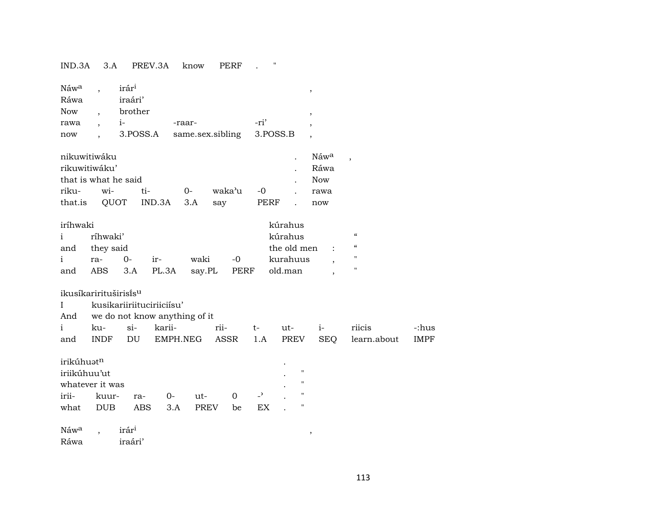## IND.3A 3.A PREV.3A know PERF . "

| Náw <sup>a</sup> | irár <sup>i</sup> |                  |          |  |
|------------------|-------------------|------------------|----------|--|
| Ráwa             | iraári'           |                  |          |  |
| <b>Now</b>       | brother           |                  |          |  |
| rawa             |                   | -raar-           | -ri'     |  |
| now              | 3.POSS.A          | same.sex.sibling | 3.POSS.B |  |

| nikuwitiwáku         |               |                  |  |                                   |  |  | . Náw <sup>a</sup> , |  |  |  |  |  |
|----------------------|---------------|------------------|--|-----------------------------------|--|--|----------------------|--|--|--|--|--|
|                      | rikuwitiwáku' |                  |  |                                   |  |  |                      |  |  |  |  |  |
| that is what he said | Now           |                  |  |                                   |  |  |                      |  |  |  |  |  |
|                      |               | riku- wi- ti- 0- |  | waka'u -0                         |  |  | rawa                 |  |  |  |  |  |
|                      |               |                  |  | that.is QUOT IND.3A 3.A say PERF. |  |  | now                  |  |  |  |  |  |

| iríhwaki     |               |          | kúrahus |      |               |                                   |            |   |
|--------------|---------------|----------|---------|------|---------------|-----------------------------------|------------|---|
| $\mathbf{i}$ | ríhwaki'      |          |         |      |               | kúrahus                           |            | " |
|              | and they said |          |         |      | the old men : |                                   | $\epsilon$ |   |
| $\mathbf{i}$ | ra-           | $\Omega$ | ir-     | waki | $-0$          | kurahuus                          |            | " |
| and          |               |          |         |      |               | ABS 3.A PL.3A say.PL PERF old.man |            | " |

## ikusíkarirituširisĩs<sup>u</sup>

| kusikariiriituciriiciisu |  |
|--------------------------|--|
|                          |  |

And we do not know anything of it

|     | ku- | $S1-$ | karii- | $r_{11}$ | ut- | $\sim$ 1- $\sim$ | <b>T11C1S</b>                                       | c:hus - |
|-----|-----|-------|--------|----------|-----|------------------|-----------------------------------------------------|---------|
| and |     |       |        |          |     |                  | INDF DU EMPH.NEG ASSR 1.A PREV SEO learn.about IMPF |         |

| irikúhuət <sup>n</sup> |  |
|------------------------|--|
|                        |  |

| iriikúhuu'ut       |  |  |                       |     |    |  |             |  |  |  |
|--------------------|--|--|-----------------------|-----|----|--|-------------|--|--|--|
| whatever it was    |  |  |                       |     |    |  |             |  |  |  |
| irii- kuur- ra- 0- |  |  | $u$ t-                | - റ |    |  | $^{\prime}$ |  |  |  |
|                    |  |  | what DUB ABS 3.A PREV | be  | EX |  | п           |  |  |  |

 $\hbox{Náw}^{\hbox{\scriptsize a}}$  ,  $\hbox{irár}^{\hbox{\scriptsize i}}$  , , Ráwa iraári'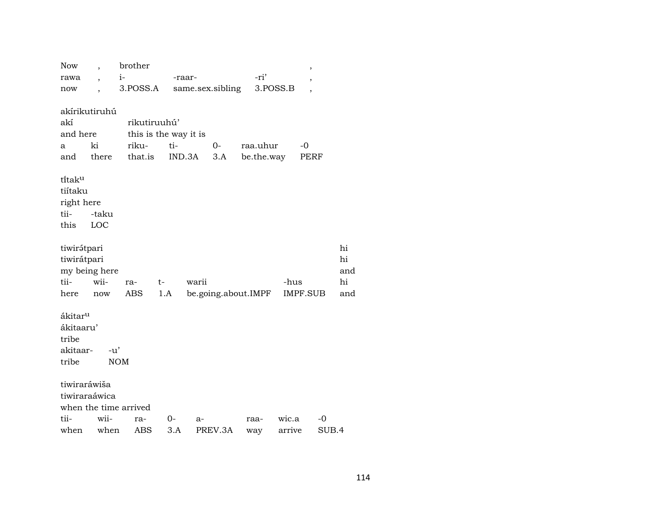| Now                                                            |                          | brother               |      |        |                  |                     |          | $\, ,$                   |       |
|----------------------------------------------------------------|--------------------------|-----------------------|------|--------|------------------|---------------------|----------|--------------------------|-------|
| rawa                                                           | $\overline{\phantom{a}}$ | $i-$                  |      | -raar- |                  | -ri'                |          | ,                        |       |
| now                                                            |                          | 3.POSS.A              |      |        | same.sex.sibling |                     | 3.POSS.B | $\overline{\phantom{a}}$ |       |
|                                                                |                          |                       |      |        |                  |                     |          |                          |       |
|                                                                | akírikutiruhú            |                       |      |        |                  |                     |          |                          |       |
| akí                                                            |                          | rikutiruuhú'          |      |        |                  |                     |          |                          |       |
| and here                                                       |                          | this is the way it is |      |        |                  |                     |          |                          |       |
| a                                                              | ki                       | riku-                 | ti-  |        | $O -$            | raa.uhur            |          | -0                       |       |
| and                                                            | there                    | that.is               |      | IND.3A | 3.A              | be.the.way          |          | PERF                     |       |
| titaku<br>tiítaku<br>right here<br>tii-<br>this                | -taku<br>LOC             |                       |      |        |                  |                     |          |                          |       |
| tiwirátpari                                                    |                          |                       |      |        |                  |                     |          |                          | hi    |
| tiwirátpari                                                    |                          |                       |      |        |                  |                     |          |                          | hi    |
|                                                                | my being here            |                       |      |        |                  |                     |          |                          | and   |
| tii-                                                           | wii-                     | ra-                   | $t-$ | warii  |                  |                     | -hus     |                          | hi    |
| here                                                           | now                      | ABS                   | 1.A  |        |                  | be.going.about.IMPF |          | <b>IMPF.SUB</b>          | and   |
| ákitar <sup>u</sup><br>ákitaaru'<br>tribe<br>akitaar-<br>tribe | $-u'$                    | <b>NOM</b>            |      |        |                  |                     |          |                          |       |
| tiwiraráwiša                                                   |                          |                       |      |        |                  |                     |          |                          |       |
|                                                                | tiwiraraáwica            |                       |      |        |                  |                     |          |                          |       |
|                                                                |                          | when the time arrived |      |        |                  |                     |          |                          |       |
| tii-                                                           | wii-                     | ra-                   | 0-   | a-     |                  | raa-                | wic.a    | -0                       |       |
| when                                                           | when                     | ABS                   | 3.A  |        | PREV.3A          | way                 | arrive   |                          | SUB.4 |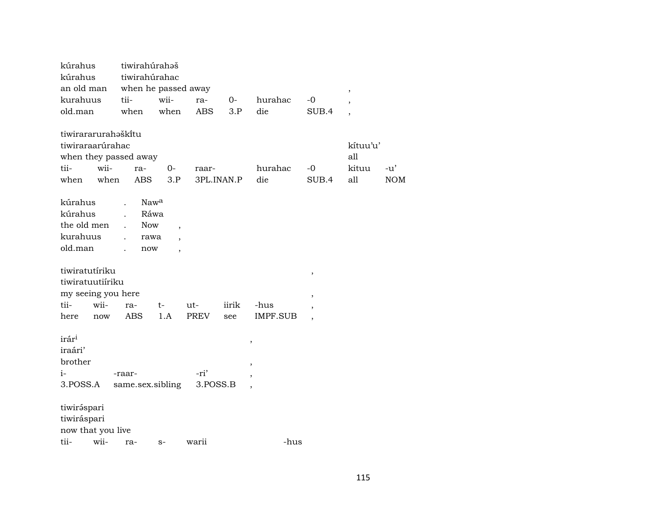| kúrahus               | tiwirahúrahaš          |                          |             |       |                          |                          |          |            |
|-----------------------|------------------------|--------------------------|-------------|-------|--------------------------|--------------------------|----------|------------|
| kúrahus               | tiwirahúrahac          |                          |             |       |                          |                          |          |            |
| an old man            | when he passed away    |                          |             |       |                          |                          | $\, ,$   |            |
| kurahuus              | tii-                   | wii-                     | ra-         | $O-$  | hurahac                  | $-0$                     |          |            |
| old.man               | when                   | when                     | <b>ABS</b>  | 3.P   | die                      | SUB.4                    |          |            |
|                       |                        |                          |             |       |                          |                          |          |            |
| tiwirararurahaškitu   |                        |                          |             |       |                          |                          |          |            |
| tiwiraraarúrahac      |                        |                          |             |       |                          |                          | kítuu'u' |            |
| when they passed away |                        |                          |             |       |                          |                          | all      |            |
| tii-<br>wii-          | ra-                    | 0-                       | raar-       |       | hurahac                  | $-0$                     | kituu    | $-u'$      |
| when<br>when          | <b>ABS</b>             | 3.P                      | 3PL.INAN.P  |       | die                      | SUB.4                    | all      | <b>NOM</b> |
| kúrahus               | Nawa                   |                          |             |       |                          |                          |          |            |
| kúrahus               | Ráwa<br>$\overline{a}$ |                          |             |       |                          |                          |          |            |
| the old men           | <b>Now</b>             | $\overline{\phantom{a}}$ |             |       |                          |                          |          |            |
| kurahuus              | rawa                   |                          |             |       |                          |                          |          |            |
| old.man               | now                    | $\cdot$                  |             |       |                          |                          |          |            |
|                       |                        |                          |             |       |                          |                          |          |            |
| tiwiratutíriku        |                        |                          |             |       |                          | $^\mathrm{,}$            |          |            |
| tiwiratuutiíriku      |                        |                          |             |       |                          |                          |          |            |
| my seeing you here    |                        |                          |             |       |                          | $\overline{ }$           |          |            |
| tii-<br>wii-          | ra-                    | t-                       | ut-         | iirik | -hus                     |                          |          |            |
| here<br>now           | <b>ABS</b>             | 1.A                      | <b>PREV</b> | see   | <b>IMPF.SUB</b>          | $\overline{\phantom{a}}$ |          |            |
|                       |                        |                          |             |       |                          |                          |          |            |
| irár <sup>i</sup>     |                        |                          |             |       | $\pmb{\mathcal{I}}$      |                          |          |            |
| iraári'               |                        |                          |             |       |                          |                          |          |            |
| brother               |                        |                          |             |       | $\overline{\phantom{a}}$ |                          |          |            |
| $i-$                  | -raar-                 |                          | -ri'        |       |                          |                          |          |            |
| 3.POSS.A              | same.sex.sibling       |                          | 3.POSS.B    |       |                          |                          |          |            |
| tiwiráspari           |                        |                          |             |       |                          |                          |          |            |
| tiwiráspari           |                        |                          |             |       |                          |                          |          |            |
| now that you live     |                        |                          |             |       |                          |                          |          |            |
| tii-<br>wii-          | ra-                    | $S-$                     | warii       |       | -hus                     |                          |          |            |
|                       |                        |                          |             |       |                          |                          |          |            |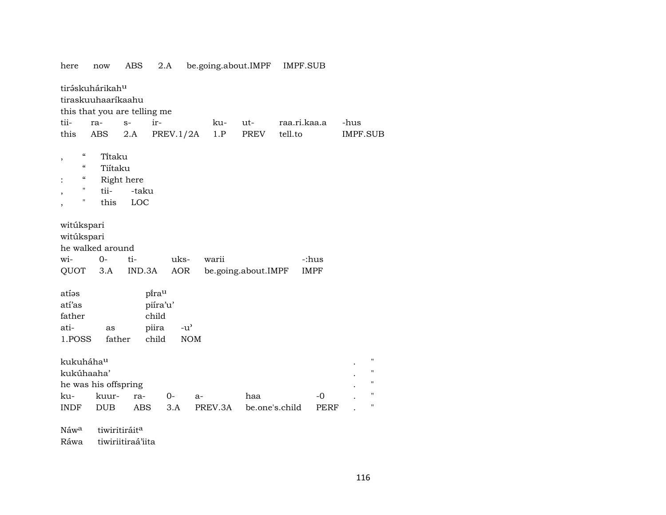| here                                                                                                        | now                                               | <b>ABS</b>                                   | 2.A                                               | be.going.about.IMPF          |                | <b>IMPF.SUB</b> |                      |                 |                                                                |
|-------------------------------------------------------------------------------------------------------------|---------------------------------------------------|----------------------------------------------|---------------------------------------------------|------------------------------|----------------|-----------------|----------------------|-----------------|----------------------------------------------------------------|
|                                                                                                             | tiráskuhárikah <sup>u</sup><br>tiraskuuhaaríkaahu | this that you are telling me                 |                                                   |                              |                |                 |                      |                 |                                                                |
| tii-                                                                                                        | ra-                                               | ir-<br>$S-$                                  |                                                   | ku-                          | ut-            | raa.ri.kaa.a    |                      | -hus            |                                                                |
| this                                                                                                        | ABS                                               | 2.A                                          | PREV.1/2A                                         | 1.P                          | PREV           | tell.to         |                      | <b>IMPF.SUB</b> |                                                                |
| $\boldsymbol{\zeta}\boldsymbol{\zeta}$<br>$\boldsymbol{\zeta}\boldsymbol{\zeta}$<br>$\epsilon\epsilon$<br>" | Titaku<br>Tiítaku<br>Right here<br>tii-           | -taku                                        |                                                   |                              |                |                 |                      |                 |                                                                |
| $\pmb{\mathsf{H}}$                                                                                          | this                                              | LOC                                          |                                                   |                              |                |                 |                      |                 |                                                                |
| witúkspari<br>witúkspari<br>wi-<br>QUOT                                                                     | he walked around<br>$0-$<br>$3.A$                 | ti-<br>IND.3A                                | uks-<br>AOR                                       | warii<br>be.going.about.IMPF |                |                 | -:hus<br><b>IMPF</b> |                 |                                                                |
| atíəs<br>atí'as<br>father<br>ati-<br>1.POSS                                                                 | as<br>father                                      | pirau<br>piíra'u'<br>child<br>piira<br>child | $-u$ <sup><math>\prime</math></sup><br>$\rm{NOM}$ |                              |                |                 |                      |                 |                                                                |
| kukuháha <sup>u</sup><br>kukúhaaha'                                                                         | he was his offspring                              |                                              |                                                   |                              |                |                 |                      |                 | $\pmb{\mathsf{H}}$<br>$\pmb{\mathsf{H}}$<br>$\pmb{\mathsf{H}}$ |
| ku-                                                                                                         | kuur-                                             | ra-                                          | $0-$                                              | a-                           | haa            |                 | $-0$                 |                 | $\pmb{\mathsf{H}}$                                             |
| <b>INDF</b>                                                                                                 | <b>DUB</b>                                        | <b>ABS</b>                                   | 3.A                                               | PREV.3A                      | be.one's.child |                 | PERF                 |                 | $\pmb{\mathsf{H}}$                                             |
| Náw <sup>a</sup>                                                                                            | tiwiritiráit <sup>a</sup>                         |                                              |                                                   |                              |                |                 |                      |                 |                                                                |

Ráwa tiwiriitiraá'iita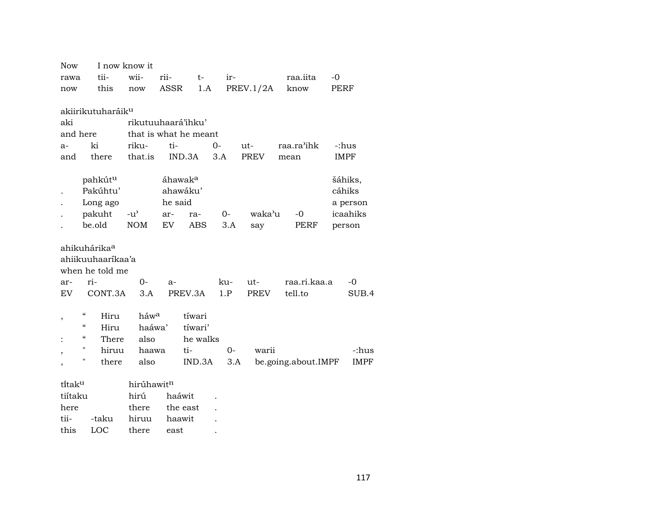| <b>Now</b>           |                                                | I now know it         |                     |          |      |                  |                     |      |             |
|----------------------|------------------------------------------------|-----------------------|---------------------|----------|------|------------------|---------------------|------|-------------|
| rawa                 | tii-                                           | wii-                  | rii-                | $t-$     | ir-  |                  | raa.iita            | $-0$ |             |
| now                  | this                                           | now                   | ASSR                | 1.A      |      | <b>PREV.1/2A</b> | know                | PERF |             |
|                      |                                                |                       |                     |          |      |                  |                     |      |             |
|                      | akiirikutuharáik <sup>u</sup>                  |                       |                     |          |      |                  |                     |      |             |
| aki                  |                                                | rikutuuhaará'ihku'    |                     |          |      |                  |                     |      |             |
| and here             |                                                | that is what he meant |                     |          |      |                  |                     |      |             |
| a-                   | ki                                             | riku-                 | ti-                 |          | $0-$ | ut-              | raa.ra'ihk          |      | -:hus       |
| and                  | there                                          | that.is               |                     | IND.3A   | 3.A  | <b>PREV</b>      | mean                |      | <b>IMPF</b> |
|                      |                                                |                       |                     |          |      |                  |                     |      |             |
|                      | pahkút <sup>u</sup>                            |                       | áhawak <sup>a</sup> |          |      |                  |                     |      | šáhiks,     |
|                      | Pakúhtu'                                       |                       |                     | ahawáku' |      |                  |                     |      | cáhiks      |
|                      | Long ago                                       |                       | he said             |          |      |                  |                     |      | a person    |
|                      | pakuht                                         | $-u^{\prime}$         | ar-                 | ra-      | 0-   | waka'u           | -0                  |      | icaahiks    |
|                      | be.old                                         | <b>NOM</b>            | EV                  | ABS      | 3.A  | say              | PERF                |      | person      |
|                      |                                                |                       |                     |          |      |                  |                     |      |             |
|                      | ahikuhárika <sup>a</sup>                       |                       |                     |          |      |                  |                     |      |             |
|                      | ahiikuuhaaríkaa'a                              |                       |                     |          |      |                  |                     |      |             |
|                      | when he told me                                |                       |                     |          |      |                  |                     |      |             |
| ar-                  | ri-                                            | $O -$                 | $a-$                |          | ku-  | ut-              | raa.ri.kaa.a        |      | $-0$        |
| EV.                  | CONT.3A                                        | 3.A                   |                     | PREV.3A  | 1.P  | <b>PREV</b>      | tell.to             |      | SUB.4       |
|                      |                                                |                       |                     |          |      |                  |                     |      |             |
| $\overline{ }$       | $\boldsymbol{\zeta}\boldsymbol{\zeta}$<br>Hiru | háwa                  |                     | tíwari   |      |                  |                     |      |             |
|                      | "<br>Hiru                                      | haáwa'                |                     | tíwari'  |      |                  |                     |      |             |
|                      | "<br>There                                     | also                  |                     | he walks |      |                  |                     |      |             |
| ,                    | Π<br>hiruu                                     | haawa                 |                     | ti-      | $0-$ | warii            |                     |      | -:hus       |
|                      | Π<br>there                                     | also                  |                     | IND.3A   |      | 3.A              | be.going.about.IMPF |      | IMPF        |
|                      |                                                |                       |                     |          |      |                  |                     |      |             |
| ti̇̃tak <sup>u</sup> |                                                | hirúhawitn            |                     |          |      |                  |                     |      |             |
| tiítaku              |                                                | hirú                  | haáwit              |          |      |                  |                     |      |             |
| here                 |                                                | there                 |                     | the east |      |                  |                     |      |             |
| tii-                 | -taku                                          | hiruu                 | haawit              |          |      |                  |                     |      |             |

this LOC there east .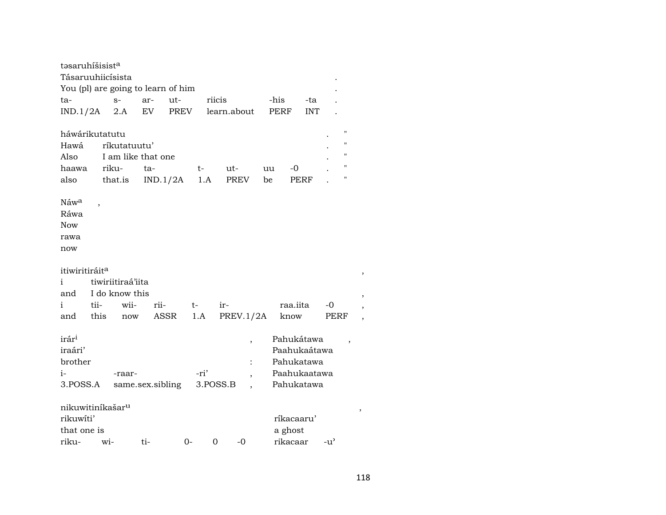| təsaruhíšisist <sup>a</sup>  |      |                                    |                  |      |          |             |    |              |            |               |  |
|------------------------------|------|------------------------------------|------------------|------|----------|-------------|----|--------------|------------|---------------|--|
| Tásaruuhiicísista            |      |                                    |                  |      |          |             |    |              |            |               |  |
|                              |      | You (pl) are going to learn of him |                  |      |          |             |    |              |            |               |  |
| ta-                          |      | $S-$                               | ar-              | ut-  | riicis   |             |    | -his         | -ta        |               |  |
| $IND.1/2A$ 2.A               |      |                                    | EV               | PREV |          | learn.about |    | <b>PERF</b>  | <b>INT</b> |               |  |
|                              |      |                                    |                  |      |          |             |    |              |            |               |  |
| háwárikutatutu               |      |                                    |                  |      |          |             |    |              |            | П             |  |
| Hawá                         |      | ríkutatuutu'                       |                  |      |          |             |    |              |            | "             |  |
| Also                         |      | I am like that one                 |                  |      |          |             |    |              |            | 11            |  |
| haawa                        |      | riku-                              | ta-              |      | t-       | ut-         | uu | -0           |            | П             |  |
| also                         |      | that.is                            | IND.1/2A         |      | 1.A      | PREV        | be |              | PERF       | 11            |  |
|                              |      |                                    |                  |      |          |             |    |              |            |               |  |
| Náw <sup>a</sup>             |      |                                    |                  |      |          |             |    |              |            |               |  |
| Ráwa                         |      |                                    |                  |      |          |             |    |              |            |               |  |
| <b>Now</b>                   |      |                                    |                  |      |          |             |    |              |            |               |  |
|                              |      |                                    |                  |      |          |             |    |              |            |               |  |
| rawa                         |      |                                    |                  |      |          |             |    |              |            |               |  |
| now                          |      |                                    |                  |      |          |             |    |              |            |               |  |
|                              |      |                                    |                  |      |          |             |    |              |            |               |  |
| itiwiritiráit <sup>a</sup>   |      |                                    |                  |      |          |             |    |              |            |               |  |
| i.                           |      | tiwiriitiraá'iita                  |                  |      |          |             |    |              |            |               |  |
| and                          |      | I do know this                     |                  |      |          |             |    |              |            |               |  |
| i                            | tii- | wii-                               | rii-             | t-   |          | ir-         |    | raa.iita     |            | -0            |  |
| and                          | this | now                                | ASSR             |      | 1.A      | PREV.1/2A   |    | know         |            | PERF          |  |
|                              |      |                                    |                  |      |          |             |    |              |            |               |  |
| irár <sup>i</sup>            |      |                                    |                  |      |          |             | ,  | Pahukátawa   |            | ,             |  |
| iraári'                      |      |                                    |                  |      |          |             |    | Paahukaátawa |            |               |  |
| brother                      |      |                                    |                  |      |          |             |    | Pahukatawa   |            |               |  |
| $i-$                         |      | -raar-                             |                  |      | -ri'     |             |    | Paahukaatawa |            |               |  |
| 3.POSS.A                     |      |                                    | same.sex.sibling |      |          | 3.POSS.B    |    | Pahukatawa   |            |               |  |
|                              |      |                                    |                  |      |          |             |    |              |            |               |  |
| nikuwitiníkašar <sup>u</sup> |      |                                    |                  |      |          |             |    |              |            |               |  |
| rikuwiti'                    |      |                                    |                  |      |          |             |    | ríkacaaru'   |            |               |  |
|                              |      |                                    |                  |      |          |             |    |              |            |               |  |
| that one is                  |      |                                    |                  |      |          |             |    | a ghost      |            |               |  |
| riku-                        |      | $W1 -$                             | ti-              | $0-$ | $\Omega$ | $-0$        |    | rikacaar     |            | $-u^{\prime}$ |  |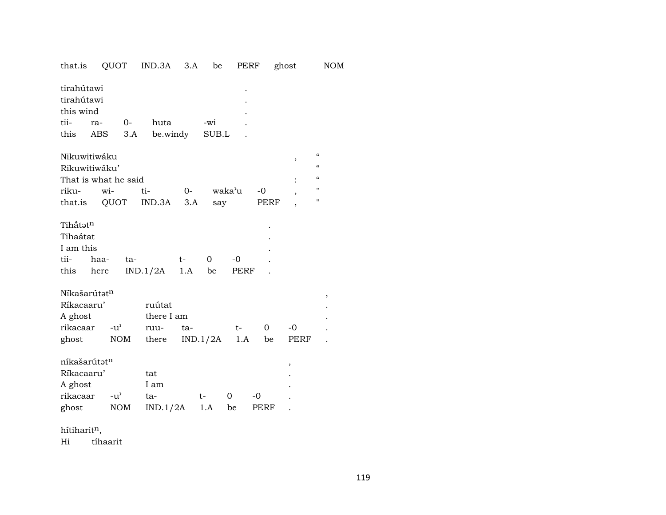| that.is                                                                   | QUOT                        | IND.3A                                | 3.A         | be                | PERF                 |                | ghost               | <b>NOM</b>                                                                                                                                         |
|---------------------------------------------------------------------------|-----------------------------|---------------------------------------|-------------|-------------------|----------------------|----------------|---------------------|----------------------------------------------------------------------------------------------------------------------------------------------------|
| tirahútawi<br>tirahútawi<br>this wind<br>tii-<br>ra-<br>this<br>ABS       | 0-<br>3.A                   | huta<br>be.windy                      |             | -wi<br>SUB.L      |                      |                |                     |                                                                                                                                                    |
| Nikuwitiwáku<br>Rikuwitiwáku'<br>That is what he said<br>riku-<br>that.is | wi-<br>QUOT                 | ti-<br>IND.3A                         | $O-$<br>3.A | say               | waka'u               | $-0$<br>PERF   | ,<br>$\overline{ }$ | $\boldsymbol{\zeta}\boldsymbol{\zeta}$<br>$\boldsymbol{\zeta}\boldsymbol{\zeta}$<br>$\boldsymbol{\zeta}\boldsymbol{\zeta}$<br>$\blacksquare$<br>11 |
| Tihấtatn<br>Tihaátat<br>I am this<br>tii-<br>haa-<br>this<br>here         | ta-                         | IND.1/2A                              | $t-$<br>1.A | $\mathbf 0$<br>be | $-0$<br>PERF         |                |                     |                                                                                                                                                    |
| Níkašarútatn<br>Ríkacaaru'<br>A ghost<br>rikacaar<br>ghost                | $-u^{\prime}$<br><b>NOM</b> | ruútat<br>there I am<br>ruu-<br>there | ta-         | IND.1/2A          | $t-$<br>1.A          | $\Omega$<br>be | $-0$<br>PERF        | ,                                                                                                                                                  |
| níkašarútat <sup>n</sup><br>Ríkacaaru'<br>A ghost<br>rikacaar<br>ghost    | $-u^{\flat}$<br><b>NOM</b>  | tat<br>I am<br>ta-<br>IND.1/2A        |             | $t-$<br>1.A       | $\overline{0}$<br>be | $-0$<br>PERF   | ,                   |                                                                                                                                                    |

hítiharit $<sup>n</sup>$ ,</sup>

Hi tíhaarit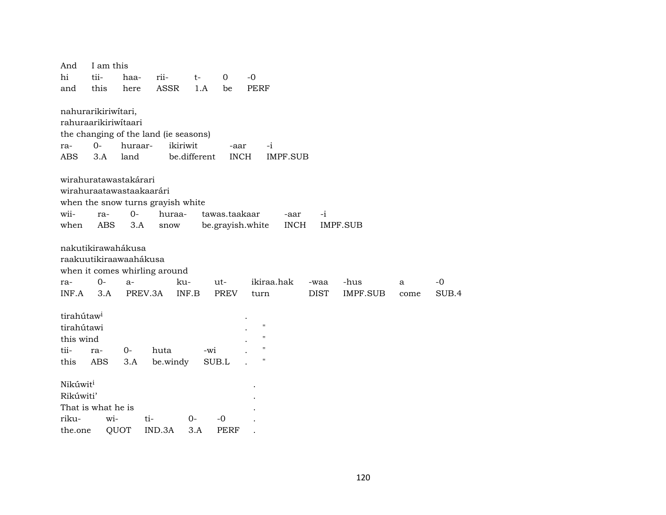| And                                                               | I am this         |             |                                                     |              |                                   |                              |             |                 |      |       |
|-------------------------------------------------------------------|-------------------|-------------|-----------------------------------------------------|--------------|-----------------------------------|------------------------------|-------------|-----------------|------|-------|
| hi                                                                | tii-              | haa-        | rii-                                                | $t-$         | 0                                 | $-0$                         |             |                 |      |       |
| and                                                               | this              | here        | <b>ASSR</b>                                         | 1.A          | be                                | PERF                         |             |                 |      |       |
| nahurarikiriwitari,<br>rahuraarikiriwitaari                       |                   |             | the changing of the land (ie seasons)               |              |                                   |                              |             |                 |      |       |
| ra-                                                               | $0-$              | huraar-     |                                                     | ikiriwit     | -aar                              | $-i$                         |             |                 |      |       |
| ABS                                                               | 3.A               | land        |                                                     | be.different | <b>INCH</b>                       | <b>IMPF.SUB</b>              |             |                 |      |       |
| wirahuratawastakárari<br>wirahuraatawastaakaarári<br>wii-<br>when | ra-<br><b>ABS</b> | $0-$<br>3.A | when the snow turns grayish white<br>huraa-<br>snow |              | tawas.taakaar<br>be.grayish.white | -aar<br><b>INCH</b>          | $-i$        | <b>IMPF.SUB</b> |      |       |
| nakutikirawahákusa<br>raakuutikiraawaahákusa                      |                   |             | when it comes whirling around                       |              |                                   |                              |             |                 |      |       |
| ra-                                                               | $0-$              | a-          |                                                     | ku-          | ut-                               | ikiraa.hak                   | -waa        | -hus            | a    | $-0$  |
| INF.A                                                             | 3.A               |             | PREV.3A                                             | INF.B        | <b>PREV</b>                       | turn                         | <b>DIST</b> | <b>IMPF.SUB</b> | come | SUB.4 |
| tirahútaw <sup>i</sup><br>tirahútawi<br>this wind<br>tii-<br>this | ra-<br>ABS        | $0-$<br>3.A | huta<br>be.windy                                    |              | -wi<br>SUB.L                      | $\pmb{\mathsf{H}}$<br>п<br>п |             |                 |      |       |
| Nikúwit <sup>i</sup><br>Rikúwiti'<br>That is what he is           |                   |             |                                                     |              |                                   |                              |             |                 |      |       |
| riku-                                                             | wi-               |             | ti-                                                 | $O -$        | $-0$                              |                              |             |                 |      |       |
| the.one                                                           |                   | QUOT        | IND.3A                                              | 3.A          | <b>PERF</b>                       |                              |             |                 |      |       |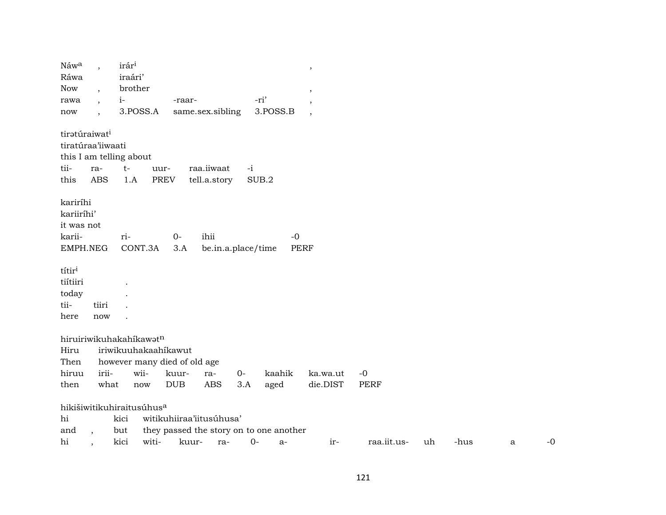| Náw <sup>a</sup><br>Ráwa                                   | $\cdot$                                          | irár <sup>1</sup><br>iraári'                                                            |                                   |                            |      |                                               | $\,$                     |             |    |      |   |      |
|------------------------------------------------------------|--------------------------------------------------|-----------------------------------------------------------------------------------------|-----------------------------------|----------------------------|------|-----------------------------------------------|--------------------------|-------------|----|------|---|------|
| <b>Now</b>                                                 |                                                  | brother                                                                                 |                                   |                            |      |                                               | ,                        |             |    |      |   |      |
| rawa                                                       |                                                  | $i-$                                                                                    | -raar-                            |                            |      | -ri'                                          | $\,$                     |             |    |      |   |      |
| now                                                        |                                                  | 3.POSS.A                                                                                |                                   | same.sex.sibling           |      | 3.POSS.B                                      | $\overline{\phantom{a}}$ |             |    |      |   |      |
| tiratúraiwat <sup>i</sup><br>tiratúraa'iiwaati<br>tii-     | ra-                                              | this I am telling about<br>$t-$                                                         | uur-                              | raa.iiwaat                 | $-i$ |                                               |                          |             |    |      |   |      |
| this                                                       | <b>ABS</b>                                       | 1.A                                                                                     | <b>PREV</b>                       | tell.a.story               |      | SUB.2                                         |                          |             |    |      |   |      |
| kariríhi<br>kariiríhi'<br>it was not<br>karii-<br>EMPH.NEG |                                                  | ri-<br>CONT.3A                                                                          | $O -$<br>3.A                      | ihii<br>be.in.a.place/time |      | $-0$                                          | PERF                     |             |    |      |   |      |
| títir <sup>i</sup>                                         |                                                  |                                                                                         |                                   |                            |      |                                               |                          |             |    |      |   |      |
| tiítiiri                                                   |                                                  |                                                                                         |                                   |                            |      |                                               |                          |             |    |      |   |      |
| today                                                      |                                                  |                                                                                         |                                   |                            |      |                                               |                          |             |    |      |   |      |
| tii-                                                       | tiiri                                            |                                                                                         |                                   |                            |      |                                               |                          |             |    |      |   |      |
| here                                                       | now                                              |                                                                                         |                                   |                            |      |                                               |                          |             |    |      |   |      |
| Hiru<br>Then<br>hiruu                                      | irii-                                            | hiruiriwikuhakahikawatn<br>iriwikuuhakaahikawut<br>however many died of old age<br>wii- | kuur-                             | ra-                        | $0-$ | kaahik                                        | ka.wa.ut                 | $-0$        |    |      |   |      |
| then                                                       | what                                             | now                                                                                     | <b>DUB</b>                        | <b>ABS</b>                 | 3.A  | aged                                          | die.DIST                 | <b>PERF</b> |    |      |   |      |
| hi<br>and<br>hi                                            | $\ddot{\phantom{0}}$<br>$\overline{\phantom{a}}$ | hikišiwitikuhiraitusúhus <sup>a</sup><br>kici<br>but<br>witi-<br>kici                   | witikuhiiraa'iitusúhusa'<br>kuur- | ra-                        | $0-$ | they passed the story on to one another<br>a- | ir-                      | raa.iit.us- | uh | -hus | a | $-0$ |
|                                                            |                                                  |                                                                                         |                                   |                            |      |                                               |                          |             |    |      |   |      |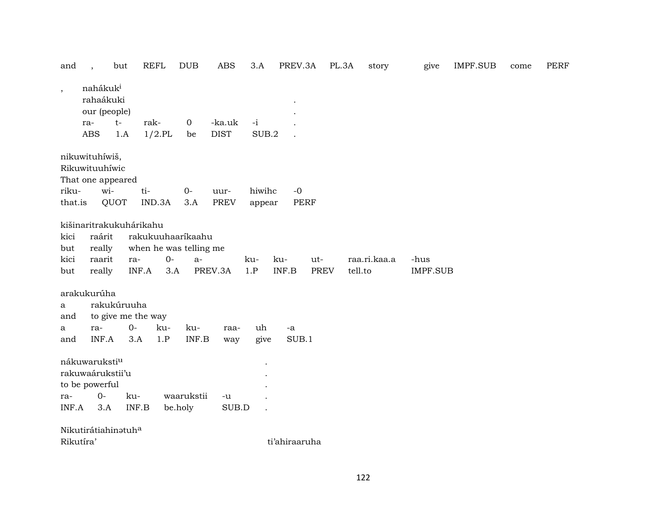| and       | $\cdot$                                                    | but                     | <b>REFL</b>               | <b>DUB</b>        | <b>ABS</b>            | 3.A           | PREV.3A                                       | PL.3A | story        | give            | <b>IMPF.SUB</b> | come | PERF |
|-----------|------------------------------------------------------------|-------------------------|---------------------------|-------------------|-----------------------|---------------|-----------------------------------------------|-------|--------------|-----------------|-----------------|------|------|
| $\cdot$   | nahákuki<br>rahaákuki<br>our (people)<br>ra-<br><b>ABS</b> | $t-$<br>1.A             | rak-<br>$1/2$ .PL         | $\mathbf 0$<br>be | -ka.uk<br><b>DIST</b> | $-i$<br>SUB.2 |                                               |       |              |                 |                 |      |      |
|           | nikuwituhíwiš,<br>Rikuwituuhíwic                           |                         |                           |                   |                       |               |                                               |       |              |                 |                 |      |      |
|           |                                                            | That one appeared       |                           |                   |                       |               |                                               |       |              |                 |                 |      |      |
| riku-     | wi-                                                        |                         | ti-                       | $O -$             | uur-                  | hiwihc        | $-0$                                          |       |              |                 |                 |      |      |
| that.is   |                                                            | QUOT                    | IND.3A                    | 3.A               | <b>PREV</b>           | appear        | <b>PERF</b>                                   |       |              |                 |                 |      |      |
|           |                                                            | kišinaritrakukuhárikahu |                           |                   |                       |               |                                               |       |              |                 |                 |      |      |
| kici      | raárit                                                     |                         | rakukuuhaarikaahu         |                   |                       |               |                                               |       |              |                 |                 |      |      |
| but       | really                                                     |                         | when he was telling me    |                   |                       |               |                                               |       |              |                 |                 |      |      |
| kici      | raarit                                                     | ra-                     | $O-$                      | $a-$              |                       | ku-           | ku-                                           | ut-   | raa.ri.kaa.a | -hus            |                 |      |      |
| but       | really                                                     |                         | INF.A<br>3.A              |                   | PREV.3A               | 1.P           | $\ensuremath{\mathsf{INF}}\xspace.\mathsf{B}$ | PREV  | tell.to      | <b>IMPF.SUB</b> |                 |      |      |
|           |                                                            |                         |                           |                   |                       |               |                                               |       |              |                 |                 |      |      |
|           | arakukurúha                                                |                         |                           |                   |                       |               |                                               |       |              |                 |                 |      |      |
| a         |                                                            | rakukúruuha             |                           |                   |                       |               |                                               |       |              |                 |                 |      |      |
| and       |                                                            |                         | to give me the way        |                   |                       |               |                                               |       |              |                 |                 |      |      |
| a         | ra-                                                        | $0-$                    | ku-                       | ku-               | raa-                  | uh            | -a                                            |       |              |                 |                 |      |      |
| and       | INF.A                                                      | 3.A                     | 1.P                       | INF.B             | way                   | give          | SUB.1                                         |       |              |                 |                 |      |      |
|           | nákuwaruksti <sup>u</sup>                                  |                         |                           |                   |                       |               |                                               |       |              |                 |                 |      |      |
|           | rakuwaárukstii'u                                           |                         |                           |                   |                       |               |                                               |       |              |                 |                 |      |      |
|           | to be powerful                                             |                         |                           |                   |                       |               |                                               |       |              |                 |                 |      |      |
| ra-       | $0-$                                                       | ku-                     |                           | waarukstii        | $-u$                  |               |                                               |       |              |                 |                 |      |      |
| INF.A     | 3.A                                                        |                         | $\textsf{INF}.\textsf{B}$ | be.holy           | SUB.D                 |               |                                               |       |              |                 |                 |      |      |
|           |                                                            |                         |                           |                   |                       |               |                                               |       |              |                 |                 |      |      |
|           |                                                            | Nikutirátiahinatuha     |                           |                   |                       |               |                                               |       |              |                 |                 |      |      |
| Rikutíra' |                                                            |                         |                           |                   |                       |               | ti'ahiraaruha                                 |       |              |                 |                 |      |      |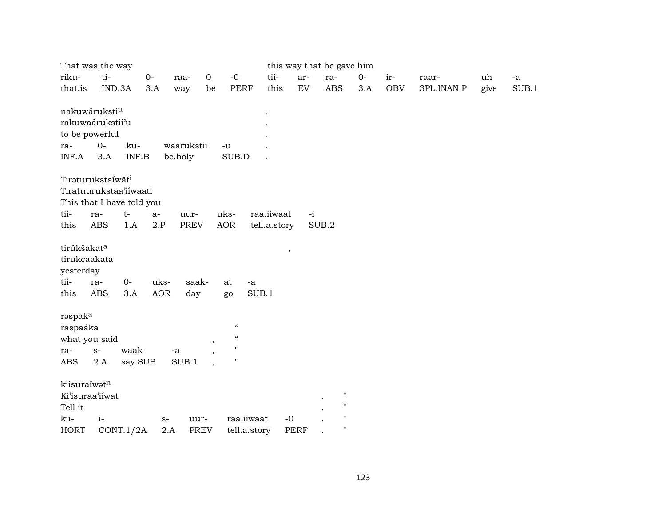|                                                                      | That was the way                                                                 |                    |                       |                                          |              |             | this way that he gave him     |      |            |            |      |               |
|----------------------------------------------------------------------|----------------------------------------------------------------------------------|--------------------|-----------------------|------------------------------------------|--------------|-------------|-------------------------------|------|------------|------------|------|---------------|
| riku-                                                                | ti-                                                                              | $O-$               | $\mathbf 0$<br>raa-   | $-0$                                     | tii-         | ar-         | ra-                           | $0-$ | ir-        | raar-      | uh   | $\textrm{-a}$ |
| that.is                                                              | IND.3A                                                                           | 3.A                | way                   | PERF<br>be                               | this         | EV          | $\mathbf A\mathbf B\mathbf S$ | 3.A  | <b>OBV</b> | 3PL.INAN.P | give | SUB.1         |
| nakuwáruksti <sup>u</sup><br>to be powerful<br>ra-<br>INF.A          | rakuwaárukstii'u<br>$0-$<br>ku-<br>$\ensuremath{\mathsf{INF}.\mathsf{B}}$<br>3.A |                    | waarukstii<br>be.holy | $-u$<br>SUB.D                            |              |             |                               |      |            |            |      |               |
|                                                                      | Tirəturukstaíwãt <sup>i</sup>                                                    |                    |                       |                                          |              |             |                               |      |            |            |      |               |
|                                                                      | Tiratuurukstaa'iiwaati                                                           |                    |                       |                                          |              |             |                               |      |            |            |      |               |
|                                                                      | This that I have told you                                                        |                    |                       |                                          |              |             |                               |      |            |            |      |               |
| tii-                                                                 | $t-$<br>ra-                                                                      | $a-$               | uur-                  | uks-                                     | raa.iiwaat   | $-i$        |                               |      |            |            |      |               |
| this                                                                 | ABS<br>1.A                                                                       | 2.P                | <b>PREV</b>           | AOR                                      | tell.a.story |             | SUB.2                         |      |            |            |      |               |
| tirúkšakat <sup>a</sup><br>tírukcaakata<br>yesterday<br>tii-<br>this | $0-$<br>ra-<br><b>ABS</b><br>3.A                                                 | uks-<br><b>AOR</b> | saak-<br>day          | at<br>go                                 | -a<br>SUB.1  | $\,$        |                               |      |            |            |      |               |
| rəspak <sup>a</sup>                                                  |                                                                                  |                    |                       |                                          |              |             |                               |      |            |            |      |               |
| raspaáka                                                             |                                                                                  |                    |                       | $\boldsymbol{\mathcal{C}}$               |              |             |                               |      |            |            |      |               |
| what you said                                                        |                                                                                  |                    |                       | $\mathcal{C}\mathcal{C}$<br>$\cdot$      |              |             |                               |      |            |            |      |               |
| ra-                                                                  | waak<br>$S-$                                                                     |                    | $-a$                  | $\pmb{\mathsf{H}}$<br>$\pmb{\mathsf{H}}$ |              |             |                               |      |            |            |      |               |
| <b>ABS</b>                                                           | 2.A<br>say.SUB                                                                   |                    | SUB.1                 |                                          |              |             |                               |      |            |            |      |               |
| kiisuraíwatn                                                         |                                                                                  |                    |                       |                                          |              |             |                               |      |            |            |      |               |
| Ki'isuraa'iiwat                                                      |                                                                                  |                    |                       |                                          |              |             | $\mathbf{H}$                  |      |            |            |      |               |
| Tell it                                                              |                                                                                  |                    |                       |                                          |              |             | $\mathbf{H}$                  |      |            |            |      |               |
| kii-                                                                 | $i-$                                                                             | $S-$               | uur-                  |                                          | raa.iiwaat   | $-0$        | $\pmb{\mathsf{H}}$            |      |            |            |      |               |
| <b>HORT</b>                                                          | CONT.1/2A                                                                        | 2.A                | PREV                  |                                          | tell.a.story | <b>PERF</b> | $\pmb{\mathsf{H}}$            |      |            |            |      |               |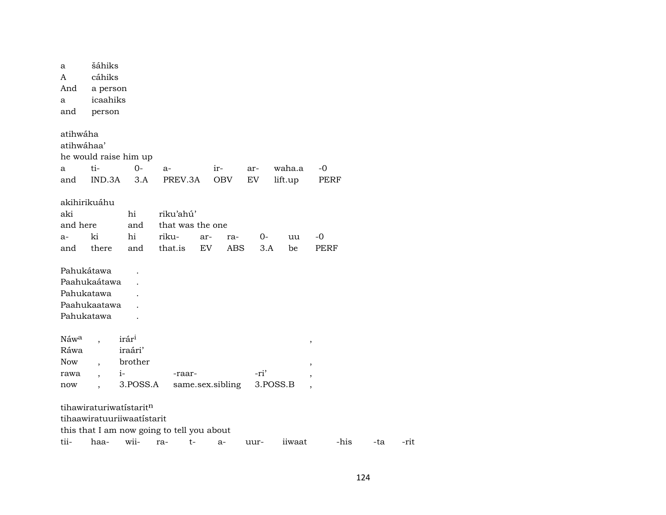| a<br>A<br>And    | šáhiks<br>cáhiks<br>a person |                                            |         |                  |       |      |      |          |                          |      |     |  |
|------------------|------------------------------|--------------------------------------------|---------|------------------|-------|------|------|----------|--------------------------|------|-----|--|
| a                | icaahiks                     |                                            |         |                  |       |      |      |          |                          |      |     |  |
| and              | person                       |                                            |         |                  |       |      |      |          |                          |      |     |  |
|                  |                              |                                            |         |                  |       |      |      |          |                          |      |     |  |
| atihwáha         |                              |                                            |         |                  |       |      |      |          |                          |      |     |  |
| atihwáhaa'       |                              |                                            |         |                  |       |      |      |          |                          |      |     |  |
|                  |                              | he would raise him up                      |         |                  |       |      |      |          |                          |      |     |  |
| a                | ti-                          | $O -$                                      | $a-$    |                  | $ir-$ |      | ar-  | waha.a   | $-0$                     |      |     |  |
| and              | IND.3A                       | 3.A                                        |         | PREV.3A          |       | OBV  | EV   | lift.up  |                          | PERF |     |  |
|                  |                              |                                            |         |                  |       |      |      |          |                          |      |     |  |
|                  | akihirikuáhu                 |                                            |         |                  |       |      |      |          |                          |      |     |  |
| aki              |                              | hi                                         |         | riku'ahú'        |       |      |      |          |                          |      |     |  |
| and here         |                              | and                                        |         | that was the one |       |      |      |          |                          |      |     |  |
| $a-$             | ki                           | hi                                         | riku-   |                  | ar-   | ra-  | 0-   | uu       | -0                       |      |     |  |
| and              | there                        | and                                        | that.is |                  | EV    | ABS. | 3.A  | be       |                          | PERF |     |  |
|                  |                              |                                            |         |                  |       |      |      |          |                          |      |     |  |
| Pahukátawa       |                              |                                            |         |                  |       |      |      |          |                          |      |     |  |
|                  | Paahukaátawa                 |                                            |         |                  |       |      |      |          |                          |      |     |  |
| Pahukatawa       |                              |                                            |         |                  |       |      |      |          |                          |      |     |  |
|                  | Paahukaatawa                 |                                            |         |                  |       |      |      |          |                          |      |     |  |
|                  | Pahukatawa                   |                                            |         |                  |       |      |      |          |                          |      |     |  |
|                  |                              |                                            |         |                  |       |      |      |          |                          |      |     |  |
| Náw <sup>a</sup> |                              | irár <sup>i</sup>                          |         |                  |       |      |      |          |                          |      |     |  |
| Ráwa             |                              | iraári'                                    |         |                  |       |      |      |          | $^\mathrm{^\mathrm{o}}$  |      |     |  |
| <b>Now</b>       |                              | brother                                    |         |                  |       |      |      |          |                          |      |     |  |
| rawa             | $\ddot{\phantom{0}}$         | $i-$                                       |         | -raar-           |       |      | -ri' |          | $^\mathrm{,}$            |      |     |  |
| now              |                              | 3.POSS.A                                   |         | same.sex.sibling |       |      |      | 3.POSS.B | $\overline{\phantom{a}}$ |      |     |  |
|                  |                              |                                            |         |                  |       |      |      |          |                          |      |     |  |
|                  |                              | tihawiraturiwatistaritn                    |         |                  |       |      |      |          |                          |      |     |  |
|                  |                              | tihaawiratuuriiwaatistarit                 |         |                  |       |      |      |          |                          |      |     |  |
|                  |                              | this that I am now going to tell you about |         |                  |       |      |      |          |                          |      |     |  |
| tii-             | haa-                         | wii-                                       | ra-     | t-               |       | a-   | uur- | iiwaat   |                          | -his | -ta |  |
|                  |                              |                                            |         |                  |       |      |      |          |                          |      |     |  |

-rit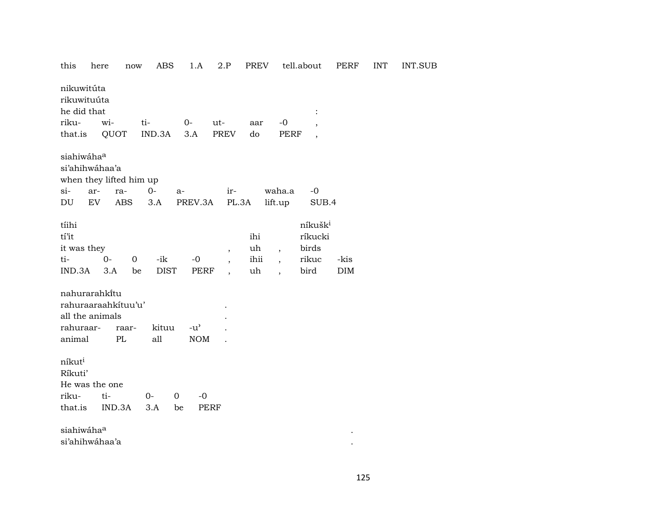| this                                                                | here<br>now                              | ABS                | 1.A                            | 2.P                                                                              | PREV                    |                                                                        | tell.about                                               | PERF        | <b>INT</b> |
|---------------------------------------------------------------------|------------------------------------------|--------------------|--------------------------------|----------------------------------------------------------------------------------|-------------------------|------------------------------------------------------------------------|----------------------------------------------------------|-------------|------------|
| nikuwitúta<br>rikuwituúta<br>he did that                            |                                          |                    |                                |                                                                                  |                         |                                                                        | $\ddot{\cdot}$                                           |             |            |
| riku-                                                               | wi-                                      | ti-                | $0-$                           | $ut-$                                                                            | aar                     | $-0$                                                                   |                                                          |             |            |
| that.is                                                             | QUOT                                     | IND.3A             | 3.A                            | PREV                                                                             | do                      | <b>PERF</b>                                                            | $\overline{\phantom{a}}$                                 |             |            |
|                                                                     |                                          |                    |                                |                                                                                  |                         |                                                                        |                                                          |             |            |
| siahiwáhaa<br>si'ahihwáhaa'a                                        | when they lifted him up                  |                    |                                |                                                                                  |                         |                                                                        |                                                          |             |            |
| si-<br>ar-                                                          | ra-                                      | $O -$              | $a-$                           | ir-                                                                              |                         | waha.a                                                                 | $-0$                                                     |             |            |
| EV<br>DU                                                            | <b>ABS</b>                               | 3.A                | PREV.3A                        | PL.3A                                                                            |                         | lift.up                                                                | SUB.4                                                    |             |            |
| tíihi<br>tí'it<br>it was they<br>ti-<br>IND.3A                      | $0 -$<br>$\mathbf 0$<br>3.A<br>be        | -ik<br><b>DIST</b> | $-0$<br>PERF                   | $\overline{\phantom{a}}$<br>$\overline{\phantom{a}}$<br>$\overline{\phantom{a}}$ | ihi<br>uh<br>ihii<br>uh | $\overline{\phantom{a}}$<br>$\overline{ }$<br>$\overline{\phantom{a}}$ | níkušk <sup>i</sup><br>ríkucki<br>birds<br>rikuc<br>bird | -kis<br>DIM |            |
| nahurarahkitu<br>all the animals<br>rahuraar-<br>animal             | rahuraaraahkituu'u'<br>raar-<br>$\rm PL$ | kituu<br>all       | $-u^{\prime}$<br><b>NOM</b>    |                                                                                  |                         |                                                                        |                                                          |             |            |
| níkut <sup>i</sup><br>Ríkuti'<br>He was the one<br>riku-<br>that.is | ti-<br>IND.3A                            | $0-$<br>3.A        | 0<br>$-0$<br>be<br><b>PERF</b> |                                                                                  |                         |                                                                        |                                                          |             |            |
| siahiwáhaa<br>si'ahihwáhaa'a                                        |                                          |                    |                                |                                                                                  |                         |                                                                        |                                                          |             |            |

**INT.SUB**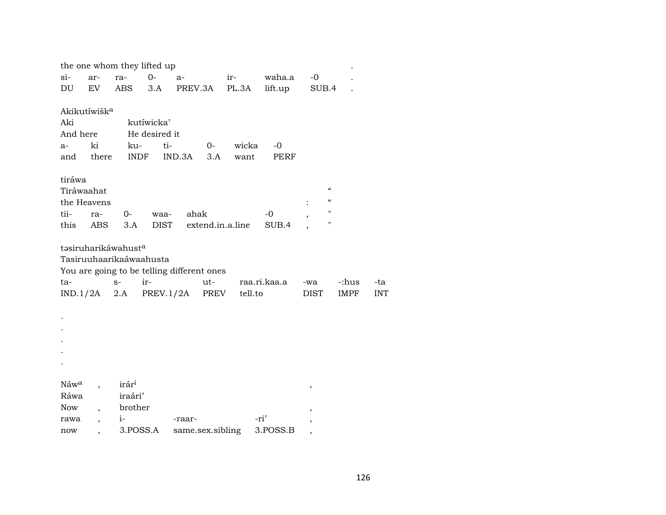|                  |                          | the one whom they lifted up     |               |                                            |         |              |                                        |       |            |
|------------------|--------------------------|---------------------------------|---------------|--------------------------------------------|---------|--------------|----------------------------------------|-------|------------|
| $\sin$           | ar-                      | ra-                             | $0-$          | $a-$                                       | $ir-$   | waha.a       | $-0$                                   |       |            |
| DU               | EV                       | ABS                             | 3.A           | PREV.3A                                    | PL.3A   | lift.up      | SUB.4                                  |       |            |
|                  |                          |                                 |               |                                            |         |              |                                        |       |            |
|                  | Akikutíwišk <sup>a</sup> |                                 |               |                                            |         |              |                                        |       |            |
| Aki              |                          |                                 | kutíwicka'    |                                            |         |              |                                        |       |            |
| And here         |                          |                                 | He desired it |                                            |         |              |                                        |       |            |
| $a-$             | ki                       | ku-                             | ti-           | $O-$                                       | wicka   | -0           |                                        |       |            |
| and              | there                    | <b>INDF</b>                     |               | IND.3A<br>3.A                              | want    | PERF         |                                        |       |            |
|                  |                          |                                 |               |                                            |         |              |                                        |       |            |
| tiráwa           |                          |                                 |               |                                            |         |              |                                        |       |            |
| Tiráwaahat       |                          |                                 |               |                                            |         |              | $\boldsymbol{\zeta}\boldsymbol{\zeta}$ |       |            |
|                  | the Heavens              |                                 |               |                                            |         |              | $\boldsymbol{\zeta}\boldsymbol{\zeta}$ |       |            |
| tii-             | ra-                      | $0-$                            | waa-          | ahak                                       |         | $-0$         | н                                      |       |            |
| this             | ABS                      | 3.A                             | <b>DIST</b>   | extend.in.a.line                           |         | SUB.4        | Ħ                                      |       |            |
|                  |                          |                                 |               |                                            |         |              |                                        |       |            |
|                  |                          | təsiruharikáwahust <sup>a</sup> |               |                                            |         |              |                                        |       |            |
|                  |                          | Tasiruuhaarikaáwaahusta         |               |                                            |         |              |                                        |       |            |
|                  |                          |                                 |               | You are going to be telling different ones |         |              |                                        |       |            |
| ta-              |                          | $S-$                            | ir-           | $ut-$                                      |         | raa.ri.kaa.a | -wa                                    | -:hus | -ta        |
|                  | IND.1/2A                 | 2.A                             |               | PREV<br>PREV.1/2A                          | tell.to |              | DIST                                   | IMPF  | <b>INT</b> |
|                  |                          |                                 |               |                                            |         |              |                                        |       |            |
|                  |                          |                                 |               |                                            |         |              |                                        |       |            |
|                  |                          |                                 |               |                                            |         |              |                                        |       |            |
|                  |                          |                                 |               |                                            |         |              |                                        |       |            |
|                  |                          |                                 |               |                                            |         |              |                                        |       |            |
|                  |                          |                                 |               |                                            |         |              |                                        |       |            |
|                  |                          |                                 |               |                                            |         |              |                                        |       |            |
| Náw <sup>a</sup> |                          | irár <sup>i</sup>               |               |                                            |         |              | ,                                      |       |            |
| Ráwa             |                          | iraári'                         |               |                                            |         |              |                                        |       |            |
| Now              |                          | brother                         |               |                                            |         |              | ,                                      |       |            |
| rawa             | $\ddot{\phantom{0}}$     | $i-$                            |               | -raar-                                     |         | -ri'         | ,                                      |       |            |
| now              |                          | 3.POSS.A                        |               | same.sex.sibling                           |         | 3.POSS.B     |                                        |       |            |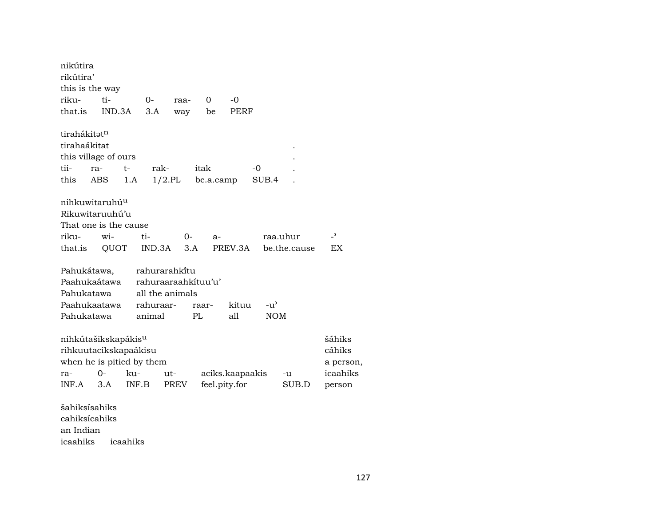| nikútira<br>rikútira'           |       |        |                     |           |       |               |                 |       |               |              |                          |
|---------------------------------|-------|--------|---------------------|-----------|-------|---------------|-----------------|-------|---------------|--------------|--------------------------|
| this is the way                 |       |        |                     |           |       |               |                 |       |               |              |                          |
| riku-                           | ti-   |        | $O -$               | raa-      | 0     |               | $-0$            |       |               |              |                          |
| that.is                         |       | IND.3A | 3.A                 | way       |       | be            | PERF            |       |               |              |                          |
|                                 |       |        |                     |           |       |               |                 |       |               |              |                          |
| tirahákitət <sup>n</sup>        |       |        |                     |           |       |               |                 |       |               |              |                          |
| tirahaákitat                    |       |        |                     |           |       |               |                 |       |               |              |                          |
| this village of ours            |       |        |                     |           |       |               |                 |       |               |              |                          |
| tii-                            | ra-   | $t-$   | rak-                |           | itak  |               |                 | -0    |               |              |                          |
| this                            | ABS   | 1.A    |                     | $1/2$ .PL |       | be.a.camp     |                 | SUB.4 |               |              |                          |
|                                 |       |        |                     |           |       |               |                 |       |               |              |                          |
| nihkuwitaruhú <sup>u</sup>      |       |        |                     |           |       |               |                 |       |               |              |                          |
| Rikuwitaruuhú'u                 |       |        |                     |           |       |               |                 |       |               |              |                          |
| That one is the cause           |       |        |                     |           |       |               |                 |       |               |              |                          |
| riku-                           | wi-   |        | ti-                 | 0-        |       | a-            |                 |       |               | raa.uhur     | $\overline{\phantom{0}}$ |
| that.is                         |       | QUOT   | IND.3A              |           | 3.A   |               | PREV.3A         |       |               | be.the.cause | <b>EX</b>                |
|                                 |       |        |                     |           |       |               |                 |       |               |              |                          |
| Pahukátawa,                     |       |        | rahurarahkitu       |           |       |               |                 |       |               |              |                          |
| Paahukaátawa                    |       |        | rahuraaraahkituu'u' |           |       |               |                 |       |               |              |                          |
| Pahukatawa                      |       |        | all the animals     |           |       |               |                 |       |               |              |                          |
| Paahukaatawa                    |       |        | rahuraar-           |           | raar- |               | kituu           |       | $-u^{\prime}$ |              |                          |
| Pahukatawa                      |       |        | animal              |           | PL    |               | all             |       | <b>NOM</b>    |              |                          |
| nihkútašikskapákis <sup>u</sup> |       |        |                     |           |       |               |                 |       |               |              | šáhiks                   |
| rihkuutacikskapaákisu           |       |        |                     |           |       |               |                 |       |               |              | cáhiks                   |
| when he is pitied by them       |       |        |                     |           |       |               |                 |       |               |              |                          |
| ra-                             | $O -$ | ku-    |                     | ut-       |       |               | aciks.kaapaakis |       |               | -u           | a person,<br>icaahiks    |
| INF.A                           | 3.A   | INF.B  |                     | PREV      |       | feel.pity.for |                 |       |               | SUB.D        |                          |
|                                 |       |        |                     |           |       |               |                 |       |               |              | person                   |
| šahiksisahiks                   |       |        |                     |           |       |               |                 |       |               |              |                          |

šahiksísahiks cahiksícahiks an Indian icaahiks icaahiks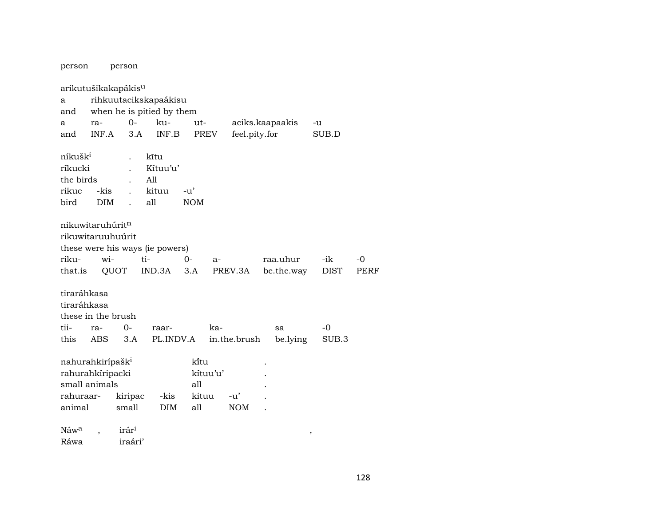| person                       |            | person                          |                                 |            |          |               |                 |             |      |
|------------------------------|------------|---------------------------------|---------------------------------|------------|----------|---------------|-----------------|-------------|------|
|                              |            | arikutušikakapákis <sup>u</sup> |                                 |            |          |               |                 |             |      |
| a                            |            |                                 | rihkuutacikskapaákisu           |            |          |               |                 |             |      |
| and                          |            |                                 | when he is pitied by them       |            |          |               |                 |             |      |
| a                            | ra-        | $0-$                            | ku-                             | ut-        |          |               | aciks.kaapaakis | -u          |      |
| and                          | INF.A      | 3.A                             | INF.B                           | PREV       |          | feel.pity.for |                 | SUB.D       |      |
| níkušk <sup>i</sup>          |            | $\ddot{\phantom{a}}$            | kĩtu                            |            |          |               |                 |             |      |
| ríkucki                      |            |                                 | Kítuu'u'                        |            |          |               |                 |             |      |
| the birds                    |            |                                 | All                             |            |          |               |                 |             |      |
| rikuc                        | -kis       |                                 | kituu                           | -u'        |          |               |                 |             |      |
| bird                         | <b>DIM</b> |                                 | all                             | <b>NOM</b> |          |               |                 |             |      |
|                              |            |                                 |                                 |            |          |               |                 |             |      |
| nikuwitaruhúrit <sup>n</sup> |            |                                 |                                 |            |          |               |                 |             |      |
| rikuwitaruuhuúrit            |            |                                 |                                 |            |          |               |                 |             |      |
|                              |            |                                 | these were his ways (ie powers) |            |          |               |                 |             |      |
| riku-                        | wi-        |                                 | ti-                             | 0-         | a-       |               | raa.uhur        | -ik         | -0   |
| that.is                      |            | QUOT                            | IND.3A                          | 3.A        |          | PREV.3A       | be.the.way      | <b>DIST</b> | PERF |
|                              |            |                                 |                                 |            |          |               |                 |             |      |
| tiraráhkasa                  |            |                                 |                                 |            |          |               |                 |             |      |
| tiraráhkasa                  |            |                                 |                                 |            |          |               |                 |             |      |
| these in the brush           |            |                                 |                                 |            |          |               |                 |             |      |
| tii-                         | ra-        | $0-$                            | raar-                           |            | ka-      |               | sa              | $-0$        |      |
| this                         | ABS        | 3.A                             | PL.INDV.A                       |            |          | in.the.brush  | be.lying        | SUB.3       |      |
|                              |            |                                 |                                 |            |          |               |                 |             |      |
| nahurahkirípašk <sup>i</sup> |            |                                 |                                 | ki̇̃tu     |          |               |                 |             |      |
| rahurahkíripacki             |            |                                 |                                 |            | kítuu'u' |               |                 |             |      |
| small animals                |            |                                 |                                 | all        |          |               |                 |             |      |
| rahuraar-                    |            | kiripac                         | -kis                            | kituu      |          | $-u'$         |                 |             |      |
| animal                       |            | small                           | <b>DIM</b>                      | all        |          | <b>NOM</b>    |                 |             |      |
|                              |            |                                 |                                 |            |          |               |                 |             |      |
| Náw <sup>a</sup>             |            | irár <sup>i</sup>               |                                 |            |          |               |                 | $\,$        |      |
| Ráwa                         |            | iraári'                         |                                 |            |          |               |                 |             |      |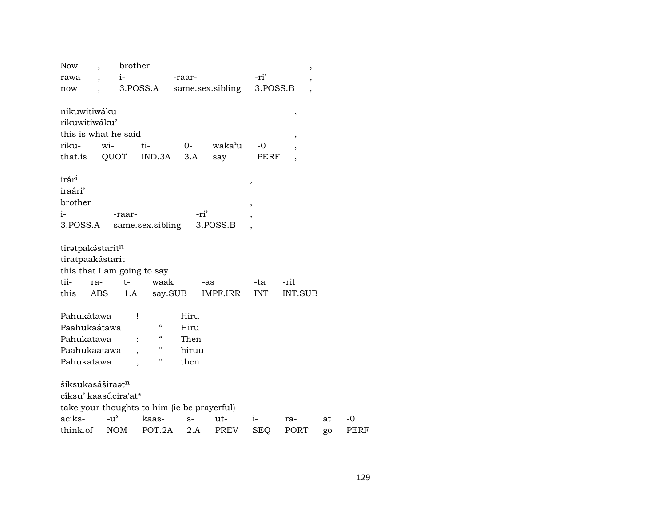| <b>Now</b>                   | brother                                     |                          |        |                  |                          | ,              |    |
|------------------------------|---------------------------------------------|--------------------------|--------|------------------|--------------------------|----------------|----|
| rawa                         | $i-$                                        |                          | -raar- |                  | -ri'                     | ,              |    |
| now                          |                                             | 3.POSS.A                 |        | same.sex.sibling | 3.POSS.B                 |                |    |
|                              |                                             |                          |        |                  |                          |                |    |
| nikuwitiwáku                 |                                             |                          |        |                  |                          | $\,$           |    |
| rikuwitiwáku'                |                                             |                          |        |                  |                          |                |    |
|                              | this is what he said                        |                          |        |                  |                          | ,              |    |
| riku-                        | wi-                                         | ti-                      | $0-$   | waka'u           | -0                       |                |    |
| that.is                      | QUOT                                        | IND.3A                   | 3.A    | say              | PERF                     |                |    |
|                              |                                             |                          |        |                  |                          |                |    |
| irár <sup>i</sup>            |                                             |                          |        |                  | ,                        |                |    |
| iraári'                      |                                             |                          |        |                  |                          |                |    |
| brother                      |                                             |                          |        |                  | $\overline{\phantom{a}}$ |                |    |
| i-                           | -raar-                                      |                          | -ri'   |                  |                          |                |    |
| 3.POSS.A                     |                                             | same.sex.sibling         |        | 3.POSS.B         |                          |                |    |
|                              |                                             |                          |        |                  |                          |                |    |
| tiratpakástaritn             |                                             |                          |        |                  |                          |                |    |
| tiratpaakástarit             |                                             |                          |        |                  |                          |                |    |
|                              | this that I am going to say                 |                          |        |                  |                          |                |    |
| tii-<br>ra-                  | $t-$                                        | waak                     |        | -as              | -ta                      | -rit           |    |
| this                         | ABS<br>1.A                                  | say.SUB                  |        | IMPF.IRR         | <b>INT</b>               | <b>INT.SUB</b> |    |
|                              |                                             |                          |        |                  |                          |                |    |
| Pahukátawa                   |                                             | ı                        | Hiru   |                  |                          |                |    |
| Paahukaátawa                 |                                             | $\mathcal{C}\mathcal{C}$ | Hiru   |                  |                          |                |    |
| Pahukatawa                   |                                             | $\mathcal{C}\mathcal{C}$ | Then   |                  |                          |                |    |
| Paahukaatawa                 |                                             | н                        | hiruu  |                  |                          |                |    |
| Pahukatawa                   |                                             | п                        | then   |                  |                          |                |    |
|                              |                                             |                          |        |                  |                          |                |    |
| šiksukasáširaat <sup>n</sup> |                                             |                          |        |                  |                          |                |    |
|                              | cíksu' kaasúcira'at*                        |                          |        |                  |                          |                |    |
|                              | take your thoughts to him (ie be prayerful) |                          |        |                  |                          |                |    |
| aciks-                       | $-u$ <sup><math>\sim</math></sup>           | kaas-                    | $S-$   |                  |                          |                |    |
| think.of                     | <b>NOM</b>                                  | POT.2A                   | 2.A    | ut-              | i-                       | ra-            | at |
|                              |                                             |                          |        | PREV             | <b>SEQ</b>               | PORT           | go |

 $-0$ PERF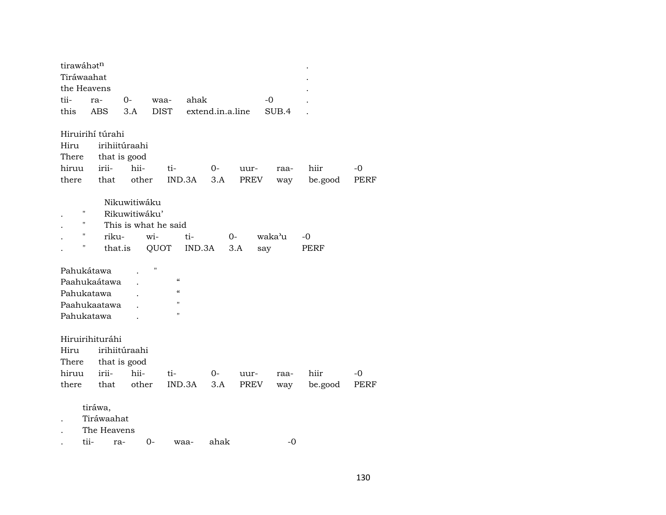| tirawáhatn  |                  |                      |             |                          |                  |      |        |             |             |
|-------------|------------------|----------------------|-------------|--------------------------|------------------|------|--------|-------------|-------------|
| Tiráwaahat  |                  |                      |             |                          |                  |      |        |             |             |
| the Heavens |                  |                      |             |                          |                  |      |        |             |             |
| tii-        | ra-              | $0-$                 | waa-        | ahak                     |                  |      | -0     |             |             |
| this        | <b>ABS</b>       | 3.A                  | <b>DIST</b> |                          | extend.in.a.line |      | SUB.4  |             |             |
|             | Hiruirihí túrahi |                      |             |                          |                  |      |        |             |             |
| Hiru        |                  | irihiitúraahi        |             |                          |                  |      |        |             |             |
| There       |                  | that is good         |             |                          |                  |      |        |             |             |
| hiruu       | irii-            | hii-                 |             | ti-                      | $0-$             | uur- | raa-   | hiir        | -0          |
| there       | that             | other                |             | IND.3A                   | 3.A              | PREV | way    | be.good     | PERF        |
|             |                  | Nikuwitiwáku         |             |                          |                  |      |        |             |             |
| Η           |                  | Rikuwitiwáku'        |             |                          |                  |      |        |             |             |
| 11          |                  | This is what he said |             |                          |                  |      |        |             |             |
| "           | riku-            |                      | wi-         | $ti-$                    |                  | $0-$ | waka'u | -0          |             |
| П           |                  | that.is              | QUOT        | IND.3A                   |                  | 3.A  | say    | <b>PERF</b> |             |
|             |                  |                      |             |                          |                  |      |        |             |             |
| Pahukátawa  |                  |                      | Ħ           |                          |                  |      |        |             |             |
|             | Paahukaátawa     |                      |             | $\mathcal{C}$            |                  |      |        |             |             |
| Pahukatawa  |                  |                      |             | $\mathcal{C}\mathcal{C}$ |                  |      |        |             |             |
|             | Paahukaatawa     |                      |             | п                        |                  |      |        |             |             |
| Pahukatawa  |                  |                      |             | П                        |                  |      |        |             |             |
|             |                  |                      |             |                          |                  |      |        |             |             |
|             | Hiruirihituráhi  |                      |             |                          |                  |      |        |             |             |
| Hiru        |                  | irihiitúraahi        |             |                          |                  |      |        |             |             |
| There       |                  | that is good         |             |                          |                  |      |        |             |             |
| hiruu       | irii-            | hii-                 |             | ti-                      | 0-               | uur- | raa-   | hiir        | $-0$        |
| there       | that             | other                |             | IND.3A                   | 3.A              | PREV | way    | be.good     | <b>PERF</b> |
|             |                  |                      |             |                          |                  |      |        |             |             |
|             | tiráwa,          |                      |             |                          |                  |      |        |             |             |
|             | Tiráwaahat       |                      |             |                          |                  |      |        |             |             |
|             | The Heavens      |                      |             |                          |                  |      |        |             |             |
|             | tii-             | ra-                  | $0-$        | waa-                     | ahak             |      | $-0$   |             |             |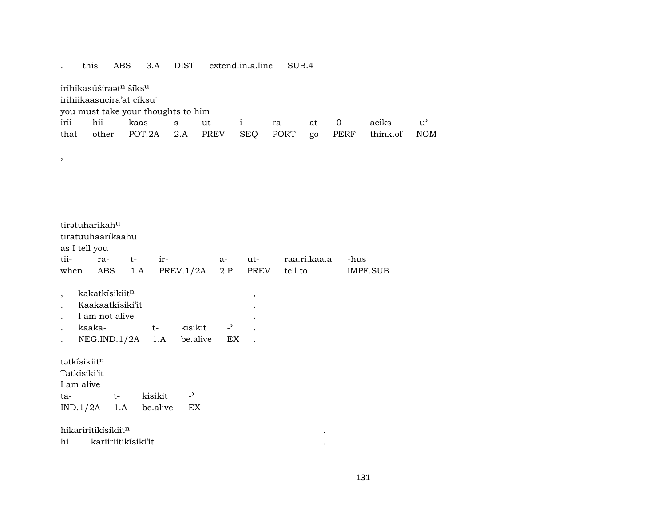## . this ABS 3.A DIST extend.in.a.line SUB.4

irihikasúšira $t^n$  šíks $u$ 

,

irihiikaasucira'at cíksu'

you must take your thoughts to him

|  |  |  |  | irii- hii- kaas- s- ut- i- ra- at -0 aciks -u'           |  |
|--|--|--|--|----------------------------------------------------------|--|
|  |  |  |  | that other POT.2A 2.A PREV SEQ PORT go PERF think.of NOM |  |

| tirətuharikah <sup>u</sup>      |                            |  |  |                                     |  |                          |                                         |          |  |  |  |  |  |
|---------------------------------|----------------------------|--|--|-------------------------------------|--|--------------------------|-----------------------------------------|----------|--|--|--|--|--|
| tiratuuhaaríkaahu               |                            |  |  |                                     |  |                          |                                         |          |  |  |  |  |  |
| as I tell you                   |                            |  |  |                                     |  |                          |                                         |          |  |  |  |  |  |
| tii-                            |                            |  |  |                                     |  |                          |                                         | -hus     |  |  |  |  |  |
|                                 |                            |  |  |                                     |  |                          | when ABS 1.A PREV.1/2A 2.P PREV tell.to | IMPF.SUB |  |  |  |  |  |
|                                 |                            |  |  |                                     |  |                          |                                         |          |  |  |  |  |  |
|                                 | kakatkísikiit <sup>n</sup> |  |  |                                     |  | $\overline{\phantom{a}}$ |                                         |          |  |  |  |  |  |
|                                 | Kaakaatkisiki'it           |  |  |                                     |  |                          |                                         |          |  |  |  |  |  |
|                                 | I am not alive             |  |  |                                     |  |                          |                                         |          |  |  |  |  |  |
|                                 |                            |  |  | kaaka- t- kisikit - <sup>&gt;</sup> |  |                          |                                         |          |  |  |  |  |  |
|                                 |                            |  |  | NEG.IND.1/2A 1.A be.alive EX.       |  |                          |                                         |          |  |  |  |  |  |
| tətkisikiit <sup>n</sup>        |                            |  |  |                                     |  |                          |                                         |          |  |  |  |  |  |
|                                 |                            |  |  |                                     |  |                          |                                         |          |  |  |  |  |  |
| Tatkísiki'it                    |                            |  |  |                                     |  |                          |                                         |          |  |  |  |  |  |
| I am alive                      |                            |  |  |                                     |  |                          |                                         |          |  |  |  |  |  |
| ta- t- kisikit                  |                            |  |  | $\rightarrow$                       |  |                          |                                         |          |  |  |  |  |  |
| $IND.1/2A$ 1.A be.alive         |                            |  |  | EX                                  |  |                          |                                         |          |  |  |  |  |  |
| hikariritikísikiit <sup>n</sup> |                            |  |  |                                     |  |                          |                                         |          |  |  |  |  |  |
| hi                              | kariiriitikisiki'it        |  |  |                                     |  |                          |                                         |          |  |  |  |  |  |
|                                 |                            |  |  |                                     |  |                          |                                         |          |  |  |  |  |  |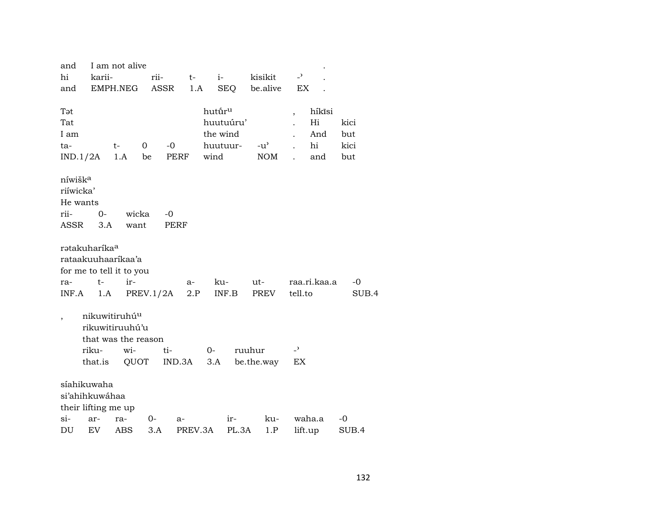| and                       |         | I am not alive            |             |         |                    |           |               |                          |              |       |
|---------------------------|---------|---------------------------|-------------|---------|--------------------|-----------|---------------|--------------------------|--------------|-------|
| hi                        | karii-  |                           | rii-        | $t-$    |                    | $i-$      | kisikit       | $\overline{a}$           |              |       |
| and                       |         | EMPH.NEG                  | ASSR        | 1.A     |                    |           | SEQ be.alive  | EX                       |              |       |
|                           |         |                           |             |         |                    |           |               |                          |              |       |
| Tət                       |         |                           |             |         | hutūr <sup>u</sup> |           |               | $\overline{\phantom{a}}$ | híkísi       |       |
| Tat                       |         |                           |             |         |                    | huutuúru' |               |                          | Hi           | kici  |
| I am                      |         |                           |             |         | the wind           |           |               |                          | And          | but   |
| ta-                       |         | t-                        | $\mathbf 0$ | $-0$    | huutuur-           |           | $-u^{\prime}$ |                          | hi           | kici  |
| $IND.1/2A$ 1.A            |         |                           | be          | PERF    | wind               |           | <b>NOM</b>    |                          | and          | but   |
|                           |         |                           |             |         |                    |           |               |                          |              |       |
| níwišk <sup>a</sup>       |         |                           |             |         |                    |           |               |                          |              |       |
| riíwicka'                 |         |                           |             |         |                    |           |               |                          |              |       |
| He wants                  |         |                           |             |         |                    |           |               |                          |              |       |
| rii-                      | $0-$    | wicka                     | $-0$        |         |                    |           |               |                          |              |       |
| ASSR                      | 3.A     | want                      |             | PERF    |                    |           |               |                          |              |       |
|                           |         |                           |             |         |                    |           |               |                          |              |       |
| rətakuharíka <sup>a</sup> |         |                           |             |         |                    |           |               |                          |              |       |
|                           |         | rataakuuhaarikaa'a        |             |         |                    |           |               |                          |              |       |
|                           |         | for me to tell it to you  |             |         |                    |           |               |                          |              |       |
| ra-                       | $t-$    | ir-                       |             | a-      |                    | ku-       | ut-           |                          | raa.ri.kaa.a | $-0$  |
| INF.A                     | 1.A     |                           | PREV.1/2A   | 2.P     |                    | INF.B     | PREV          | tell.to                  |              | SUB.4 |
|                           |         |                           |             |         |                    |           |               |                          |              |       |
|                           |         | nikuwitiruhú <sup>u</sup> |             |         |                    |           |               |                          |              |       |
|                           |         | rikuwitiruuhú'u           |             |         |                    |           |               |                          |              |       |
|                           |         | that was the reason       |             |         |                    |           |               |                          |              |       |
|                           | riku-   | wi-                       | ti-         |         | $0-$               |           | ruuhur        | $\overline{a}$           |              |       |
|                           | that.is | QUOT                      |             | IND.3A  | 3.A                |           | be.the.way    | EX                       |              |       |
|                           |         |                           |             |         |                    |           |               |                          |              |       |
| síahikuwaha               |         |                           |             |         |                    |           |               |                          |              |       |
| si'ahihkuwáhaa            |         |                           |             |         |                    |           |               |                          |              |       |
| their lifting me up       |         |                           |             |         |                    |           |               |                          |              |       |
| si-                       | ar-     | ra-                       | 0-          | a-      |                    | $ir-$     | ku-           |                          | waha.a       | -0    |
| DU                        | EV      | ABS                       | 3.A         | PREV.3A |                    | PL.3A     | 1.P           |                          | lift.up      | SUB.4 |
|                           |         |                           |             |         |                    |           |               |                          |              |       |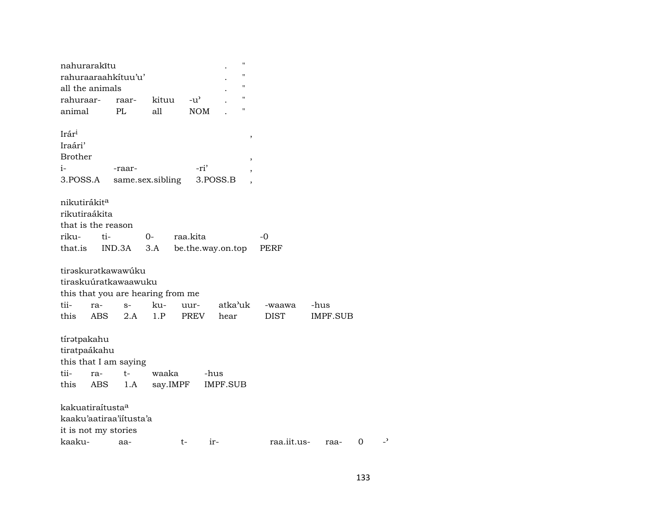| nahurarakītu                 |            |                                   |          |               | $\pmb{\mathsf{H}}$       |             |          |                   |
|------------------------------|------------|-----------------------------------|----------|---------------|--------------------------|-------------|----------|-------------------|
|                              |            | rahuraaraahkituu'u'               |          |               | $\pmb{\mathsf{H}}$       |             |          |                   |
| all the animals              |            |                                   |          |               | $\pmb{\mathsf{H}}$       |             |          |                   |
| rahuraar-                    |            | raar-                             | kituu    | $-u^{\prime}$ | $\pmb{\mathsf{H}}$       |             |          |                   |
| animal                       |            | PL                                | all      | <b>NOM</b>    | 11                       |             |          |                   |
|                              |            |                                   |          |               |                          |             |          |                   |
| Irár <sup>i</sup>            |            |                                   |          |               | $\, ,$                   |             |          |                   |
| Iraári'                      |            |                                   |          |               |                          |             |          |                   |
| <b>Brother</b>               |            |                                   |          |               | $\, ,$                   |             |          |                   |
| $i-$                         |            | -raar-                            |          | -ri'          | $\overline{\phantom{a}}$ |             |          |                   |
| 3.POSS.A                     |            | same.sex.sibling                  |          |               | 3.POSS.B                 |             |          |                   |
| nikutirákita                 |            |                                   |          |               |                          |             |          |                   |
| rikutiraákita                |            |                                   |          |               |                          |             |          |                   |
| that is the reason           |            |                                   |          |               |                          |             |          |                   |
|                              |            |                                   |          |               |                          |             |          |                   |
| riku-<br>that.is             | ti-        |                                   | 0-       | raa.kita      |                          | $-0$        |          |                   |
|                              |            | IND.3A                            | 3.A      |               | be.the.way.on.top        | <b>PERF</b> |          |                   |
|                              |            | tirəskurətkawawúku                |          |               |                          |             |          |                   |
|                              |            | tiraskuúratkawaawuku              |          |               |                          |             |          |                   |
|                              |            |                                   |          |               |                          |             |          |                   |
| tii-                         |            | this that you are hearing from me |          |               | atka'uk                  |             |          |                   |
|                              | ra-        | $S-$                              | ku-      | uur-          |                          | -waawa      | -hus     |                   |
| this                         | <b>ABS</b> | 2.A                               | 1.P      | PREV          | hear                     | <b>DIST</b> | IMPF.SUB |                   |
|                              |            |                                   |          |               |                          |             |          |                   |
| tíratpakahu                  |            |                                   |          |               |                          |             |          |                   |
| tiratpaákahu                 |            |                                   |          |               |                          |             |          |                   |
|                              |            | this that I am saying             |          |               |                          |             |          |                   |
| tii-                         | ra-        | t-                                | waaka    |               | -hus                     |             |          |                   |
| this                         | ABS        | 1.A                               | say.IMPF |               | <b>IMPF.SUB</b>          |             |          |                   |
| kakuatiraítusta <sup>a</sup> |            |                                   |          |               |                          |             |          |                   |
|                              |            | kaaku'aatiraa'iitusta'a           |          |               |                          |             |          |                   |
| it is not my stories         |            |                                   |          |               |                          |             |          |                   |
| kaaku-                       |            | aa-                               |          | t-            | ir-                      | raa.iit.us- | raa-     | د_<br>$\mathbf 0$ |
|                              |            |                                   |          |               |                          |             |          |                   |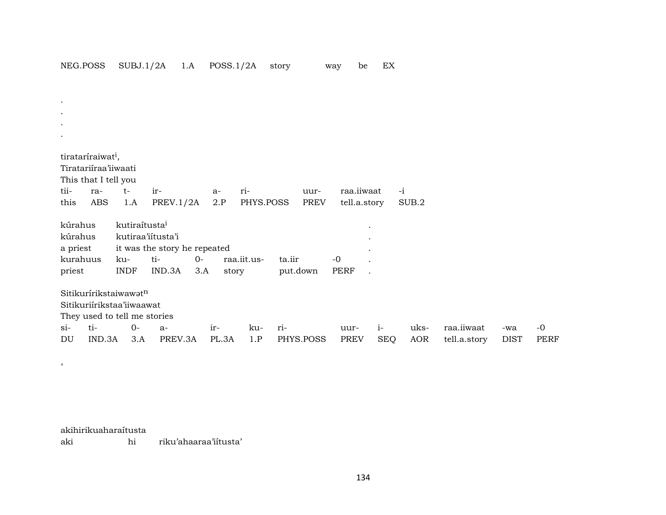. . . . tirataríraiwat<sup>i</sup>, Tiratariíraa'iiwaati This that I tell you tii- ra- t- ir- a- ri- uur- raa.iiwaat -i this ABS 1.A PREV.1/2A 2.P PHYS.POSS PREV tell.a.story SUB.2 kúrahus kutiraítusta³ . kúrahus kutiraa'iítusta'i . a priest it was the story he repeated . kurahuus ku- ti- 0- raa.iit.us- ta.iir -0 . priest INDF IND.3A 3.A story put.down PERF .  $S$ itikurírikstaiwawat $n$ Sitikuriírikstaa'iiwaawat They used to tell me stories si- ti- 0- a- ir- ku- ri- uur- i- uks- raa.iiwaat -wa -0 DU IND.3A 3.A PREV.3A PL.3A 1.P PHYS.POSS PREV SEQ AOR tell.a.story DIST PERF

akihirikuaharaítusta

,

aki hi riku'ahaaraa'iítusta'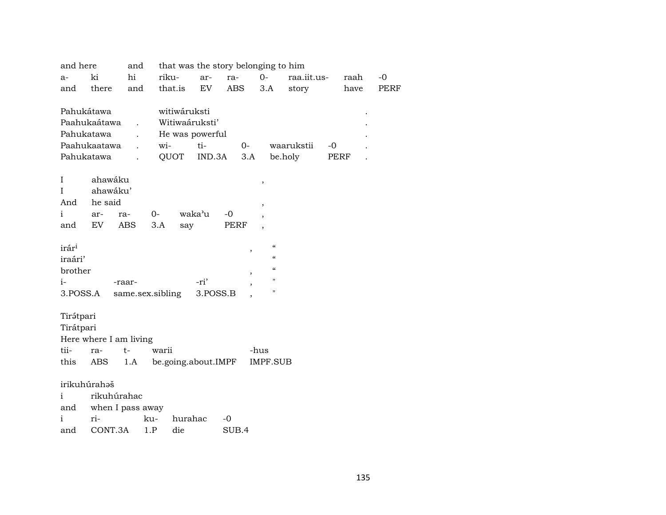| and here          | and                                  |                                                                                                                                                                              |                                                                 |                                                   |                                                     |                                               |                                                                                                  |                                         |                                                                                 |             |             |
|-------------------|--------------------------------------|------------------------------------------------------------------------------------------------------------------------------------------------------------------------------|-----------------------------------------------------------------|---------------------------------------------------|-----------------------------------------------------|-----------------------------------------------|--------------------------------------------------------------------------------------------------|-----------------------------------------|---------------------------------------------------------------------------------|-------------|-------------|
| ki                | hi                                   |                                                                                                                                                                              |                                                                 | ar-                                               |                                                     |                                               | $0-$                                                                                             |                                         |                                                                                 | raah        | $-0$        |
| there<br>and      |                                      |                                                                                                                                                                              |                                                                 | EV                                                |                                                     |                                               |                                                                                                  | story                                   |                                                                                 | have        | <b>PERF</b> |
|                   |                                      |                                                                                                                                                                              |                                                                 |                                                   |                                                     |                                               |                                                                                                  |                                         |                                                                                 |             |             |
|                   |                                      |                                                                                                                                                                              |                                                                 |                                                   |                                                     |                                               |                                                                                                  |                                         |                                                                                 |             |             |
|                   |                                      |                                                                                                                                                                              |                                                                 |                                                   |                                                     |                                               |                                                                                                  |                                         |                                                                                 |             |             |
|                   |                                      |                                                                                                                                                                              |                                                                 | ti-                                               |                                                     |                                               |                                                                                                  |                                         | $-0$                                                                            |             |             |
|                   |                                      |                                                                                                                                                                              |                                                                 |                                                   |                                                     |                                               |                                                                                                  |                                         |                                                                                 |             |             |
|                   |                                      |                                                                                                                                                                              |                                                                 |                                                   |                                                     |                                               |                                                                                                  |                                         |                                                                                 |             |             |
|                   |                                      |                                                                                                                                                                              |                                                                 |                                                   |                                                     |                                               |                                                                                                  |                                         |                                                                                 |             |             |
| And               |                                      |                                                                                                                                                                              |                                                                 |                                                   |                                                     |                                               |                                                                                                  |                                         |                                                                                 |             |             |
| ar-               | ra-                                  | $O -$                                                                                                                                                                        |                                                                 |                                                   | -0                                                  |                                               | $\overline{ }$                                                                                   |                                         |                                                                                 |             |             |
| and               | ABS                                  | 3.A                                                                                                                                                                          |                                                                 |                                                   |                                                     |                                               |                                                                                                  |                                         |                                                                                 |             |             |
| irár <sup>i</sup> |                                      |                                                                                                                                                                              |                                                                 |                                                   |                                                     |                                               | $\epsilon\epsilon$                                                                               |                                         |                                                                                 |             |             |
| iraári'           |                                      |                                                                                                                                                                              |                                                                 |                                                   |                                                     |                                               | $\epsilon\epsilon$                                                                               |                                         |                                                                                 |             |             |
| brother           |                                      |                                                                                                                                                                              |                                                                 |                                                   |                                                     |                                               | $\epsilon$                                                                                       |                                         |                                                                                 |             |             |
|                   |                                      |                                                                                                                                                                              |                                                                 | -ri'                                              |                                                     |                                               | н                                                                                                |                                         |                                                                                 |             |             |
| 3.POSS.A          |                                      |                                                                                                                                                                              |                                                                 |                                                   |                                                     |                                               | п                                                                                                |                                         |                                                                                 |             |             |
|                   |                                      |                                                                                                                                                                              |                                                                 |                                                   |                                                     |                                               |                                                                                                  |                                         |                                                                                 |             |             |
|                   |                                      |                                                                                                                                                                              |                                                                 |                                                   |                                                     |                                               |                                                                                                  |                                         |                                                                                 |             |             |
|                   |                                      |                                                                                                                                                                              |                                                                 |                                                   |                                                     |                                               |                                                                                                  |                                         |                                                                                 |             |             |
| ra-               | $t-$                                 |                                                                                                                                                                              |                                                                 |                                                   |                                                     |                                               |                                                                                                  |                                         |                                                                                 |             |             |
| this<br>ABS       | 1.A                                  |                                                                                                                                                                              |                                                                 |                                                   |                                                     |                                               |                                                                                                  |                                         |                                                                                 |             |             |
|                   |                                      |                                                                                                                                                                              |                                                                 |                                                   |                                                     |                                               |                                                                                                  |                                         |                                                                                 |             |             |
|                   |                                      |                                                                                                                                                                              |                                                                 |                                                   |                                                     |                                               |                                                                                                  |                                         |                                                                                 |             |             |
| and               |                                      |                                                                                                                                                                              |                                                                 |                                                   |                                                     |                                               |                                                                                                  |                                         |                                                                                 |             |             |
| ri-               |                                      |                                                                                                                                                                              |                                                                 |                                                   | $-0$                                                |                                               |                                                                                                  |                                         |                                                                                 |             |             |
| and               |                                      |                                                                                                                                                                              | die                                                             |                                                   |                                                     |                                               |                                                                                                  |                                         |                                                                                 |             |             |
|                   | Pahukátawa<br>Tirátpari<br>Tirátpari | Paahukaátawa<br>$\ddot{\phantom{0}}$<br>Pahukatawa<br>Paahukaatawa<br>Pahukatawa<br>ahawáku<br>ahawáku'<br>he said<br>EV<br>-raar-<br>irikuhúrahaš<br>rikuhúrahac<br>CONT.3A | and<br>Here where I am living<br>when I pass away<br>ku-<br>1.P | riku-<br>wi-<br>QUOT<br>same.sex.sibling<br>warii | that.is<br>witiwáruksti<br>waka'u<br>say<br>hurahac | Witiwaáruksti'<br>He was powerful<br>3.POSS.B | ra-<br>ABS<br>IND.3A<br>PERF<br>$\,$<br>$\overline{\phantom{a}}$<br>be.going.about.IMPF<br>SUB.4 | $O-$<br>3.A<br>$\, ,$<br>$\, ,$<br>-hus | that was the story belonging to him<br>3.A<br>waarukstii<br>be.holy<br>IMPF.SUB | raa.iit.us- | PERF        |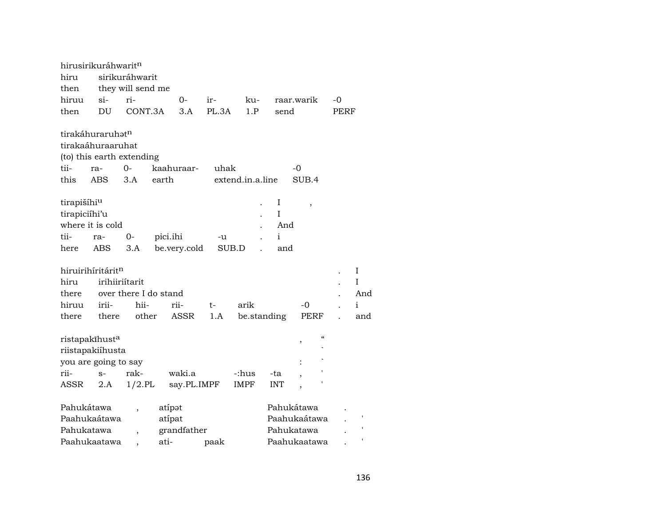| hiru<br>then  | hirusirikuráhwarit <sup>n</sup>                                                | sirikuráhwarit<br>they will send me |          |              |       |                  |     |              |                          |                          |             |              |
|---------------|--------------------------------------------------------------------------------|-------------------------------------|----------|--------------|-------|------------------|-----|--------------|--------------------------|--------------------------|-------------|--------------|
| hiruu         | $\sin$                                                                         | ri-                                 |          | 0-           | ir-   |                  | ku- |              | raar.warik               |                          | -0          |              |
| then          | DU                                                                             | CONT.3A                             |          | 3.A          | PL.3A |                  | 1.P | send         |                          |                          | <b>PERF</b> |              |
|               | tirakáhuraruhat <sup>n</sup><br>tirakaáhuraaruhat<br>(to) this earth extending |                                     |          |              |       |                  |     |              |                          |                          |             |              |
| tii-          | ra-                                                                            | $0 -$                               |          | kaahuraar-   | uhak  |                  |     |              | -0                       |                          |             |              |
|               |                                                                                |                                     |          |              |       |                  |     |              |                          |                          |             |              |
| this          | <b>ABS</b>                                                                     | 3.A                                 | earth    |              |       | extend.in.a.line |     |              | SUB.4                    |                          |             |              |
|               |                                                                                |                                     |          |              |       |                  |     | I            |                          |                          |             |              |
| tirapišíhiu   |                                                                                |                                     |          |              |       |                  |     | T            | $\overline{\phantom{a}}$ |                          |             |              |
| tirapiciíhi'u |                                                                                |                                     |          |              |       |                  |     |              |                          |                          |             |              |
|               | where it is cold                                                               |                                     |          |              |       |                  |     | And          |                          |                          |             |              |
| tii-          | ra-                                                                            | 0-                                  | pici.ihi |              | -u    |                  |     | $\mathbf{i}$ |                          |                          |             |              |
| here          | ABS                                                                            | 3.A                                 |          | be.very.cold |       | SUB.D            |     | and          |                          |                          |             |              |
|               |                                                                                |                                     |          |              |       |                  |     |              |                          |                          |             |              |
|               | hiruirihíritárit <sup>n</sup>                                                  |                                     |          |              |       |                  |     |              |                          |                          |             | Ι            |
| hiru          | irihiiriítarit                                                                 |                                     |          |              |       |                  |     |              |                          |                          |             | I            |
| there         |                                                                                | over there I do stand               |          |              |       |                  |     |              |                          |                          |             | And          |
| hiruu         | irii-                                                                          | hii-                                |          | rii-         | t-    | arik             |     |              | $-0$                     |                          |             | $\mathbf{i}$ |
| there         | there                                                                          | other                               |          | <b>ASSR</b>  | 1.A   |                  |     | be.standing  | <b>PERF</b>              |                          |             | and          |
|               |                                                                                |                                     |          |              |       |                  |     |              |                          | $\pmb{\zeta}\pmb{\zeta}$ |             |              |
|               | ristapakīhusta                                                                 |                                     |          |              |       |                  |     |              |                          |                          |             |              |
|               | riistapakiíhusta                                                               |                                     |          |              |       |                  |     |              |                          |                          |             |              |
|               | you are going to say                                                           |                                     |          |              |       |                  |     |              |                          |                          |             |              |
| rii-          | $S-$                                                                           | rak-                                |          | waki.a       |       | -:hus            |     | -ta          |                          |                          |             |              |
| ASSR          | 2.A                                                                            | $1/2$ .PL                           |          | say.PL.IMPF  |       | <b>IMPF</b>      |     | <b>INT</b>   |                          |                          |             |              |
|               |                                                                                |                                     |          |              |       |                  |     |              |                          |                          |             |              |
| Pahukátawa    |                                                                                |                                     | atípət   |              |       |                  |     |              | Pahukátawa               |                          |             |              |
|               | Paahukaátawa                                                                   |                                     | atípat   |              |       |                  |     |              | Paahukaátawa             |                          |             |              |
| Pahukatawa    |                                                                                | $\overline{\phantom{a}}$            |          | grandfather  |       |                  |     |              | Pahukatawa               |                          |             |              |
|               | Paahukaatawa                                                                   |                                     | ati-     |              | paak  |                  |     |              | Paahukaatawa             |                          |             |              |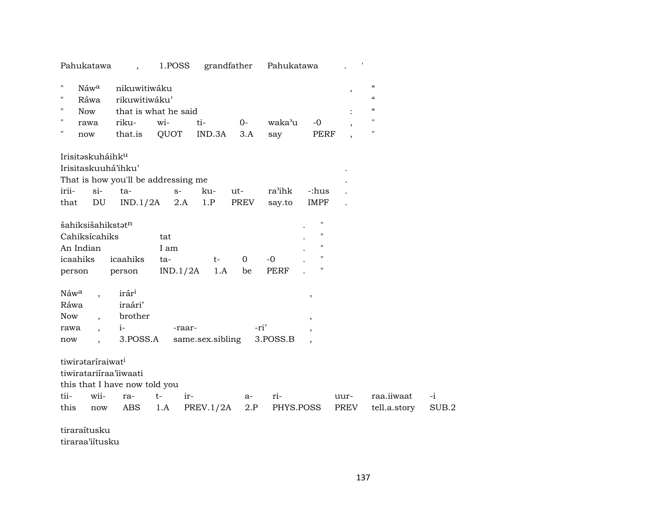| Pahukatawa                             |                   | 1.POSS               |                  | grandfather | Pahukatawa  |                         |      |                                        |       |
|----------------------------------------|-------------------|----------------------|------------------|-------------|-------------|-------------------------|------|----------------------------------------|-------|
| $\pmb{\mathsf{H}}$<br>Náw <sup>a</sup> | nikuwitiwáku      |                      |                  |             |             |                         |      | $\boldsymbol{\zeta}\boldsymbol{\zeta}$ |       |
| $\mathbf{H}$<br>Ráwa                   | rikuwitiwáku'     |                      |                  |             |             |                         |      | $\pmb{\zeta}\pmb{\zeta}$               |       |
| $\pmb{\mathsf{H}}$<br><b>Now</b>       |                   | that is what he said |                  |             |             |                         |      | $\pmb{\zeta}\pmb{\zeta}$               |       |
| $\mathbf{H}$<br>rawa                   | riku-             | wi-                  | ti-              | $O -$       | waka'u      | $-0$                    |      | $\pmb{\mathsf{H}}$                     |       |
| $\pmb{\mathsf{H}}$<br>now              | that.is           | QUOT                 | IND.3A           | 3.A         | say         | <b>PERF</b>             |      | $\mathbf{H}$                           |       |
| Irisitaskuháihk <sup>u</sup>           |                   |                      |                  |             |             |                         |      |                                        |       |
| Irisitaskuuhá'ihku'                    |                   |                      |                  |             |             |                         |      |                                        |       |
| That is how you'll be addressing me    |                   |                      |                  |             |             |                         |      |                                        |       |
| irii-<br>$si$ -                        | ta-               | $S-$                 | ku-              | ut-         | ra'ihk      | -:hus                   |      |                                        |       |
| ${\rm DU}$<br>that                     | IND.1/2A          | 2.A                  | 1.P              | PREV        | say.to      | <b>IMPF</b>             |      |                                        |       |
| šahiksišahikstatn                      |                   |                      |                  |             |             | $\pmb{\mathsf{H}}$      |      |                                        |       |
| Cahiksícahiks                          |                   | tat                  |                  |             |             | н                       |      |                                        |       |
| An Indian                              |                   | I am                 |                  |             |             | п                       |      |                                        |       |
| icaahiks                               | icaahiks          | ta-                  | t-               | $\mathbf 0$ | $-0$        | $\pmb{\mathsf{H}}$      |      |                                        |       |
| person                                 | person            | IND.1/2A             | 1.A              | be          | <b>PERF</b> | П                       |      |                                        |       |
| Náw <sup>a</sup>                       | irár <sup>i</sup> |                      |                  |             |             | $^\mathrm{^\mathrm{o}}$ |      |                                        |       |
| Ráwa                                   | iraári'           |                      |                  |             |             |                         |      |                                        |       |
| <b>Now</b>                             | brother           |                      |                  |             |             | $^\mathrm{^\mathrm{o}}$ |      |                                        |       |
| rawa                                   | $i-$              | -raar-               |                  | -ri'        |             |                         |      |                                        |       |
| now                                    | 3.POSS.A          |                      | same.sex.sibling |             | 3.POSS.B    |                         |      |                                        |       |
| tiwirataríraiwat <sup>i</sup>          |                   |                      |                  |             |             |                         |      |                                        |       |
| tiwiratariiraa'iiwaati                 |                   |                      |                  |             |             |                         |      |                                        |       |
| this that I have now told you          |                   |                      |                  |             |             |                         |      |                                        |       |
| tii-<br>wii-                           | ra-               | $t-$<br>ir-          |                  | a-          | ri-         |                         | uur- | raa.iiwaat                             | $-i$  |
| this<br>now                            | ABS               | 1.A                  | PREV.1/2A        | 2.P         | PHYS.POSS   |                         | PREV | tell.a.story                           | SUB.2 |
| tiraraítusku                           |                   |                      |                  |             |             |                         |      |                                        |       |

tiraraa'iítusku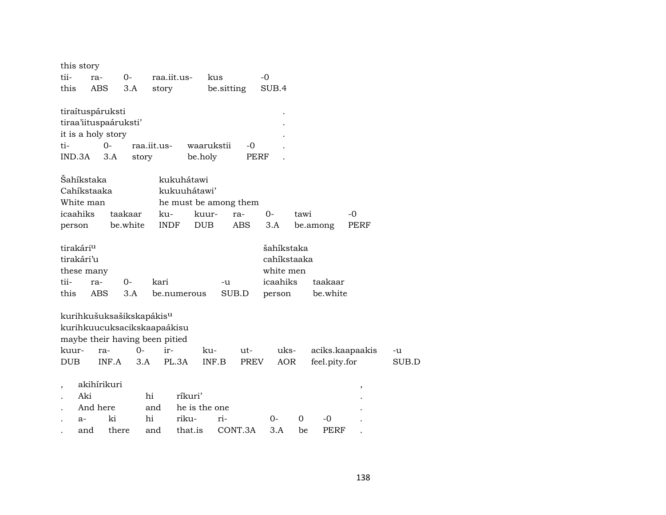|            | this story            |       |                                      |             |                       |            |            |             |      |               |                 |       |
|------------|-----------------------|-------|--------------------------------------|-------------|-----------------------|------------|------------|-------------|------|---------------|-----------------|-------|
| tii-       | ra-                   |       | $0-$                                 | raa.iit.us- |                       | kus        |            | $-0$        |      |               |                 |       |
| this       | <b>ABS</b>            |       | 3.A                                  | story       |                       | be sitting |            | SUB.4       |      |               |                 |       |
|            | tiraítuspáruksti      |       |                                      |             |                       |            |            |             |      |               |                 |       |
|            | tiraa'iituspaáruksti' |       |                                      |             |                       |            |            |             |      |               |                 |       |
|            | it is a holy story    |       |                                      |             |                       |            |            |             |      |               |                 |       |
| ti-        |                       | $0 -$ |                                      | raa.iit.us- |                       | waarukstii | $-0$       |             |      |               |                 |       |
|            | IND.3A                | 3.A   | story                                |             | be.holy               |            | PERF       |             |      |               |                 |       |
|            | Šahíkstaka            |       |                                      |             | kukuhátawi            |            |            |             |      |               |                 |       |
|            | Cahíkstaaka           |       |                                      |             | kukuuhátawi'          |            |            |             |      |               |                 |       |
|            | White man             |       |                                      |             | he must be among them |            |            |             |      |               |                 |       |
|            | icaahiks              |       | taakaar                              | ku-         |                       | kuur-      | ra-        | $O -$       | tawi |               | $-0$            |       |
| person     |                       |       | be.white                             | <b>INDF</b> | <b>DUB</b>            |            | <b>ABS</b> | 3.A         |      | be.among      | PERF            |       |
|            | tirakári <sup>u</sup> |       |                                      |             |                       |            |            | šahíkstaka  |      |               |                 |       |
|            | tirakári'u            |       |                                      |             |                       |            |            | cahíkstaaka |      |               |                 |       |
|            | these many            |       |                                      |             |                       |            |            | white men   |      |               |                 |       |
| tii-       | ra-                   |       | 0-                                   | kari        |                       | -u         |            | icaahiks    |      | taakaar       |                 |       |
| this       | <b>ABS</b>            |       | 3.A                                  |             | be.numerous           |            | SUB.D      | person      |      | be.white      |                 |       |
|            |                       |       | kurihkušuksašikskapákis <sup>u</sup> |             |                       |            |            |             |      |               |                 |       |
|            |                       |       | kurihkuucuksacikskaapaákisu          |             |                       |            |            |             |      |               |                 |       |
|            |                       |       | maybe their having been pitied       |             |                       |            |            |             |      |               |                 |       |
| kuur-      |                       | ra-   | $O -$                                | ir-         |                       | ku-        | ut-        | uks-        |      |               | aciks.kaapaakis | -u    |
| <b>DUB</b> |                       | INF.A | 3.A                                  |             | PL.3A                 | INF.B      | PREV       | <b>AOR</b>  |      | feel.pity.for |                 | SUB.D |
| $\, ,$     | akihírikuri           |       |                                      |             |                       |            |            |             |      |               | ,               |       |
|            | Aki                   |       |                                      | hi          | ríkuri'               |            |            |             |      |               |                 |       |
|            | And here              |       |                                      | and         | he is the one         |            |            |             |      |               |                 |       |
|            | $a-$                  | ki    |                                      | hi          | riku-                 | ri-        |            | $0-$        | 0    | -0            |                 |       |
|            | and                   | there |                                      | and         | that.is               |            | CONT.3A    | 3.A         | be   | PERF          |                 |       |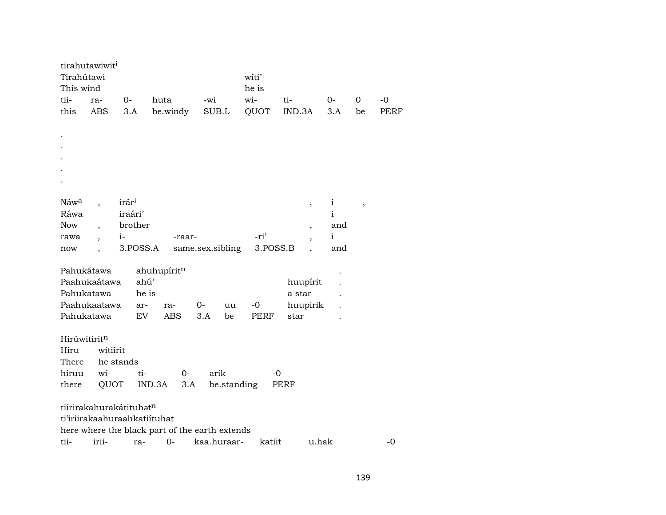| Tirahútawi                   | tirahutawiwit <sup>i</sup> |                   |                                                |                  | witi'       |                          |              |             |      |  |  |
|------------------------------|----------------------------|-------------------|------------------------------------------------|------------------|-------------|--------------------------|--------------|-------------|------|--|--|
| This wind                    |                            |                   |                                                |                  | he is       |                          |              |             |      |  |  |
| tii-                         | ra-                        | $0-$              | huta                                           | -wi              | wi-         | ti-                      | $0-$         | $\mathbf 0$ | $-0$ |  |  |
| this                         | <b>ABS</b>                 | 3.A               | be.windy                                       | SUB.L            | QUOT        | IND.3A                   | 3.A          | be          | PERF |  |  |
|                              |                            |                   |                                                |                  |             |                          |              |             |      |  |  |
|                              |                            |                   |                                                |                  |             |                          |              |             |      |  |  |
|                              |                            |                   |                                                |                  |             |                          |              |             |      |  |  |
|                              |                            |                   |                                                |                  |             |                          |              |             |      |  |  |
|                              |                            |                   |                                                |                  |             |                          |              |             |      |  |  |
|                              |                            |                   |                                                |                  |             |                          |              |             |      |  |  |
|                              |                            |                   |                                                |                  |             |                          |              |             |      |  |  |
| Náw <sup>a</sup>             |                            | irár <sup>i</sup> |                                                |                  |             | $\overline{\phantom{a}}$ | $\mathbf{i}$ | $\,$        |      |  |  |
| Ráwa                         |                            | iraári'           |                                                |                  |             |                          | $\mathbf{i}$ |             |      |  |  |
| Now                          |                            | brother           |                                                |                  |             | $\overline{\phantom{a}}$ | and          |             |      |  |  |
| rawa                         |                            | $i-$              | -raar-                                         |                  | -ri'        | $\overline{\phantom{a}}$ | $\mathbf{i}$ |             |      |  |  |
| now                          |                            | 3.POSS.A          |                                                | same.sex.sibling | 3.POSS.B    |                          | and          |             |      |  |  |
|                              |                            |                   |                                                |                  |             |                          |              |             |      |  |  |
| Pahukátawa<br>ahuhupíritn    |                            |                   |                                                |                  |             |                          |              |             |      |  |  |
|                              | Paahukaátawa               | ahú'              |                                                |                  |             | huupírit                 |              |             |      |  |  |
| Pahukatawa<br>he is          |                            |                   |                                                |                  |             | a star                   |              |             |      |  |  |
|                              | Paahukaatawa               | ar-               | ra-                                            | $0-$<br>uu       | $-0$        | huupirik                 |              |             |      |  |  |
| Pahukatawa                   |                            | EV                | ABS                                            | 3.A<br>be        | <b>PERF</b> | star                     |              |             |      |  |  |
|                              |                            |                   |                                                |                  |             |                          |              |             |      |  |  |
| Hirúwitiritn                 |                            |                   |                                                |                  |             |                          |              |             |      |  |  |
| Hiru                         | witiirit                   |                   |                                                |                  |             |                          |              |             |      |  |  |
| There                        | he stands                  |                   |                                                |                  |             |                          |              |             |      |  |  |
| hiruu                        | wi-                        | ti-               | $0-$                                           | arik             | $-0$        |                          |              |             |      |  |  |
| there                        | QUOT                       |                   | IND.3A<br>3.A                                  | be.standing      |             | PERF                     |              |             |      |  |  |
|                              |                            |                   |                                                |                  |             |                          |              |             |      |  |  |
| tiirirakahurakátituhatn      |                            |                   |                                                |                  |             |                          |              |             |      |  |  |
| ti'iriirakaahuraahkatiituhat |                            |                   |                                                |                  |             |                          |              |             |      |  |  |
|                              |                            |                   | here where the black part of the earth extends |                  |             |                          |              |             |      |  |  |
| tii-                         | irii-                      | ra-               | $0-$                                           | kaa.huraar-      | katiit      | u.hak                    |              |             | $-0$ |  |  |